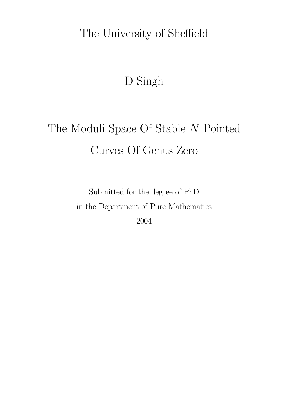# The University of Sheffield

# D Singh

# The Moduli Space Of Stable  $\cal N$  Pointed Curves Of Genus Zero

Submitted for the degree of PhD in the Department of Pure Mathematics 2004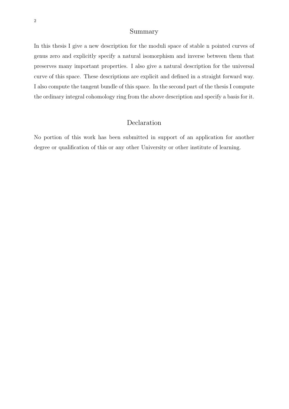# Summary

In this thesis I give a new description for the moduli space of stable n pointed curves of genus zero and explicitly specify a natural isomorphism and inverse between them that preserves many important properties. I also give a natural description for the universal curve of this space. These descriptions are explicit and defined in a straight forward way. I also compute the tangent bundle of this space. In the second part of the thesis I compute the ordinary integral cohomology ring from the above description and specify a basis for it.

# Declaration

No portion of this work has been submitted in support of an application for another degree or qualification of this or any other University or other institute of learning.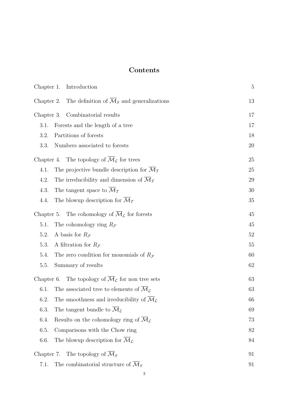# **Contents**

|                                  | Chapter 1. Introduction                                                             | 5      |
|----------------------------------|-------------------------------------------------------------------------------------|--------|
|                                  | Chapter 2. The definition of $\overline{\mathcal{M}}_S$ and generalizations         | 13     |
| Chapter 3. Combinatorial results |                                                                                     | 17     |
| 3.1.                             | Forests and the length of a tree                                                    | 17     |
| 3.2.                             | Partitions of forests                                                               | 18     |
| 3.3.                             | Numbers associated to forests                                                       | 20     |
|                                  | Chapter 4. The topology of $\overline{\mathcal{M}}_{\mathcal{L}}$ for trees         | $25\,$ |
| 4.1.                             | The projective bundle description for $\mathcal{M}_{\mathcal{T}}$                   | 25     |
| 4.2.                             | The irreducibility and dimension of $\overline{\mathcal{M}}_{\mathcal{I}}$          | 29     |
| 4.3.                             | The tangent space to $\overline{\mathcal{M}}_{\mathcal{T}}$                         | 30     |
| 4.4.                             | The blowup description for $\overline{\mathcal{M}}_T$                               | 35     |
|                                  | Chapter 5. The cohomology of $\overline{\mathcal{M}}_{\mathcal{L}}$ for forests     | 45     |
| 5.1.                             | The cohomology ring $R_{\mathcal{F}}$                                               | 45     |
| 5.2.                             | A basis for $R_{\mathcal{F}}$                                                       | $52\,$ |
| 5.3.                             | A filtration for $R_{\mathcal{F}}$                                                  | 55     |
| 5.4.                             | The zero condition for monomials of $R_{\mathcal{F}}$                               | 60     |
| 5.5.                             | Summary of results                                                                  | 62     |
|                                  | Chapter 6. The topology of $\overline{\mathcal{M}}_{\mathcal{L}}$ for non tree sets | 63     |
| 6.1.                             | The associated tree to elements of $\overline{\mathcal{M}}_{\mathcal{L}}$           | 63     |
| 6.2.                             | The smoothness and irreducibility of $\overline{\mathcal{M}}_{\mathcal{L}}$         | 66     |
| 6.3.                             | The tangent bundle to $\overline{\mathcal{M}}_{\mathcal{L}}$                        | 69     |
| 6.4.                             | Results on the cohomology ring of $\overline{\mathcal{M}}_{\mathcal{L}}$            | 73     |
| 6.5.                             | Comparisons with the Chow ring                                                      | 82     |
| 6.6.                             | The blowup description for $\overline{\mathcal{M}}_{\mathcal{L}}$                   | 84     |
|                                  | Chapter 7. The topology of $\overline{\mathcal{M}}_S$                               | 91     |
| 7.1.                             | The combinatorial structure of $\overline{\mathcal{M}}_S$                           | 91     |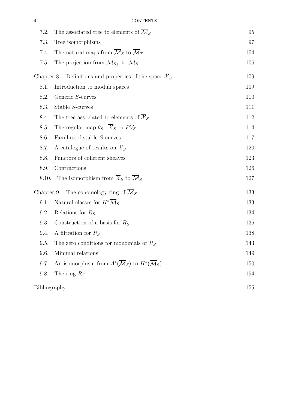| 7.2.         | The associated tree to elements of $\mathcal{M}_S$                                       | 95  |
|--------------|------------------------------------------------------------------------------------------|-----|
| 7.3.         | Tree isomorphisms                                                                        | 97  |
| 7.4.         | The natural maps from $\overline{\mathcal{M}}_S$ to $\overline{\mathcal{M}}_T$           | 104 |
| 7.5.         | The projection from $\overline{\mathcal{M}}_{S+}$ to $\overline{\mathcal{M}}_S$          | 106 |
| Chapter 8.   | Definitions and properties of the space $\overline{\mathcal{X}}_S$                       | 109 |
| 8.1.         | Introduction to moduli spaces                                                            | 109 |
| 8.2.         | Generic S-curves                                                                         | 110 |
| 8.3.         | Stable S-curves                                                                          | 111 |
| 8.4.         | The tree associated to elements of $\overline{\mathcal{X}}_S$                            | 112 |
| 8.5.         | The regular map $\theta_S : \overline{X}_S \to PV_S$                                     | 114 |
| 8.6.         | Families of stable S-curves                                                              | 117 |
| 8.7.         | A catalogue of results on $\mathcal{X}_S$                                                | 120 |
| 8.8.         | Functors of coherent sheaves                                                             | 123 |
| 8.9.         | Contractions                                                                             | 126 |
| 8.10.        | The isomorphism from $\overline{\mathcal{X}}_S$ to $\overline{\mathcal{M}}_S$            | 127 |
|              | Chapter 9. The cohomology ring of $\overline{\mathcal{M}}_S$                             | 133 |
| 9.1.         | Natural classes for $H^*\overline{\mathcal{M}}_S$                                        | 133 |
| 9.2.         | Relations for $R_S$                                                                      | 134 |
| 9.3.         | Construction of a basis for $R_S$                                                        | 136 |
| 9.4.         | A filtration for $R_S$                                                                   | 138 |
| 9.5.         | The zero conditions for monomials of $R_s$                                               | 143 |
| 9.6.         | Minimal relations                                                                        | 149 |
| 9.7.         | An isomorphism from $A^*(\overline{\mathcal{M}}_S)$ to $H^*(\overline{\mathcal{M}}_S)$ . | 150 |
| 9.8.         | The ring $R_{\mathcal{L}}$                                                               | 154 |
| Bibliography |                                                                                          | 155 |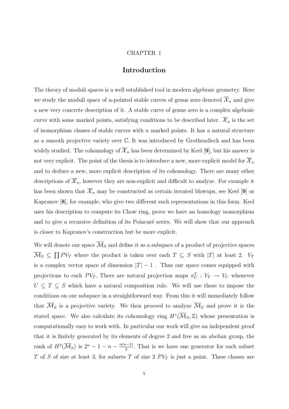#### CHAPTER 1

## **Introduction**

The theory of moduli spaces is a well established tool in modern algebraic geometry. Here we study the moduli space of n-pointed stable curves of genus zero denoted  $\mathcal{X}_n$  and give a new very concrete description of it. A stable curve of genus zero is a complex algebraic curve with some marked points, satisfying conditions to be described later.  $\mathcal{X}_n$  is the set of isomorphism classes of stable curves with  $n$  marked points. It has a natural structure as a smooth projective variety over C. It was introduced by Grothendieck and has been widely studied. The cohomology of  $\overline{\mathcal{X}}_n$  has been determined by Keel [9], but his answer is not very explicit. The point of the thesis is to introduce a new, more explicit model for  $\overline{X}_n$ and to deduce a new, more explicit description of its cohomology. There are many other descriptions of  $\overline{\mathcal{X}}_n$ , however they are non-explicit and difficult to analyze. For example it has been shown that  $\overline{\mathcal{X}}_n$  may be constructed as certain iterated blowups, see Keel [9] or Kapranov [**8**], for example, who give two different such representations in this form. Keel uses his description to compute its Chow ring, prove we have an homology isomorphism and to give a recursive definition of its Poincaré series. We will show that our approach is closer to Kapranov's construction but be more explicit.

We will denote our space  $\overline{\mathcal{M}}_S$  and define it as a subspace of a product of projective spaces  $\overline{\mathcal{M}}_S \subseteq \prod PV_T$  where the product is taken over each  $T \subseteq S$  with  $|T|$  at least 2.  $V_T$ is a complex vector space of dimension  $|T|-1$  . Thus our space comes equipped with projections to each  $PV_T$ . There are natural projection maps  $\pi_U^T : V_T \to V_U$  whenever  $U \subseteq T \subseteq S$  which have a natural composition rule. We will use these to impose the conditions on our subspace in a straightforward way. From this it will immediately follow that  $\overline{\mathcal{M}}_S$  is a projective variety. We then proceed to analyze  $\overline{\mathcal{M}}_S$  and prove it is the stated space. We also calculate its cohomology ring  $H^*(\overline{\mathcal{M}}_S,\mathbb{Z})$  whose presentation is computationally easy to work with. In particular our work will give an independent proof that it is finitely generated by its elements of degree 2 and free as an abelian group, the rank of  $H^2(\overline{\mathcal{M}}_S)$  is  $2^n - 1 - n - \frac{n(n-1)}{2}$ . That is we have one generator for each subset T of S of size at least 3, for subsets T of size 2  $PV_T$  is just a point. These classes are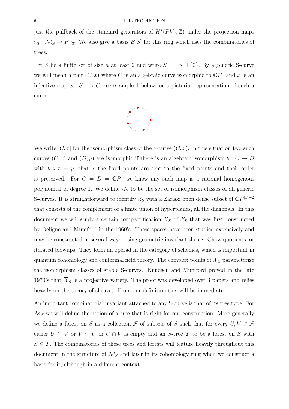just the pullback of the standard generators of  $H^*(PV_T, \mathbb{Z})$  under the projection maps  $\pi_T : \overline{\mathcal{M}}_S \to PV_T$ . We also give a basis  $\overline{B}[S]$  for this ring which uses the combinatorics of trees.

Let S be a finite set of size n at least 2 and write  $S_+ = S \amalg \{0\}$ . By a generic S-curve we will mean a pair  $(C, x)$  where C is an algebraic curve isomorphic to  $\mathbb{C}P^1$  and x is an injective map  $x : S_+ \to C$ , see example 1 below for a pictorial representation of such a curve.



We write  $[C, x]$  for the isomorphism class of the S-curve  $(C, x)$ . In this situation two such curves  $(C, x)$  and  $(D, y)$  are isomorphic if there is an algebraic isomorphism  $\theta : C \to D$ with  $\theta \circ x = y$ , that is the fixed points are sent to the fixed points and their order is preserved. For  $C = D = \mathbb{C}P^1$  we know any such map is a rational homogenous polynomial of degree 1. We define  $\mathcal{X}_S$  to be the set of isomorphism classes of all generic S-curves. It is straightforward to identify  $\mathcal{X}_S$  with a Zariski open dense subset of  $\mathbb{C}P^{|S|-2}$ that consists of the complement of a finite union of hyperplanes, all the diagonals. In this document we will study a certain compactification  $\mathcal{X}_S$  of  $\mathcal{X}_S$  that was first constructed by Deligne and Mumford in the 1960's. These spaces have been studied extensively and may be constructed in several ways, using geometric invariant theory, Chow quotients, or iterated blowups. They form an operad in the category of schemes, which is important in quantum cohomology and conformal field theory. The complex points of  $\overline{\mathcal{X}}_S$  parameterize the isomorphism classes of stable S-curves. Knudsen and Mumford proved in the late 1970's that  $\overline{\mathcal{X}}_S$  is a projective variety. The proof was developed over 3 papers and relies heavily on the theory of sheaves. From our definition this will be immediate.

An important combinatorial invariant attached to any S-curve is that of its tree type. For  $\overline{\mathcal{M}}_S$  we will define the notion of a tree that is right for our construction. More generally we define a forest on S as a collection F of subsets of S such that for every  $U, V \in \mathcal{F}$ either  $U \subseteq V$  or  $V \subseteq U$  or  $U \cap V$  is empty and an S-tree T to be a forest on S with  $S \in \mathcal{T}$ . The combinatorics of these trees and forests will feature heavily throughout this document in the structure of  $\overline{\mathcal{M}}_S$  and later in its cohomology ring when we construct a basis for it, although in a different context.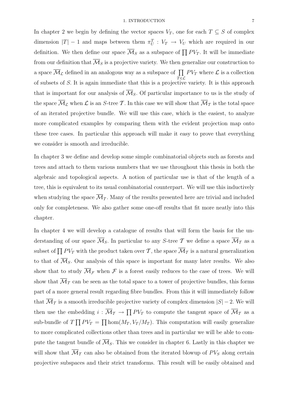In chapter 2 we begin by defining the vector spaces  $V_T$ , one for each  $T \subseteq S$  of complex dimension  $|T| - 1$  and maps between them  $\pi_U^T : V_T \to V_U$  which are required in our definition. We then define our space  $\overline{\mathcal{M}}_S$  as a subspace of  $\prod PV_T$ . It will be immediate from our definition that  $\overline{\mathcal{M}}_S$  is a projective variety. We then generalize our construction to a space  $\overline{\mathcal{M}}_{\mathcal{L}}$  defined in an analogous way as a subspace of  $~\prod~$  $\bar{T} \in \mathcal{L}$  $PV_T$  where  $\mathcal L$  is a collection of subsets of  $S$ . It is again immediate that this is a projective variety. It is this approach that is important for our analysis of  $\overline{\mathcal{M}}_S$ . Of particular importance to us is the study of the space  $\overline{\mathcal{M}}_{\mathcal{L}}$  when  $\mathcal{L}$  is an S-tree T. In this case we will show that  $\overline{\mathcal{M}}_{\mathcal{T}}$  is the total space of an iterated projective bundle. We will use this case, which is the easiest, to analyze more complicated examples by comparing them with the evident projection map onto these tree cases. In particular this approach will make it easy to prove that everything we consider is smooth and irreducible.

In chapter 3 we define and develop some simple combinatorial objects such as forests and trees and attach to them various numbers that we use throughout this thesis in both the algebraic and topological aspects. A notion of particular use is that of the length of a tree, this is equivalent to its usual combinatorial counterpart. We will use this inductively when studying the space  $\overline{\mathcal{M}}_{\mathcal{T}}$ . Many of the results presented here are trivial and included only for completeness. We also gather some one-off results that fit more neatly into this chapter.

In chapter 4 we will develop a catalogue of results that will form the basis for the understanding of our space  $\overline{\mathcal{M}}_S$ . In particular to any S-tree T we define a space  $\overline{\mathcal{M}}_T$  as a subset of  $\prod PV_T$  with the product taken over T, the space  $\overline{\mathcal{M}}_T$  is a natural generalization to that of  $\overline{\mathcal{M}}_S$ . Our analysis of this space is important for many later results. We also show that to study  $\overline{\mathcal{M}}_{\mathcal{F}}$  when  $\mathcal F$  is a forest easily reduces to the case of trees. We will show that  $\overline{\mathcal{M}}_{\mathcal{I}}$  can be seen as the total space to a tower of projective bundles, this forms part of a more general result regarding fibre bundles. From this it will immediately follow that  $\overline{\mathcal{M}}_{\mathcal{T}}$  is a smooth irreducible projective variety of complex dimension  $|S| - 2$ . We will then use the embedding  $i: \overline{\mathcal{M}}_{\mathcal{I}} \to \prod PV_T$  to compute the tangent space of  $\overline{\mathcal{M}}_{\mathcal{I}}$  as a sub-bundle of  $T \prod PV_T = \prod \text{hom}(M_T, V_T/M_T)$ . This computation will easily generalize to more complicated collections other than trees and in particular we will be able to compute the tangent bundle of  $\overline{\mathcal{M}}_S$ . This we consider in chapter 6. Lastly in this chapter we will show that  $\overline{\mathcal{M}}_{\mathcal{T}}$  can also be obtained from the iterated blowup of  $PV_S$  along certain projective subspaces and their strict transforms. This result will be easily obtained and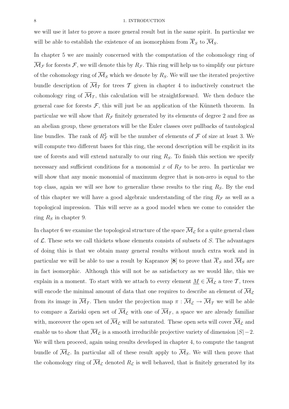#### 8 1. INTRODUCTION

we will use it later to prove a more general result but in the same spirit. In particular we will be able to establish the existence of an isomorphism from  $\overline{\mathcal{X}}_S$  to  $\overline{\mathcal{M}}_S$ .

In chapter 5 we are mainly concerned with the computation of the cohomology ring of  $\mathcal{M}_{\mathcal{F}}$  for forests  $\mathcal{F}$ , we will denote this by  $R_{\mathcal{F}}$ . This ring will help us to simplify our picture of the cohomology ring of  $\overline{\mathcal{M}}_S$  which we denote by  $R_S$ . We will use the iterated projective bundle description of  $\overline{\mathcal{M}}_{\mathcal{T}}$  for trees  $\mathcal T$  given in chapter 4 to inductively construct the cohomology ring of  $\overline{\mathcal{M}}_{\mathcal{T}}$ , this calculation will be straightforward. We then deduce the general case for forests  $\mathcal{F}$ , this will just be an application of the Künneth theorem. In particular we will show that  $R<sub>F</sub>$  finitely generated by its elements of degree 2 and free as an abelian group, these generators will be the Euler classes over pullbacks of tautological line bundles. The rank of  $R^2_{\mathcal{F}}$  will be the number of elements of  $\mathcal F$  of size at least 3. We will compute two different bases for this ring, the second description will be explicit in its use of forests and will extend naturally to our ring  $R<sub>S</sub>$ . To finish this section we specify necessary and sufficient conditions for a monomial x of  $R<sub>F</sub>$  to be zero. In particular we will show that any monic monomial of maximum degree that is non-zero is equal to the top class, again we will see how to generalize these results to the ring  $R<sub>S</sub>$ . By the end of this chapter we will have a good algebraic understanding of the ring  $R_{\mathcal{F}}$  as well as a topological impression. This will serve as a good model when we come to consider the ring  $R<sub>S</sub>$  in chapter 9.

In chapter 6 we examine the topological structure of the space  $\overline{\mathcal{M}}_{\mathcal{L}}$  for a quite general class of  $\mathcal L$ . These sets we call thickets whose elements consists of subsets of S. The advantages of doing this is that we obtain many general results without much extra work and in particular we will be able to use a result by Kapranov [8] to prove that  $\overline{\mathcal{X}}_S$  and  $\overline{\mathcal{M}}_S$  are in fact isomorphic. Although this will not be as satisfactory as we would like, this we explain in a moment. To start with we attach to every element  $M \in \overline{\mathcal{M}}_{\mathcal{L}}$  a tree T, trees will encode the minimal amount of data that one requires to describe an element of  $\overline{\mathcal{M}}_{\mathcal{L}}$ from its image in  $\overline{\mathcal{M}}_{\mathcal{T}}$ . Then under the projection map  $\pi : \overline{\mathcal{M}}_{\mathcal{L}} \to \overline{\mathcal{M}}_{\mathcal{T}}$  we will be able to compare a Zariski open set of  $\overline{\mathcal{M}}_{\mathcal{L}}$  with one of  $\overline{\mathcal{M}}_{\mathcal{T}}$ , a space we are already familiar with, moreover the open set of  $\overline{\mathcal{M}}_{\mathcal{L}}$  will be saturated. These open sets will cover  $\overline{\mathcal{M}}_{\mathcal{L}}$  and enable us to show that  $\overline{\mathcal{M}}_{\mathcal{L}}$  is a smooth irreducible projective variety of dimension  $|S|-2$ . We will then proceed, again using results developed in chapter 4, to compute the tangent bundle of  $\overline{\mathcal{M}}_{\mathcal{L}}$ . In particular all of these result apply to  $\overline{\mathcal{M}}_{S}$ . We will then prove that the cohomology ring of  $\overline{\mathcal{M}}_{\mathcal{L}}$  denoted  $R_{\mathcal{L}}$  is well behaved, that is finitely generated by its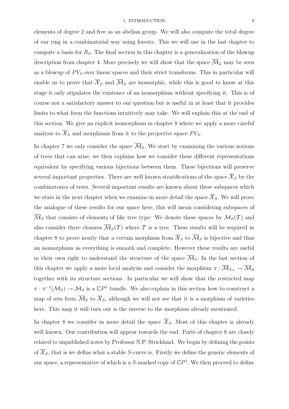elements of degree 2 and free as an abelian group. We will also compute the total degree of our ring in a combinatorial way using forests. This we will use in the last chapter to compute a basis for  $R<sub>S</sub>$ . The final section in this chapter is a generalization of the blowup description from chapter 4. More precisely we will show that the space  $\overline{\mathcal{M}}_{\mathcal{L}}$  may be seen as a blowup of  $PV_S$  over linear spaces and their strict transforms. This in particular will enable us to prove that  $\overline{\mathcal{X}}_S$  and  $\overline{\mathcal{M}}_S$  are isomorphic, while this is good to know at this stage it only stipulates the existence of an isomorphism without specifying it. This is of course not a satisfactory answer to our question but is useful in at least that it provides limits to what form the functions intuitively may take. We will explain this at the end of this section. We give an explicit isomorphism in chapter 8 where we apply a more careful analysis to  $\overline{\mathcal{X}}_S$  and morphisms from it to the projective space  $PV_S$ .

In chapter 7 we only consider the space  $\overline{\mathcal{M}}_S$ . We start by examining the various notions of trees that can arise, we then explains how we consider these different representations equivalent by specifying various bijections between them. These bijections will preserve several important properties. There are well known stratifications of the space  $\overline{\mathcal{X}}_S$  by the combinatorics of trees. Several important results are known about these subspaces which we state in the next chapter when we examine in more detail the space  $\overline{\mathcal{X}}_S$ . We will prove the analogue of these results for our space here, this will mean considering subspaces of  $\overline{\mathcal{M}}_S$  that consists of elements of like tree type. We denote these spaces by  $\mathcal{M}_S(\mathcal{T})$  and also consider there closures  $\overline{\mathcal{M}}_S(\mathcal{T})$  where  $\mathcal T$  is a tree. These results will be required in chapter 8 to prove neatly that a certain morphism from  $\overline{\mathcal{X}}_S$  to  $\overline{\mathcal{M}}_S$  is bijective and thus an isomorphism as everything is smooth and complete. However these results are useful in their own right to understand the structure of the space  $\overline{\mathcal{M}}_S$ . In the last section of this chapter we apply a more local analysis and consider the morphism  $\pi : \overline{\mathcal{M}}_{S+} \to \overline{\mathcal{M}}_S$ together with its structure sections. In particular we will show that the restricted map  $\pi : \pi^{-1}(\mathcal{M}_S) \to \mathcal{M}_S$  is a  $\mathbb{C}P^1$  bundle. We also explain in this section how to construct a map of sets from  $\overline{\mathcal{M}}_S$  to  $\overline{\mathcal{X}}_S$ , although we will not see that it is a morphism of varieties here. This map it will turn out is the inverse to the morphism already mentioned.

In chapter 8 we consider in more detail the space  $\overline{\mathcal{X}}_S$ . Most of this chapter is already well known. Our contribution will appear towards the end. Parts of chapter 8 are closely related to unpublished notes by Professor N.P. Strickland. We begin by defining the points of  $\overline{\mathcal{X}}_S$ , that is we define what a stable S-curve is. Firstly we define the generic elements of our space, a representative of which is a  $S$ -marked copy of  $\mathbb{C}P<sup>1</sup>$ . We then proceed to define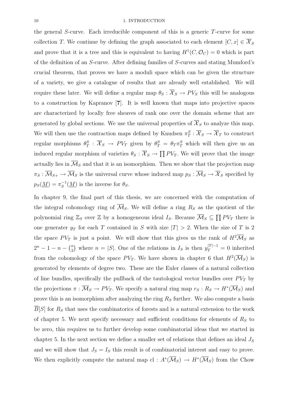the general S-curve. Each irreducible component of this is a generic T-curve for some collection T. We continue by defining the graph associated to each element  $[C, x] \in \overline{\mathcal{X}}_S$ and prove that it is a tree and this is equivalent to having  $H^1(C, \mathcal{O}_C) = 0$  which is part of the definition of an S-curve. After defining families of S-curves and stating Mumford's crucial theorem, that proves we have a moduli space which can be given the structure of a variety, we give a catalogue of results that are already well established. We will require these later. We will define a regular map  $\theta_S : \overline{X}_S \to PV_S$  this will be analogous to a construction by Kapranov [**7**]. It is well known that maps into projective spaces are characterized by locally free sheaves of rank one over the domain scheme that are generated by global sections. We use the universal properties of  $\overline{\mathcal{X}}_S$  to analyze this map. We will then use the contraction maps defined by Knudsen  $\pi_T^S : \overline{X}_S \to \overline{X}_T$  to construct regular morphisms  $\theta_T^S$ :  $\overline{\mathcal{X}}_S \to PV_T$  given by  $\theta_T^S = \theta_T \pi_T^S$  which will then give us an induced regular morphism of varieties  $\theta_S : \overline{X}_S \to \prod PV_T$ . We will prove that the image actually lies in  $\overline{\mathcal{M}}_S$  and that it is an isomorphism. Then we show that the projection map  $\pi_S : \overline{\mathcal{M}}_{S+} \to \overline{\mathcal{M}}_S$  is the universal curve whose induced map  $p_S : \overline{\mathcal{M}}_S \to \overline{\mathcal{X}}_S$  specified by  $p_S(\underline{M}) = \pi_S^{-1}(\underline{M})$  is the inverse for  $\theta_S$ .

In chapter 9, the final part of this thesis, we are concerned with the computation of the integral cohomology ring of  $\overline{\mathcal{M}}_S$ . We will define a ring  $R_S$  as the quotient of the polynomial ring  $\mathbb{Z}_S$  over  $\mathbb{Z}$  by a homogeneous ideal  $I_S$ . Because  $\overline{\mathcal{M}}_S \subseteq \prod P V_T$  there is one generater  $y_T$  for each T contained in S with size  $|T| > 2$ . When the size of T is 2 the space  $PV_T$  is just a point. We will show that this gives us the rank of  $H^2\overline{\mathcal{M}}_S$  as  $2^{n} - 1 - n - {n \choose 2}$  where  $n = |S|$ . One of the relations in  $I_S$  is then  $y_T^{|T|-1} = 0$  inherited from the cohomology of the space  $PV_T$ . We have shown in chapter 6 that  $H^2(\overline{\mathcal{M}}_S)$  is generated by elements of degree two. These are the Euler classes of a natural collection of line bundles, specifically the pullback of the tautological vector bundles over  $PV_T$  by the projections  $\pi : \overline{\mathcal{M}}_S \to PV_T$ . We specify a natural ring map  $r_S : R_S \to H^*(\overline{\mathcal{M}}_S)$  and prove this is an isomorphism after analyzing the ring  $R<sub>S</sub>$  further. We also compute a basis  $\overline{B}[S]$  for  $R_S$  that uses the combinatorics of forests and is a natural extension to the work of chapter 5. We next specify necessary and sufficient conditions for elements of  $R<sub>S</sub>$  to be zero, this requires us to further develop some combinatorial ideas that we started in chapter 5. In the next section we define a smaller set of relations that defines an ideal  $J<sub>S</sub>$ and we will show that  $J_s = I_s$  this result is of combinatorial interest and easy to prove. We then explicitly compute the natural map cl :  $A^*(\overline{\mathcal{M}}_S) \to H^*(\overline{\mathcal{M}}_S)$  from the Chow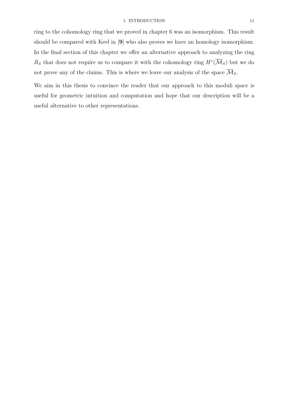ring to the cohomology ring that we proved in chapter 6 was an isomorphism. This result should be compared with Keel in [**9**] who also proves we have an homology isomorphism. In the final section of this chapter we offer an alternative approach to analyzing the ring Rs that does not require us to compare it with the cohomology ring  $H^*(\overline{\mathcal{M}}_S)$  but we do not prove any of the claims. This is where we leave our analysis of the space  $\overline{\mathcal{M}}_S$ .

We aim in this thesis to convince the reader that our approach to this moduli space is useful for geometric intuition and computation and hope that our description will be a useful alternative to other representations.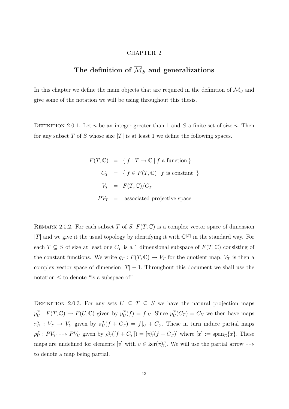#### CHAPTER 2

# **The definition of** M*<sup>S</sup>* **and generalizations**

In this chapter we define the main objects that are required in the definition of  $\overline{\mathcal{M}}_S$  and give some of the notation we will be using throughout this thesis.

DEFINITION 2.0.1. Let n be an integer greater than 1 and  $S$  a finite set of size n. Then for any subset T of S whose size  $|T|$  is at least 1 we define the following spaces.

> $F(T, \mathbb{C}) = \{ f : T \to \mathbb{C} \mid f \text{ a function } \}$  $C_T = \{ f \in F(T, \mathbb{C}) \mid f \text{ is constant } \}$  $V_T = F(T, \mathbb{C})/C_T$  $PV_T$  = associated projective space

REMARK 2.0.2. For each subset T of S,  $F(T, \mathbb{C})$  is a complex vector space of dimension |T| and we give it the usual topology by identifying it with  $\mathbb{C}^{|T|}$  in the standard way. For each  $T \subseteq S$  of size at least one  $C_T$  is a 1 dimensional subspace of  $F(T, \mathbb{C})$  consisting of the constant functions. We write  $q_T : F(T, \mathbb{C}) \to V_T$  for the quotient map,  $V_T$  is then a complex vector space of dimension  $|T| - 1$ . Throughout this document we shall use the notation  $\leq$  to denote "is a subspace of"

DEFINITION 2.0.3. For any sets  $U \subseteq T \subseteq S$  we have the natural projection maps  $p_U^T: F(T, \mathbb{C}) \to F(U, \mathbb{C})$  given by  $p_U^T(f) = f|_U$ . Since  $p_U^T(C_T) = C_U$  we then have maps  $\pi_U^T: V_T \to V_U$  given by  $\pi_U^T(f + C_T) = f|_U + C_U$ . These in turn induce partial maps  $\rho_U^T: PV_T \dashrightarrow PV_U$  given by  $\rho_U^T([f + C_T]) = [\pi_U^T(f + C_T)]$  where  $[x] := \text{span}_{\mathbb{C}}\{x\}$ . These maps are undefined for elements [v] with  $v \in \text{ker}(\pi_U^T)$ . We will use the partial arrow  $-\rightarrow$ to denote a map being partial.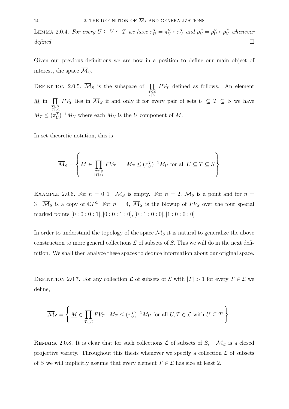LEMMA 2.0.4. For every  $U \subseteq V \subseteq T$  we have  $\pi_U^T = \pi_U^V \circ \pi_V^T$  and  $\rho_U^T = \rho_U^V \circ \rho_V^T$  whenever defined.  $\Box$ 

Given our previous definitions we are now in a position to define our main object of interest, the space  $\overline{\mathcal{M}}_S$ .

DEFINITION 2.0.5.  $\overline{\mathcal{M}}_S$  is the subspace of  $\prod$  $T \subseteq S$ <br> $|T| > 1$  $PV_T$  defined as follows. An element  $\overline{M}$  in  $\overline{\Pi}$  $T \subseteq S$ <br> $|T| > 1$  $PV_T$  lies in  $\mathcal{M}_S$  if and only if for every pair of sets  $U \subseteq T \subseteq S$  we have  $M_T \leq (\pi_U^T)^{-1} M_U$  where each  $M_U$  is the U component of <u>M</u>.

In set theoretic notation, this is

$$
\overline{\mathcal{M}}_S = \left\{ \underline{M} \in \prod_{T \subseteq S \atop |T| > 1} PV_T \middle| \quad M_T \leq (\pi_U^T)^{-1} M_U \text{ for all } U \subseteq T \subseteq S \right\}
$$

EXAMPLE 2.0.6. For  $n = 0, 1$   $\overline{\mathcal{M}}_S$  is empty. For  $n = 2, \overline{\mathcal{M}}_S$  is a point and for  $n =$ 3  $\overline{\mathcal{M}}_S$  is a copy of  $\mathbb{C}P^1$ . For  $n = 4$ ,  $\overline{\mathcal{M}}_S$  is the blowup of  $PV_S$  over the four special marked points  $[0:0:0:1]$ ,  $[0:0:1:0]$ ,  $[0:1:0:0]$ ,  $[1:0:0:0]$ 

In order to understand the topology of the space  $\overline{\mathcal{M}}_S$  it is natural to generalize the above construction to more general collections  $\mathcal L$  of subsets of S. This we will do in the next definition. We shall then analyze these spaces to deduce information about our original space.

DEFINITION 2.0.7. For any collection  $\mathcal L$  of subsets of S with  $|T| > 1$  for every  $T \in \mathcal L$  we define,

$$
\overline{\mathcal{M}}_{\mathcal{L}} = \left\{ \left. \underline{M} \in \prod_{T \in \mathcal{L}} PV_T \; \right| M_T \leq (\pi_U^T)^{-1} M_U \text{ for all } U, T \in \mathcal{L} \text{ with } U \subseteq T \right\}.
$$

REMARK 2.0.8. It is clear that for such collections  $\mathcal L$  of subsets of S,  $\overline{\mathcal M}_\mathcal L$  is a closed projective variety. Throughout this thesis whenever we specify a collection  $\mathcal L$  of subsets of S we will implicitly assume that every element  $T \in \mathcal{L}$  has size at least 2.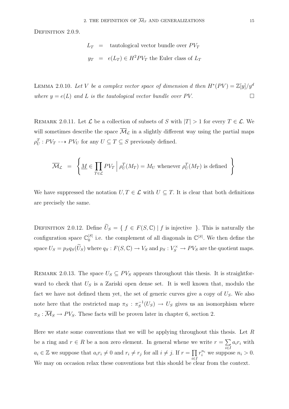DEFINITION 2.0.9.

$$
L_T = \text{tautological vector bundle over } PV_T
$$
  

$$
y_T = e(L_T) \in H^2 PV_T \text{ the Euler class of } L_T
$$

LEMMA 2.0.10. Let V be a complex vector space of dimension d then  $H^*(PV) = \mathbb{Z}[y]/y^d$ where  $y = e(L)$  and L is the tautological vector bundle over PV.

REMARK 2.0.11. Let  $\mathcal L$  be a collection of subsets of S with  $|T| > 1$  for every  $T \in \mathcal L$ . We will sometimes describe the space  $\overline{\mathcal{M}}_{\mathcal{L}}$  in a slightly different way using the partial maps  $\rho_U^T : PV_T \dashrightarrow PV_U$  for any  $U \subseteq T \subseteq S$  previously defined.

$$
\overline{\mathcal{M}}_{\mathcal{L}} = \left\{ \underline{M} \in \prod_{T \in \mathcal{L}} PV_T \Big| \rho_U^T(M_T) = M_U \text{ whenever } \rho_U^T(M_T) \text{ is defined } \right\}
$$

We have suppressed the notation  $U, T \in \mathcal{L}$  with  $U \subseteq T$ . It is clear that both definitions are precisely the same.

DEFINITION 2.0.12. Define  $\widetilde{U}_S = \{ f \in F(S, \mathbb{C}) \mid f \text{ is injective } \}.$  This is naturally the configuration space  $\mathbb{C}_0^{[S]}$  i.e. the complement of all diagonals in  $\mathbb{C}^{[S]}$ . We then define the space  $U_S = p_S q_S(\widetilde{U}_S)$  where  $q_S: F(S, \mathbb{C}) \to V_S$  and  $p_S: V_S^{\times} \to PV_S$  are the quotient maps.

REMARK 2.0.13. The space  $U_S \subseteq PV_S$  appears throughout this thesis. It is straightforward to check that  $U<sub>S</sub>$  is a Zariski open dense set. It is well known that, modulo the fact we have not defined them yet, the set of generic curves give a copy of  $U_s$ . We also note here that the restricted map  $\pi_S : \pi_S^{-1}(U_S) \to U_S$  gives us an isomorphism where  $\pi_S : \overline{\mathcal{M}}_S \to PV_S$ . These facts will be proven later in chapter 6, section 2.

Here we state some conventions that we will be applying throughout this thesis. Let  $R$ be a ring and  $r \in R$  be a non zero element. In general whene we write  $r = \sum$ i∈I  $a_i r_i$  with  $a_i \in \mathbb{Z}$  we suppose that  $a_i r_i \neq 0$  and  $r_i \neq r_j$  for all  $i \neq j$ . If  $r = \prod$ i∈I  $r_i^{n_i}$  we suppose  $n_i > 0$ . We may on occasion relax these conventions but this should be clear from the context.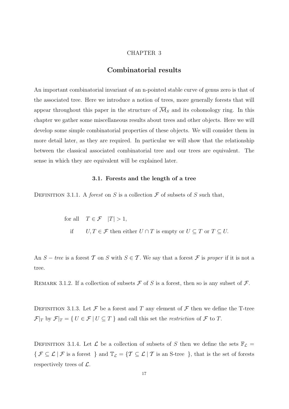#### CHAPTER 3

## **Combinatorial results**

An important combinatorial invariant of an n-pointed stable curve of genus zero is that of the associated tree. Here we introduce a notion of trees, more generally forests that will appear throughout this paper in the structure of  $\overline{\mathcal{M}}_S$  and its cohomology ring. In this chapter we gather some miscellaneous results about trees and other objects. Here we will develop some simple combinatorial properties of these objects. We will consider them in more detail later, as they are required. In particular we will show that the relationship between the classical associated combinatorial tree and our trees are equivalent. The sense in which they are equivalent will be explained later.

#### **3.1. Forests and the length of a tree**

DEFINITION 3.1.1. A forest on S is a collection  $\mathcal F$  of subsets of S such that,

for all  $T \in \mathcal{F}$   $|T| > 1$ , if  $U, T \in \mathcal{F}$  then either  $U \cap T$  is empty or  $U \subseteq T$  or  $T \subseteq U$ .

An  $S$  – tree is a forest T on S with  $S \in T$ . We say that a forest F is proper if it is not a tree.

REMARK 3.1.2. If a collection of subsets  $\mathcal F$  of S is a forest, then so is any subset of  $\mathcal F$ .

DEFINITION 3.1.3. Let  $\mathcal F$  be a forest and T any element of  $\mathcal F$  then we define the T-tree  $\mathcal{F}|_T$  by  $\mathcal{F}|_T = \{ U \in \mathcal{F} | U \subseteq T \}$  and call this set the *restriction* of  $\mathcal F$  to  $T$ .

DEFINITION 3.1.4. Let  $\mathcal L$  be a collection of subsets of S then we define the sets  $\mathbb{F}_{\mathcal L}$  =  $\{ \mathcal{F} \subseteq \mathcal{L} | \mathcal{F} \text{ is a forest } \}$  and  $\mathbb{T}_{\mathcal{L}} = \{ \mathcal{T} \subseteq \mathcal{L} | \mathcal{T} \text{ is an S-tree } \}$ , that is the set of forests respectively trees of  $\mathcal{L}$ .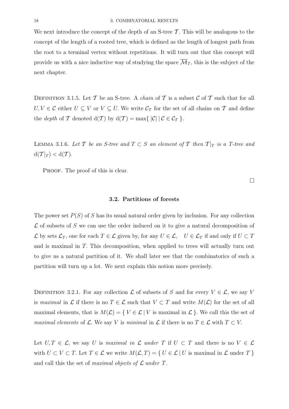We next introduce the concept of the depth of an S-tree  $\mathcal T$ . This will be analogous to the concept of the length of a rooted tree, which is defined as the length of longest path from the root to a terminal vertex without repetitions. It will turn out that this concept will provide us with a nice inductive way of studying the space  $\overline{\mathcal{M}}_{\mathcal{I}}$ , this is the subject of the next chapter.

DEFINITION 3.1.5. Let T be an S-tree. A *chain* of T is a subset C of T such that for all  $U, V \in \mathcal{C}$  either  $U \subseteq V$  or  $V \subseteq U$ . We write  $\mathcal{C}_{\mathcal{T}}$  for the set of all chains on  $\mathcal{T}$  and define the *depth* of T denoted  $d(T)$  by  $d(T) = max\{|C| | C \in C_T \}$ .

LEMMA 3.1.6. Let T be an S-tree and  $T \subset S$  an element of T then  $T|_T$  is a T-tree and  $d(\mathcal{T}|_T) < d(\mathcal{T}).$ 

PROOF. The proof of this is clear.

**3.2. Partitions of forests**

The power set  $P(S)$  of S has its usual natural order given by inclusion. For any collection  $\mathcal L$  of subsets of S we can use the order induced on it to give a natural decomposition of L by sets  $\mathcal{L}_T$ , one for each  $T \in \mathcal{L}$  given by, for any  $U \in \mathcal{L}$ ,  $U \in \mathcal{L}_T$  if and only if  $U \subset T$ and is maximal in T. This decomposition, when applied to trees will actually turn out to give us a natural partition of it. We shall later see that the combinatorics of such a partition will turn up a lot. We next explain this notion more precisely.

DEFINITION 3.2.1. For any collection  $\mathcal L$  of subsets of S and for every  $V \in \mathcal L$ , we say V is maximal in L if there is no  $T \in \mathcal{L}$  such that  $V \subset T$  and write  $M(\mathcal{L})$  for the set of all maximal elements, that is  $M(\mathcal{L}) = \{ V \in \mathcal{L} | V$  is maximal in  $\mathcal{L} \}$ . We call this the set of maximal elements of  $\mathcal L$ . We say V is minimal in  $\mathcal L$  if there is no  $T \in \mathcal L$  with  $T \subset V$ .

Let  $U, T \in \mathcal{L}$ , we say U is maximal in  $\mathcal{L}$  under T if  $U \subset T$  and there is no  $V \in \mathcal{L}$ with  $U \subset V \subset T$ . Let  $T \in \mathcal{L}$  we write  $M(\mathcal{L}, T) = \{ U \in \mathcal{L} \mid U \text{ is maximal in } \mathcal{L} \text{ under } T \}$ and call this the set of *maximal objects of*  $\mathcal L$  *under*  $T$ .

 $\Box$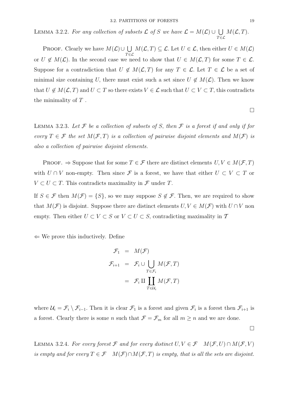LEMMA 3.2.2. For any collection of subsets  $\mathcal L$  of S we have  $\mathcal L = M(\mathcal L) \cup \bigcup$  $\bar{T} \in \mathcal{L}$  $M(\mathcal{L}, T)$ .

PROOF. Clearly we have  $M(\mathcal{L})\cup\bigcup$  $\bar{T} \in \mathcal{L}$  $M(\mathcal{L}, T) \subseteq \mathcal{L}$ . Let  $U \in \mathcal{L}$ , then either  $U \in M(\mathcal{L})$ or  $U \notin M(\mathcal{L})$ . In the second case we need to show that  $U \in M(\mathcal{L}, T)$  for some  $T \in \mathcal{L}$ . Suppose for a contradiction that  $U \notin M(\mathcal{L}, T)$  for any  $T \in \mathcal{L}$ . Let  $T \in \mathcal{L}$  be a set of minimal size containing U, there must exist such a set since  $U \notin M(\mathcal{L})$ . Then we know that  $U \notin M(\mathcal{L}, T)$  and  $U \subset T$  so there exists  $V \in \mathcal{L}$  such that  $U \subset V \subset T$ , this contradicts the minimality of  $T$ .

LEMMA 3.2.3. Let  $\mathcal F$  be a collection of subsets of S, then  $\mathcal F$  is a forest if and only if for every  $T \in \mathcal{F}$  the set  $M(\mathcal{F}, T)$  is a collection of pairwise disjoint elements and  $M(\mathcal{F})$  is also a collection of pairwise disjoint elements.

PROOF.  $\Rightarrow$  Suppose that for some  $T \in \mathcal{F}$  there are distinct elements  $U, V \in M(\mathcal{F}, T)$ with  $U \cap V$  non-empty. Then since  $\mathcal F$  is a forest, we have that either  $U \subset V \subset T$  or  $V \subset U \subset T$ . This contradicts maximality in  $\mathcal F$  under T.

If  $S \in \mathcal{F}$  then  $M(\mathcal{F}) = \{S\}$ , so we may suppose  $S \notin \mathcal{F}$ . Then, we are required to show that  $M(\mathcal{F})$  is disjoint. Suppose there are distinct elements  $U, V \in M(\mathcal{F})$  with  $U \cap V$  non empty. Then either  $U \subset V \subset S$  or  $V \subset U \subset S$ , contradicting maximality in  $\mathcal T$ 

 $\Leftarrow$  We prove this inductively. Define

$$
\mathcal{F}_1 = M(\mathcal{F})
$$
  

$$
\mathcal{F}_{i+1} = \mathcal{F}_i \cup \bigcup_{T \in \mathcal{F}_i} M(\mathcal{F}, T)
$$
  

$$
= \mathcal{F}_i \amalg \coprod_{T \in \mathcal{U}_i} M(\mathcal{F}, T)
$$

where  $\mathcal{U}_i = \mathcal{F}_i \setminus \mathcal{F}_{i-1}$ . Then it is clear  $\mathcal{F}_1$  is a forest and given  $\mathcal{F}_i$  is a forest then  $\mathcal{F}_{i+1}$  is a forest. Clearly there is some n such that  $\mathcal{F} = \mathcal{F}_m$  for all  $m \geq n$  and we are done.

LEMMA 3.2.4. For every forest F and for every distinct  $U, V \in \mathcal{F}$   $M(\mathcal{F}, U) \cap M(\mathcal{F}, V)$ is empty and for every  $T \in \mathcal{F}$   $M(\mathcal{F}) \cap M(\mathcal{F}, T)$  is empty, that is all the sets are disjoint.

 $\Box$ 

 $\Box$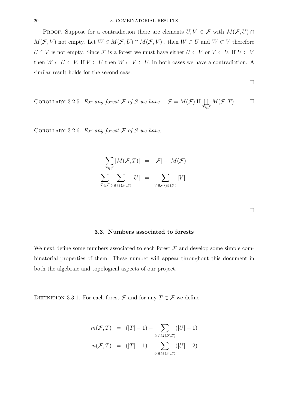PROOF. Suppose for a contradiction there are elements  $U, V \in \mathcal{F}$  with  $M(\mathcal{F}, U) \cap$  $M(\mathcal{F}, V)$  not empty. Let  $W \in M(\mathcal{F}, U) \cap M(\mathcal{F}, V)$ , then  $W \subset U$  and  $W \subset V$  therefore  $U \cap V$  is not empty. Since  $\mathcal F$  is a forest we must have either  $U \subset V$  or  $V \subset U$ . If  $U \subset V$ then  $W \subset U \subset V$ . If  $V \subset U$  then  $W \subset V \subset U$ . In both cases we have a contradiction. A similar result holds for the second case.

 $\Box$ 

COROLLARY 3.2.5. For any forest 
$$
\mathcal{F}
$$
 of S we have  $\mathcal{F} = M(\mathcal{F}) \amalg \coprod_{T \in \mathcal{F}} M(\mathcal{F}, T)$   $\square$ 

COROLLARY 3.2.6. For any forest  $F$  of S we have,

$$
\sum_{T \in \mathcal{F}} |M(\mathcal{F}, T)| = |\mathcal{F}| - |M(\mathcal{F})|
$$

$$
\sum_{T \in \mathcal{F}} \sum_{U \in M(\mathcal{F}, T)} |U| = \sum_{V \in \mathcal{F} \backslash M(\mathcal{F})} |V|
$$

#### **3.3. Numbers associated to forests**

We next define some numbers associated to each forest  $\mathcal F$  and develop some simple combinatorial properties of them. These number will appear throughout this document in both the algebraic and topological aspects of our project.

DEFINITION 3.3.1. For each forest  $\mathcal F$  and for any  $T \in \mathcal F$  we define

$$
m(\mathcal{F}, T) = (|T| - 1) - \sum_{U \in M(\mathcal{F}, T)} (|U| - 1)
$$

$$
n(\mathcal{F}, T) = (|T| - 1) - \sum_{U \in M(\mathcal{F}, T)} (|U| - 2)
$$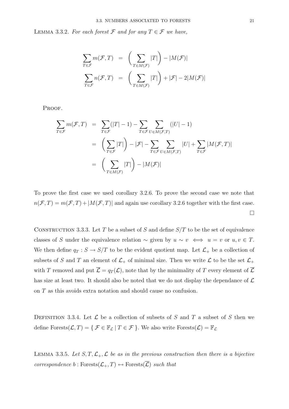LEMMA 3.3.2. For each forest  $\mathcal F$  and for any  $T \in \mathcal F$  we have,

$$
\sum_{T \in \mathcal{F}} m(\mathcal{F}, T) = \left( \sum_{T \in M(\mathcal{F})} |T| \right) - |M(\mathcal{F})|
$$
  

$$
\sum_{T \in \mathcal{F}} n(\mathcal{F}, T) = \left( \sum_{T \in M(\mathcal{F})} |T| \right) + |\mathcal{F}| - 2|M(\mathcal{F})|
$$

PROOF.

$$
\sum_{T \in \mathcal{F}} m(\mathcal{F}, T) = \sum_{T \in \mathcal{F}} (|T| - 1) - \sum_{T \in \mathcal{F}} \sum_{U \in M(\mathcal{F}, T)} (|U| - 1)
$$
\n
$$
= \left( \sum_{T \in \mathcal{F}} |T| \right) - |\mathcal{F}| - \sum_{T \in \mathcal{F}} \sum_{U \in M(\mathcal{F}, T)} |U| + \sum_{T \in \mathcal{F}} |M(\mathcal{F}, T)|
$$
\n
$$
= \left( \sum_{T \in M(\mathcal{F})} |T| \right) - |M(\mathcal{F})|
$$

To prove the first case we used corollary 3.2.6. To prove the second case we note that  $n(\mathcal{F}, T) = m(\mathcal{F}, T) + |M(\mathcal{F}, T)|$  and again use corollary 3.2.6 together with the first case.  $\Box$ 

CONSTRUCTION 3.3.3. Let T be a subset of S and define  $S/T$  to be the set of equivalence classes of S under the equivalence relation  $\sim$  given by  $u \sim v \iff u = v$  or  $u, v \in T$ . We then define  $q_T : S \to S/T$  to be the evident quotient map. Let  $\mathcal{L}_+$  be a collection of subsets of S and T an element of  $\mathcal{L}_+$  of minimal size. Then we write  $\mathcal L$  to be the set  $\mathcal{L}_+$ with T removed and put  $\overline{\mathcal{L}} = q_T(\mathcal{L})$ , note that by the minimality of T every element of  $\overline{\mathcal{L}}$ has size at least two. It should also be noted that we do not display the dependance of  $\mathcal L$ on T as this avoids extra notation and should cause no confusion.

DEFINITION 3.3.4. Let  $\mathcal L$  be a collection of subsets of S and T a subset of S then we define  $\text{Forests}(\mathcal{L},T)=\{ \ \mathcal{F}\in \mathbb{F}_{\mathcal{L}} \ | \ T\in \mathcal{F} \ \}.$  We also write  $\text{Forests}(\mathcal{L})=\mathbb{F}_{\mathcal{L}}$ 

LEMMA 3.3.5. Let  $S, T, \mathcal{L}_+, \mathcal{L}$  be as in the previous construction then there is a bijective *correspondence*  $b : \text{Forests}(\mathcal{L}_+, T) \leftrightarrow \text{Forests}(\overline{\mathcal{L}})$  *such that*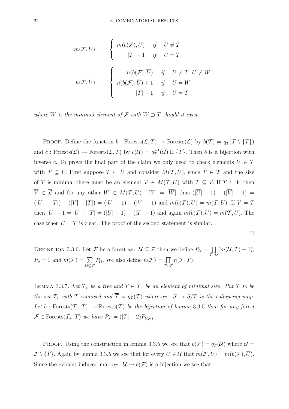$$
m(\mathcal{F}, U) = \begin{cases} m(b(\mathcal{F}), \overline{U}) & \text{if } U \neq T \\ |T| - 1 & \text{if } U = T \end{cases}
$$

$$
n(\mathcal{F}, U) = \begin{cases} n(b(\mathcal{F}), \overline{U}) & \text{if } U \neq T, U \neq W \\ n(b(\mathcal{F}), \overline{U}) + 1 & \text{if } U = W \\ |T| - 1 & \text{if } U = T \end{cases}
$$

where W is the minimal element of  $\mathcal F$  with  $W \supset T$  should it exist.

**PROOF.** Define the function  $b$ : Forests $(\mathcal{L}, T) \to$  Forests $(\overline{\mathcal{L}})$  by  $b(T) = q_T(T \setminus \{T\})$ and  $c: \text{Forests}(\overline{\mathcal{L}}) \to \text{Forests}(\mathcal{L}, T)$  by  $c(\mathcal{U}) = q_T^{-1}(\mathcal{U}) \amalg \{T\}$ . Then b is a bijection with inverse c. To prove the final part of the claim we only need to check elements  $U \in \mathcal{T}$ with  $T \subseteq U$ . First suppose  $T \subset U$  and consider  $M(T, U)$ , since  $T \in \mathcal{T}$  and the size of T is minimal there must be an element  $V \in M(T, U)$  with  $T \subseteq V$ . If  $T \subset V$  then  $\overline{V} \in \overline{\mathcal{L}}$  and for any other  $W \in M(\mathcal{T}, U)$   $|W| = |\overline{W}|$  thus  $(|\overline{U}| - 1) - (|\overline{V}| - 1) =$  $(|U|-|T|) - (|V|-|T|) = (|U|-1) - (|V|-1)$  and  $m(b(\mathcal{T}),\overline{U}) = m(\mathcal{T},U)$ . If  $V = T$ then  $|\overline{U}|-1=|U|-|T|=(|U|-1)-(|T|-1)$  and again  $m(b(\mathcal{T}),\overline{U})=m(\mathcal{T},U)$ . The case when  $U = T$  is clear. The proof of the second statement is similar.

 $\Box$ 

DEFINITION 3.3.6. Let F be a forest and  $\mathcal{U} \subseteq \mathcal{F}$  then we define  $P_{\mathcal{U}} = \prod$  $\bar{T}$ ∈U  $(m(\mathcal{U},T)-1),$  $P_{\emptyset} = 1$  and  $m(\mathcal{F}) = \sum$ U⊆F  $P_{\mathcal{U}}$ . We also define  $n(\mathcal{F}) = \prod$  $\tilde{T} \in \mathcal{F}$  $n(\mathcal{F},T)$ .

LEMMA 3.3.7. Let  $\mathcal{T}_+$  be a tree and  $T \in \mathcal{T}_+$  be an element of minimal size. Put  $T$  to be the set  $\mathcal{T}_+$  with  $T$  removed and  $\overline{T} = q_T(T)$  where  $q_T : S \to S/T$  is the collapsing map. Let b: Forests $(\mathcal{T}_+, T) \to$  Forests $(\overline{\mathcal{T}})$  be the bijection of lemma 3.3.5 then for any forest  $\mathcal{F} \in \text{Forests}(\mathcal{T}_+, T)$  we have  $P_{\mathcal{F}} = (|T| - 2)P_{b(\mathcal{F})}$ .

PROOF. Using the construction in lemma 3.3.5 we see that  $b(\mathcal{F}) = q_T(\mathcal{U})$  where  $\mathcal{U} =$  $\mathcal{F}\setminus\{T\}$ . Again by lemma 3.3.5 we see that for every  $U \in \mathcal{U}$  that  $m(\mathcal{F}, U) = m(b(\mathcal{F}), \overline{U})$ . Since the evident induced map  $q_T : U \to b(\mathcal{F})$  is a bijection we see that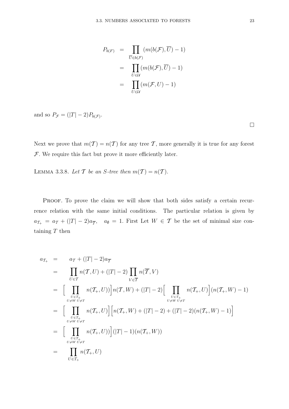$$
P_{b(F)} = \prod_{\overline{U} \in b(\mathcal{F})} (m(b(\mathcal{F}), \overline{U}) - 1)
$$
  
= 
$$
\prod_{U \in \mathcal{U}} (m(b(\mathcal{F}), \overline{U}) - 1)
$$
  
= 
$$
\prod_{U \in \mathcal{U}} (m(\mathcal{F}, U) - 1)
$$

and so  $P_{\mathcal{F}} = (|T| - 2)P_{b(\mathcal{F})}$ .

Next we prove that  $m(\mathcal{T}) = n(\mathcal{T})$  for any tree  $\mathcal{T}$ , more generally it is true for any forest  $F$ . We require this fact but prove it more efficiently later.

LEMMA 3.3.8. Let T be an S-tree then  $m(\mathcal{T}) = n(\mathcal{T})$ .

PROOF. To prove the claim we will show that both sides satisfy a certain recurrence relation with the same initial conditions. The particular relation is given by  $a_{\mathcal{T}_{+}} = a_{\mathcal{T}} + (|T| - 2)a_{\overline{\mathcal{T}}}, \quad a_{\emptyset} = 1.$  First Let  $W \in \mathcal{T}$  be the set of minimal size containing  $T$  then

$$
a_{\mathcal{T}_{+}} = a_{\mathcal{T}} + (|T| - 2)a_{\overline{\mathcal{T}}}
$$
  
\n
$$
= \prod_{U \in \mathcal{T}} n(\mathcal{T}, U) + (|T| - 2) \prod_{V \in \overline{\mathcal{T}}} n(\overline{\mathcal{T}}, V)
$$
  
\n
$$
= \Big[ \prod_{U \in \mathcal{T}_{+} \atop U \neq W}} n(\mathcal{T}_{+}, U)\Big] n(\mathcal{T}, W) + (|T| - 2) \Big[ \prod_{U \in \mathcal{T}_{+} \atop U \neq W}} n(\mathcal{T}_{+}, U)\Big] (n(\mathcal{T}_{+}, W) - 1)
$$
  
\n
$$
= \Big[ \prod_{U \in \mathcal{T}_{+} \atop U \neq W}} n(\mathcal{T}_{+}, U)\Big] \Big[ n(\mathcal{T}_{+}, W) + (|T| - 2) + (|T| - 2)(n(\mathcal{T}_{+}, W) - 1) \Big]
$$
  
\n
$$
= \Big[ \prod_{U \in \mathcal{T}_{+} \atop U \neq W}} n(\mathcal{T}_{+}, U)) \Big] (|T| - 1)(n(\mathcal{T}_{+}, W))
$$
  
\n
$$
= \prod_{U \in \mathcal{T}_{+}} n(\mathcal{T}_{+}, U)
$$

 $\Box$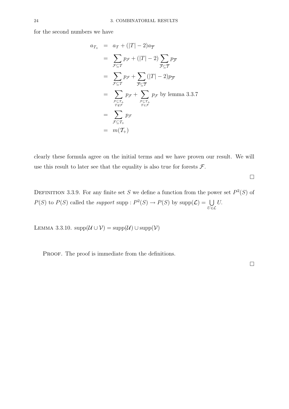for the second numbers we have

$$
a_{\mathcal{T}_+} = a_{\mathcal{T}} + (|T| - 2)a_{\overline{T}}
$$
  
\n
$$
= \sum_{\mathcal{F} \subseteq \mathcal{T}} p_{\mathcal{F}} + (|T| - 2) \sum_{\overline{\mathcal{F}} \subseteq \overline{\mathcal{T}}}
$$
  
\n
$$
= \sum_{\mathcal{F} \subseteq \mathcal{T}} p_{\mathcal{F}} + \sum_{\overline{\mathcal{F}} \subseteq \overline{\mathcal{T}}}(|T| - 2)p_{\overline{\mathcal{F}}}
$$
  
\n
$$
= \sum_{\substack{\mathcal{F} \subseteq \mathcal{T}_+ \\ T \notin \mathcal{F}}} p_{\mathcal{F}} + \sum_{\substack{\mathcal{F} \subseteq \mathcal{T}_+ \\ T \in \mathcal{F}}} p_{\mathcal{F}} \text{ by lemma 3.3.7}
$$
  
\n
$$
= \sum_{\mathcal{F} \subseteq \mathcal{T}_+} p_{\mathcal{F}}
$$
  
\n
$$
= \sum_{\mathcal{F} \subseteq \mathcal{T}_+} p_{\mathcal{F}}
$$
  
\n
$$
= m(\mathcal{T}_+)
$$

clearly these formula agree on the initial terms and we have proven our result. We will use this result to later see that the equality is also true for forests  $\mathcal{F}$ .

 $\Box$ 

DEFINITION 3.3.9. For any finite set S we define a function from the power set  $P^2(S)$  of  $P(S)$  to  $P(S)$  called the support supp :  $P^2(S) \to P(S)$  by supp $(\mathcal{L}) = \bigcup$  $\bar{U}$ ∈ $\mathcal{L}$ U.

LEMMA 3.3.10.  $\text{supp}(\mathcal{U}\cup\mathcal{V})=\text{supp}(\mathcal{U})\cup\text{supp}(\mathcal{V})$ 

PROOF. The proof is immediate from the definitions.

 $\Box$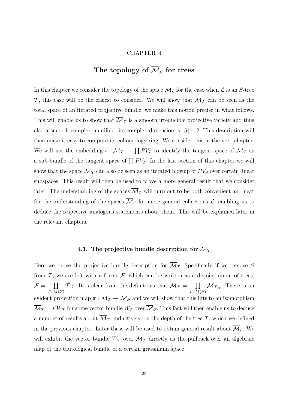#### CHAPTER 4

# The topology of  $\overline{\mathcal{M}}_{\mathcal{L}}$  for trees

In this chapter we consider the topology of the space  $\overline{\mathcal{M}}_{\mathcal{L}}$  for the case when  $\mathcal{L}$  is an S-tree T, this case will be the easiest to consider. We will show that  $\overline{\mathcal{M}}_T$  can be seen as the total space of an iterated projective bundle, we make this notion precise in what follows. This will enable us to show that  $\mathcal{M}_{\mathcal{T}}$  is a smooth irreducible projective variety and thus also a smooth complex manifold, its complex dimension is  $|S| - 2$ . This description will then make it easy to compute its cohomology ring. We consider this in the next chapter. We will use the embedding  $i : \overline{\mathcal{M}}_{\mathcal{T}} \to \prod PV_T$  to identify the tangent space of  $\overline{\mathcal{M}}_{\mathcal{T}}$  as a sub-bundle of the tangent space of  $\prod PV_T$ . In the last section of this chapter we will show that the space  $\overline{\mathcal{M}}_T$  can also be seen as an iterated blowup of  $PV_S$  over certain linear subspaces. This result will then be used to prove a more general result that we consider later. The understanding of the spaces  $\overline{\mathcal{M}}_{\mathcal{T}}$  will turn out to be both convenient and neat for the understanding of the spaces  $\overline{\mathcal{M}}_{\mathcal{L}}$  for more general collections  $\mathcal{L}$ , enabling us to deduce the respective analogous statements about them. This will be explained later in the relevant chapters.

### 4.1. The projective bundle description for  $\overline{\mathcal{M}}_T$

Here we prove the projective bundle description for  $\overline{\mathcal{M}}_T$ . Specifically if we remove S from  $\mathcal T$ , we are left with a forest  $\mathcal F$ , which can be written as a disjoint union of trees,  $\mathcal{F} = \prod$  $T \in M(\mathcal{F})$  $T|_T$ . It is clear from the definitions that  $\overline{\mathcal{M}}_{\mathcal{F}} = \prod$  $T \in M(\mathcal{F})$  $\mathcal{M}_{T|_T}$ . There is an evident projection map  $\pi : \overline{\mathcal{M}}_{\mathcal{T}} \to \overline{\mathcal{M}}_{\mathcal{F}}$  and we will show that this lifts to an isomorphism  $\overline{\mathcal{M}}_T = PW_T$  for some vector bundle  $W_T$  over  $\overline{\mathcal{M}}_{\mathcal{F}}$ . This fact will then enable us to deduce a number of results about  $\overline{\mathcal{M}}_{\mathcal{T}}$ , inductively, on the depth of the tree  $\mathcal{T}$ , which we defined in the previous chapter. Later these will be used to obtain general result about  $\overline{\mathcal{M}}_{\mathcal{L}}$ . We will exhibit the vector bundle  $W_T$  over  $\overline{\mathcal{M}}_{\mathcal{F}}$  directly as the pullback over an algebraic map of the tautological bundle of a certain grassmann space.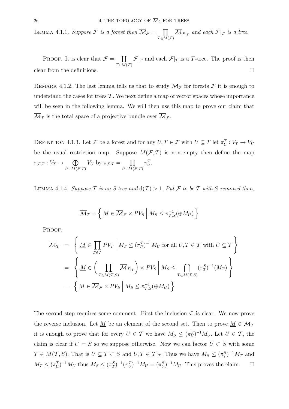LEMMA 4.1.1. Suppose F is a forest then  $\overline{\mathcal{M}}_{\mathcal{F}} = \prod$  $T \in \overline{M}(\mathcal{F})$  $\mathcal{M}_{\mathcal{F}|_T}$  and each  $\mathcal{F}|_T$  is a tree.

PROOF. It is clear that  $\mathcal{F} = \prod$  $T \in M(\mathcal{F})$  $\mathcal{F}|_T$  and each  $\mathcal{F}|_T$  is a T-tree. The proof is then clear from the definitions.  $\Box$ 

REMARK 4.1.2. The last lemma tells us that to study  $\overline{\mathcal{M}}_{\mathcal{F}}$  for forests  $\mathcal F$  it is enough to understand the cases for trees  $\mathcal T$ . We next define a map of vector spaces whose importance will be seen in the following lemma. We will then use this map to prove our claim that  $\mathcal{M}_{\mathcal{T}}$  is the total space of a projective bundle over  $\mathcal{M}_{\mathcal{F}}$ .

DEFINITION 4.1.3. Let F be a forest and for any  $U, T \in \mathcal{F}$  with  $U \subseteq T$  let  $\pi_U^T : V_T \to V_U$ be the usual restriction map. Suppose  $M(\mathcal{F}, T)$  is non-empty then define the map  $\pi_{\mathcal{F},T}:V_T\to\quad \bigoplus$  $U\epsilon M(\mathcal{F},T)$  $V_U$  by  $\pi_{\mathcal{F},T} = \prod$  $U\in M(\mathcal{F},T)$  $\pi_U^T$ .

LEMMA 4.1.4. Suppose T is an S-tree and  $d(T) > 1$ . Put F to be T with S removed then,

$$
\overline{\mathcal{M}}_T = \left\{ \underline{M} \in \overline{\mathcal{M}}_{\mathcal{F}} \times PV_S \middle| M_S \leq \pi_{T,S}^{-1}(\oplus M_U) \right\}
$$

PROOF.

$$
\overline{\mathcal{M}}_T = \left\{ \underline{M} \in \prod_{T \in \mathcal{T}} PV_T \middle| M_T \le (\pi_U^T)^{-1} M_U \text{ for all } U, T \in \mathcal{T} \text{ with } U \subseteq T \right\}
$$

$$
= \left\{ \underline{M} \in \left( \prod_{T \in M(\mathcal{T}, S)} \overline{\mathcal{M}}_{T|_T} \right) \times PV_S \middle| M_S \le \bigcap_{T \in M(\mathcal{T}, S)} (\pi_T^S)^{-1} (M_T) \right\}
$$

$$
= \left\{ \underline{M} \in \overline{\mathcal{M}}_{\mathcal{F}} \times PV_S \middle| M_S \le \pi_{T, S}^{-1} (\oplus M_U) \right\}
$$

The second step requires some comment. First the inclusion  $\subseteq$  is clear. We now prove the reverse inclusion. Let <u>M</u> be an element of the second set. Then to prove  $M \in \overline{\mathcal{M}}_{\mathcal{T}}$ it is enough to prove that for every  $U \in \mathcal{T}$  we have  $M_S \leq (\pi_U^S)^{-1} M_U$ . Let  $U \in \mathcal{T}$ , the claim is clear if  $U = S$  so we suppose otherwise. Now we can factor  $U \subset S$  with some  $T \in M(\mathcal{T}, S)$ . That is  $U \subseteq T \subset S$  and  $U, T \in \mathcal{T}|_T$ . Thus we have  $M_S \leq (\pi_T^S)^{-1} M_T$  and  $M_T \leq (\pi_U^T)^{-1} M_U$  thus  $M_S \leq (\pi_T^S)^{-1} (\pi_U^T)^{-1} M_U = (\pi_U^S)^{-1} M_U$ . This proves the claim.  $\square$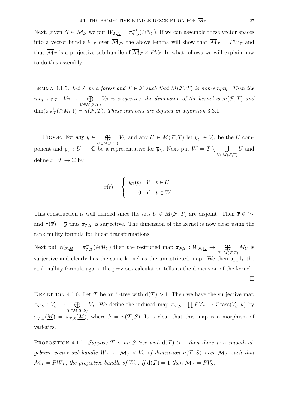Next, given  $\underline{N} \in \overline{\mathcal{M}}_{\mathcal{F}}$  we put  $W_{\mathcal{T},\underline{N}} = \pi_{\mathcal{T},S}^{-1}(\oplus N_U)$ . If we can assemble these vector spaces into a vector bundle  $W_T$  over  $\overline{\mathcal{M}}_{\mathcal{F}}$ , the above lemma will show that  $\overline{\mathcal{M}}_T = PW_T$  and thus  $\overline{\mathcal{M}}_{\mathcal{T}}$  is a projective sub-bundle of  $\overline{\mathcal{M}}_{\mathcal{F}} \times PV_{S}$ . In what follows we will explain how to do this assembly.

LEMMA 4.1.5. Let F be a forest and  $T \in \mathcal{F}$  such that  $M(\mathcal{F}, T)$  is non-empty. Then the  $map \ \pi_{\mathcal{F},T} : V_T \to \oplus$  $U\in M(\mathcal{F},T)$  $V_U$  is surjective, the dimension of the kernel is  $m(\mathcal{F}, T)$  and  $\dim(\pi_{\mathcal{F},T}^{-1}(\oplus M_U)) = n(\mathcal{F},T)$ . These numbers are defined in definition 3.3.1

PROOF. For any  $\overline{y} \in \Theta$  $U\in M(\mathcal{F},T)$  $V_U$  and any  $U \in M(\mathcal{F}, T)$  let  $\overline{y}_U \in V_U$  be the U component and  $y_U : U \to \mathbb{C}$  be a representative for  $\overline{y}_U$ . Next put  $W = T \setminus \bigcup$  $U\epsilon M(\mathcal{F},T)$ U and define  $x: T \to \mathbb{C}$  by

$$
x(t) = \begin{cases} y_U(t) & \text{if } t \in U \\ 0 & \text{if } t \in W \end{cases}
$$

This construction is well defined since the sets  $U \in M(\mathcal{F}, T)$  are disjoint. Then  $\overline{x} \in V_T$ and  $\pi(\overline{x}) = \overline{y}$  thus  $\pi_{\mathcal{F},T}$  is surjective. The dimension of the kernel is now clear using the rank nullity formula for linear transformations.

Next put  $W_{\mathcal{F},\underline{M}} = \pi_{\mathcal{F},T}^{-1}(\oplus M_U)$  then the restricted map  $\pi_{\mathcal{F},T}: W_{\mathcal{F},\underline{M}} \to \bigoplus_{U \in M(\mathcal{F},T)}$  $M_U$  is surjective and clearly has the same kernel as the unrestricted map. We then apply the rank nullity formula again, the previous calculation tells us the dimension of the kernel.

 $\Box$ 

DEFINITION 4.1.6. Let T be an S-tree with  $d(T) > 1$ . Then we have the surjective map  $\pi_{\mathcal{T},S} : V_S \to \oplus$  $T \in M(\mathcal{T},S)$  $V_T$ . We define the induced map  $\overline{\pi}_{T,S}: \prod P V_T \to \text{Grass}(V_S, k)$  by  $\overline{\pi}_{T,S}(\underline{M}) = \pi_{T,S}^{-1}(\underline{M})$ , where  $k = n(T, S)$ . It is clear that this map is a morphism of varieties.

PROPOSITION 4.1.7. Suppose T is an S-tree with  $d(T) > 1$  then there is a smooth algebraic vector sub-bundle  $W_T \subseteq \overline{\mathcal{M}}_{\mathcal{F}} \times V_S$  of dimension  $n(\mathcal{T}, S)$  over  $\overline{\mathcal{M}}_{\mathcal{F}}$  such that  $\overline{\mathcal{M}}_T = PW_T$ , the projective bundle of  $W_T$ . If  $d(\mathcal{T}) = 1$  then  $\overline{\mathcal{M}}_T = PV_S$ .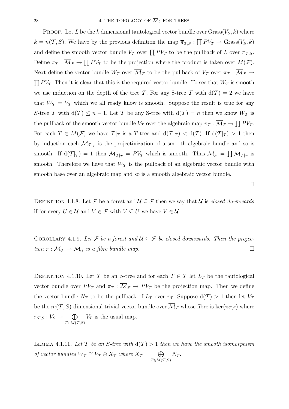**PROOF.** Let L be the k dimensional tautological vector bundle over  $Grass(V_S, k)$  where  $k = n(\mathcal{T}, S)$ . We have by the previous definition the map  $\overline{\pi}_{\mathcal{T}, S} : \prod P V_T \to \text{Grass}(V_S, k)$ and define the smooth vector bundle  $V_T$  over  $\prod PV_T$  to be the pullback of L over  $\overline{\pi}_{T,S}$ . Define  $\pi_T : \overline{\mathcal{M}}_{\mathcal{F}} \to \prod PV_T$  to be the projection where the product is taken over  $M(\mathcal{F})$ . Next define the vector bundle  $W_T$  over  $\overline{\mathcal{M}}_{\mathcal{F}}$  to be the pullback of  $V_T$  over  $\pi_T : \overline{\mathcal{M}}_{\mathcal{F}} \to$  $\prod PV_T$ . Then it is clear that this is the required vector bundle. To see that  $W_T$  is smooth we use induction on the depth of the tree T. For any S-tree T with  $d(\mathcal{T}) = 2$  we have that  $W_T = V_T$  which we all ready know is smooth. Suppose the result is true for any S-tree T with  $d(\mathcal{T}) \leq n-1$ . Let T be any S-tree with  $d(\mathcal{T}) = n$  then we know  $W_{\mathcal{T}}$  is the pullback of the smooth vector bundle  $V_T$  over the algebraic map  $\pi_T : \overline{\mathcal{M}}_{\mathcal{F}} \to \prod P V_T$ . For each  $T \in M(\mathcal{F})$  we have  $T|_T$  is a T-tree and  $d(T|_T) < d(\mathcal{T})$ . If  $d(T|_T) > 1$  then by induction each  $\overline{\mathcal{M}}_{T|\tau}$  is the projectivization of a smooth algebraic bundle and so is smooth. If  $d(\mathcal{T}|_T) = 1$  then  $\overline{\mathcal{M}}_{T|_T} = PV_T$  which is smooth. Thus  $\overline{\mathcal{M}}_{\mathcal{F}} = \prod \overline{\mathcal{M}}_{T|_T}$  is smooth. Therefore we have that  $W_T$  is the pullback of an algebraic vector bundle with smooth base over an algebraic map and so is a smooth algebraic vector bundle.

DEFINITION 4.1.8. Let F be a forest and  $\mathcal{U} \subseteq \mathcal{F}$  then we say that U is closed downwards if for every  $U \in \mathcal{U}$  and  $V \in \mathcal{F}$  with  $V \subseteq U$  we have  $V \in \mathcal{U}$ .

 $\Box$ 

COROLLARY 4.1.9. Let F be a forest and  $\mathcal{U} \subseteq \mathcal{F}$  be closed downwards. Then the projection  $\pi : \overline{\mathcal{M}}_{\mathcal{F}} \to \overline{\mathcal{M}}_{\mathcal{U}}$  is a fibre bundle map.

DEFINITION 4.1.10. Let T be an S-tree and for each  $T \in \mathcal{T}$  let  $L_T$  be the tautological vector bundle over  $PV_T$  and  $\pi_T : \overline{\mathcal{M}}_{\mathcal{F}} \to PV_T$  be the projection map. Then we define the vector bundle  $N_T$  to be the pullback of  $L_T$  over  $\pi_T$ . Suppose  $d(\mathcal{T}) > 1$  then let  $V_T$ be the  $m(\mathcal{T}, S)$ -dimensional trivial vector bundle over  $\overline{\mathcal{M}}_{\mathcal{F}}$  whose fibre is ker $(\pi_{\mathcal{T}, S})$  where  $\pi_{\mathcal{T},S}: V_S \to \quad \bigoplus$  $T \in M(\mathcal{T},S)$  $V_T$  is the usual map.

LEMMA 4.1.11. Let T be an S-tree with  $d(T) > 1$  then we have the smooth isomorphism of vector bundles  $W_T \cong V_T \oplus X_T$  where  $X_T = \oplus$  $T \in M(\mathcal{T},S)$  $N_T$ .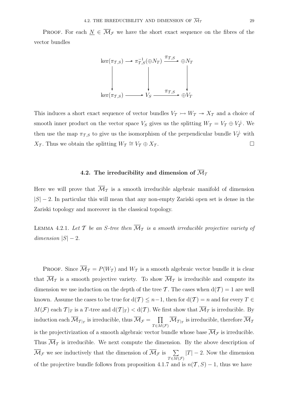PROOF. For each  $N \in \overline{\mathcal{M}}_{\mathcal{F}}$  we have the short exact sequence on the fibres of the vector bundles

$$
\ker(\pi_{T,S}) \longrightarrow \pi_{T,S}^{-1}(\oplus N_T) \xrightarrow{\pi_{T,S}} \oplus N_T
$$
\n
$$
\downarrow \qquad \qquad \downarrow \qquad \qquad \downarrow
$$
\n
$$
\ker(\pi_{T,S}) \longrightarrow V_S \xrightarrow{\pi_{T,S}} \oplus V_T
$$

This induces a short exact sequence of vector bundles  $V<sub>T</sub> \rightarrow W<sub>T</sub> \rightarrow X<sub>T</sub>$  and a choice of smooth inner product on the vector space  $V_S$  gives us the splitting  $W_T = V_T \oplus V_T^{\perp}$ . We then use the map  $\pi_{\mathcal{T},S}$  to give us the isomorphism of the perpendicular bundle  $V^{\perp}_{\mathcal{T}}$  with  $X_{\mathcal{T}}$ . Thus we obtain the splitting  $W_{\mathcal{T}} \cong V_{\mathcal{T}} \oplus X_{\mathcal{T}}$ .

# 4.2. The irreducibility and dimension of  $\overline{\mathcal{M}}_{\mathcal{T}}$

Here we will prove that  $\overline{\mathcal{M}}_T$  is a smooth irreducible algebraic manifold of dimension  $|S| - 2$ . In particular this will mean that any non-empty Zariski open set is dense in the Zariski topology and moreover in the classical topology.

LEMMA 4.2.1. Let T be an S-tree then  $\overline{\mathcal{M}}_T$  is a smooth irreducible projective variety of dimension  $|S| - 2$ .

**PROOF.** Since  $\overline{\mathcal{M}}_T = P(W_T)$  and  $W_T$  is a smooth algebraic vector bundle it is clear that  $\overline{\mathcal{M}}_T$  is a smooth projective variety. To show  $\overline{\mathcal{M}}_T$  is irreducible and compute its dimension we use induction on the depth of the tree T. The cases when  $d(\mathcal{T}) = 1$  are well known. Assume the cases to be true for  $d(\mathcal{T}) \leq n-1$ , then for  $d(\mathcal{T}) = n$  and for every  $T \in$  $M(\mathcal{F})$  each  $\mathcal{T}|_T$  is a T-tree and  $d(\mathcal{T}|_T) < d(\mathcal{T})$ . We first show that  $\overline{\mathcal{M}}_T$  is irreducible. By  $\mathrm{i} \mathrm{n}$  duction each  $\overline{\mathcal{M}}_{\mathcal{T}|\mathcal{T}} \text{ is irreducible, thus } \overline{\mathcal{M}}_{\mathcal{F}} = -\prod_{i=1}^n \overline{\mathcal{M}}_{\mathcal{T}|\mathcal{T}}$  $T \in \overline{M}(\mathcal{F})$  $\mathcal{M}_{\mathcal{T}|_T}$  is irreducible, therefore  $\mathcal{M}_T$ is the projectivization of a smooth algebraic vector bundle whose base  $\mathcal{M}_{\mathcal{F}}$  is irreducible. Thus  $\overline{\mathcal{M}}_T$  is irreducible. We next compute the dimension. By the above description of  $\overline{\mathcal{M}}_{\mathcal{F}}$  we see inductively that the dimension of  $\overline{\mathcal{M}}_{\mathcal{F}}$  is  $\sum$  $T {\in} \overline{M}(\mathcal{F})$  $|T| - 2$ . Now the dimension of the projective bundle follows from proposition 4.1.7 and is  $n(\mathcal{T}, S) - 1$ , thus we have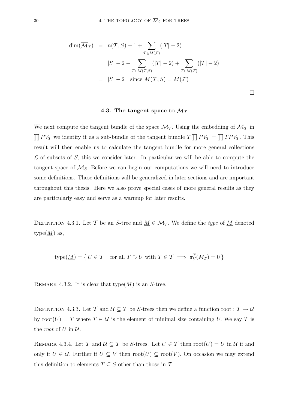$$
\dim(\overline{\mathcal{M}}_{\mathcal{T}}) = n(\mathcal{T}, S) - 1 + \sum_{T \in M(\mathcal{F})} (|T| - 2)
$$
  
=  $|S| - 2 - \sum_{T \in M(\mathcal{T}, S)} (|T| - 2) + \sum_{T \in M(\mathcal{F})} (|T| - 2)$   
=  $|S| - 2$  since  $M(\mathcal{T}, S) = M(\mathcal{F})$ 

 $\Box$ 

# 4.3. The tangent space to  $\overline{\mathcal{M}}_{\mathcal{T}}$

We next compute the tangent bundle of the space  $\overline{\mathcal{M}}_{\mathcal{T}}$ . Using the embedding of  $\overline{\mathcal{M}}_{\mathcal{T}}$  in  $\prod PV_T$  we identify it as a sub-bundle of the tangent bundle  $T \prod PV_T = \prod TPV_T$ . This result will then enable us to calculate the tangent bundle for more general collections  $\mathcal L$  of subsets of S, this we consider later. In particular we will be able to compute the tangent space of  $\mathcal{M}_S$ . Before we can begin our computations we will need to introduce some definitions. These definitions will be generalized in later sections and are important throughout this thesis. Here we also prove special cases of more general results as they are particularly easy and serve as a warmup for later results.

DEFINITION 4.3.1. Let T be an S-tree and  $\underline{M} \in \overline{\mathcal{M}}_T$ . We define the type of  $\underline{M}$  denoted type $(\underline{M})$  as,

type(
$$
\underline{M}
$$
) = {  $U \in \mathcal{T}$  | for all  $T \supset U$  with  $T \in \mathcal{T} \implies \pi_U^T(M_T) = 0$  }

REMARK 4.3.2. It is clear that type $(M)$  is an S-tree.

DEFINITION 4.3.3. Let  $\mathcal T$  and  $\mathcal U\subseteq \mathcal T$  be S-trees then we define a function root :  $\mathcal T\to \mathcal U$ by  $\text{root}(U) = T$  where  $T \in \mathcal{U}$  is the element of minimal size containing U. We say T is the *root* of  $U$  in  $U$ .

REMARK 4.3.4. Let T and  $U \subseteq T$  be S-trees. Let  $U \in T$  then  $root(U) = U$  in U if and only if  $U \in \mathcal{U}$ . Further if  $U \subseteq V$  then root $(U) \subseteq \text{root}(V)$ . On occasion we may extend this definition to elements  $T \subseteq S$  other than those in T.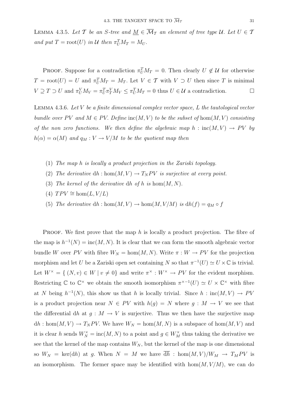LEMMA 4.3.5. Let T be an S-tree and  $\underline{M} \in \overline{\mathcal{M}}_T$  an element of tree type U. Let  $U \in \mathcal{T}$ and put  $T = \text{root}(U)$  in U then  $\pi_U^T M_T = M_U$ .

**PROOF.** Suppose for a contradiction  $\pi_U^T M_T = 0$ . Then clearly  $U \notin \mathcal{U}$  for otherwise  $T = \text{root}(U) = U$  and  $\pi_U^T M_T = M_T$ . Let  $V \in \mathcal{T}$  with  $V \supset U$  then since T is minimal  $V \supseteq T \supset U$  and  $\pi_U^V M_V = \pi_U^T \pi_T^V M_V \leq \pi_U^T M_T = 0$  thus  $U \in \mathcal{U}$  a contradiction.

LEMMA 4.3.6. Let  $V$  be a finite dimensional complex vector space,  $L$  the tautological vector bundle over PV and  $M \in PV$ . Define inc(M,V) to be the subset of hom(M,V) consisting of the non zero functions. We then define the algebraic map  $h : inc(M, V) \rightarrow PV$  by  $h(\alpha) = \alpha(M)$  and  $q_M : V \to V/M$  to be the quotient map then

- (1) The map h is locally a product projection in the Zariski topology.
- (2) The derivative dh : hom $(M, V) \to T_N PV$  is surjective at every point.
- (3) The kernel of the derivative dh of h is  $hom(M, N)$ .
- (4)  $TPV \cong \text{hom}(L, V/L)$
- (5) The derivative  $dh : \text{hom}(M, V) \to \text{hom}(M, V/M)$  is  $dh(f) = q_M \circ f$

**PROOF.** We first prove that the map h is locally a product projection. The fibre of the map is  $h^{-1}(N) = \text{inc}(M, N)$ . It is clear that we can form the smooth algebraic vector bundle W over PV with fibre  $W_N = \text{hom}(M,N)$ . Write  $\pi : W \to PV$  for the projection morphism and let U be a Zariski open set containing N so that  $\pi^{-1}(U) \simeq U \times \mathbb{C}$  is trivial. Let  $W^{\times} = \{ (N, v) \in W \mid v \neq 0 \}$  and write  $\pi^{\times} : W^{\times} \to PV$  for the evident morphism. Restricting C to  $\mathbb{C}^{\times}$  we obtain the smooth isomorphism  $\pi^{\times-1}(U) \simeq U \times \mathbb{C}^{\times}$  with fibre at N being  $h^{-1}(N)$ , this show us that h is locally trivial. Since  $h : inc(M, V) \rightarrow PV$ is a product projection near  $N \in PV$  with  $h(g) = N$  where  $g : M \to V$  we see that the differential dh at  $g : M \to V$  is surjective. Thus we then have the surjective map  $dh : \text{hom}(M, V) \to T_N PV$ . We have  $W_N = \text{hom}(M, N)$  is a subspace of  $\text{hom}(M, V)$  and it is clear h sends  $W_N^{\times} = \text{inc}(M, N)$  to a point and  $g \in W_M^{\times}$  thus taking the derivative we see that the kernel of the map contains  $W_N$ , but the kernel of the map is one dimensional so  $W_N = \text{ker}(dh)$  at g. When  $N = M$  we have  $\overline{dh}$  : hom $(M, V)/W_M \rightarrow T_M PV$  is an isomorphism. The former space may be identified with  $hom(M, V/M)$ , we can do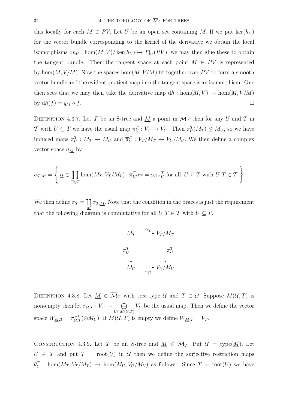this locally for each  $M \in PV$ . Let U be an open set containing M. If we put  $\ker(h_U)$ for the vector bundle corresponding to the kernel of the derivative we obtain the local isomorphisms  $\overline{dh}_U$ : hom $(M, V) / \text{ker}(h_U) \to T|_U(PV)$ , we may then glue these to obtain the tangent bundle. Then the tangent space at each point  $M \in PV$  is represented by hom $(M, V/M)$ . Now the spaces hom $(M, V/M)$  fit together over PV to form a smooth vector bundle and the evident quotient map into the tangent space is an isomorphism. One then sees that we may then take the derivative map  $dh : \text{hom}(M, V) \to \text{hom}(M, V/M)$ by  $dh(f) = q_M \circ f$ .

DEFINITION 4.3.7. Let T be an S-tree and <u>M</u> a point in  $\overline{\mathcal{M}}_T$  then for any U and T in T with  $U \subseteq T$  we have the usual map  $\pi_U^T : V_T \to V_U$ . Then  $\pi_U^T(M_T) \leq M_U$ , so we have induced maps  $\pi_U^T : M_T \to M_U$  and  $\overline{\pi}_U^T : V_T/M_T \to V_U/M_U$ . We then define a complex vector space  $\sigma_{\underline{M}}$  by

$$
\sigma_{\mathcal{T},\underline{M}} = \left\{ \underline{\alpha} \in \prod_{T \in \mathcal{T}} \text{hom}(M_T,V_T/M_T) \middle| \overline{\pi}_U^T \alpha_T = \alpha_U \pi_U^T \text{ for all } U \subseteq T \text{ with } U, T \in \mathcal{T} \right\}
$$

We then define  $\sigma_T = \coprod_M \sigma_{T,M}$ . Note that the condition in the braces is just the requirement that the following diagram is commutative for all  $U, T \in \mathcal{T}$  with  $U \subseteq T$ .



DEFINITION 4.3.8. Let  $M \in \overline{\mathcal{M}}_T$  with tree type  $\mathcal{U}$  and  $T \in \mathcal{U}$ . Suppose  $M(\mathcal{U}, T)$  is non-empty then let  $\pi_{\mathcal{U},T}: V_T \to \oplus$  $U\in M(\mathcal{U},T)$  $V_U$  be the usual map. Then we define the vector space  $W_{\underline{M},T} = \pi_{\mathcal{U},T}^{-1}(\oplus M_U)$ . If  $M(\mathcal{U},T)$  is empty we define  $W_{\underline{M},T} = V_T$ .

CONSTRUCTION 4.3.9. Let T be an S-tree and  $M \in \overline{\mathcal{M}}_{\mathcal{T}}$ . Put  $\mathcal{U} = \text{type}(M)$ . Let  $U \in \mathcal{T}$  and put  $T = \text{root}(U)$  in  $\mathcal{U}$  then we define the surjective restriction maps  $\theta_U^T$ : hom $(M_T, V_T/M_T) \to \text{hom}(M_U, V_U/M_U)$  as follows. Since  $T = \text{root}(U)$  we have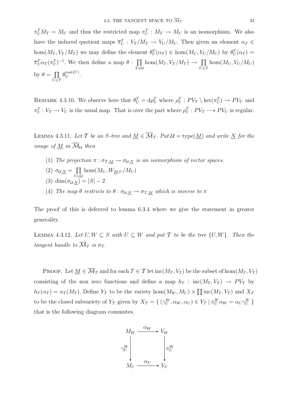$\pi_U^T M_T = M_U$  and thus the restricted map  $\pi_U^T : M_T \to M_U$  is an isomorphism. We also have the induced quotient maps  $\overline{\pi}_U^T : V_T/M_T \to V_U/M_U$ . Then given an element  $\alpha_T \in$ hom $(M_T, V_T/M_T)$  we may define the element  $\theta_U^T(\alpha_T) \in \text{hom}(M_U, V_U/M_U)$  by  $\theta_U^T(\alpha_T) =$  $\overline{\pi}_U^T \alpha_T (\pi_U^T)^{-1}$ . We then define a map  $\theta$  :  $\prod$  $\bar{T}$ ∈U  $hom(M_T, V_T/M_T) \to \prod$  $\bar{U}$ ∈7  $hom(M_U, V_U/M_U)$ by  $\theta = \prod$  $\bar{U}$ ∈7  $\theta_U^{\mathrm{root}(U)}$ .

REMARK 4.3.10. We observe here that  $\theta_U^T = d\rho_U^T$  where  $\rho_U^T : PV_T \setminus \text{ker}(\pi_U^T) \to PV_U$  and  $\pi_U^T: V_T \to V_U$  is the usual map. That is over the part where  $\rho_U^T: PV_T \dashrightarrow PV_U$  is regular.

LEMMA 4.3.11. Let T be an S-tree and  $M \in \overline{\mathcal{M}}_T$ . Put  $\mathcal{U} = \text{type}(M)$  and write N for the image of  $\underline{M}$  in  $\overline{\mathcal{M}}_{\mathcal{U}}$  then

- (1) The projection  $\pi : \sigma_{\mathcal{T},\underline{M}} \to \sigma_{\mathcal{U},\underline{N}}$  is an isomorphism of vector spaces.
- (2)  $\sigma_{\mathcal{U},\underline{N}} = \prod$  $hom(M_U, W_{M,U}/M_U)$
- U∈U (3) dim $(\sigma_{\mathcal{U},N}) = |S| - 2$
- (4) The map  $\theta$  restricts to  $\theta : \sigma_{\mathcal{U},N} \to \sigma_{\mathcal{T},M}$  which is inverse to  $\pi$

The proof of this is deferred to lemma 6.3.4 where we give the statement in greater generality.

LEMMA 4.3.12. Let  $U, W \subseteq S$  with  $U \subseteq W$  and put  $T$  to be the tree  $\{U, W\}$ . Then the tangent bundle to  $\overline{\mathcal{M}}_{\mathcal{T}}$  is  $\sigma_{\mathcal{T}}$ .

PROOF. Let  $\underline{M} \in \overline{\mathcal{M}}_T$  and for each  $T \in \mathcal{T}$  let  $\text{inc}(M_T, V_T)$  be the subset of  $\text{hom}(M_T, V_T)$ consisting of the non zero functions and define a map  $h_T$  : inc $(M_T, V_T) \rightarrow PV_T$  by  $h_T(\alpha_T) = \alpha_T(M_T)$ . Define  $Y_T$  to be the variety  $hom(M_W, M_U) \times \prod_{i=1}^T Im(M_T, V_T)$  and  $X_T$ to be the closed subvariety of  $Y_T$  given by  $X_T = \{ (\gamma_U^W, \alpha_W, \alpha_U) \in Y_T \mid \pi_U^W \alpha_W = \alpha_U \gamma_U^W \}$ that is the following diagram commutes.

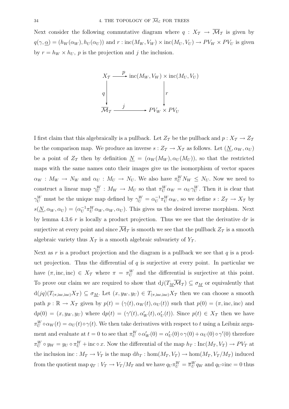Next consider the following commutative diagram where  $q: X_{\mathcal{T}} \to \overline{\mathcal{M}}_{\mathcal{T}}$  is given by  $q(\gamma, \underline{\alpha})=(h_W (\alpha_W), h_U (\alpha_U))$  and  $r : \text{inc}(M_W, V_W) \times \text{inc}(M_U, V_U) \rightarrow PV_W \times PV_U$  is given by  $r = h_W \times h_U$ , p is the projection and j the inclusion.

$$
X_T \xrightarrow{p} \operatorname{inc}(M_W, V_W) \times \operatorname{inc}(M_U, V_U)
$$
\n
$$
q \downarrow \qquad \qquad r
$$
\n
$$
M_T \xrightarrow{j} \qquad PV_W \times PV_U
$$

I first claim that this algebraically is a pullback. Let  $Z_T$  be the pullback and  $p: X_T \to Z_T$ be the comparison map. We produce an inverse  $s: Z_{\mathcal{T}} \to X_{\mathcal{T}}$  as follows. Let  $(\underline{N}, \alpha_W, \alpha_U)$ be a point of  $Z_T$  then by definition  $N = (\alpha_W(M_W), \alpha_U(M_U))$ , so that the restricted maps with the same names onto their images give us the isomorphism of vector spaces  $\alpha_W : M_W \to N_W$  and  $\alpha_U : M_U \to N_U$ . We also have  $\pi_U^W N_W \le N_U$ . Now we need to construct a linear map  $\gamma_U^W : M_W \to M_U$  so that  $\pi_U^W \alpha_W = \alpha_U \gamma_U^W$ . Then it is clear that  $\gamma_U^W$  must be the unique map defined by  $\gamma_U^W = \alpha_U^{-1} \pi_U^W \alpha_W$ , so we define  $s: Z_{\mathcal{I}} \to X_{\mathcal{I}}$  by  $s(\underline{N}, \alpha_W, \alpha_U) = (\alpha_U^{-1} \pi_U^W \alpha_W, \alpha_W, \alpha_U)$ . This gives us the desired inverse morphism. Next by lemma 4.3.6 r is locally a product projection. Thus we see that the derivative  $dr$  is surjective at every point and since  $\mathcal{M}_{\mathcal{T}}$  is smooth we see that the pullback  $Z_{\mathcal{T}}$  is a smooth algebraic variety thus  $X_T$  is a smooth algebraic subvariety of  $Y_T$ .

Next as r is a product projection and the diagram is a pullback we see that  $q$  is a product projection. Thus the differential of  $q$  is surjective at every point. In particular we have  $(\pi, \text{inc}, \text{inc}) \in X_{\mathcal{T}}$  where  $\pi = \pi_{U}^{W}$  and the differential is surjective at this point. To prove our claim we are required to show that  $dj(T_M\overline{\mathcal{M}}_T) \subseteq \sigma_M$  or equivalently that  $d(jq)(T_{(\pi,\text{inc},\text{inc})}X_{\mathcal{T}}) \subseteq \sigma_M$ . Let  $(x, y_W, y_U) \in T_{(\pi,\text{inc},\text{inc})}X_{\mathcal{T}}$  then we can choose a smooth path  $p : \mathbb{R} \to X_{\mathcal{T}}$  given by  $p(t)=(\gamma(t), \alpha_W(t), \alpha_U(t))$  such that  $p(0) = (\pi, \text{inc}, \text{inc})$  and  $dp(0) = (x, y_W, y_U)$  where  $dp(t) = (\gamma'(t), \alpha'_W(t), \alpha'_U(t))$ . Since  $p(t) \in X_T$  then we have  $\pi_U^W \circ \alpha_W(t) = \alpha_U(t) \circ \gamma(t)$ . We then take derivatives with respect to t using a Leibniz argument and evaluate at  $t=0$  to see that  $\pi_U^W \circ \alpha_W'(0) = \alpha_U'(0) \circ \gamma(0) + \alpha_U(0) \circ \gamma'(0)$  therefore  $\pi_U^W \circ y_W = y_U \circ \pi_U^W + \text{inc} \circ x$ . Now the differential of the map  $h_T : \text{Inc}(M_T, V_T) \to PV_T$  at the inclusion inc :  $M_T \to V_T$  is the map  $dh_T : \text{hom}(M_T, V_T) \to \text{hom}(M_T, V_T/M_T)$  induced from the quotient map  $q_T : V_T \to V_T/M_T$  and we have  $q_U \pi_U^W = \overline{\pi}_U^W q_W$  and  $q_U \circ inc = 0$  thus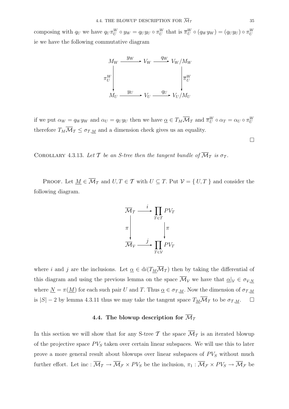composing with  $q_U$  we have  $q_U \pi_U^W \circ y_W = q_U y_U \circ \pi_U^W$  that is  $\overline{\pi}_U^W \circ (q_W y_W) = (q_U y_U) \circ \pi_U^W$ ie we have the following commutative diagram

$$
M_W \xrightarrow{y_W} V_W \xrightarrow{q_W} V_W / M_W
$$
  
\n
$$
\pi_U^W
$$
\n
$$
M_U \xrightarrow{y_U} V_U \xrightarrow{q_U} V_U / M_U
$$

if we put  $\alpha_W = q_W y_W$  and  $\alpha_U = q_U y_U$  then we have  $\underline{\alpha} \in T_M \overline{\mathcal{M}}_T$  and  $\overline{\pi}_U^W \circ \alpha_T = \alpha_U \circ \pi_U^W$ therefore  $T_M \overline{\mathcal{M}}_T \leq \sigma_{T,M}$  and a dimension check gives us an equality.

COROLLARY 4.3.13. Let T be an S-tree then the tangent bundle of  $\overline{\mathcal{M}}_T$  is  $\sigma_T$ .

PROOF. Let  $\underline{M} \in \overline{\mathcal{M}}_T$  and  $U, T \in \mathcal{T}$  with  $U \subseteq T$ . Put  $\mathcal{V} = \{ U, T \}$  and consider the following diagram.



where i and j are the inclusions. Let  $\underline{\alpha} \in di(T_M\overline{\mathcal{M}}_T)$  then by taking the differential of this diagram and using the previous lemma on the space  $\overline{\mathcal{M}}_{\mathcal{V}}$  we have that  $\underline{\alpha}|_{\mathcal{V}} \in \sigma_{\mathcal{V},N}$ where  $\underline{N} = \pi(\underline{M})$  for each such pair U and T. Thus  $\underline{\alpha} \in \sigma_{\mathcal{T},\underline{M}}$ . Now the dimension of  $\sigma_{\mathcal{T},\underline{M}}$ is  $|S| - 2$  by lemma 4.3.11 thus we may take the tangent space  $T_M \overline{\mathcal{M}}_T$  to be  $\sigma_{T,M}$ .  $\Box$ 

# 4.4. The blowup description for  $\overline{\mathcal{M}}_{\tau}$

In this section we will show that for any S-tree T the space  $\overline{\mathcal{M}}_{\mathcal{T}}$  is an iterated blowup of the projective space  $PV<sub>S</sub>$  taken over certain linear subspaces. We will use this to later prove a more general result about blowups over linear subspaces of  $PV_S$  without much further effort. Let inc :  $\overline{\mathcal{M}}_{\mathcal{T}} \to \overline{\mathcal{M}}_{\mathcal{F}} \times \mathcal{PV}_S$  be the inclusion,  $\pi_1 : \overline{\mathcal{M}}_{\mathcal{F}} \times \mathcal{PV}_S \to \overline{\mathcal{M}}_{\mathcal{F}}$  be

 $\Box$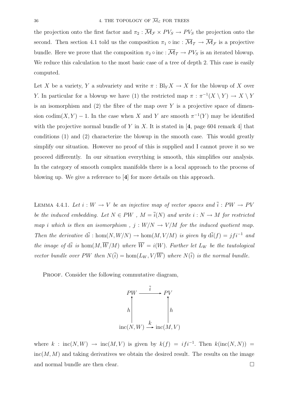the projection onto the first factor and  $\pi_2 : \overline{\mathcal{M}}_{\mathcal{F}} \times PV_S \to PV_S$  the projection onto the second. Then section 4.1 told us the composition  $\pi_1 \circ \text{inc} : \overline{\mathcal{M}}_{\mathcal{T}} \to \overline{\mathcal{M}}_{\mathcal{F}}$  is a projective bundle. Here we prove that the composition  $\pi_2 \circ inc : \overline{\mathcal{M}}_{\mathcal{T}} \to PV_S$  is an iterated blowup. We reduce this calculation to the most basic case of a tree of depth 2. This case is easily computed.

Let X be a variety, Y a subvariety and write  $\pi : Bl_Y X \to X$  for the blowup of X over Y. In particular for a blowup we have (1) the restricted map  $\pi : \pi^{-1}(X \setminus Y) \to X \setminus Y$ is an isomorphism and  $(2)$  the fibre of the map over Y is a projective space of dimension codim(X, Y) – 1. In the case when X and Y are smooth  $\pi^{-1}(Y)$  may be identified with the projective normal bundle of Y in X. It is stated in  $[4, \text{ page } 604 \text{ remark } 4]$  that conditions (1) and (2) characterize the blowup in the smooth case. This would greatly simplify our situation. However no proof of this is supplied and I cannot prove it so we proceed differently. In our situation everything is smooth, this simplifies our analysis. In the category of smooth complex manifolds there is a local approach to the process of blowing up. We give a reference to [**4**] for more details on this approach.

LEMMA 4.4.1. Let  $i: W \to V$  be an injective map of vector spaces and  $\overline{i}: PW \to PV$ be the induced embedding. Let  $N \in PW$ ,  $M = \overline{i}(N)$  and write  $i : N \to M$  for restricted map i which is then an isomorphism,  $j: W/N \to V/M$  for the induced quotient map. Then the derivative  $d\overline{i} : \text{hom}(N, W/N) \to \text{hom}(M, V/M)$  is given by  $d\overline{i}(f) = jfi^{-1}$  and the image of  $d\overline{i}$  is hom $(M, \overline{W}/M)$  where  $\overline{W} = i(W)$ . Further let  $L_W$  be the tautological vector bundle over PW then  $N(\overline{i}) = \text{hom}(L_W, V/\overline{W})$  where  $N(\overline{i})$  is the normal bundle.

PROOF. Consider the following commutative diagram,

$$
PW \xrightarrow{\overline{i}} PV
$$
  
h  
inc(N, W) \xrightarrow{k} inc(M, V)

where  $k : inc(N, W) \rightarrow inc(M, V)$  is given by  $k(f) = if i^{-1}$ . Then  $k(inc(N, N)) =$  $inc(M, M)$  and taking derivatives we obtain the desired result. The results on the image and normal bundle are then clear.  $\hfill \square$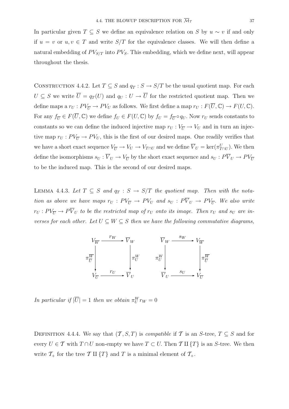In particular given  $T \subseteq S$  we define an equivalence relation on S by  $u \sim v$  if and only if  $u = v$  or  $u, v \in T$  and write  $S/T$  for the equivalence classes. We will then define a natural embedding of  $PV_{S/T}$  into  $PV_S$ . This embedding, which we define next, will appear throughout the thesis.

CONSTRUCTION 4.4.2. Let  $T \subseteq S$  and  $q_T : S \to S/T$  be the usual quotient map. For each  $U \subseteq S$  we write  $\overline{U} = q_T(U)$  and  $q_U : U \to \overline{U}$  for the restricted quotient map. Then we define maps a  $r_U : PV_{\overline{U}} \to PV_U$  as follows. We first define a map  $r_U : F(\overline{U}, \mathbb{C}) \to F(U, \mathbb{C})$ . For any  $f_{\overline{U}} \in F(\overline{U}, \mathbb{C})$  we define  $f_U \in F(U, \mathbb{C})$  by  $f_U = f_{\overline{U}} \circ q_U$ . Now  $r_U$  sends constants to constants so we can define the induced injective map  $r_U : V_{\overline{U}} \to V_U$  and in turn an injective map  $r_U : PV_{\overline{U}} \to PV_U$ , this is the first of our desired maps. One readily verifies that we have a short exact sequence  $V_U \to V_U \to V_{T \cap U}$  and we define  $\overline{V}_U = \text{ker}(\pi_{T \cap U}^U)$ . We then define the isomorphisms  $s_U:\overline{V}_U\to V_{\overline{U}}$  by the short exact sequence and  $s_U:P\overline{V}_U\to PV_{\overline{U}}$ to be the induced map. This is the second of our desired maps.

LEMMA 4.4.3. Let  $T \subseteq S$  and  $q_T : S \to S/T$  the quotient map. Then with the notation as above we have maps  $r_U : PV_{\overline{U}} \to PV_U$  and  $s_U : P_{\overline{V}_U} \to PV_{\overline{U}}$ . We also write  $r_U: PV_{\overline{U}} \to P \overline{V}_U$  to be the restricted map of  $r_U$  onto its image. Then  $r_U$  and  $s_U$  are inverses for each other. Let  $U \subseteq W \subseteq S$  then we have the following commutative diagrams,



In particular if  $|\overline{U}| = 1$  then we obtain  $\pi_U^W r_W = 0$ 

DEFINITION 4.4.4. We say that  $(\mathcal{T}, S, T)$  is *compatible* if  $\mathcal{T}$  is an S-tree,  $T \subseteq S$  and for every  $U \in \mathcal{T}$  with  $T \cap U$  non-empty we have  $T \subset U$ . Then  $\mathcal{T} \amalg \{T\}$  is an S-tree. We then write  $\mathcal{T}_+$  for the tree T II  $\{T\}$  and T is a minimal element of  $\mathcal{T}_+$ .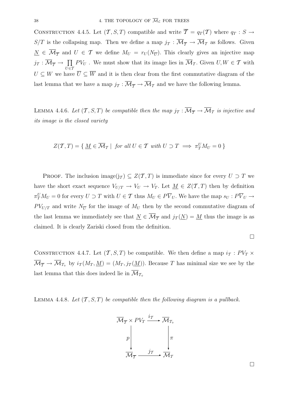CONSTRUCTION 4.4.5. Let  $(\mathcal{T}, S, T)$  compatible and write  $\overline{\mathcal{T}} = q_T(\mathcal{T})$  where  $q_T : S \to$  $S/T$  is the collapsing map. Then we define a map  $j<sub>T</sub>: \overline{\mathcal{M}}_{\overline{T}} \to \overline{\mathcal{M}}_{T}$  as follows. Given  $N \in \overline{\mathcal{M}_{\overline{\mathcal{T}}}}$  and  $U \in \mathcal{T}$  we define  $M_U = r_U(N_{\overline{U}})$ . This clearly gives an injective map  $j_{\mathcal{T}} : \overline{\mathcal{M}}_{\overline{\mathcal{T}}} \to \prod$  $\bar{U}$ ∈7  $PV_U$ . We must show that its image lies in  $\mathcal{M}_{\mathcal{T}}$ . Given  $U, W \in \mathcal{T}$  with  $U \subseteq W$  we have  $\overline{U} \subseteq \overline{W}$  and it is then clear from the first commutative diagram of the last lemma that we have a map  $j<sub>T</sub>: \overline{\mathcal{M}}_{\overline{T}} \to \overline{\mathcal{M}}_{T}$  and we have the following lemma.

LEMMA 4.4.6. Let  $(\mathcal{T}, S, T)$  be compatible then the map  $j_{\mathcal{T}} : \overline{\mathcal{M}}_{\overline{\mathcal{T}}} \to \overline{\mathcal{M}}_{\mathcal{T}}$  is injective and its image is the closed variety

$$
Z(\mathcal{T},T) = \{ \underline{M} \in \overline{\mathcal{M}}_{\mathcal{T}} \mid \text{ for all } U \in \mathcal{T} \text{ with } U \supset T \implies \pi_T^U M_U = 0 \}
$$

PROOF. The inclusion image(j<sub>T</sub>)  $\subseteq Z(T,T)$  is immediate since for every  $U \supset T$  we have the short exact sequence  $V_{U/T} \to V_U \to V_T$ . Let  $\underline{M} \in Z(\mathcal{T},T)$  then by definition  $\pi_T^U M_U = 0$  for every  $U \supset T$  with  $U \in \mathcal{T}$  thus  $M_U \in P\overline{V}_U$ . We have the map  $s_U : P\overline{V}_U \to P\overline{V}_U$  $PV_{U/T}$  and write  $N_{\overline{U}}$  for the image of  $M_U$  then by the second commutative diagram of the last lemma we immediately see that  $N \in \overline{\mathcal{M}_{\overline{\mathcal{T}}}}$  and  $j_{\mathcal{T}}(N) = M$  thus the image is as claimed. It is clearly Zariski closed from the definition.

CONSTRUCTION 4.4.7. Let  $(\mathcal{T}, S, T)$  be compatible. We then define a map  $i_{\mathcal{T}} : PV_T \times$  $\overline{\mathcal{M}}_{\overline{\mathcal{T}}}\to\overline{\mathcal{M}}_{\mathcal{T}_+}$  by  $i_{\mathcal{T}}(M_T, \underline{M})=(M_T, j_{\mathcal{T}}(\underline{M}))$ . Because T has minimal size we see by the last lemma that this does indeed lie in  $\overline{\mathcal{M}}_{\mathcal{I}_{+}}$ 

LEMMA 4.4.8. Let  $(\mathcal{T}, S, T)$  be compatible then the following diagram is a pullback.

$$
\overline{M}_{\overline{T}} \times PV_T \xrightarrow{i_{\overline{T}}} \overline{M}_{\overline{T}_+}
$$
\n
$$
p \downarrow \qquad \qquad \downarrow \pi
$$
\n
$$
\overline{M}_{\overline{T}} \xrightarrow{j_{\overline{T}}} \overline{M}_{\overline{T}}
$$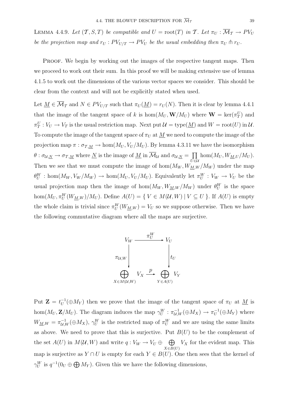LEMMA 4.4.9. Let  $(\mathcal{T}, S, T)$  be compatible and  $U = \text{root}(T)$  in  $\mathcal{T}$ . Let  $\pi_U : \overline{\mathcal{M}}_{\mathcal{T}} \to PV_U$ be the projection map and  $r_U : PV_{U/T} \to PV_U$  be the usual embedding then  $\pi_U \pitchfork r_U$ .

PROOF. We begin by working out the images of the respective tangent maps. Then we proceed to work out their sum. In this proof we will be making extensive use of lemma 4.1.5 to work out the dimensions of the various vector spaces we consider. This should be clear from the context and will not be explicitly stated when used.

Let  $\underline{M} \in \overline{\mathcal{M}}_T$  and  $N \in PV_{U/T}$  such that  $\pi_U(\underline{M}) = r_U(N)$ . Then it is clear by lemma 4.4.1 that the image of the tangent space of k is hom $(M_U, \mathbf{W}/M_U)$  where  $\mathbf{W} = \text{ker}(\pi_T^U)$  and  $\pi_T^U: V_U \to V_T$  is the usual restriction map. Next put  $\mathcal{U} = \text{type}(\underline{M})$  and  $W = \text{root}(U)$  in  $\mathcal{U}$ . To compute the image of the tangent space of  $\pi_U$  at  $\underline{M}$  we need to compute the image of the projection map  $\pi : \sigma_{\mathcal{T},\underline{M}} \to \hom(M_U,V_U/M_U)$ . By lemma 4.3.11 we have the isomorphism  $\theta : \sigma_{\mathcal{U},\underline{N}} \to \sigma_{\mathcal{T},\underline{M}}$  where  $\underline{N}$  is the image of  $\underline{M}$  in  $\overline{\mathcal{M}}_{\mathcal{U}}$  and  $\sigma_{\mathcal{U},\underline{N}} = \prod$ U∈U  $hom(M_U, W_{M,U}/M_U).$ Then we see that we must compute the image of hom $(M_W, W_{M,W}/M_W)$  under the map  $\theta_U^W$ : hom $(M_W, V_W/M_W) \to \text{hom}(M_U, V_U/M_U)$ . Equivalently let  $\pi_U^W : V_W \to V_U$  be the usual projection map then the image of  $hom(M_W, W_{M,W}/M_W)$  under  $\theta_U^W$  is the space hom $(M_U, \pi_U^W(W_{M,W})/M_U)$ . Define  $A(U) = \{ V \in M(U, W) \mid V \subseteq U \}$ . If  $A(U)$  is empty the whole claim is trivial since  $\pi_U^W(W_{M,W}) = V_U$  so we suppose otherwise. Then we have the following commutative diagram where all the maps are surjective.



Put  $\mathbf{Z} = t_U^{-1}(\oplus M_Y)$  then we prove that the image of the tangent space of  $\pi_U$  at  $\underline{M}$  is hom( $M_U, \mathbf{Z}/M_U$ ). The diagram induces the map  $\gamma_U^W : \pi_{\mathcal{U},W}^{-1}(\oplus M_X) \to \pi_U^{-1}(\oplus M_Y)$  where  $W_{\underline{M},W} = \pi_{\mathcal{U},W}^{-1}(\oplus M_X), \gamma_{U}^{W}$  is the restricted map of  $\pi_{U}^{W}$  and we are using the same limits as above. We need to prove that this is surjective. Put  $B(U)$  to be the complement of the set  $A(U)$  in  $M(\mathcal{U}, W)$  and write  $q: V_W \to V_U \oplus \bigoplus$  $X\overline{\in}B(U)$  $V_X$  for the evident map. This map is surjective as  $Y \cap U$  is empty for each  $Y \in B(U)$ . One then sees that the kernel of  $\gamma_U^W$  is  $q^{-1}(0_U \oplus \bigoplus M_Y)$ . Given this we have the following dimensions,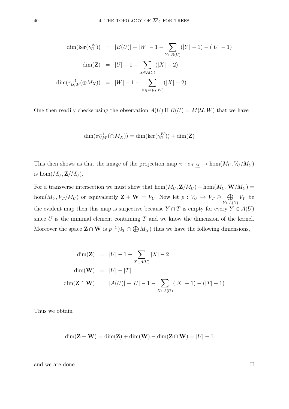$$
\dim(\ker(\gamma_U^W)) = |B(U)| + |W| - 1 - \sum_{Y \in B(U)} (|Y| - 1) - (|U| - 1)
$$

$$
\dim(\mathbf{Z}) = |U| - 1 - \sum_{X \in A(U)} (|X| - 2)
$$

$$
\dim(\pi_{U,W}^{-1}(\oplus M_X)) = |W| - 1 - \sum_{X \in M(U,W)} (|X| - 2)
$$

One then readily checks using the observation  $A(U) \amalg B(U) = M(U, W)$  that we have

$$
\dim(\pi_{\mathcal{U},W}^{-1}(\oplus M_X)) = \dim(\ker(\gamma_U^W)) + \dim(\mathbf{Z})
$$

This then shows us that the image of the projection map  $\pi : \sigma_{T,M} \to \text{hom}(M_U, V_U/M_U)$ is  $hom(M_U, \mathbf{Z}/M_U)$ .

For a transverse intersection we must show that  $hom(M_U, \mathbf{Z}/M_U) + hom(M_U, \mathbf{W}/M_U) =$ hom $(M_U, V_T/M_U)$  or equivalently  $\mathbf{Z} + \mathbf{W} = V_U$ . Now let  $p: V_U \to V_T \oplus \bigoplus$  $Y\in A(U)$  $V_Y$  be the evident map then this map is surjective because  $Y \cap T$  is empty for every  $Y \in A(U)$ since U is the minimal element containing  $T$  and we know the dimension of the kernel. Moreover the space  $\mathbf{Z} \cap \mathbf{W}$  is  $p^{-1}(0_T \oplus \bigoplus M_X)$  thus we have the following dimensions,

$$
\dim(\mathbf{Z}) = |U| - 1 - \sum_{X \in A(U)} |X| - 2
$$
  
\n
$$
\dim(\mathbf{W}) = |U| - |T|
$$
  
\n
$$
\dim(\mathbf{Z} \cap \mathbf{W}) = |A(U)| + |U| - 1 - \sum_{X \in A(U)} (|X| - 1) - (|T| - 1)
$$

Thus we obtain

$$
\dim(\mathbf{Z} + \mathbf{W}) = \dim(\mathbf{Z}) + \dim(\mathbf{W}) - \dim(\mathbf{Z} \cap \mathbf{W}) = |U| - 1
$$

and we are done.  $\hfill \square$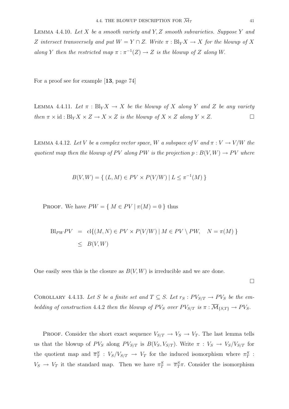LEMMA 4.4.10. Let  $X$  be a smooth variety and  $Y, Z$  smooth subvarieties. Suppose  $Y$  and Z intersect transversely and put  $W = Y \cap Z$ . Write  $\pi : \text{Bl}_Y X \to X$  for the blowup of X along Y then the restricted map  $\pi : \pi^{-1}(Z) \to Z$  is the blowup of Z along W.

For a proof see for example [**13**, page 74]

LEMMA 4.4.11. Let  $\pi : Bl_Y X \to X$  be the blowup of X along Y and Z be any variety then  $\pi \times id : Bl_Y X \times Z \to X \times Z$  is the blowup of  $X \times Z$  along  $Y \times Z$ .

LEMMA 4.4.12. Let V be a complex vector space, W a subspace of V and  $\pi: V \to V/W$  the quotient map then the blowup of PV along PW is the projection  $p : B(V, W) \to PV$  where

$$
B(V, W) = \{ (L, M) \in PV \times P(V/W) \mid L \le \pi^{-1}(M) \}
$$

PROOF. We have  $PW = \{ M \in PV \mid \pi(M) = 0 \}$  thus

$$
Bl_{PW}PV = cl{(M, N) \in PV \times P(V/W) | M \in PV \setminus PW, N = \pi(M)}
$$
  

$$
\leq B(V, W)
$$

One easily sees this is the closure as  $B(V, W)$  is irreducible and we are done.

 $\Box$ 

COROLLARY 4.4.13. Let S be a finite set and  $T \subseteq S$ . Let  $r_S : PV_{S/T} \rightarrow PV_S$  be the embedding of construction 4.4.2 then the blowup of  $PV_S$  over  $PV_{S/T}$  is  $\pi : \overline{\mathcal{M}}_{\{S,T\}} \to PV_S$ .

PROOF. Consider the short exact sequence  $V_{S/T} \rightarrow V_S \rightarrow V_T$ . The last lemma tells us that the blowup of  $PV_S$  along  $PV_{S/T}$  is  $B(V_S, V_{S/T})$ . Write  $\pi : V_S \to V_S/V_{S/T}$  for the quotient map and  $\overline{\pi}_T^S : V_S/V_{S/T} \to V_T$  for the induced isomorphism where  $\pi_T^S$ :  $V_S \to V_T$  it the standard map. Then we have  $\pi_T^S = \overline{\pi}_T^S \pi$ . Consider the isomorphism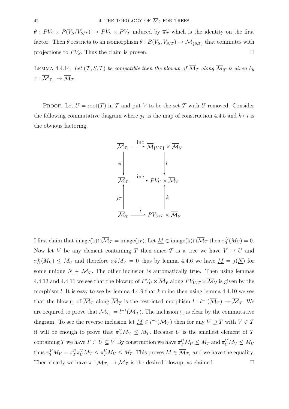$\theta$ :  $PV_S \times P(V_S/V_{S/T}) \rightarrow PV_S \times PV_T$  induced by  $\overline{\pi}_T^S$  which is the identity on the first factor. Then  $\theta$  restricts to an isomorphism  $\theta : B(V_S, V_{S/T}) \to \overline{\mathcal{M}}_{\{S,T\}}$  that commutes with projections to  $PV_S$ . Thus the claim is proven.

LEMMA 4.4.14. Let  $(\mathcal{T}, S, T)$  be compatible then the blowup of  $\overline{\mathcal{M}}_{\mathcal{T}}$  along  $\overline{\mathcal{M}}_{\overline{\mathcal{T}}}$  is given by  $\pi : \overline{\mathcal{M}}_{\mathcal{T}_+} \to \overline{\mathcal{M}}_{\mathcal{T}}$ .

PROOF. Let  $U = root(T)$  in T and put V to be the set T with U removed. Consider the following commutative diagram where  $j<sub>T</sub>$  is the map of construction 4.4.5 and  $k \circ i$  is the obvious factoring.



I first claim that  $\text{image}(k) \cap \overline{\mathcal{M}}_{\mathcal{T}} = \text{image}(j_{\mathcal{T}})$ . Let  $\underline{M} \in \text{image}(k) \cap \overline{\mathcal{M}}_{\mathcal{T}}$  then  $\pi_T^U(M_U) = 0$ . Now let V be any element containing T then since T is a tree we have  $V \supseteq U$  and  $\pi_U^V(M_V) \leq M_U$  and therefore  $\pi_T^V M_V = 0$  thus by lemma 4.4.6 we have  $M = j(N)$  for some unique  $\underline{N} \in \mathcal{M}_{\overline{T}}$ . The other inclusion is automatically true. Then using lemmas 4.4.13 and 4.4.11 we see that the blowup of  $PV_U \times \overline{\mathcal{M}}_{\mathcal{V}}$  along  $PV_{U/T} \times \overline{\mathcal{M}}_{\mathcal{V}}$  is given by the morphism l. It is easy to see by lemma 4.4.9 that  $k \uparrow$  inc then using lemma 4.4.10 we see that the blowup of  $\overline{\mathcal{M}}_{\mathcal{T}}$  along  $\overline{\mathcal{M}}_{\overline{\mathcal{T}}}$  is the restricted morphism  $l : l^{-1}(\overline{\mathcal{M}}_{\mathcal{T}}) \to \overline{\mathcal{M}}_{\mathcal{T}}$ . We are required to prove that  $\overline{\mathcal{M}}_{\mathcal{I}_{+}} = l^{-1}(\overline{\mathcal{M}}_{\mathcal{I}})$ . The inclusion  $\subseteq$  is clear by the commutative diagram. To see the reverse inclusion let  $\underline{M} \in l^{-1}(\overline{\mathcal{M}}_T)$  then for any  $V \supseteq T$  with  $V \in \mathcal{T}$ it will be enough to prove that  $\pi_T^V M_V \leq M_T$ . Because U is the smallest element of T containing T we have  $T \subset U \subseteq V$ . By construction we have  $\pi_T^U M_U \leq M_T$  and  $\pi_U^V M_V \leq M_U$ thus  $\pi_T^V M_V = \pi_T^U \pi_U^V M_V \leq \pi_T^U M_U \leq M_T$ . This proves  $\underline{M} \in \overline{\mathcal{M}}_{\mathcal{T}_+}$  and we have the equality. Then clearly we have  $\pi : \overline{\mathcal{M}}_{\mathcal{I}_+} \to \overline{\mathcal{M}}_{\mathcal{I}}$  is the desired blowup, as claimed.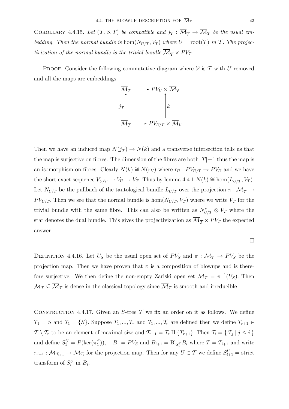COROLLARY 4.4.15. Let  $(\mathcal{T}, S, T)$  be compatible and  $j_{\mathcal{T}} : \overline{\mathcal{M}}_{\overline{\mathcal{T}}} \to \overline{\mathcal{M}}_{T}$  be the usual embedding. Then the normal bundle is  $\text{hom}(N_{U/T}, V_T)$  where  $U = \text{root}(T)$  in T. The projectivization of the normal bundle is the trivial bundle  $\overline{\mathcal{M}}_{\overline{\mathcal{T}}} \times PV_T$ .

PROOF. Consider the following commutative diagram where  $\mathcal V$  is  $\mathcal T$  with U removed and all the maps are embeddings



Then we have an induced map  $N(j_T) \to N(k)$  and a transverse intersection tells us that the map is surjective on fibres. The dimension of the fibres are both  $|T|-1$  thus the map is an isomorphism on fibres. Clearly  $N(k) \cong N(r_U)$  where  $r_U : PV_{U/T} \to PV_U$  and we have the short exact sequence  $V_{U/T} \to V_U \to V_T$ . Thus by lemma 4.4.1  $N(k) \cong \text{hom}(L_{U/T}, V_T)$ . Let  $N_{U/T}$  be the pullback of the tautological bundle  $L_{U/T}$  over the projection  $\pi : \overline{\mathcal{M}}_{\overline{\mathcal{T}}} \to$  $PV_{U/T}$ . Then we see that the normal bundle is hom $(N_{U/T}, V_T)$  where we write  $V_T$  for the trivial bundle with the same fibre. This can also be written as  $N^*_{U/T} \otimes V_T$  where the star denotes the dual bundle. This gives the projectivization as  $\overline{\mathcal{M}}_{\overline{\mathcal{T}}} \times PV_T$  the expected answer.

$$
\Box
$$

DEFINITION 4.4.16. Let  $U_S$  be the usual open set of  $PV_S$  and  $\pi : \overline{\mathcal{M}}_T \to PV_S$  be the projection map. Then we have proven that  $\pi$  is a composition of blowups and is therefore surjective. We then define the non-empty Zariski open set  $\mathcal{M}_T = \pi^{-1}(U_S)$ . Then  $\mathcal{M}_{\mathcal{T}} \subseteq \overline{\mathcal{M}}_{\mathcal{T}}$  is dense in the classical topology since  $\overline{\mathcal{M}}_{\mathcal{T}}$  is smooth and irreducible.

CONSTRUCTION 4.4.17. Given an S-tree  $\mathcal T$  we fix an order on it as follows. We define  $T_1 = S$  and  $T_1 = \{S\}$ . Suppose  $T_1, ..., T_r$  and  $T_1, ..., T_r$  are defined then we define  $T_{r+1} \in$  $\mathcal{T} \setminus \mathcal{T}_r$  to be an element of maximal size and  $\mathcal{T}_{r+1} = \mathcal{T}_r \amalg \{T_{r+1}\}\.$  Then  $\mathcal{T}_i = \{T_j | j \leq i\}$ and define  $S_1^U = P(\ker(\pi_U^S))$ ,  $B_1 = PV_S$  and  $B_{i+1} = B \cdot S_i^T B_i$  where  $T = T_{i+1}$  and write  $\pi_{i+1} : \overline{\mathcal{M}}_{\mathcal{T}_{i+1}} \to \overline{\mathcal{M}}_{\mathcal{T}_i}$  for the projection map. Then for any  $U \in \mathcal{T}$  we define  $S_{i+1}^U = \text{strict}$ transform of  $S_i^U$  in  $B_i$ .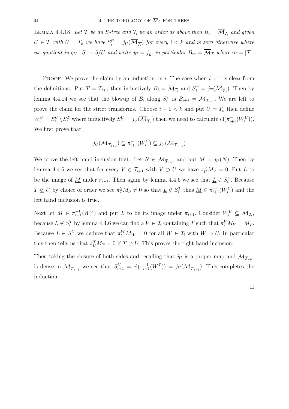LEMMA 4.4.18. Let T be an S-tree and  $T_i$  be an order as above then  $B_i = \overline{\mathcal{M}}_{T_i}$  and given  $U \in \mathcal{T}$  with  $U = T_k$  we have  $S_i^U = j_U(\overline{\mathcal{M}_{\overline{T_i}}})$  for every  $i < k$  and is zero otherwise where we quotient in  $q_U : S \to S/U$  and write  $j_U = j_{\overline{\mathcal{L}}_i}$  in particular  $B_m = \overline{\mathcal{M}}_{\mathcal{T}}$  where  $m = |\mathcal{T}|$ .

**PROOF.** We prove the claim by an induction on i. The case when  $i = 1$  is clear from the definitions. Put  $T = T_{i+1}$  then inductively  $B_i = \overline{\mathcal{M}}_{T_i}$  and  $S_i^T = j_T(\overline{\mathcal{M}}_{\overline{T}_i})$ . Then by lemma 4.4.14 we see that the blowup of  $B_i$  along  $S_i^T$  is  $B_{i+1} = \overline{\mathcal{M}}_{T_{i+1}}$ . We are left to prove the claim for the strict transforms. Choose  $i + 1 < k$  and put  $U = T_k$  then define  $W_i^U = S_i^U \setminus S_i^T$  where inductively  $S_i^U = j_U(\overline{\mathcal{M}}_{\overline{\mathcal{I}}_i})$  then we need to calculate  $\text{cl}(\pi_{i+1}^{-1}(W_i^U)).$ We first prove that

$$
j_U(\mathcal{M}_{\overline{\mathcal{T}}_{i+1}}) \subseteq \pi_{i+1}^{-1}(W_i^U) \subseteq j_U(\overline{\mathcal{M}}_{\overline{\mathcal{T}}_{i+1}})
$$

We prove the left hand inclusion first. Let  $\underline{N} \in \mathcal{M}_{\overline{T}_{i+1}}$  and put  $\underline{M} = j_U(\underline{N})$ . Then by lemma 4.4.6 we see that for every  $V \in \mathcal{T}_{i+1}$  with  $V \supset U$  we have  $\pi_U^V M_V = 0$ . Put  $\underline{L}$  to be the image of <u>M</u> under  $\pi_{i+1}$ . Then again by lemma 4.4.6 we see that  $\underline{L} \in S_i^U$ . Because  $T \nsubseteq U$  by choice of order we see  $\pi_T^S M_S \neq 0$  so that  $\underline{L} \notin S_i^T$  thus  $\underline{M} \in \pi_{i+1}^{-1}(W_i^U)$  and the left hand inclusion is true.

Next let  $\underline{M} \in \pi_{i+1}^{-1}(W_i^U)$  and put  $\underline{L}$  to be its image under  $\pi_{i+1}$ . Consider  $W_i^U \subseteq \overline{\mathcal{M}}_{\mathcal{I}_i}$ , because  $\underline{L} \notin S_i^T$  by lemma 4.4.6 we can find a  $V \in \mathcal{T}_i$  containing T such that  $\pi_Y^V M_V = M_T$ . Because  $\underline{L} \in S_i^U$  we deduce that  $\pi_U^W M_W = 0$  for all  $W \in \mathcal{T}_i$  with  $W \supset U$ . In particular this then tells us that  $\pi_U^T M_T = 0$  if  $T \supset U$ . This proves the right hand inclusion.

Then taking the closure of both sides and recalling that  $j_U$  is a proper map and  $\mathcal{M}_{\overline{\mathcal{T}}_{i+1}}$ is dense in  $\overline{\mathcal{M}}_{\overline{\mathcal{T}}_{i+1}}$  we see that  $S_{i+1}^U = \text{cl}(\pi_{i+1}^{-1}(W^T)) = j_U(\overline{\mathcal{M}}_{\overline{\mathcal{T}}_{i+1}})$ . This completes the induction.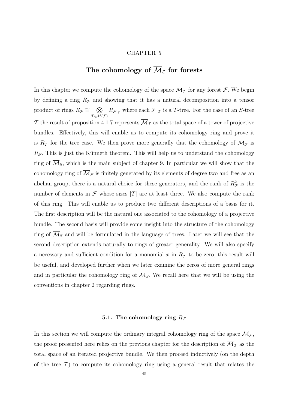#### CHAPTER 5

## The cohomology of  $\overline{\mathcal{M}}_{\mathcal{L}}$  for forests

In this chapter we compute the cohomology of the space  $\overline{\mathcal{M}}_{\mathcal{F}}$  for any forest  $\mathcal{F}$ . We begin by defining a ring  $R<sub>F</sub>$  and showing that it has a natural decomposition into a tensor product of rings  $R_{\mathcal{F}} \cong \quad \bigotimes$  $T \in M(\mathcal{F})$  $R_{\mathcal{F}|_T}$  where each  $\mathcal{F}|_T$  is a T-tree. For the case of an S-tree T the result of proposition 4.1.7 represents  $\overline{\mathcal{M}}_T$  as the total space of a tower of projective bundles. Effectively, this will enable us to compute its cohomology ring and prove it is  $R_{\mathcal{T}}$  for the tree case. We then prove more generally that the cohomology of  $\overline{\mathcal{M}}_{\mathcal{F}}$  is  $R_{\mathcal{F}}$ . This is just the Künneth theorem. This will help us to understand the cohomology ring of  $\mathcal{M}_S$ , which is the main subject of chapter 9. In particular we will show that the cohomology ring of  $\overline{\mathcal{M}}_{\mathcal{F}}$  is finitely generated by its elements of degree two and free as an abelian group, there is a natural choice for these generators, and the rank of  $R^2_{\mathcal{F}}$  is the number of elements in  $\mathcal F$  whose sizes  $|T|$  are at least three. We also compute the rank of this ring. This will enable us to produce two different descriptions of a basis for it. The first description will be the natural one associated to the cohomology of a projective bundle. The second basis will provide some insight into the structure of the cohomology ring of  $\overline{\mathcal{M}}_S$  and will be formulated in the language of trees. Later we will see that the second description extends naturally to rings of greater generality. We will also specify a necessary and sufficient condition for a monomial x in  $R<sub>F</sub>$  to be zero, this result will be useful, and developed further when we later examine the zeros of more general rings and in particular the cohomology ring of  $\overline{\mathcal{M}}_S$ . We recall here that we will be using the conventions in chapter 2 regarding rings.

#### **5.1.** The cohomology ring  $R<sub>F</sub>$

In this section we will compute the ordinary integral cohomology ring of the space  $\overline{\mathcal{M}}_{\mathcal{F}}$ , the proof presented here relies on the previous chapter for the description of  $\overline{\mathcal{M}}_T$  as the total space of an iterated projective bundle. We then proceed inductively (on the depth of the tree  $\mathcal{T}$  to compute its cohomology ring using a general result that relates the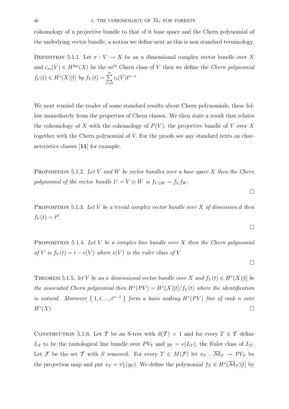cohomology of a projective bundle to that of it base space and the Chern polynomial of the underlying vector bundle, a notion we define next as this is non standard terminology.

DEFINITION 5.1.1. Let  $\pi: V \to X$  be an n dimensional complex vector bundle over X and  $c_m(V) \in H^{2m}(X)$  be the m<sup>th</sup> Chern class of V then we define the Chern polynomial  $f_V(t) \in H^*(X)[t]$  by  $f_V(t) = \sum^n$  $\sum_{i=0}$  $c_i(V)t^{n-i}$ 

We next remind the reader of some standard results about Chern polynomials, these follow immediately from the properties of Chern classes. We then state a result that relates the cohomology of X with the cohomology of  $P(V)$ , the projective bundle of V over X together with the Chern polynomial of V. For the proofs see any standard texts on characteristics classes [**11**] for example.

PROPOSITION 5.1.2. Let V and W be vector bundles over a base space X then the Chern polynomial of the vector bundle  $U = V \oplus W$  is  $f_{V \oplus W} = f_V f_W$ .

PROPOSITION 5.1.3. Let  $V$  be a trivial complex vector bundle over  $X$  of dimension d then  $f_V(t) = t^d$ .

PROPOSITION 5.1.4. Let V be a complex line bundle over X then the Chern polynomial of V is  $f_V(t) = t - e(V)$  where  $e(V)$  is the euler class of V.

THEOREM 5.1.5. let V be an n dimensional vector bundle over X and  $f_V(t) \in H^*(X)[t]$  be the associated Chern polynomial then  $H^*(PV) = H^*(X)[t]/f_V(t)$  where the identification is natural. Moreover  $\{1, t, ..., t^{n-1}\}$  form a basis making  $H^*(PV)$  free of rank n over  $H^*(X)$ 

CONSTRUCTION 5.1.6. Let T be an S-tree with  $d(T) > 1$  and for every  $T \in T$  define  $L_T$  to be the tautological line bundle over  $PV_T$  and  $y_T = e(L_T)$ , the Euler class of  $L_T$ . Let F be the set T with S removed. For every  $T \in M(\mathcal{F})$  let  $\pi_T : \overline{\mathcal{M}}_{\mathcal{F}} \to PV_T$  be the projection map and put  $x_T = \pi_T^*(y_T)$ . We define the polynomial  $f_T \in H^*(\overline{\mathcal{M}}_{\mathcal{F}})[t]$  by

 $\Box$ 

 $\Box$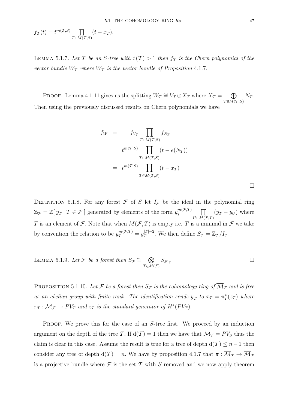$$
f_T(t) = t^{m(T,S)} \prod_{T \in M(T,S)} (t - x_T).
$$

LEMMA 5.1.7. Let T be an S-tree with  $d(T) > 1$  then  $f_T$  is the Chern polynomial of the vector bundle  $W_T$  where  $W_T$  is the vector bundle of Proposition 4.1.7.

PROOF. Lemma 4.1.11 gives us the splitting  $W_T \cong V_T \oplus X_T$  where  $X_T = \bigoplus$  $T \in M(\mathcal{T},S)$  $N_T$ . Then using the previously discussed results on Chern polynomials we have

$$
f_W = f_{V_T} \prod_{T \in M(T,S)} f_{N_T}
$$
  
= 
$$
t^{m(T,S)} \prod_{T \in M(T,S)} (t - e(N_T))
$$
  
= 
$$
t^{m(T,S)} \prod_{T \in M(T,S)} (t - x_T)
$$

DEFINITION 5.1.8. For any forest  $\mathcal F$  of S let  $I_{\mathcal F}$  be the ideal in the polynomial ring  $\mathbb{Z}_{\mathcal{F}} = \mathbb{Z}[y_T | T \in \mathcal{F}]$  generated by elements of the form  $y_T^{m(\mathcal{F},T)}$   $\prod$  $U\in M(\mathcal{F},T)$  $(y_T - y_U)$  where T is an element of  $\mathcal F$ . Note that when  $M(\mathcal F,T)$  is empty i.e. T is a minimal in  $\mathcal F$  we take by convention the relation to be  $y_T^{m(\mathcal{F},T)} = y_T^{|T|-2}$ . We then define  $S_{\mathcal{F}} = \mathbb{Z}_{\mathcal{F}}/I_{\mathcal{F}}$ .

LEMMA 5.1.9. Let 
$$
\mathcal{F}
$$
 be a forest then  $S_{\mathcal{F}} \cong \bigotimes_{T \in M(\mathcal{F})} S_{\mathcal{F}|_T}$ 

PROPOSITION 5.1.10. Let F be a forest then  $S_{\mathcal{F}}$  is the cohomology ring of  $\overline{\mathcal{M}}_{\mathcal{F}}$  and is free as an abelian group with finite rank. The identification sends  $\overline{y}_T$  to  $x_T = \pi_T^*(z_T)$  where  $\pi_T : \overline{\mathcal{M}}_{\mathcal{F}} \to PV_T$  and  $z_T$  is the standard generator of  $H^*(PV_T)$ .

PROOF. We prove this for the case of an S-tree first. We proceed by an induction argument on the depth of the tree T. If  $d(\mathcal{T}) = 1$  then we have that  $\overline{\mathcal{M}}_{\mathcal{T}} = PV_S$  thus the claim is clear in this case. Assume the result is true for a tree of depth  $d(\mathcal{T}) \leq n-1$  then consider any tree of depth  $d(\mathcal{T}) = n$ . We have by proposition 4.1.7 that  $\pi : \overline{\mathcal{M}}_{\mathcal{T}} \to \overline{\mathcal{M}}_{\mathcal{F}}$ is a projective bundle where  $\mathcal F$  is the set  $\mathcal T$  with  $S$  removed and we now apply theorem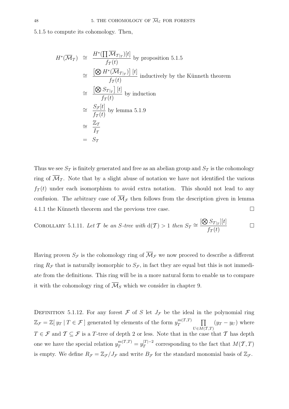5.1.5 to compute its cohomology. Then,

$$
H^*(\overline{\mathcal{M}}_T) \cong \frac{H^*(\prod \overline{\mathcal{M}}_{T|_T})[t]}{f_T(t)}
$$
 by proposition 5.1.5  
\n
$$
\cong \frac{[\bigotimes H^*(\overline{\mathcal{M}}_{T|_T})][t]}{f_T(t)}
$$
 inductively by the Künneth theorem  
\n
$$
\cong \frac{[\bigotimes S_{T|_T}][t]}{f_T(t)}
$$
 by induction  
\n
$$
\cong \frac{S_{\mathcal{F}}[t]}{f_T(t)}
$$
 by lemma 5.1.9  
\n
$$
\cong \frac{\mathbb{Z}_T}{I_T}
$$
  
\n
$$
= S_T
$$

Thus we see  $S_{\mathcal{T}}$  is finitely generated and free as an abelian group and  $S_{\mathcal{T}}$  is the cohomology ring of  $\overline{\mathcal{M}}_{\mathcal{I}}$ . Note that by a slight abuse of notation we have not identified the various  $f_{\mathcal{T}}(t)$  under each isomorphism to avoid extra notation. This should not lead to any confusion. The arbitrary case of  $\overline{\mathcal{M}}_{\mathcal{F}}$  then follows from the description given in lemma 4.1.1 the Künneth theorem and the previous tree case.  $\Box$ 

COROLLARY 5.1.11. Let T be an S-tree with 
$$
d(T) > 1
$$
 then  $S_T \cong \frac{[\bigotimes S_{T|_T}][t]}{f_T(t)}$ 

Having proven  $S_{\mathcal{F}}$  is the cohomology ring of  $\overline{\mathcal{M}}_{\mathcal{F}}$  we now proceed to describe a different ring  $R_{\mathcal{F}}$  that is naturally isomorphic to  $S_{\mathcal{F}}$ , in fact they are equal but this is not immediate from the definitions. This ring will be in a more natural form to enable us to compare it with the cohomology ring of  $\overline{\mathcal{M}}_S$  which we consider in chapter 9.

DEFINITION 5.1.12. For any forest  $\mathcal F$  of S let  $J_{\mathcal F}$  be the ideal in the polynomial ring  $\mathbb{Z}_{\mathcal{F}} = \mathbb{Z}[y_T | T \in \mathcal{F}]$  generated by elements of the form  $y_T^{m(\mathcal{T},T)}$   $\prod$  $U\in M(\mathcal{T},T)$  $(y_T - y_U)$  where  $T \in \mathcal{F}$  and  $\mathcal{T} \subseteq \mathcal{F}$  is a T-tree of depth 2 or less. Note that in the case that T has depth one we have the special relation  $y_T^{m(T,T)} = y_T^{|T|-2}$  corresponding to the fact that  $M(T,T)$ is empty. We define  $R_{\mathcal{F}} = \mathbb{Z}_{\mathcal{F}}/J_{\mathcal{F}}$  and write  $B_{\mathcal{F}}$  for the standard monomial basis of  $\mathbb{Z}_{\mathcal{F}}$ .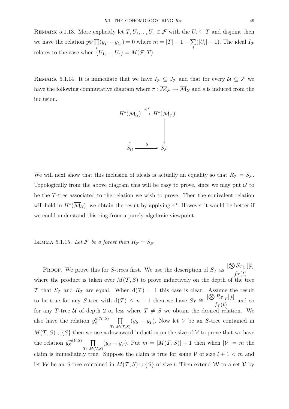REMARK 5.1.13. More explicitly let  $T, U_1, ..., U_r \in \mathcal{F}$  with the  $U_i \subseteq T$  and disjoint then we have the relation  $y_T^m \prod$  $\prod_i (y_T - y_{U_i}) = 0$  where  $m = |T| - 1 - \sum_i (|U_i| - 1)$ . The ideal  $I_{\mathcal{F}}$ relates to the case when  $\{U_1, ..., U_r\} = M(\mathcal{F}, T)$ .

REMARK 5.1.14. It is immediate that we have  $I_{\mathcal{F}} \subseteq J_{\mathcal{F}}$  and that for every  $\mathcal{U} \subseteq \mathcal{F}$  we have the following commutative diagram where  $\pi : \overline{\mathcal{M}}_{\mathcal{F}} \to \overline{\mathcal{M}}_{\mathcal{U}}$  and s is induced from the inclusion.



We will next show that this inclusion of ideals is actually an equality so that  $R_{\mathcal{F}} = S_{\mathcal{F}}$ . Topologically from the above diagram this will be easy to prove, since we may put  $\mathcal U$  to be the T-tree associated to the relation we wish to prove. Then the equivalent relation will hold in  $H^*(\mathcal{M}_U)$ , we obtain the result by applying  $\pi^*$ . However it would be better if we could understand this ring from a purely algebraic viewpoint.

## LEMMA 5.1.15. Let  $\mathcal F$  be a forest then  $R_{\mathcal F} = S_{\mathcal F}$

**PROOF.** We prove this for S-trees first. We use the description of  $S<sub>T</sub>$  as  $[ \bigotimes S_{\mathcal{T}|_T}][t]$  $f_{\mathcal{T}}(t)$ where the product is taken over  $M(T, S)$  to prove inductively on the depth of the tree T that  $S_T$  and  $R_T$  are equal. When  $d(T) = 1$  this case is clear. Assume the result to be true for any S-tree with  $d(\mathcal{T}) \leq n-1$  then we have  $S_{\mathcal{T}} \cong \frac{[\bigotimes R_{\mathcal{T}|_T}][t]}{f(f)}$  $\frac{f_{\tau}(t)}{f_{\tau}(t)}$  and so for any T-tree U of depth 2 or less where  $T \neq S$  we obtain the desired relation. We also have the relation  $y_S^{m(T,S)}$   $\prod$  $T \in M(T,S)$  $(y_S - y_T)$ . Now let V be an S-tree contained in  $M(\mathcal{T}, S) \cup \{S\}$  then we use a downward induction on the size of V to prove that we have the relation  $y_S^{m(\mathcal{V},S)}$   $\prod$  $T {\in} \overline{M(V, S)}$  $(y_S - y_T)$ . Put  $m = |M(\mathcal{T}, S)| + 1$  then when  $|\mathcal{V}| = m$  the claim is immediately true. Suppose the claim is true for some  $V$  of size  $l + 1 < m$  and let W be an S-tree contained in  $M(T, S) \cup \{S\}$  of size l. Then extend W to a set V by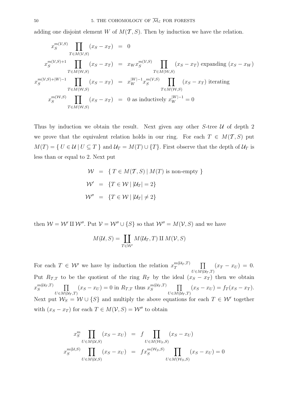adding one disjoint element W of  $M(T, S)$ . Then by induction we have the relation.

$$
x_S^{m(V,S)} \prod_{T \in M(V,S)} (x_S - x_T) = 0
$$
  
\n
$$
x_S^{m(V,S)+1} \prod_{T \in M(W,S)} (x_S - x_T) = x_W x_S^{m(V,S)} \prod_{T \in M(W,S)} (x_S - x_T) \text{ expanding } (x_S - x_W)
$$
  
\n
$$
x_S^{m(V,S)+|W|-1} \prod_{T \in M(W,S)} (x_S - x_T) = x_W^{|W|-1} x_S^{m(V,S)} \prod_{T \in M(W,S)} (x_S - x_T) \text{ iterating}
$$
  
\n
$$
x_S^{m(W,S)} \prod_{T \in M(W,S)} (x_S - x_T) = 0 \text{ as inductively } x_W^{|W|-1} = 0
$$

Thus by induction we obtain the result. Next given any other  $S$ -tree  $U$  of depth 2 we prove that the equivalent relation holds in our ring. For each  $T \in M(T, S)$  put  $M(T) = \{ U \in \mathcal{U} \mid U \subseteq T \}$  and  $\mathcal{U}_T = M(T) \cup \{ T \}$ . First observe that the depth of  $\mathcal{U}_T$  is less than or equal to 2. Next put

$$
\mathcal{W} = \{ T \in M(T, S) | M(T) \text{ is non-empty } \}
$$
  

$$
\mathcal{W}' = \{ T \in \mathcal{W} | |U_T| = 2 \}
$$
  

$$
\mathcal{W}'' = \{ T \in \mathcal{W} | |U_T| \neq 2 \}
$$

then  $W = W' \amalg W''$ . Put  $V = W'' \cup \{S\}$  so that  $W'' = M(V, S)$  and we have

$$
M(\mathcal{U}, S) = \coprod_{T \in \mathcal{W}'} M(\mathcal{U}_T, T) \amalg M(\mathcal{V}, S)
$$

For each  $T \in \mathcal{W}'$  we have by induction the relation  $x_T^{m(\mathcal{U}_T,T)}$   $\prod$  $U\in M(\mathcal{\overline{U}}_T,T)$  $(x_T - x_U) = 0.$ Put  $R_{\mathcal{T},T}$  to be the quotient of the ring  $R_{\mathcal{T}}$  by the ideal  $(x_S - x_T)$  then we obtain  $x_S^{m(\mathcal{U}_T,T)}$   $\prod$  $U\in M(\mathcal{\overline{U}}_T,T)$  $(x_S - x_U) = 0$  in  $R_{\mathcal{T},T}$  thus  $x_S^{m(\mathcal{U}_T,T)}$   $\prod$  $U\in M(\mathcal{\bar{U}}_T,T)$  $(x_S - x_U) = f_T(x_S - x_T).$ Next put  $W_S = W \cup \{S\}$  and multiply the above equations for each  $T \in W'$  together with  $(x_S - x_T)$  for each  $T \in M(\mathcal{V}, S) = \mathcal{W}''$  to obtain

$$
x_S^m \prod_{U \in M(\mathcal{U},S)} (x_S - x_U) = f \prod_{U \in M(\mathcal{W}_S,S)} (x_S - x_U)
$$
  

$$
x_S^{m(\mathcal{U},S)} \prod_{U \in M(\mathcal{U},S)} (x_S - x_U) = f x_S^{m(\mathcal{W}_S,S)} \prod_{U \in M(\mathcal{W}_S,S)} (x_S - x_U) = 0
$$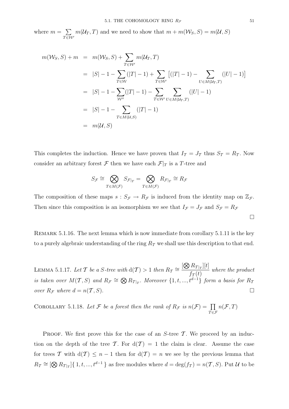where  $m = \sum$  ${}_T\overline{\in}\mathcal{W}'$  $m(\mathcal{U}_T, T)$  and we need to show that  $m + m(\mathcal{W}_S, S) = m(\mathcal{U}, S)$ 

$$
m(W_S, S) + m = m(W_S, S) + \sum_{T \in \mathcal{W}'} m(U_T, T)
$$
  
\n
$$
= |S| - 1 - \sum_{T \in \mathcal{W}} (|T| - 1) + \sum_{T \in \mathcal{W}'} [(|T| - 1) - \sum_{U \in M(U_T, T)} (|U| - 1)]
$$
  
\n
$$
= |S| - 1 - \sum_{W''} (|T| - 1) - \sum_{T \in \mathcal{W}'} \sum_{U \in M(U_T, T)} (|U| - 1)
$$
  
\n
$$
= |S| - 1 - \sum_{T \in M(U, S)} (|T| - 1)
$$
  
\n
$$
= m(U, S)
$$

This completes the induction. Hence we have proven that  $I_{\mathcal{T}} = J_{\mathcal{T}}$  thus  $S_{\mathcal{T}} = R_{\mathcal{T}}$ . Now consider an arbitrary forest  ${\mathcal F}$  then we have each  ${\mathcal F}|_T$  is a  $T\text{-tree}$  and

$$
S_{\mathcal{F}} \cong \bigotimes_{T \in M(\mathcal{F})} S_{\mathcal{F}|_T} = \bigotimes_{T \in M(\mathcal{F})} R_{\mathcal{F}|_T} \cong R_{\mathcal{F}}
$$

The composition of these maps  $s : S_{\mathcal{F}} \to R_{\mathcal{F}}$  is induced from the identity map on  $\mathbb{Z}_{\mathcal{F}}$ . Then since this composition is an isomorphism we see that  $I_{\mathcal{F}} = J_{\mathcal{F}}$  and  $S_{\mathcal{F}} = R_{\mathcal{F}}$ 

REMARK 5.1.16. The next lemma which is now immediate from corollary 5.1.11 is the key to a purely algebraic understanding of the ring  $R_{\mathcal{T}}$  we shall use this description to that end.

LEMMA 5.1.17. Let T be a S-tree with  $d(\mathcal{T}) > 1$  then  $R_{\mathcal{T}} \cong \frac{[\bigotimes R_{\mathcal{T}|T}][t]}{f}$  $\frac{T(t)T(T)}{T(t)}$  where the product is taken over  $M(T, S)$  and  $R_{\mathcal{F}} \cong \bigotimes R_{T|_T}$ . Moreover  $\{1, t, ..., t^{\overrightarrow{d-1}}\}$  form a basis for  $R_{\mathcal{T}}$ over  $R_{\mathcal{F}}$  where  $d = n(\mathcal{T}, S)$ .

COROLLARY 5.1.18. Let F be a forest then the rank of  $R_{\mathcal{F}}$  is  $n(\mathcal{F}) = \prod$  $\bar{T} \in \mathcal{F}$  $n(\mathcal{F},T)$ 

PROOF. We first prove this for the case of an  $S$ -tree  $\mathcal T$ . We proceed by an induction on the depth of the tree T. For  $d(T) = 1$  the claim is clear. Assume the case for trees T with  $d(\mathcal{T}) \leq n-1$  then for  $d(\mathcal{T}) = n$  we see by the previous lemma that  $R_{\mathcal{T}} \cong [\bigotimes R_{\mathcal{T}|_T}]\{1, t, ..., t^{d-1}\}$  as free modules where  $d = \deg(f_{\mathcal{T}}) = n(\mathcal{T}, S)$ . Put  $\mathcal U$  to be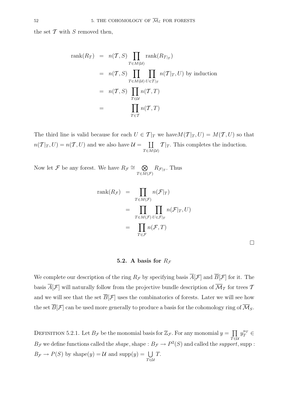the set  $\mathcal T$  with  $S$  removed then,

rank
$$
(R_T)
$$
 =  $n(T, S)$  $\prod_{T \in M(U)} rank(R_{T|T})$   
\n=  $n(T, S)$  $\prod_{T \in M(U)} \prod_{U \in T|T} n(T|T, U)$  by induction  
\n=  $n(T, S)$  $\prod_{T \in U} n(T, T)$   
\n=  $\prod_{T \in T} n(T, T)$ 

The third line is valid because for each  $U \in \mathcal{T}|_T$  we have  $M(\mathcal{T}|_T, U) = M(\mathcal{T}, U)$  so that  $n(\mathcal{T}|_T, U) = n(\mathcal{T}, U)$  and we also have  $\mathcal{U} = \prod$  $T \in M(\mathcal{U})$  $T|_T$ . This completes the induction.

Now let F be any forest. We have  $R_{\mathcal{F}} \cong \otimes$  $T \in M(\mathcal{F})$  $R_{\mathcal{F}|_T}$ . Thus

$$
\operatorname{rank}(R_{\mathcal{F}}) = \prod_{T \in M(\mathcal{F})} n(\mathcal{F}|_T)
$$
  
= 
$$
\prod_{T \in M(\mathcal{F})} \prod_{U \in \mathcal{F}|_T} n(\mathcal{F}|_T, U)
$$
  
= 
$$
\prod_{T \in \mathcal{F}} n(\mathcal{F}, T)
$$

### **5.2.** A basis for  $R_f$

We complete our description of the ring  $R_{\mathcal{F}}$  by specifying basis  $\overline{A}[\mathcal{F}]$  and  $\overline{B}[\mathcal{F}]$  for it. The basis  $\overline{A}[\mathcal{F}]$  will naturally follow from the projective bundle description of  $\overline{\mathcal{M}}_T$  for trees T and we will see that the set  $\overline{B}[\mathcal{F}]$  uses the combinatorics of forests. Later we will see how the set  $\overline{B}[\mathcal{F}]$  can be used more generally to produce a basis for the cohomology ring of  $\overline{\mathcal{M}}_S$ .

DEFINITION 5.2.1. Let  $B_{\mathcal{F}}$  be the monomial basis for  $\mathbb{Z}_{\mathcal{F}}$ . For any monomial  $y = \prod$  $\bar{T}$ ∈U  $y_T^{n_T} \in$  $B_{\mathcal{F}}$  we define functions called the *shape*, shape :  $B_{\mathcal{F}} \to P^2(S)$  and called the *support*, supp :  $B_{\mathcal{F}} \to P(S)$  by shape $(y) = \mathcal{U}$  and supp $(y) = \bigcup$  $\tilde{T}$ ∈U T.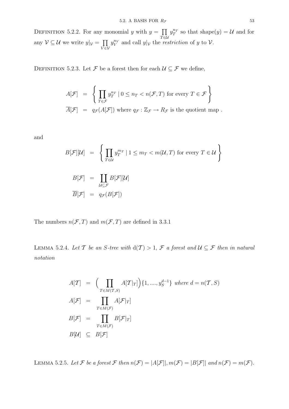DEFINITION 5.2.2. For any monomial y with  $y = \prod$  $\bar{T}$ ∈U  $y_T^{n_T}$  so that shape(y) = U and for any  $\mathcal{V} \subseteq \mathcal{U}$  we write  $y|_{\mathcal{V}} = \prod$  $\bar{V}$  $\in$ V  $y_V^{n_V}$  and call  $y|_V$  the *restriction* of y to V.

DEFINITION 5.2.3. Let  $\mathcal F$  be a forest then for each  $\mathcal U \subseteq \mathcal F$  we define,

$$
A[\mathcal{F}] = \left\{ \prod_{T \in \mathcal{F}} y_T^{n_T} \mid 0 \le n_T < n(\mathcal{F}, T) \text{ for every } T \in \mathcal{F} \right\}
$$
\n
$$
\overline{A}[\mathcal{F}] = q_{\mathcal{F}}(A[\mathcal{F}]) \text{ where } q_{\mathcal{F}} : \mathbb{Z}_{\mathcal{F}} \to R_{\mathcal{F}} \text{ is the quotient map }.
$$

and

$$
B[\mathcal{F}][\mathcal{U}] = \left\{ \prod_{T \in \mathcal{U}} y_T^{m_T} \mid 1 \le m_T < m(\mathcal{U}, T) \text{ for every } T \in \mathcal{U} \right\}
$$
\n
$$
B[\mathcal{F}] = \prod_{\mathcal{U} \subseteq \mathcal{F}} B[\mathcal{F}][\mathcal{U}]
$$
\n
$$
\overline{B}[\mathcal{F}] = q_{\mathcal{F}}(B[\mathcal{F}])
$$

The numbers  $n(\mathcal{F}, T)$  and  $m(\mathcal{F}, T)$  are defined in 3.3.1

LEMMA 5.2.4. Let T be an S-tree with  $d(\mathcal{T}) > 1$ , F a forest and  $\mathcal{U} \subseteq \mathcal{F}$  then in natural notation

$$
A[\mathcal{T}] = \left(\prod_{T \in M(\mathcal{T}, S)} A[\mathcal{T}|_T]\right) \{1, \dots, y_S^{d-1}\} \text{ where } d = n(\mathcal{T}, S)
$$
  
\n
$$
A[\mathcal{F}] = \prod_{T \in M(\mathcal{F})} A[\mathcal{F}|_T]
$$
  
\n
$$
B[\mathcal{F}] = \prod_{T \in M(\mathcal{F})} B[\mathcal{F}|_T]
$$
  
\n
$$
B[\mathcal{U}] \subseteq B[\mathcal{F}]
$$

LEMMA 5.2.5. Let F be a forest F then  $n(F) = |A[F]|$ ,  $m(F) = |B[F]|$  and  $n(F) = m(F)$ .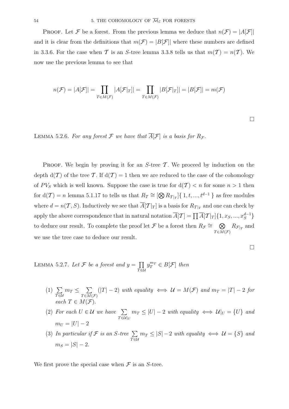**PROOF.** Let F be a forest. From the previous lemma we deduce that  $n(\mathcal{F}) = |A[\mathcal{F}]|$ and it is clear from the definitions that  $m(\mathcal{F}) = |B|\mathcal{F}||$  where these numbers are defined in 3.3.6. For the case when T is an S-tree lemma 3.3.8 tells us that  $m(\mathcal{T}) = n(\mathcal{T})$ . We now use the previous lemma to see that

$$
n(\mathcal{F}) = |A[\mathcal{F}]| = \prod_{T \in M(\mathcal{F})} |A[\mathcal{F}|_T]| = \prod_{T \in M(\mathcal{F})} |B[\mathcal{F}|_T]| = |B[\mathcal{F}]| = m(\mathcal{F})
$$

 $\Box$ 

LEMMA 5.2.6. For any forest  $\mathcal F$  we have that  $\overline{A}[\mathcal F]$  is a basis for  $R_{\mathcal F}$ .

**PROOF.** We begin by proving it for an S-tree  $\mathcal T$ . We proceed by induction on the depth  $d(\mathcal{T})$  of the tree T. If  $d(\mathcal{T}) = 1$  then we are reduced to the case of the cohomology of  $PV_S$  which is well known. Suppose the case is true for  $d(\mathcal{T}) < n$  for some  $n > 1$  then for  $d(\mathcal{T}) = n$  lemma 5.1.17 to tells us that  $R_{\mathcal{T}} \cong [\bigotimes R_{\mathcal{T}|_T}] \{ 1, t, ..., t^{d-1} \}$  as free modules where  $d = n(\mathcal{T}, S)$ . Inductively we see that  $A[\mathcal{T}|_T]$  is a basis for  $R_{\mathcal{T}|_T}$  and one can check by apply the above correspondence that in natural notation  $\overline{A}[\mathcal{T}] = \prod \overline{A}[\mathcal{T}|_T]\{1, x_S, ..., x_S^{d-1}\}$ to deduce our result. To complete the proof let F be a forest then  $R_{\mathcal{F}} \cong \otimes$  $T \in M(\mathcal{F})$  $R_{\mathcal{F}|_T}$  and we use the tree case to deduce our result.

LEMMA 5.2.7. Let  $\mathcal F$  be a forest and  $y = \prod$  $\bar{T}$ ∈U  $y_T^{m_T} \in B[\mathcal{F}]$  then

- $(1) \sum$  $\bar{r}$ ēu  $m_T \leq \sum$  $T {\in} \overline{M}({\mathcal F})$  $(|T| - 2)$  with equality  $\iff U = M(F)$  and  $m_T = |T| - 2$  for each  $T \in M(\mathcal{F})$ .
- (2) For each  $U \in \mathcal{U}$  we have  $\sum$  $T \overline{\in \mathcal{U}}|_U$  $m_T \leq |U| - 2$  with equality  $\iff \mathcal{U}|_U = \{U\}$  and  $m_U = |U| - 2$
- (3) In particular if  $\mathcal F$  is an S-tree  $\sum$  $\bar{r}$ ēu  $m_T \leq |S|-2$  with equality  $\iff \mathcal{U} = \{S\}$  and  $m_S = |S| - 2.$

We first prove the special case when  $\mathcal F$  is an S-tree.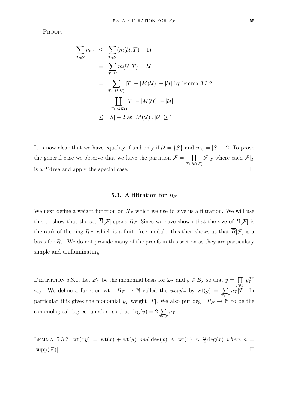PROOF.

$$
\sum_{T \in \mathcal{U}} m_T \leq \sum_{T \in \mathcal{U}} (m(\mathcal{U}, T) - 1)
$$
\n
$$
= \sum_{T \in \mathcal{U}} m(\mathcal{U}, T) - |\mathcal{U}|
$$
\n
$$
= \sum_{T \in \mathcal{M}(\mathcal{U})} |T| - |M(\mathcal{U})| - |\mathcal{U}| \text{ by lemma 3.3.2}
$$
\n
$$
= \prod_{T \in \mathcal{M}(\mathcal{U})} T| - |M(\mathcal{U})| - |\mathcal{U}|
$$
\n
$$
\leq |S| - 2 \text{ as } |M(\mathcal{U})|, |\mathcal{U}| \geq 1
$$

It is now clear that we have equality if and only if  $\mathcal{U} = \{S\}$  and  $m_S = |S| - 2$ . To prove the general case we observe that we have the partition  $\mathcal{F} = \prod$  $T \in M(\mathcal{F})$  $\mathcal{F}|_T$  where each  $\mathcal{F}|_T$ is a T-tree and apply the special case.

## **5.3.** A filtration for  $R_f$

We next define a weight function on  $R<sub>F</sub>$  which we use to give us a filtration. We will use this to show that the set  $\overline{B}[\mathcal{F}]$  spans  $R_{\mathcal{F}}$ . Since we have shown that the size of  $B[\mathcal{F}]$  is the rank of the ring  $R_{\mathcal{F}}$ , which is a finite free module, this then shows us that  $\overline{B}[\mathcal{F}]$  is a basis for  $R_{\mathcal{F}}$ . We do not provide many of the proofs in this section as they are particulary simple and unilluminating.

DEFINITION 5.3.1. Let  $B_{\mathcal{F}}$  be the monomial basis for  $\mathbb{Z}_{\mathcal{F}}$  and  $y \in B_{\mathcal{F}}$  so that  $y = \prod$  $\bar{T} \in \mathcal{F}$  $y_T^{n_T}$ say. We define a function wt :  $B_{\mathcal{F}} \to \mathbb{N}$  called the *weight* by  $wt(y) = \sum$  $\bar{r}$ ∈F  $n_T$ |T|. In particular this gives the monomial  $y_T$  weight |T|. We also put deg :  $R_{\mathcal{F}} \to \mathbb{N}$  to be the cohomological degree function, so that  $deg(y)=2$  $\bar{T \in \mathcal{F}}$  $n_T$ 

LEMMA 5.3.2. wt $(xy) = wt(x) + wt(y)$  and  $deg(x) \le wt(x) \le \frac{n}{2} deg(x)$  where  $n =$  $|\text{supp}(\mathcal{F})|$ .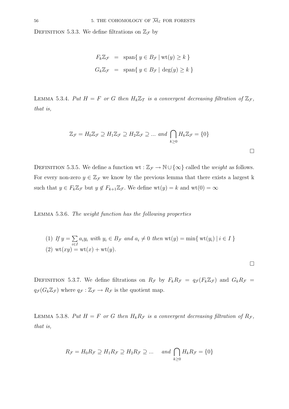DEFINITION 5.3.3. We define filtrations on  $\mathbb{Z}_{\mathcal{F}}$  by

$$
F_k \mathbb{Z}_{\mathcal{F}} = \text{span}\{ y \in B_{\mathcal{F}} | \text{wt}(y) \ge k \}
$$
  

$$
G_k \mathbb{Z}_{\mathcal{F}} = \text{span}\{ y \in B_{\mathcal{F}} | \deg(y) \ge k \}
$$

LEMMA 5.3.4. Put  $H = F$  or G then  $H_k \mathbb{Z}_T$  is a convergent decreasing filtration of  $\mathbb{Z}_F$ , that is,

$$
\mathbb{Z}_{\mathcal{F}} = H_0 \mathbb{Z}_{\mathcal{F}} \supseteq H_1 \mathbb{Z}_{\mathcal{F}} \supseteq H_2 \mathbb{Z}_{\mathcal{F}} \supseteq \dots \text{ and } \bigcap_{k \ge 0} H_k \mathbb{Z}_{\mathcal{F}} = \{0\}
$$

DEFINITION 5.3.5. We define a function wt :  $\mathbb{Z}_{\mathcal{F}} \to \mathbb{N} \cup \{\infty\}$  called the *weight* as follows. For every non-zero  $y \in \mathbb{Z}_{\mathcal{F}}$  we know by the previous lemma that there exists a largest k such that  $y \in F_k \mathbb{Z}_{\mathcal{F}}$  but  $y \notin F_{k+1} \mathbb{Z}_{\mathcal{F}}$ . We define  $wt(y) = k$  and  $wt(0) = \infty$ 

Lemma 5.3.6. The weight function has the following properties

(1) If 
$$
y = \sum_{i \in I} a_i y_i
$$
 with  $y_i \in B_{\mathcal{F}}$  and  $a_i \neq 0$  then wt $(y) = \min\{\text{ wt}(y_i) | i \in I\}$   
(2) wt $(xy) = \text{wt}(x) + \text{wt}(y)$ .

 $\Box$ 

DEFINITION 5.3.7. We define filtrations on  $R_{\mathcal{F}}$  by  $F_k R_{\mathcal{F}} = q_{\mathcal{F}}(F_k \mathbb{Z}_{\mathcal{F}})$  and  $G_k R_{\mathcal{F}} =$  $q_{\mathcal{F}}(G_k \mathbb{Z}_{\mathcal{F}})$  where  $q_{\mathcal{F}} : \mathbb{Z}_{\mathcal{F}} \to R_{\mathcal{F}}$  is the quotient map.

LEMMA 5.3.8. Put  $H = F$  or G then  $H_k R_F$  is a convergent decreasing filtration of  $R_F$ , that is,

$$
R_{\mathcal{F}} = H_0 R_{\mathcal{F}} \supseteq H_1 R_{\mathcal{F}} \supseteq H_2 R_{\mathcal{F}} \supseteq \dots \quad \text{and} \bigcap_{k \ge 0} H_k R_{\mathcal{F}} = \{0\}
$$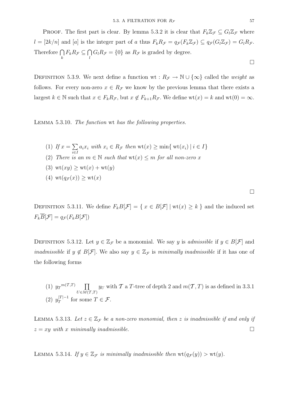**PROOF.** The first part is clear. By lemma 5.3.2 it is clear that  $F_k \mathbb{Z}_{\mathcal{F}} \subseteq G_l \mathbb{Z}_{\mathcal{F}}$  where  $l = [2k/n]$  and [a] is the integer part of a thus  $F_k R_{\mathcal{F}} = q_{\mathcal{F}}(F_k \mathbb{Z}_{\mathcal{F}}) \subseteq q_{\mathcal{F}}(G_l \mathbb{Z}_{\mathcal{F}}) = G_l R_{\mathcal{F}}$ . Therefore  $\bigcap_k F_k R_{\mathcal{F}} \subseteq \bigcap_l G_l R_{\mathcal{F}} = \{0\}$  as  $R_{\mathcal{F}}$  is graded by degree.  $\Box$ 

DEFINITION 5.3.9. We next define a function wt :  $R_F \to \mathbb{N} \cup {\infty}$  called the *weight* as follows. For every non-zero  $x \in R_{\mathcal{F}}$  we know by the previous lemma that there exists a largest  $k \in \mathbb{N}$  such that  $x \in F_k R_{\mathcal{F}}$ , but  $x \notin F_{k+1} R_{\mathcal{F}}$ . We define  $wt(x) = k$  and  $wt(0) = \infty$ .

Lemma 5.3.10. The function wt has the following properties.

- (1) If  $x = \sum$ i∈I  $a_i x_i \text{ with } x_i \in R_{\mathcal{F}} \text{ then } \text{wt}(x) \geq \min \{ \text{ wt}(x_i) \mid i \in I \}$
- (2) There is an  $m \in \mathbb{N}$  such that  $wt(x) \leq m$  for all non-zero x
- (3)  $wt(xy) > wt(x) + wt(y)$
- (4)  $\operatorname{wt}(q_{\mathcal{F}}(x)) > \operatorname{wt}(x)$

 $\Box$ 

DEFINITION 5.3.11. We define  $F_kB[\mathcal{F}] = \{ x \in B[\mathcal{F}] \mid \text{wt}(x) \geq k \}$  and the induced set  $F_k\overline{B}[\mathcal{F}] = q_{\mathcal{F}}(F_kB[\mathcal{F}])$ 

DEFINITION 5.3.12. Let  $y \in \mathbb{Z}_{\mathcal{F}}$  be a monomial. We say y is *admissible* if  $y \in B[\mathcal{F}]$  and *inadmissible* if  $y \notin B[F]$ . We also say  $y \in \mathbb{Z}_F$  is minimally *inadmissible* if it has one of the following forms

(1)  $y_T^{m(T,T)}$   $\prod$  $U\in M(\overline{{\cal T}},T)$  $y_U$  with  $\mathcal T$  a  $T$ -tree of depth 2 and  $m(\mathcal T, T)$  is as defined in 3.3.1 (2)  $y_T^{|T|-1}$  for some  $T \in \mathcal{F}$ .

LEMMA 5.3.13. Let  $z \in \mathbb{Z}_{\mathcal{F}}$  be a non-zero monomial, then z is inadmissible if and only if  $z = xy$  with x minimally inadmissible.

LEMMA 5.3.14. If  $y \in \mathbb{Z}_{\mathcal{F}}$  is minimally inadmissible then  $wt(q_{\mathcal{F}}(y)) > wt(y)$ .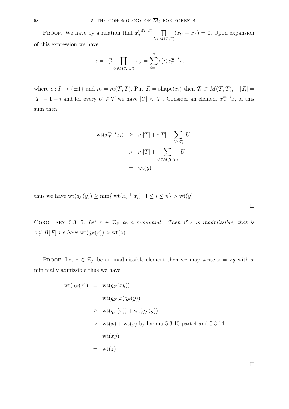**PROOF.** We have by a relation that  $x_T^{m(T,T)}$   $\prod$  $U\in M(\overline{{\cal T}},T)$  $(x_U - x_T) = 0$ . Upon expansion of this expression we have

$$
x = x_T^m \prod_{U \in M(\mathcal{T},T)} x_U = \sum_{i=1}^n \epsilon(i) x_T^{m+i} x_i
$$

where  $\epsilon : I \to \{\pm 1\}$  and  $m = m(\mathcal{T}, T)$ . Put  $\mathcal{T}_i = \text{shape}(x_i)$  then  $\mathcal{T}_i \subset M(\mathcal{T}, T)$ ,  $|\mathcal{T}_i|$  $|T| - 1 - i$  and for every  $U \in \mathcal{T}_i$  we have  $|U| < |T|$ . Consider an element  $x_T^{m+i} x_i$  of this sum then

$$
wt(x_T^{m+i}x_i) \ge m|T| + i|T| + \sum_{U \in \mathcal{T}_i} |U|
$$
  
>  $m|T| + \sum_{U \in M(\mathcal{T},T)} |U|$   
=  $wt(y)$ 

thus we have  $\text{wt}(q_{\mathcal{F}}(y)) \ge \min\{ \text{ wt}(x_T^{m+i}x_i) \mid 1 \le i \le n \} > \text{wt}(y)$ 

COROLLARY 5.3.15. Let  $z \in \mathbb{Z}_{\mathcal{F}}$  be a monomial. Then if z is inadmissible, that is  $z \notin B[F]$  we have  $\text{wt}(q_{\mathcal{F}}(z)) > \text{wt}(z)$ .

PROOF. Let  $z \in \mathbb{Z}_{\mathcal{F}}$  be an inadmissible element then we may write  $z = xy$  with x minimally admissible thus we have

$$
wt(q_{\mathcal{F}}(z)) = wt(q_{\mathcal{F}}(xy))
$$
  
\n
$$
= wt(q_{\mathcal{F}}(x)q_{\mathcal{F}}(y))
$$
  
\n
$$
\ge wt(q_{\mathcal{F}}(x)) + wt(q_{\mathcal{F}}(y))
$$
  
\n
$$
> wt(x) + wt(y) by lemma 5.3.10 part 4 and 5.3.14
$$
  
\n
$$
= wt(xy)
$$
  
\n
$$
= wt(z)
$$

 $\Box$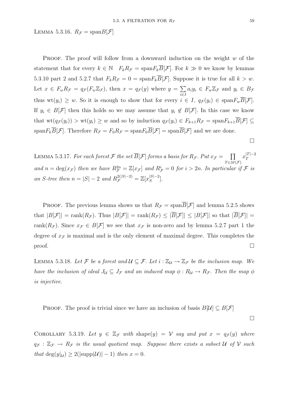LEMMA 5.3.16.  $R_{\mathcal{F}} = \text{span} B[\mathcal{F}]$ 

**PROOF.** The proof will follow from a downward induction on the weight  $w$  of the statement that for every  $k \in \mathbb{N}$   $F_k R_{\mathcal{F}} = \text{span} F_k \overline{B}[\mathcal{F}]$ . For  $k \gg 0$  we know by lemmas 5.3.10 part 2 and 5.2.7 that  $F_k R_{\mathcal{F}} = 0 = \text{span} F_k \overline{B}[\mathcal{F}]$ . Suppose it is true for all  $k > w$ . Let  $x \in F_w R_{\mathcal{F}} = q_{\mathcal{F}}(F_w \mathbb{Z}_{\mathcal{F}})$ , then  $x = q_{\mathcal{F}}(y)$  where  $y = \sum$ i∈I  $a_i y_i \in F_w \mathbb{Z}_{\mathcal{F}}$  and  $y_i \in B_{\mathcal{F}}$ thus  $wt(y_i) \geq w$ . So it is enough to show that for every  $i \in I$ ,  $q_{\mathcal{F}}(y_i) \in span F_w\overline{B}[\mathcal{F}].$ If  $y_i \in B[\mathcal{F}]$  then this holds so we may assume that  $y_i \notin B[\mathcal{F}]$ . In this case we know that  $wt(q_{\mathcal{F}}(y_i)) > wt(y_i) \geq w$  and so by induction  $q_{\mathcal{F}}(y_i) \in F_{k+1}R_{\mathcal{F}} = span F_{k+1} \overline{B}[\mathcal{F}] \subseteq$  $\text{span}F_k\overline{B}[\mathcal{F}].$  Therefore  $R_{\mathcal{F}} = F_0R_{\mathcal{F}} = \text{span}F_0\overline{B}[\mathcal{F}] = \text{span}\overline{B}[\mathcal{F}]$  and we are done.

LEMMA 5.3.17. For each forest F the set  $\overline{B}[\mathcal{F}]$  forms a basis for  $R_{\mathcal{F}}$ . Put  $x_{\mathcal{F}} = \prod$  $T \in \overline{M}(\mathcal{F})$  $x_T^{|T|-2}$ and  $n = \deg(x_{\mathcal{F}})$  then we have  $R_{\mathcal{F}}^{2n} = \mathbb{Z}[x_{\mathcal{F}}]$  and  $R_{\mathcal{F}}^i = 0$  for  $i > 2n$ . In particular if  $\mathcal F$  is an S-tree then  $n = |S| - 2$  and  $R_{\mathcal{F}}^{2(|S|-2)} = \mathbb{Z}[x_{S}^{|S|-2}]$ .

PROOF. The previous lemma shows us that  $R_{\mathcal{F}} = \text{span}\overline{B}[\mathcal{F}]$  and lemma 5.2.5 shows that  $|B[\mathcal{F}]|$  = rank $(R_{\mathcal{F}})$ . Thus  $|B[\mathcal{F}]|$  = rank $(R_{\mathcal{F}}) \leq |\overline{B}[\mathcal{F}]| \leq |B[\mathcal{F}]|$  so that  $|\overline{B}[\mathcal{F}]|$  = rank $(R_{\mathcal{F}})$ . Since  $x_{\mathcal{F}} \in B[\mathcal{F}]$  we see that  $x_{\mathcal{F}}$  is non-zero and by lemma 5.2.7 part 1 the degree of  $x<sub>F</sub>$  is maximal and is the only element of maximal degree. This completes the proof.  $\Box$ 

LEMMA 5.3.18. Let F be a forest and  $U \subseteq \mathcal{F}$ . Let  $i : \mathbb{Z}_u \to \mathbb{Z}_{\mathcal{F}}$  be the inclusion map. We have the inclusion of ideal  $J_{\mathcal{U}} \subseteq J_{\mathcal{F}}$  and an induced map  $\phi : R_{\mathcal{U}} \to R_{\mathcal{F}}$ . Then the map  $\phi$ is injective.

PROOF. The proof is trivial since we have an inclusion of basis  $B[\mathcal{U}] \subseteq B[\mathcal{F}]$ 

COROLLARY 5.3.19. Let  $y \in \mathbb{Z}_{\mathcal{F}}$  with shape(y) = V say and put  $x = q_{\mathcal{F}}(y)$  where  $q_{\mathcal{F}} : \mathbb{Z}_{\mathcal{F}} \to R_{\mathcal{F}}$  is the usual quotient map. Suppose there exists a subset U of V such that  $\deg(y|\mu) \geq 2(|\text{supp}(\mathcal{U})|-1)$  then  $x=0$ .

 $\Box$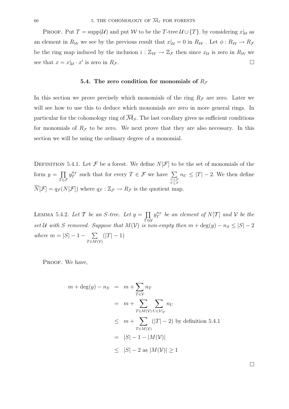PROOF. Put  $T = \text{supp}(\mathcal{U})$  and put W to be the T-tree  $\mathcal{U} \cup \{T\}$ . by considering  $x|_{\mathcal{U}}$  as an element in  $R_W$  we see by the previous result that  $x|_{\mathcal{U}} = 0$  in  $R_W$  . Let  $\phi : R_W \to R_{\mathcal{F}}$ be the ring map induced by the inclusion  $i : \mathbb{Z}_W \to \mathbb{Z}_F$  then since  $x_{\mathcal{U}}$  is zero in  $R_{\mathcal{W}}$  we see that  $x = x|_{\mathcal{U}} \cdot x'$  is zero in  $R_{\mathcal{F}}$ .

## **5.4.** The zero condition for monomials of  $R_f$

In this section we prove precisely which monomials of the ring  $R<sub>F</sub>$  are zero. Later we will see how to use this to deduce which monomials are zero in more general rings. In particular for the cohomology ring of  $\overline{\mathcal{M}}_S$ . The last corollary gives us sufficient conditions for monomials of  $R_{\mathcal{F}}$  to be zero. We next prove that they are also necessary. In this section we will be using the ordinary degree of a monomial.

DEFINITION 5.4.1. Let  $\mathcal F$  be a forest. We define  $N[\mathcal F]$  to be the set of monomials of the form  $y = \prod$  $\bar{T} \in \mathcal{F}$  $y_T^{n_T}$  such that for every  $T \in \mathcal{F}$  we have  $\sum$ *U*∈F *U*⊆*T*  $n_U \leq |T| - 2$ . We then define  $\overline{N}[\mathcal{F}] = q_{\mathcal{F}}(N[\mathcal{F}])$  where  $q_{\mathcal{F}} : \mathbb{Z}_{\mathcal{F}} \to R_{\mathcal{F}}$  is the quotient map.

LEMMA 5.4.2. Let T be an S-tree. Let  $y = \prod$  $\bar{T}$ ∈U  $y_T^{n_T}$  be an element of  $N[T]$  and  $\mathcal V$  be the set U with S removed. Suppose that  $M(V)$  is non-empty then  $m + deg(y) - n_S \leq |S| - 2$ where  $m = |S| - 1 - \sum$  $T {\in} \overline{M}({\cal V})$  $(|T| - 1)$ 

PROOF. We have,

$$
m + \deg(y) - n_S = m + \sum_{T \in \mathcal{V}} n_T
$$
  
=  $m + \sum_{T \in M(\mathcal{V})} \sum_{U \in \mathcal{V}|_T} n_U$   
 $\leq m + \sum_{T \in M(\mathcal{V})} (|T| - 2)$  by definition 5.4.1  
=  $|S| - 1 - |M(\mathcal{V})|$   
 $\leq |S| - 2$  as  $|M(\mathcal{V})| \geq 1$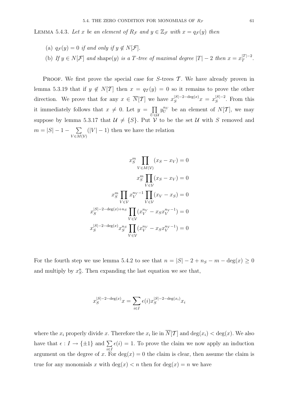LEMMA 5.4.3. Let x be an element of  $R_{\mathcal{F}}$  and  $y \in \mathbb{Z}_{\mathcal{F}}$  with  $x = q_{\mathcal{F}}(y)$  then

- (a)  $q_{\mathcal{F}}(y)=0$  if and only if  $y \notin N[\mathcal{F}].$
- (b) If  $y \in N[\mathcal{F}]$  and shape(y) is a T-tree of maximal degree  $|T| 2$  then  $x = x_T^{|T| 2}$ .

PROOF. We first prove the special case for  $S$ -trees  $\mathcal T$ . We have already proven in lemma 5.3.19 that if  $y \notin N[T]$  then  $x = q_T(y) = 0$  so it remains to prove the other direction. We prove that for any  $x \in \overline{N}[\mathcal{T}]$  we have  $x_{S}^{|S|-2-\text{deg}(x)}x = x_{S}^{|S|-2}$ . From this it immediately follows that  $x \neq 0$ . Let  $y = \prod$ U∈U  $y_U^{n_U}$  be an element of  $N[\mathcal{T}]$ , we may suppose by lemma 5.3.17 that  $\mathcal{U} \neq \{S\}$ . Put  $\mathcal{V}$  to be the set  $\mathcal{U}$  with S removed and  $m = |S| - 1 - \sum$  $V \in M(V)$  $(|V| - 1)$  then we have the relation

$$
x_S^m \prod_{V \in M(V)} (x_S - x_V) = 0
$$
  

$$
x_S^m \prod_{V \in V} (x_S - x_V) = 0
$$
  

$$
x_S^m \prod_{V \in V} x_V^{n_V - 1} \prod_{V \in V} (x_V - x_S) = 0
$$
  

$$
x_S^{|S|-2-\deg(x)+n_S} \prod_{V \in V} (x_V^{n_V} - x_S x_V^{n_V - 1}) = 0
$$
  

$$
x_S^{|S|-2-\deg(x)} x_S^{n_S} \prod_{V \in V} (x_V^{n_V} - x_S x_V^{n_V - 1}) = 0
$$

For the fourth step we use lemma 5.4.2 to see that  $n = |S| - 2 + n_S - m - \deg(x) \ge 0$ and multiply by  $x_S^n$ . Then expanding the last equation we see that,

$$
x_S^{|S|-2-\deg(x)}x=\sum_{i\in I}\epsilon(i)x_S^{|S|-2-\deg(x_i)}x_i
$$

where the  $x_i$  properly divide x. Therefore the  $x_i$  lie in  $\overline{N}[\mathcal{T}]$  and  $\deg(x_i) < \deg(x)$ . We also have that  $\epsilon : I \to {\pm 1}$  and  $\Sigma$ i∈I  $\epsilon(i)=1$ . To prove the claim we now apply an induction argument on the degree of x. For  $deg(x) = 0$  the claim is clear, then assume the claim is true for any monomials x with  $deg(x) < n$  then for  $deg(x) = n$  we have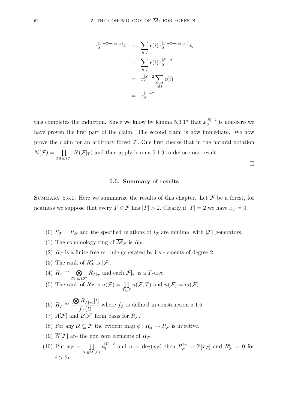$$
x_S^{|S|-2-\deg(x)}x = \sum_{i \in I} \epsilon(i)x_S^{|S|-2-\deg(x_i)}x_i
$$
  

$$
= \sum_{i \in I} \epsilon(i)x_S^{|S|-2}
$$
  

$$
= x_S^{|S|-2} \sum_{i \in I} \epsilon(i)
$$
  

$$
= x_S^{|S|-2}
$$

this completes the induction. Since we know by lemma 5.3.17 that  $x_S^{|S|-2}$  is non-zero we have proven the first part of the claim. The second claim is now immediate. We now prove the claim for an arbitrary forest  $\mathcal F$ . One first checks that in the natural notation  $N(\mathcal{F}) = \prod$  $T \in \overline{M}(\mathcal{F})$  $N(\mathcal{F}|_T)$  and then apply lemma 5.1.9 to deduce our result.  $\Box$ 

#### **5.5. Summary of results**

SUMMARY 5.5.1. Here we summarize the results of this chapter. Let  $\mathcal F$  be a forest, for neatness we suppose that every  $T \in \mathcal{F}$  has  $|T| > 2$ . Clearly if  $|T| = 2$  we have  $x_T = 0$ .

- (0)  $S_{\mathcal{F}} = R_{\mathcal{F}}$  and the specified relations of  $I_{\mathcal{F}}$  are minimal with  $|\mathcal{F}|$  generators.
- (1) The cohomology ring of  $\overline{\mathcal{M}}_{\mathcal{F}}$  is  $R_{\mathcal{F}}$ .
- (2)  $R<sub>F</sub>$  is a finite free module generated by its elements of degree 2.
- (3) The rank of  $R_{\mathcal{F}}^2$  is  $|\mathcal{F}|$ .
- (4)  $R_{\mathcal{F}} \cong \mathbb{Q}$  $T \in M(\mathcal{F})$  $R_{\mathcal{F}|_T}$  and each  $\mathcal{F}|_T$  is a T-tree. (5) The rank of  $R_{\mathcal{F}}$  is  $n(\mathcal{F}) = \prod$  $n(\mathcal{F}, T)$  and  $n(\mathcal{F}) = m(\mathcal{F})$ .
- $\bar{T} \in \mathcal{F}$ (6)  $R_T \cong \frac{[\bigotimes R_{T|_T}][t]}{f(t)}$  $f_T(t)$  where  $f_T$  is defined in construction 5.1.6.
- (7)  $\overline{A}[\mathcal{F}]$  and  $\overline{B}[\mathcal{F}]$  form basis for  $R_{\mathcal{F}}$ .
- (8) For any  $\mathcal{U} \subseteq \mathcal{F}$  the evident map  $\phi : R_{\mathcal{U}} \to R_{\mathcal{F}}$  is injective.
- (9)  $\overline{N}[\mathcal{F}]$  are the non zero elements of  $R_{\mathcal{F}}$ .
- (10) Put  $x_{\mathcal{F}} = \prod$  $T \in \overline{M}(\mathcal{F})$  $x_T^{|T|-2}$  and  $n = \deg(x_{\mathcal{F}})$  then  $R_{\mathcal{F}}^{2n} = \mathbb{Z}[x_{\mathcal{F}}]$  and  $R_{\mathcal{F}}^i = 0$  for  $i > 2n$ .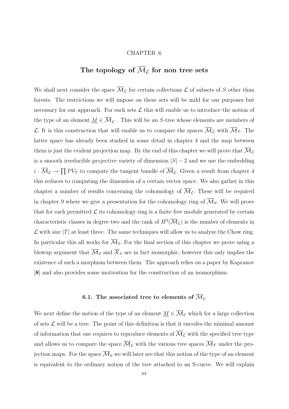#### CHAPTER 6

# The topology of  $\overline{\mathcal{M}}_{\mathcal{L}}$  for non tree sets

We shall next consider the space  $\overline{\mathcal{M}}_{\mathcal{L}}$  for certain collections  $\mathcal L$  of subsets of S other than forests. The restrictions we will impose on these sets will be mild for our purposes but necessary for our approach. For such sets  $\mathcal L$  this will enable us to introduce the notion of the type of an element  $\underline{M} \in \overline{\mathcal{M}}_{\mathcal{L}}$ . This will be an S-tree whose elements are members of L. It is this construction that will enable us to compare the spaces  $\overline{\mathcal{M}}_{\mathcal{L}}$  with  $\overline{\mathcal{M}}_{\mathcal{I}}$ . The latter space has already been studied in some detail in chapter 4 and the map between them is just the evident projection map. By the end of this chapter we will prove that  $\mathcal{M}_{\mathcal{L}}$ is a smooth irreducible projective variety of dimension  $|S| - 2$  and we use the embedding  $i: \overline{\mathcal{M}}_{\mathcal{L}} \to \prod PV_T$  to compute the tangent bundle of  $\overline{\mathcal{M}}_{\mathcal{L}}$ . Given a result from chapter 4 this reduces to computing the dimension of a certain vector space. We also gather in this chapter a number of results concerning the cohomology of  $\overline{\mathcal{M}}_{\mathcal{L}}$ . These will be required in chapter 9 where we give a presentation for the cohomology ring of  $\overline{\mathcal{M}}_S$ . We will prove that for each permitted  $\mathcal L$  its cohomology ring is a finite free module generated by certain characteristic classes in degree two and the rank of  $H^2(\overline{\mathcal{M}}_{\mathcal{L}})$  is the number of elements in  $\mathcal L$  with size  $|T|$  at least three. The same techniques will allow us to analyze the Chow ring. In particular this all works for  $\overline{\mathcal{M}}_S$ . For the final section of this chapter we prove using a blowup argument that  $\overline{\mathcal{M}}_S$  and  $\overline{\mathcal{X}}_S$  are in fact isomorphic, however this only implies the existence of such a morphism between them. The approach relies on a paper by Kapranov [**8**] and also provides some motivation for the construction of an isomorphism.

## **6.1.** The associated tree to elements of  $\overline{\mathcal{M}}_{\mathcal{L}}$

We next define the notion of the type of an element  $\underline{M} \in \overline{\mathcal{M}}_{\mathcal{L}}$  which for a large collection of sets  $\mathcal L$  will be a tree. The point of this definition is that it encodes the minimal amount of information that one requires to reproduce elements of  $\overline{\mathcal{M}}_{\mathcal{L}}$  with the specified tree type and allows us to compare the space  $\overline{\mathcal{M}}_{\mathcal{L}}$  with the various tree spaces  $\overline{\mathcal{M}}_{\mathcal{I}}$  under the projection maps. For the space  $\overline{\mathcal{M}}_S$  we will later see that this notion of the type of an element is equivalent to the ordinary notion of the tree attached to an S-curve. We will explain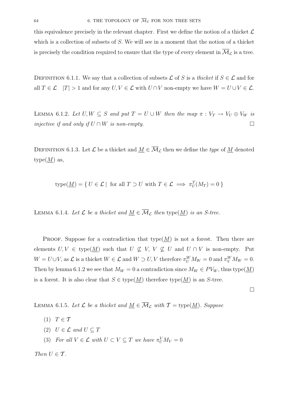this equivalence precisely in the relevant chapter. First we define the notion of a thicket  $\mathcal L$ which is a collection of subsets of S. We will see in a moment that the notion of a thicket is precisely the condition required to ensure that the type of every element in  $\overline{\mathcal{M}}_{\mathcal{L}}$  is a tree.

DEFINITION 6.1.1. We say that a collection of subsets  $\mathcal L$  of S is a thicket if  $S \in \mathcal L$  and for all  $T \in \mathcal{L}$   $|T| > 1$  and for any  $U, V \in \mathcal{L}$  with  $U \cap V$  non-empty we have  $W = U \cup V \in \mathcal{L}$ .

LEMMA 6.1.2. Let  $U, W \subseteq S$  and put  $T = U \cup W$  then the map  $\pi : V_T \to V_U \oplus V_W$  is injective if and only if  $U \cap W$  is non-empty.  $\Box$ 

DEFINITION 6.1.3. Let  $\mathcal L$  be a thicket and  $M \in \overline{\mathcal M}_{\mathcal L}$  then we define the type of M denoted  $type(M)$  as,

type(
$$
M
$$
) = {  $U \in \mathcal{L}$  | for all  $T \supset U$  with  $T \in \mathcal{L} \implies \pi_U^T(M_T) = 0$  }

LEMMA 6.1.4. Let  $\mathcal L$  be a thicket and  $\underline{M} \in \overline{\mathcal M}_{\mathcal L}$  then type $(\underline{M})$  is an S-tree.

PROOF. Suppose for a contradiction that type  $(M)$  is not a forest. Then there are elements  $U, V \in \text{type}(\underline{M})$  such that  $U \not\subseteq V, V \not\subseteq U$  and  $U \cap V$  is non-empty. Put  $W = U \cup V$ , as  $\mathcal{L}$  is a thicket  $W \in \mathcal{L}$  and  $W \supset U, V$  therefore  $\pi_U^W M_W = 0$  and  $\pi_V^W M_W = 0$ . Then by lemma 6.1.2 we see that  $M_W = 0$  a contradiction since  $M_W \in PV_W$ , thus type( $M$ ) is a forest. It is also clear that  $S \in \text{type}(M)$  therefore type $(M)$  is an S-tree.

 $\Box$ 

LEMMA 6.1.5. Let  $\mathcal L$  be a thicket and  $\underline{M} \in \overline{\mathcal M}_{\mathcal L}$  with  $\mathcal T = \text{type}(\underline{M})$ . Suppose

- (1)  $T \in \mathcal{T}$
- (2)  $U \in \mathcal{L}$  and  $U \subseteq T$
- (3) For all  $V \in \mathcal{L}$  with  $U \subset V \subseteq T$  we have  $\pi_U^V M_V = 0$

Then  $U \in \mathcal{T}$ .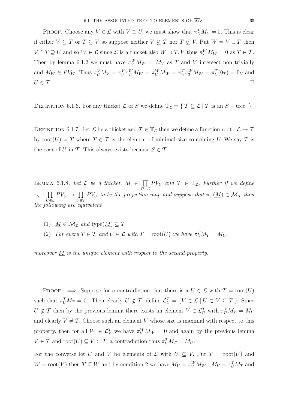**PROOF.** Choose any  $V \in \mathcal{L}$  with  $V \supset U$ , we must show that  $\pi_U^V M_U = 0$ . This is clear if either  $V \subseteq T$  or  $T \subseteq V$  so suppose neither  $V \nsubseteq T$  nor  $T \nsubseteq V$ . Put  $W = V \cup T$  then  $V \cap T \supseteq U$  and so  $W \in \mathcal{L}$  since  $\mathcal{L}$  is a thicket also  $W \supseteq T$ , V thus  $\pi_T^W M_W = 0$  as  $T \in \mathcal{T}$ . Then by lemma 6.1.2 we must have  $\pi_V^W M_W = M_V$  as T and V intersect non trivially and  $M_W \in PV_W$ . Thus  $\pi_U^V M_V = \pi_U^V \pi_V^W M_W = \pi_U^W M_W = \pi_U^T \pi_T^W M_W = \pi_U^T (0_T) = 0_U$  and  $U \in \mathcal{T}$ .

DEFINITION 6.1.6. For any thicket L of S we define  $\mathbb{T}_{\mathcal{L}} = \{ \mathcal{T} \subseteq \mathcal{L} | \mathcal{T} \text{ is an } S - \text{tree } \}$ 

DEFINITION 6.1.7. Let  $\mathcal L$  be a thicket and  $\mathcal T \in \mathbb T_{\mathcal L}$  then we define a function root :  $\mathcal L \to \mathcal T$ by root $(U) = T$  where  $T \in \mathcal{T}$  is the element of minimal size containing U. We say T is the *root* of U in T. This always exists because  $S \in \mathcal{T}$ .

LEMMA 6.1.8. Let  $\mathcal L$  be a thicket,  $M \in \prod$  $\bar{U}$ ∈ $\mathcal{L}$  $PV_U$  and  $\mathcal{T} \in \mathbb{T}_{\mathcal{L}}$ . Further if we define  $\pi$ <sup>T</sup> :  $\prod$  $\bar{U}$ ∈ $\mathcal{L}$  $PV_U \rightarrow \prod$  $\bar{U}$ ∈7  $PV_U$  to be the projection map and suppose that  $\pi_T(\underline{M}) \in \mathcal{M}_{\mathcal{T}}$  then the following are equivalent

- (1)  $\underline{M} \in \overline{\mathcal{M}}_{\mathcal{L}}$  and type $(\underline{M}) \subseteq \mathcal{T}$
- (2) For every  $T \in \mathcal{T}$  and  $U \in \mathcal{L}$  with  $T = \text{root}(U)$  we have  $\pi_U^T M_T = M_U$ .

moreover M is the unique element with respect to the second property.

**PROOF.**  $\implies$  Suppose for a contradiction that there is a  $U \in \mathcal{L}$  with  $T = \text{root}(U)$ such that  $\pi_U^T M_T = 0$ . Then clearly  $U \notin \mathcal{T}$ , define  $\mathcal{L}_U^T = \{ V \in \mathcal{L} \mid U \subset V \subseteq T \}$ . Since  $U \notin \mathcal{T}$  then by the previous lemma there exists an element  $V \in \mathcal{L}_U^T$  with  $\pi_U^V M_V = M_U$ and clearly  $V \neq T$ . Choose such an element V whose size is maximal with respect to this property, then for all  $W \in \mathcal{L}_V^T$  we have  $\pi_V^W M_W = 0$  and again by the previous lemma  $V \in \mathcal{T}$  and  $\operatorname{root}(U) \subseteq V \subset T$ , a contradiction thus  $\pi_U^T M_T = M_U$ .

For the converse let U and V be elements of  $\mathcal L$  with  $U \subseteq V$ . Put  $T = \text{root}(U)$  and  $W = \text{root}(V)$  then  $T \subseteq W$  and by condition 2 we have  $M_V = \pi_V^W M_W$ ,  $M_U = \pi_U^T M_T$  and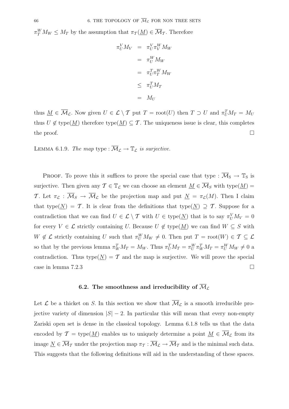$\pi_T^W M_W \le M_T$  by the assumption that  $\pi_T(\underline{M}) \in \overline{\mathcal{M}}_T$ . Therefore

$$
\pi_U^V M_V = \pi_U^V \pi_V^W M_W
$$

$$
= \pi_U^W M_W
$$

$$
= \pi_U^T \pi_T^W M_W
$$

$$
\leq \pi_U^T M_T
$$

$$
= M_U
$$

thus  $\underline{M} \in \overline{\mathcal{M}}_{\mathcal{L}}$ . Now given  $U \in \mathcal{L} \setminus \mathcal{T}$  put  $T = \text{root}(U)$  then  $T \supset U$  and  $\pi_U^T M_T = M_U$ thus  $U \notin \text{type}(\underline{M})$  therefore type $(\underline{M}) \subseteq \mathcal{T}$ . The uniqueness issue is clear, this completes the proof.  $\Box$ 

LEMMA 6.1.9. The map type :  $\overline{\mathcal{M}}_{\mathcal{L}} \to \mathbb{T}_{\mathcal{L}}$  is surjective.

PROOF. To prove this it suffices to prove the special case that type :  $\overline{\mathcal{M}}_S \to \mathbb{T}_S$  is surjective. Then given any  $\mathcal{T} \in \mathbb{T}_{\mathcal{L}}$  we can choose an element  $\underline{M} \in \overline{\mathcal{M}}_S$  with type $(\underline{M})$ T. Let  $\pi_{\mathcal{L}} : \overline{\mathcal{M}}_S \to \overline{\mathcal{M}}_{\mathcal{L}}$  be the projection map and put  $\underline{N} = \pi_{\mathcal{L}}(M)$ . Then I claim that type( $\underline{N}$ ) = T. It is clear from the definitions that type( $\underline{N}$ )  $\supseteq$  T. Suppose for a contradiction that we can find  $U \in \mathcal{L} \setminus \mathcal{T}$  with  $U \in \text{type}(\underline{N})$  that is to say  $\pi_U^V M_V = 0$ for every  $V \in \mathcal{L}$  strictly containing U. Because  $U \notin \text{type}(\underline{M})$  we can find  $W \subseteq S$  with  $W \notin \mathcal{L}$  strictly containing U such that  $\pi_U^W M_W \neq 0$ . Then put  $T = \text{root}(W) \in \mathcal{T} \subseteq \mathcal{L}$ so that by the previous lemma  $\pi_W^T M_T = M_W$ . Thus  $\pi_U^T M_T = \pi_U^W \pi_W^T M_T = \pi_U^W M_W \neq 0$  a contradiction. Thus type( $\underline{N}$ ) = T and the map is surjective. We will prove the special case in lemma 7.2.3  $\Box$ 

## **6.2.** The smoothness and irreducibility of  $\overline{\mathcal{M}}_{\mathcal{L}}$

Let  $\mathcal L$  be a thicket on S. In this section we show that  $\overline{\mathcal M}_{\mathcal L}$  is a smooth irreducible projective variety of dimension  $|S| - 2$ . In particular this will mean that every non-empty Zariski open set is dense in the classical topology. Lemma 6.1.8 tells us that the data encoded by  $\mathcal{T} = \text{type}(\underline{M})$  enables us to uniquely determine a point  $\underline{M} \in \overline{\mathcal{M}}_{\mathcal{L}}$  from its image  $\underline{N} \in \overline{\mathcal{M}}_{\mathcal{T}}$  under the projection map  $\pi_{\mathcal{T}} : \overline{\mathcal{M}}_{\mathcal{L}} \to \overline{\mathcal{M}}_{\mathcal{T}}$  and is the minimal such data. This suggests that the following definitions will aid in the understanding of these spaces.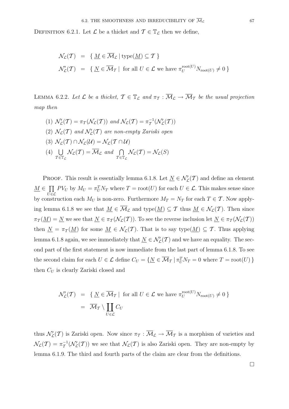DEFINITION 6.2.1. Let  $\mathcal L$  be a thicket and  $\mathcal T \in \mathbb T_{\mathcal L}$  then we define,

$$
\mathcal{N}_{\mathcal{L}}(\mathcal{T}) = \{ \underline{M} \in \overline{\mathcal{M}}_{\mathcal{L}} \mid \text{type}(\underline{M}) \subseteq \mathcal{T} \}
$$
  

$$
\mathcal{N}'_{\mathcal{L}}(\mathcal{T}) = \{ \underline{N} \in \overline{\mathcal{M}}_{\mathcal{T}} \mid \text{for all } U \in \mathcal{L} \text{ we have } \pi_U^{\text{root}(U)} N_{\text{root}(U)} \neq 0 \}
$$

LEMMA 6.2.2. Let  $\mathcal L$  be a thicket,  $\mathcal T \in \mathbb T_{\mathcal L}$  and  $\pi_{\mathcal T} : \overline{\mathcal M}_{\mathcal L} \to \overline{\mathcal M}_{\mathcal T}$  be the usual projection map then

(1)  $\mathcal{N}'_{\mathcal{L}}(\mathcal{T}) = \pi_{\mathcal{T}}(\mathcal{N}_{\mathcal{L}}(\mathcal{T}))$  and  $\mathcal{N}_{\mathcal{L}}(\mathcal{T}) = \pi_{\mathcal{T}}^{-1}(\mathcal{N}'_{\mathcal{L}}(\mathcal{T}))$ (2)  $\mathcal{N}_{\mathcal{L}}(\mathcal{T})$  and  $\mathcal{N}'_{\mathcal{L}}(\mathcal{T})$  are non-empty Zariski open (3)  $\mathcal{N}_c(T) \cap \mathcal{N}_c(\mathcal{U}) = \mathcal{N}_c(T \cap \mathcal{U})$  $(4)$  U  $\widetilde{\tau \in } \mathbb{T}_\mathcal{L}$  $\mathcal{N}_{\mathcal{L}}(\mathcal{T}) = \overline{\mathcal{M}}_{\mathcal{L}}$  and  $\bigcap$  $\tau \in \mathbb{T}_\mathcal{L}$  $\mathcal{N}_\mathcal{L}(\mathcal{T}) = \mathcal{N}_\mathcal{L}(S)$ 

PROOF. This result is essentially lemma 6.1.8. Let  $\underline{N} \in \mathcal{N}'_{\mathcal{L}}(\mathcal{T})$  and define an element  $M \in \Pi$  $\bar{U}$ ∈ $\mathcal{L}$  $PV_U$  by  $M_U = \pi_U^T N_T$  where  $T = \text{root}(U)$  for each  $U \in \mathcal{L}$ . This makes sense since by construction each  $M_U$  is non-zero. Furthermore  $M_T = N_T$  for each  $T \in \mathcal{T}$ . Now applying lemma 6.1.8 we see that  $M \in \overline{\mathcal{M}}_{\mathcal{L}}$  and type $(M) \subseteq \mathcal{T}$  thus  $M \in \mathcal{N}_{\mathcal{L}}(\mathcal{T})$ . Then since  $\pi_T(\underline{M}) = \underline{N}$  we see that  $\underline{N} \in \pi_T(\mathcal{N}_\mathcal{L}(T))$ . To see the reverse inclusion let  $\underline{N} \in \pi_T(\mathcal{N}_\mathcal{L}(T))$ then  $\underline{N} = \pi_{\mathcal{T}}(\underline{M})$  for some  $\underline{M} \in \mathcal{N}_{\mathcal{L}}(\mathcal{T})$ . That is to say type $(\underline{M}) \subseteq \mathcal{T}$ . Thus applying lemma 6.1.8 again, we see immediately that  $\underline{N} \in \mathcal{N}'_{\mathcal{L}}(\mathcal{T})$  and we have an equality. The second part of the first statement is now immediate from the last part of lemma 6.1.8. To see the second claim for each  $U \in \mathcal{L}$  define  $C_U = \{ \underline{N} \in \overline{\mathcal{M}}_T \mid \pi_U^T N_T = 0 \text{ where } T = \text{root}(U) \}$ then  $C_U$  is clearly Zariski closed and

$$
\mathcal{N}'_{\mathcal{L}}(\mathcal{T}) = \{ \underline{N} \in \overline{\mathcal{M}}_{\mathcal{T}} \mid \text{ for all } U \in \mathcal{L} \text{ we have } \pi_U^{\text{root}(U)} N_{\text{root}(U)} \neq 0 \}
$$

$$
= \overline{\mathcal{M}}_{\mathcal{T}} \setminus \coprod_{U \in \mathcal{L}} C_U
$$

thus  $\mathcal{N}'_{\mathcal{L}}(\mathcal{T})$  is Zariski open. Now since  $\pi_{\mathcal{T}} : \overline{\mathcal{M}}_{\mathcal{L}} \to \overline{\mathcal{M}}_{\mathcal{T}}$  is a morphism of varieties and  $\mathcal{N}_{\mathcal{L}}(\mathcal{T}) = \pi_{\mathcal{T}}^{-1}(\mathcal{N}'_{\mathcal{L}}(\mathcal{T}))$  we see that  $\mathcal{N}_{\mathcal{L}}(\mathcal{T})$  is also Zariski open. They are non-empty by lemma 6.1.9. The third and fourth parts of the claim are clear from the definitions.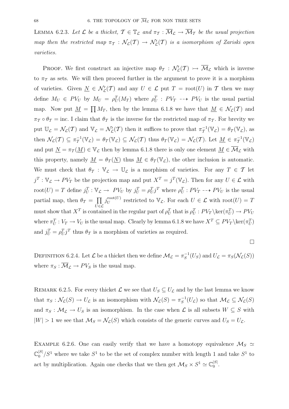LEMMA 6.2.3. Let  $\mathcal L$  be a thicket,  $\mathcal T \in \mathbb T_{\mathcal L}$  and  $\pi_T : \overline{\mathcal M}_{\mathcal L} \to \overline{\mathcal M}_T$  be the usual projection map then the restricted map  $\pi_T : \mathcal{N}_\mathcal{L}(\mathcal{T}) \to \mathcal{N}'_\mathcal{L}(\mathcal{T})$  is a isomorphism of Zariski open varieties.

**PROOF.** We first construct an injective map  $\theta_{\mathcal{T}} : \mathcal{N}'_{\mathcal{L}}(\mathcal{T}) \rightarrowtail \overline{\mathcal{M}}_{\mathcal{L}}$  which is inverse to  $\pi_{\mathcal{T}}$  as sets. We will then proceed further in the argument to prove it is a morphism of varieties. Given  $\underline{N} \in \mathcal{N}'_{\mathcal{L}}(\mathcal{T})$  and any  $U \in \mathcal{L}$  put  $T = \text{root}(U)$  in  $\mathcal{T}$  then we may define  $M_U \in PV_U$  by  $M_U = \rho_U^T(M_T)$  where  $\rho_U^T : PV_T \dashrightarrow PV_U$  is the usual partial map. Now put  $\underline{M} = \prod M_T$ , then by the lemma 6.1.8 we have that  $\underline{M} \in \mathcal{N}_L(\mathcal{T})$  and  $\pi_{\mathcal{T}} \circ \theta_{\mathcal{T}} = \text{inc. I claim that } \theta_{\mathcal{T}}$  is the inverse for the restricted map of  $\pi_{\mathcal{T}}$ . For brevity we put  $\mathbb{U}_{\mathcal{L}} = \mathcal{N}_{\mathcal{L}}(T)$  and  $\mathbb{V}_{\mathcal{L}} = \mathcal{N}'_{\mathcal{L}}(T)$  then it suffices to prove that  $\pi_T^{-1}(\mathbb{V}_{\mathcal{L}}) = \theta_T(\mathbb{V}_{\mathcal{L}})$ , as then  $\mathcal{N}_{\mathcal{L}}(\mathcal{T}) \subseteq \pi_{\mathcal{T}}^{-1}(\mathbb{V}_{\mathcal{L}}) = \theta_{\mathcal{T}}(\mathbb{V}_{\mathcal{L}}) \subseteq \mathcal{N}_{\mathcal{L}}(\mathcal{T})$  thus  $\theta_{\mathcal{T}}(\mathbb{V}_{\mathcal{L}}) = \mathcal{N}_{\mathcal{L}}(\mathcal{T})$ . Let  $\underline{M} \in \pi_{\mathcal{T}}^{-1}(\mathbb{V}_{\mathcal{L}})$ and put  $N = \pi_T(M) \in V_L$  then by lemma 6.1.8 there is only one element  $M \in \overline{\mathcal{M}}_L$  with this property, namely  $M = \theta_{\mathcal{T}}(N)$  thus  $M \in \theta_{\mathcal{T}}(\mathbb{V}_{\mathcal{L}})$ , the other inclusion is automatic. We must check that  $\theta_{\mathcal{T}} : \mathbb{V}_{\mathcal{L}} \to \mathbb{U}_{\mathcal{L}}$  is a morphism of varieties. For any  $T \in \mathcal{T}$  let  $j^T: \mathbb{V}_{\mathcal{L}} \to PV_T$  be the projection map and put  $X^T = j^T(\mathbb{V}_{\mathcal{L}})$ . Then for any  $U \in \mathcal{L}$  with root $(U) = T$  define  $j_U^T : \mathbb{V}_{\mathcal{L}} \to PV_U$  by  $j_U^T = \rho_U^T j^T$  where  $\rho_U^T : PV_T \dashrightarrow PV_U$  is the usual partial map, then  $\theta_{\mathcal{T}} = \prod$  $\bar{U}$ ∈C  $j_U^{\text{root}(U)}$  restricted to  $\mathbb{V}_\mathcal{L}$ . For each  $U \in \mathcal{L}$  with root $(U) = T$ must show that  $X^T$  is contained in the regular part of  $\rho_U^T$  that is  $\rho_U^T$ :  $PV_T \backslash \text{ker}(\pi_U^T) \to PV_U$ where  $\pi_U^T: V_T \to V_U$  is the usual map. Clearly by lemma 6.1.8 we have  $X^T \subseteq PV_T \setminus \ker(\pi_U^T)$ and  $j_U^T = \rho_U^T j^T$  thus  $\theta_T$  is a morphism of varieties as required.

$$
\Box
$$

DEFINITION 6.2.4. Let  $\mathcal L$  be a thicket then we define  $\mathcal M_{\mathcal L} = \pi_S^{-1}(U_S)$  and  $U_{\mathcal L} = \pi_S(\mathcal N_{\mathcal L}(S))$ where  $\pi_S : \overline{\mathcal{M}}_{\mathcal{L}} \to PV_S$  is the usual map.

REMARK 6.2.5. For every thicket  $\mathcal{L}$  we see that  $U_S \subseteq U_{\mathcal{L}}$  and by the last lemma we know that  $\pi_S : \mathcal{N}_\mathcal{L}(S) \to U_\mathcal{L}$  is an isomorphism with  $\mathcal{N}_\mathcal{L}(S) = \pi_S^{-1}(U_\mathcal{L})$  so that  $\mathcal{M}_\mathcal{L} \subseteq \mathcal{N}_\mathcal{L}(S)$ and  $\pi_S : \mathcal{M}_\mathcal{L} \to U_S$  is an isomorphism. In the case when  $\mathcal{L}$  is all subsets  $W \subseteq S$  with  $|W| > 1$  we see that  $\mathcal{M}_S = \mathcal{N}_\mathcal{L}(S)$  which consists of the generic curves and  $U_S = U_\mathcal{L}$ .

EXAMPLE 6.2.6. One can easily verify that we have a homotopy equivalence  $\mathcal{M}_S \simeq$  $\mathbb{C}_0^{|S|}/S^1$  where we take  $S^1$  to be the set of complex number with length 1 and take  $S^1$  to act by multiplication. Again one checks that we then get  $\mathcal{M}_S \times S^1 \simeq \mathbb{C}_0^{|S|}$ .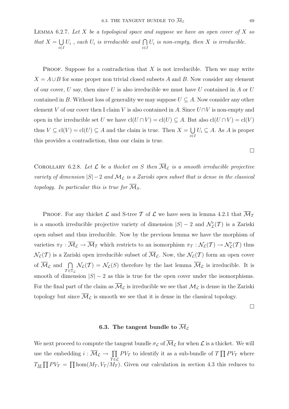LEMMA 6.2.7. Let  $X$  be a topological space and suppose we have an open cover of  $X$  so that  $X = \bigcup$ i∈I  $U_i$ , each  $U_i$  is irreducible and  $\bigcap$ i∈I  $U_i$  is non-empty, then X is irreducible.

**PROOF.** Suppose for a contradiction that  $X$  is not irreducible. Then we may write  $X = A \cup B$  for some proper non trivial closed subsets A and B. Now consider any element of our cover,  $U$  say, then since  $U$  is also irreducible we must have  $U$  contained in  $A$  or  $U$ contained in B. Without loss of generality we may suppose  $U \subseteq A$ . Now consider any other element V of our cover then I claim V is also contained in A. Since  $U \cap V$  is non-empty and open in the irreducible set U we have  $\text{cl}(U \cap V) = \text{cl}(U) \subseteq A$ . But also  $\text{cl}(U \cap V) = \text{cl}(V)$ thus  $V \subseteq cl(V) = cl(U) \subseteq A$  and the claim is true. Then  $X = \bigcup$ i∈I  $U_i \subseteq A$ . As A is proper this provides a contradiction, thus our claim is true.

COROLLARY 6.2.8. Let  $\mathcal L$  be a thicket on S then  $\overline{\mathcal M}_{\mathcal L}$  is a smooth irreducible projective variety of dimension  $|S|-2$  and  $\mathcal{M}_{\mathcal{L}}$  is a Zariski open subset that is dense in the classical topology. In particular this is true for  $\overline{\mathcal{M}}_S$ .

**PROOF.** For any thicket  $\mathcal{L}$  and S-tree T of  $\mathcal{L}$  we have seen in lemma 4.2.1 that  $\overline{\mathcal{M}}_{\mathcal{T}}$ is a smooth irreducible projective variety of dimension  $|S| - 2$  and  $\mathcal{N}'_{\mathcal{L}}(\mathcal{T})$  is a Zariski open subset and thus irreducible. Now by the previous lemma we have the morphism of varieties  $\pi_T : \overline{\mathcal{M}}_L \to \overline{\mathcal{M}}_T$  which restricts to an isomorphism  $\pi_T : \mathcal{N}_L(\mathcal{T}) \to \mathcal{N}'_L(\mathcal{T})$  thus  $\mathcal{N}_{\mathcal{L}}(\mathcal{T})$  is a Zariski open irreducible subset of  $\overline{\mathcal{M}}_{\mathcal{L}}$ . Now, the  $\mathcal{N}_{\mathcal{L}}(\mathcal{T})$  form an open cover of  $\overline{\mathcal{M}}_{\mathcal{L}}$  and  $\bigcap$  $\tau \in \mathbb{T}_\mathcal{L}$  $\mathcal{N}_{\mathcal{L}}(\mathcal{T}) = \mathcal{N}_{\mathcal{L}}(S)$  therefore by the last lemma  $\mathcal{M}_{\mathcal{L}}$  is irreducible. It is smooth of dimension  $|S| - 2$  as this is true for the open cover under the isomorphisms. For the final part of the claim as  $\overline{\mathcal{M}}_{\mathcal{L}}$  is irreducible we see that  $\mathcal{M}_{\mathcal{L}}$  is dense in the Zariski topology but since  $\overline{\mathcal{M}}_{\mathcal{L}}$  is smooth we see that it is dense in the classical topology.

 $\Box$ 

## **6.3.** The tangent bundle to  $\overline{\mathcal{M}}_C$

We next proceed to compute the tangent bundle  $\sigma_{\mathcal{L}}$  of  $\overline{\mathcal{M}}_{\mathcal{L}}$  for when  $\mathcal{L}$  is a thicket. We will use the embedding  $i : \overline{\mathcal{M}}_{\mathcal{L}} \to \prod$  $\bar{T} \in \mathcal{L}$  $PV_T$  to identify it as a sub-bundle of  $T \prod PV_T$  where  $T_M \prod P V_T = \prod \text{hom}(M_T, V_T / M_T)$ . Given our calculation in section 4.3 this reduces to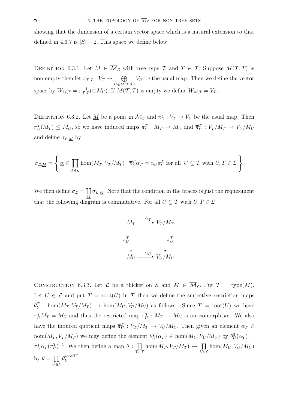showing that the dimension of a certain vector space which is a natural extension to that defined in 4.3.7 is  $|S| - 2$ . This space we define below.

DEFINITION 6.3.1. Let  $M \in \overline{\mathcal{M}}_{\mathcal{L}}$  with tree type T and  $T \in \mathcal{T}$ . Suppose  $M(\mathcal{T}, T)$  is non-empty then let  $\pi_{\mathcal{T},T}: V_T \to \oplus$  $U\epsilon M(T,T)$  $V_U$  be the usual map. Then we define the vector space by  $W_{\underline{M},T} = \pi_{T,T}^{-1}(\oplus M_U)$ . If  $M(T,T)$  is empty we define  $W_{\underline{M},T} = V_T$ .

DEFINITION 6.3.2. Let <u>M</u> be a point in  $\overline{\mathcal{M}}_{\mathcal{L}}$  and  $\pi_U^T : V_T \to V_U$  be the usual map. Then  $\pi_U^T(M_T) \leq M_U$ , so we have induced maps  $\pi_U^T : M_T \to M_U$  and  $\overline{\pi}_U^T : V_T/M_T \to V_U/M_U$ and define  $\sigma_{\mathcal{L},\underline{M}}$  by

$$
\sigma_{\mathcal{L},\underline{M}} = \left\{ \underline{\alpha} \in \prod_{T \in \mathcal{L}} \text{hom}(M_T, V_T/M_T) \middle| \overline{\pi}_U^T \alpha_T = \alpha_U \pi_U^T \text{ for all } U \subseteq T \text{ with } U, T \in \mathcal{L} \right\}
$$

We then define  $\sigma_{\mathcal{L}} = \coprod_{M} \sigma_{\mathcal{L},\underline{M}}$ . Note that the condition in the braces is just the requirement that the following diagram is commutative. For all  $U \subseteq T$  with  $U, T \in \mathcal{L}$ 



CONSTRUCTION 6.3.3. Let  $\mathcal L$  be a thicket on S and  $M \in \overline{\mathcal M}_{\mathcal L}$ . Put  $\mathcal T = \text{type}(M)$ . Let  $U \in \mathcal{L}$  and put  $T = \text{root}(U)$  in T then we define the surjective restriction maps  $\theta_U^T$ : hom $(M_T, V_T/M_T) \to \text{hom}(M_U, V_U/M_U)$  as follows. Since  $T = \text{root}(U)$  we have  $\pi_U^T M_T = M_U$  and thus the restricted map  $\pi_U^T : M_T \to M_U$  is an isomorphism. We also have the induced quotient maps  $\overline{\pi}_U^T : V_T/M_T \to V_U/M_U$ . Then given an element  $\alpha_T \in$ hom $(M_T, V_T/M_T)$  we may define the element  $\theta_U^T(\alpha_T) \in \text{hom}(M_U, V_U/M_U)$  by  $\theta_U^T(\alpha_T) =$  $\overline{\pi}_U^T \alpha_T (\pi_U^T)^{-1}$ . We then define a map  $\theta$  :  $\prod$  $\bar{T} \bar{\in} \bar{\mathcal{I}}$  $hom(M_T, V_T/M_T) \to \prod$  $\bar{U}$ ∈ $\mathcal{L}$  $hom(M_U, V_U/M_U)$ by  $\theta = \prod$  $\bar{U}$ ∈C  $\theta_U^{\text{root}(U)}$ .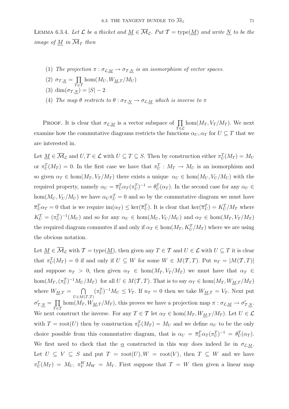LEMMA 6.3.4. Let  $\mathcal L$  be a thicket and  $\underline{M} \in \overline{\mathcal M}_{\mathcal L}$ . Put  $\mathcal T = \text{type}(\underline{M})$  and write  $\underline{N}$  to be the image of  $M$  in  $\overline{\mathcal{M}}_T$  then

- (1) The projection  $\pi : \sigma_{\mathcal{L},\underline{M}} \to \sigma_{\mathcal{T},\underline{N}}$  is an isomorphism of vector spaces.
- (2)  $\sigma_{\mathcal{T},\underline{N}} = \prod$  $hom(M_U, W_{M,T}/M_U)$
- $\bar{T} \in \mathcal{I}$ (3) dim $(\sigma_{\mathcal{T},N}) = |S| - 2$
- (4) The map  $\theta$  restricts to  $\theta : \sigma_{\mathcal{T},N} \to \sigma_{\mathcal{L},M}$  which is inverse to  $\pi$

PROOF. It is clear that  $\sigma_{\mathcal{L},M}$  is a vector subspace of  $\prod$  $\bar{T} \in \mathcal{L}$  $hom(M_T, V_T/M_T)$ . We next examine how the commutative diagrams restricts the functions  $\alpha_U, \alpha_T$  for  $U \subseteq T$  that we are interested in.

Let  $\underline{M} \in \overline{\mathcal{M}}_{\mathcal{L}}$  and  $U, T \in \mathcal{L}$  with  $U \subseteq T \subseteq S$ . Then by construction either  $\pi_U^T(M_T) = M_U$ or  $\pi_U^T(M_T) = 0$ . In the first case we have that  $\pi_U^T : M_T \to M_U$  is an isomorphism and so given  $\alpha_T \in \text{hom}(M_T, V_T / M_T)$  there exists a unique  $\alpha_U \in \text{hom}(M_U, V_U / M_U)$  with the required property, namely  $\alpha_U = \overline{\pi}_U^T \alpha_T (\pi_U^T)^{-1} = \theta_U^T (\alpha_T)$ . In the second case for any  $\alpha_U \in$ hom $(M_U, V_U/M_U)$  we have  $\alpha_U \pi_U^T = 0$  and so by the commutative diagram we must have  $\overline{\pi}_U^T \alpha_T = 0$  that is we require  $\text{im}(\alpha_T) \leq \text{ker}(\overline{\pi}_U^T)$ . It is clear that  $\text{ker}(\overline{\pi}_U^T) = K_U^T / M_T$  where  $K_U^T = (\pi_U^T)^{-1}(M_U)$  and so for any  $\alpha_U \in \text{hom}(M_U, V_U/M_U)$  and  $\alpha_T \in \text{hom}(M_T, V_T/M_T)$ the required diagram commutes if and only if  $\alpha_T \in \text{hom}(M_T, K_U^T/M_T)$  where we are using the obvious notation.

Let  $\underline{M} \in \overline{\mathcal{M}}_{\mathcal{L}}$  with  $\mathcal{T} = \text{type}(\underline{M})$ , then given any  $T \in \mathcal{T}$  and  $U \in \mathcal{L}$  with  $U \subseteq T$  it is clear that  $\pi^T_U(M_T) = 0$  if and only if  $U \subseteq W$  for some  $W \in M(\mathcal{T},T)$ . Put  $n_T = |M(\mathcal{T},T)|$ and suppose  $n_T > 0$ , then given  $\alpha_T \in \text{hom}(M_T, V_T / M_T)$  we must have that  $\alpha_T \in$ hom $(M_T, (\pi_U^T)^{-1}M_U/M_T)$  for all  $U \in M(\mathcal{T},T)$ . That is to say  $\alpha_T \in \text{hom}(M_T, W_{M,T}/M_T)$ where  $W_{M,T} = \bigcap$  $U\in M(\mathcal{T},T)$  $(\pi_U^T)^{-1} M_U \leq V_T$ . If  $n_T = 0$  then we take  $W_{M,T} = V_T$ . Next put  $\sigma'_{\mathcal{T},\underline{N}} = \prod$  $\bar{T} \in \mathcal{I}$ hom $(M_T, W_{\underline{M},T}/M_T)$ , this proves we have a projection map  $\pi : \sigma_{\mathcal{L},\underline{M}} \to \sigma'_{T,\underline{N}}$ . We next construct the inverse. For any  $T \in \mathcal{T}$  let  $\alpha_T \in \text{hom}(M_T, W_{M,T}/M_T)$ . Let  $U \in \mathcal{L}$ with  $T = \text{root}(U)$  then by construction  $\pi_U^T(M_T) = M_U$  and we define  $\alpha_U$  to be the only choice possible from this commutative diagram, that is  $\alpha_U = \overline{\pi}_U^T \alpha_T (\pi_U^T)^{-1} = \theta_U^T (\alpha_T)$ . We first need to check that the  $\alpha$  constructed in this way does indeed lie in  $\sigma_{\mathcal{L},M}$ . Let  $U \subseteq V \subseteq S$  and put  $T = \text{root}(U), W = \text{root}(V)$ , then  $T \subseteq W$  and we have  $\pi_U^T(M_T) = M_U, \ \pi_V^W M_W = M_V.$  First suppose that  $T = W$  then given a linear map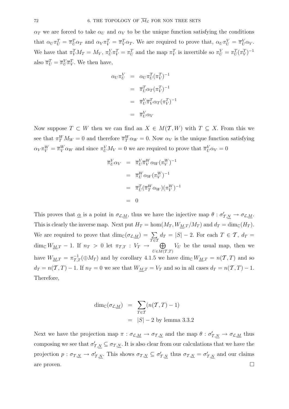$\alpha_T$  we are forced to take  $\alpha_U$  and  $\alpha_V$  to be the unique function satisfying the conditions that  $\alpha_U \pi_U^T = \overline{\pi}_U^T \alpha_T$  and  $\alpha_V \pi_V^T = \overline{\pi}_V^T \alpha_T$ . We are required to prove that,  $\alpha_U \pi_U^V = \overline{\pi}_U^V \alpha_V$ . We have that  $\pi_V^T M_T = M_V$ ,  $\pi_V^V \pi_V^T = \pi_U^T$  and the map  $\pi_V^T$  is invertible so  $\pi_V^V = \pi_U^T (\pi_V^T)^{-1}$ also  $\overline{\pi}_U^T = \overline{\pi}_U^V \overline{\pi}_V^T$ . We then have,

$$
\alpha_U \pi_U^V = \alpha_U \pi_U^T (\pi_V^T)^{-1}
$$

$$
= \overline{\pi}_U^T \alpha_T (\pi_V^T)^{-1}
$$

$$
= \overline{\pi}_U^V \overline{\pi}_V^T \alpha_T (\pi_V^T)^{-1}
$$

$$
= \overline{\pi}_U^V \alpha_V
$$

Now suppose  $T \subset W$  then we can find an  $X \in M(T, W)$  with  $T \subseteq X$ . From this we see that  $\pi_T^W M_W = 0$  and therefore  $\overline{\pi}_T^W \alpha_W = 0$ . Now  $\alpha_V$  is the unique function satisfying  $\alpha_V \pi_V^W = \overline{\pi}_V^W \alpha_W$  and since  $\pi_U^V M_V = 0$  we are required to prove that  $\overline{\pi}_U^V \alpha_V = 0$ 

$$
\overline{\pi}_U^V \alpha_V = \overline{\pi}_U^V \overline{\pi}_V^W \alpha_W (\pi_V^W)^{-1}
$$

$$
= \overline{\pi}_U^W \alpha_W (\pi_V^W)^{-1}
$$

$$
= \overline{\pi}_U^T (\overline{\pi}_T^W \alpha_W) (\pi_V^W)^{-1}
$$

$$
= 0
$$

This proves that  $\underline{\alpha}$  is a point in  $\sigma_{\mathcal{L},\underline{M}}$ , thus we have the injective map  $\theta : \sigma'_{\mathcal{T},\underline{N}} \to \sigma_{\mathcal{L},\underline{M}}$ . This is clearly the inverse map. Next put  $H_T = \text{hom}(M_T, W_{\underline{M},T}/M_T)$  and  $d_T = \text{dim}_{\mathbb{C}}(H_T)$ . We are required to prove that  $\dim_{\mathbb{C}}(\sigma_{\mathcal{L},M}) = \sum$  $\bar{T \in I}$  $d_T = |S| - 2$ . For each  $T \in \mathcal{T}, d_T =$ dim<sub>C</sub>  $W_{\underline{M},T} - 1$ . If  $n_T > 0$  let  $\pi_{\mathcal{T},T} : V_T \to \mathbb{C}$  $U\in M(T,T)$  $V_U$  be the usual map, then we have  $W_{\underline{M},T} = \pi_{T,T}^{-1}(\oplus M_T)$  and by corollary 4.1.5 we have  $\dim_{\mathbb{C}} W_{\underline{M},T} = n(\mathcal{T},T)$  and so  $d_T = n(T, T) - 1$ . If  $n_T = 0$  we see that  $W_{M,T} = V_T$  and so in all cases  $d_T = n(T, T) - 1$ . Therefore,

$$
\dim_{\mathbb{C}}(\sigma_{\mathcal{L},\underline{M}}) = \sum_{T \in \mathcal{T}} (n(\mathcal{T},T) - 1)
$$

$$
= |S| - 2 \text{ by lemma } 3.3.2
$$

Next we have the projection map  $\pi : \sigma_{\mathcal{L},M} \to \sigma_{\mathcal{T},N}$  and the map  $\theta : \sigma'_{\mathcal{T},N} \to \sigma_{\mathcal{L},M}$  thus composing we see that  $\sigma'_{T,N} \subseteq \sigma_{T,N}$ . It is also clear from our calculations that we have the projection  $p: \sigma_{\mathcal{T},\underline{N}} \to \sigma'_{\mathcal{T},\underline{N}}$ . This shows  $\sigma_{\mathcal{T},\underline{N}} \subseteq \sigma'_{\mathcal{T},\underline{N}}$  thus  $\sigma_{\mathcal{T},\underline{N}} = \sigma'_{\mathcal{T},\underline{N}}$  and our claims are proven.  $\Box$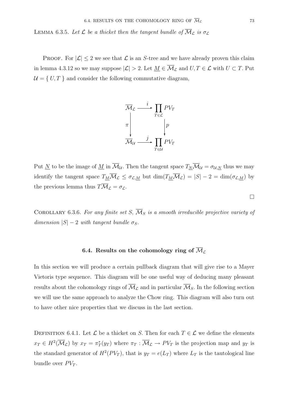LEMMA 6.3.5. Let  $\mathcal L$  be a thicket then the tangent bundle of  $\overline{\mathcal M}_{\mathcal L}$  is  $\sigma_{\mathcal L}$ 

PROOF. For  $|\mathcal{L}| \leq 2$  we see that  $\mathcal L$  is an S-tree and we have already proven this claim in lemma 4.3.12 so we may suppose  $|\mathcal{L}| > 2$ . Let  $\underline{M} \in \overline{\mathcal{M}}_{\mathcal{L}}$  and  $U, T \in \mathcal{L}$  with  $U \subset T$ . Put  $\mathcal{U} = \{ U, T \}$  and consider the following commutative diagram,



Put <u>N</u> to be the image of <u>M</u> in  $\overline{\mathcal{M}}_{\mathcal{U}}$ . Then the tangent space  $T_N \overline{\mathcal{M}}_{\mathcal{U}} = \sigma_{\mathcal{U},N}$  thus we may identify the tangent space  $T_{\underline{M}}\overline{\mathcal{M}}_{\mathcal{L}} \leq \sigma_{\mathcal{L},\underline{M}}$  but  $\dim(T_{\underline{M}}\overline{\mathcal{M}}_{\mathcal{L}}) = |S| - 2 = \dim(\sigma_{\mathcal{L},\underline{M}})$  by the previous lemma thus  $T\overline{\mathcal{M}}_{\mathcal{L}} = \sigma_{\mathcal{L}}$ .

COROLLARY 6.3.6. For any finite set S,  $\overline{\mathcal{M}}_S$  is a smooth irreducible projective variety of dimension  $|S| - 2$  with tangent bundle  $\sigma_S$ .

### **6.4.** Results on the cohomology ring of  $\overline{\mathcal{M}}_{\mathcal{L}}$

In this section we will produce a certain pullback diagram that will give rise to a Mayer Vietoris type sequence. This diagram will be one useful way of deducing many pleasant results about the cohomology rings of  $\overline{\mathcal{M}}_{\mathcal{L}}$  and in particular  $\overline{\mathcal{M}}_{S}$ . In the following section we will use the same approach to analyze the Chow ring. This diagram will also turn out to have other nice properties that we discuss in the last section.

DEFINITION 6.4.1. Let  $\mathcal L$  be a thicket on S. Then for each  $T \in \mathcal L$  we define the elements  $x_T \in H^2(\overline{\mathcal{M}}_{\mathcal{L}})$  by  $x_T = \pi_T^*(y_T)$  where  $\pi_T : \overline{\mathcal{M}}_{\mathcal{L}} \to PV_T$  is the projection map and  $y_T$  is the standard generator of  $H^2(PV_T)$ , that is  $y_T = e(L_T)$  where  $L_T$  is the tautological line bundle over  $PV_T$ .

 $\Box$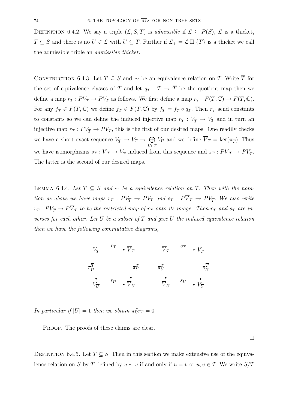DEFINITION 6.4.2. We say a triple  $(\mathcal{L}, S, T)$  is admissible if  $\mathcal{L} \subseteq P(S)$ ,  $\mathcal{L}$  is a thicket,  $T \subseteq S$  and there is no  $U \in \mathcal{L}$  with  $U \subseteq T$ . Further if  $\mathcal{L}_+ = \mathcal{L} \amalg \{T\}$  is a thicket we call the admissible triple an admissible thicket.

CONSTRUCTION 6.4.3. Let  $T \subseteq S$  and ~ be an equivalence relation on T. Write  $\overline{T}$  for the set of equivalence classes of T and let  $q_T : T \to \overline{T}$  be the quotient map then we define a map  $r_T : PV_{\overline{T}} \to PV_T$  as follows. We first define a map  $r_T : F(\overline{T}, \mathbb{C}) \to F(T, \mathbb{C})$ . For any  $f_{\overline{T}} \in F(\overline{T}, \mathbb{C})$  we define  $f_T \in F(T, \mathbb{C})$  by  $f_T = f_{\overline{T}} \circ q_T$ . Then  $r_T$  send constants to constants so we can define the induced injective map  $r_T : V_{\overline{T}} \to V_T$  and in turn an injective map  $r_T : PV_{\overline{T}} \to PV_T$ , this is the first of our desired maps. One readily checks we have a short exact sequence  $V_{\overline{T}} \to V_T \to \bigoplus$  $U\epsilon \overline{T}$  $V_U$  and we define  $V_T = \text{ker}(\pi_{\overline{T}})$ . Thus we have isomorphisms  $s_T : \overline{V}_T \to V_{\overline{T}}$  induced from this sequence and  $s_T : P\overline{V}_T \to PV_{\overline{T}}$ . The latter is the second of our desired maps.

LEMMA 6.4.4. Let  $T ⊆ S$  and ∼ be a equivalence relation on T. Then with the notation as above we have maps  $r_T : PV_T \to PV_T$  and  $s_T : P\overline{V}_T \to PV_T$ . We also write  $r_T: PV_{\overline{T}} \to P \overline{V}_T$  to be the restricted map of  $r_T$  onto its image. Then  $r_T$  and  $s_T$  are inverses for each other. Let U be a subset of  $T$  and give U the induced equivalence relation then we have the following commutative diagrams,



In particular if  $|\overline{U}| = 1$  then we obtain  $\pi_U^T r_T = 0$ 

PROOF. The proofs of these claims are clear.

 $\Box$ 

DEFINITION 6.4.5. Let  $T \subseteq S$ . Then in this section we make extensive use of the equivalence relation on S by T defined by  $u \sim v$  if and only if  $u = v$  or  $u, v \in T$ . We write  $S/T$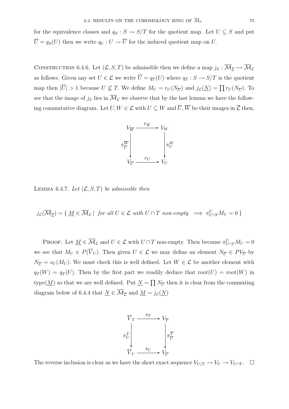for the equivalence classes and  $q_S : S \to S/T$  for the quotient map. Let  $U \subseteq S$  and put  $\overline{U} = q_S(U)$  then we write  $q_U : U \to \overline{U}$  for the induced quotient map on U.

CONSTRUCTION 6.4.6. Let  $(L, S, T)$  be admissible then we define a map  $j_{\mathcal{L}} : \overline{\mathcal{M}}_{\mathcal{L}} \rightarrowtail \overline{\mathcal{M}}_{\mathcal{L}}$ as follows. Given any set  $U \in \mathcal{L}$  we write  $\overline{U} = q_T(U)$  where  $q_T : S \to S/T$  is the quotient map then  $|\overline{U}| > 1$  because  $U \nsubseteq T$ . We define  $M_U = r_U(N_{\overline{U}})$  and  $j_{\mathcal{L}}(\underline{N}) = \prod r_U(N_{\overline{U}})$ . To see that the image of  $j_{\mathcal{L}}$  lies in  $\overline{\mathcal{M}}_{\mathcal{L}}$  we observe that by the last lemma we have the following commutative diagram. Let  $U, W \in \mathcal{L}$  with  $U \subseteq W$  and  $\overline{U}, \overline{W}$  be their images in  $\overline{\mathcal{L}}$  then,



LEMMA 6.4.7. Let  $(\mathcal{L}, S, T)$  be admissible then

 $j_{\mathcal{L}}(\overline{\mathcal{M}}_{\overline{\mathcal{L}}}) = \{ \underline{M} \in \overline{\mathcal{M}}_{\mathcal{L}} \mid \text{ for all } U \in \mathcal{L} \text{ with } U \cap T \text{ non-empty } \implies \pi_{U \cap T}^U M_U = 0 \}$ 

PROOF. Let  $\underline{M} \in \overline{\mathcal{M}}_{\mathcal{L}}$  and  $U \in \mathcal{L}$  with  $U \cap T$  non-empty. Then because  $\pi_{U \cap T}^{U} M_U = 0$ we see that  $M_U \in P(\overline{V}_U)$ . Then given  $U \in \mathcal{L}$  we may define an element  $N_{\overline{U}} \in PV_{\overline{U}}$  by  $N_{\overline{U}} = s_U(M_U)$ . We must check this is well defined. Let  $W \in \mathcal{L}$  be another element with  $q_T(W) = q_T(U)$ . Then by the first part we readily deduce that root $(U) = \text{root}(W)$  in type( $\underline{M}$ ) so that we are well defined. Put  $\underline{N} = \prod N_{\overline{U}}$  then it is clear from the commuting diagram below of 6.4.4 that  $\underline{N} \in \overline{\mathcal{M}}_{\overline{\mathcal{L}}}$  and  $\underline{M} = j_{\mathcal{L}}(\underline{N})$ 



The reverse inclusion is clear as we have the short exact sequence  $V_{U/T} \to V_U \to V_{U \cap T}$ .  $\Box$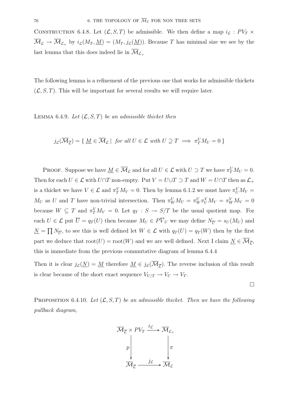CONSTRUCTION 6.4.8. Let  $(\mathcal{L}, S, T)$  be admissible. We then define a map  $i_{\mathcal{L}} : PV_T \times$  $\overline{\mathcal{M}}_{\mathcal{L}} \to \overline{\mathcal{M}}_{\mathcal{L}_+}$  by  $i_{\mathcal{L}}(M_T, \underline{M})=(M_T, j_{\mathcal{L}}(\underline{M}))$ . Because T has minimal size we see by the last lemma that this does indeed lie in  $\overline{\mathcal{M}}_{\mathcal{L}_+}$ 

The following lemma is a refinement of the previous one that works for admissible thickets  $(\mathcal{L}, S, T)$ . This will be important for several results we will require later.

LEMMA 6.4.9. Let  $(\mathcal{L}, S, T)$  be an admissible thicket then

$$
j_{\mathcal{L}}(\overline{\mathcal{M}}_{\overline{\mathcal{L}}}) = \{ \underline{M} \in \overline{\mathcal{M}}_{\mathcal{L}} \mid \text{ for all } U \in \mathcal{L} \text{ with } U \supseteq T \implies \pi_T^U M_U = 0 \}
$$

PROOF. Suppose we have  $\underline{M} \in \overline{\mathcal{M}}_{\mathcal{L}}$  and for all  $U \in \mathcal{L}$  with  $U \supset T$  we have  $\pi_T^U M_U = 0$ . Then for each  $U \in \mathcal{L}$  with  $U \cap T$  non-empty. Put  $V = U \cup T \supset T$  and  $W = U \cap T$  then as  $\mathcal{L}_+$ is a thicket we have  $V \in \mathcal{L}$  and  $\pi_Y^V M_V = 0$ . Then by lemma 6.1.2 we must have  $\pi_U^V M_V =$  $M_U$  as U and T have non-trivial intersection. Then  $\pi_W^U M_U = \pi_W^U \pi_U^V M_V = \pi_W^V M_V = 0$ because  $W \subseteq T$  and  $\pi_T^V M_V = 0$ . Let  $q_T : S \to S/T$  be the usual quotient map. For each  $U \in \mathcal{L}$  put  $\overline{U} = q_T(U)$  then because  $M_U \in P\overline{V}_U$  we may define  $N_{\overline{U}} = s_U(M_U)$  and  $N = \prod N_{\overline{U}}$ , to see this is well defined let  $W \in \mathcal{L}$  with  $q_T(U) = q_T(W)$  then by the first part we deduce that  $\text{root}(U) = \text{root}(W)$  and we are well defined. Next I claim  $\underline{N} \in \mathcal{M}_{\overline{C}}$ , this is immediate from the previous commutative diagram of lemma 6.4.4

Then it is clear  $j_{\mathcal{L}}(N) = M$  therefore  $M \in j_{\mathcal{L}}(\overline{\mathcal{M}}_{\overline{\mathcal{L}}})$ . The reverse inclusion of this result is clear because of the short exact sequence  $V_{U/T} \to V_U \to V_T$ .

 $\Box$ 

PROPOSITION 6.4.10. Let  $(L, S, T)$  be an admissible thicket. Then we have the following pullback diagram,

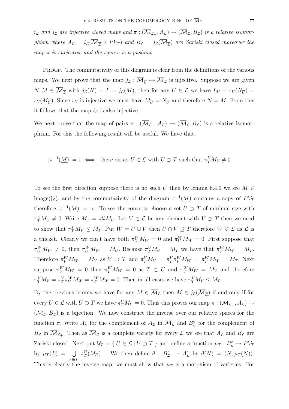$i_{\mathcal{L}}$  and  $j_{\mathcal{L}}$  are injective closed maps and  $\pi: (\overline{\mathcal{M}}_{\mathcal{L}_+}, A_{\mathcal{L}}) \to (\overline{\mathcal{M}}_{\mathcal{L}}, B_{\mathcal{L}})$  is a relative isomorphism where  $A_{\mathcal{L}} = i_{\mathcal{L}}(\overline{\mathcal{M}}_{\overline{\mathcal{L}}} \times PV_T)$  and  $B_{\mathcal{L}} = j_{\mathcal{L}}(\overline{\mathcal{M}}_{\overline{\mathcal{L}}})$  are Zariski closed moreover the map  $\pi$  is surjective and the square is a pushout.

PROOF. The commutativity of this diagram is clear from the definitions of the various maps. We next prove that the map  $j_{\mathcal{L}} : \overline{\mathcal{M}}_{\mathcal{L}} \rightarrow \overline{\mathcal{M}}_{\mathcal{L}}$  is injective. Suppose we are given  $\underline{N}, \underline{M} \in \overline{\mathcal{M}}_{\overline{\mathcal{L}}}$  with  $j_{\mathcal{L}}(\underline{N}) = \underline{L} = j_{\mathcal{L}}(\underline{M})$ , then for any  $U \in \mathcal{L}$  we have  $L_U = r_U(N_{\overline{U}}) =$  $r_U(M_{\overline{U}})$ . Since  $r_U$  is injective we must have  $M_{\overline{U}} = N_{\overline{U}}$  and therefore  $\underline{N} = \underline{M}$ . From this it follows that the map  $i_{\mathcal{L}}$  is also injective.

We next prove that the map of pairs  $\pi : (\overline{\mathcal{M}}_{\mathcal{L}_+}, A_{\mathcal{L}}) \to (\overline{\mathcal{M}}_{\mathcal{L}}, B_{\mathcal{L}})$  is a relative isomorphism. For this the following result will be useful. We have that,

$$
|\pi^{-1}(M)| = 1 \iff
$$
 there exists  $U \in \mathcal{L}$  with  $U \supset T$  such that  $\pi_T^U M_U \neq 0$ 

To see the first direction suppose there is no such U then by lemma 6.4.9 we see  $M \in$ image(j<sub>c</sub>), and by the commutativity of the diagram  $\pi^{-1}(\underline{M})$  contains a copy of  $PV_T$ therefore  $|\pi^{-1}(M)| = \infty$ . To see the converse choose a set  $U \supset T$  of minimal size with  $\pi_T^U M_U \neq 0$ . Write  $M_T = \pi_T^U M_U$ . Let  $V \in \mathcal{L}$  be any element with  $V \supset T$  then we need to show that  $\pi_Y^V M_V \leq M_T$ . Put  $W = U \cup V$  then  $U \cap V \supseteq T$  therefore  $W \in \mathcal{L}$  as  $\mathcal{L}$  is a thicket. Clearly we can't have both  $\pi_U^W M_W = 0$  and  $\pi_V^W M_W = 0$ . First suppose that  $\pi_U^W M_W \neq 0$ , then  $\pi_U^W M_W = M_U$ . Because  $\pi_T^U M_U = M_T$  we have that  $\pi_T^W M_W = M_T$ . Therefore  $\pi_V^W M_W = M_V$  as  $V \supset T$  and  $\pi_T^V M_V = \pi_T^V \pi_V^W M_W = \pi_T^W M_W = M_T$ . Next suppose  $\pi_U^W M_W = 0$  then  $\pi_T^W M_W = 0$  as  $T \subset U$  and  $\pi_V^W M_W = M_V$  and therefore  $\pi_T^V M_V = \pi_T^V \pi_V^W M_W = \pi_T^W M_W = 0$ . Then in all cases we have  $\pi_T^V M_V \leq M_T$ .

By the previous lemma we have for any  $\underline{M} \in \overline{\mathcal{M}}_{\mathcal{L}}$  then  $\underline{M} \in j_{\mathcal{L}}(\overline{\mathcal{M}}_{\overline{\mathcal{L}}})$  if and only if for every  $U \in \mathcal{L}$  with  $U \supset T$  we have  $\pi_T^U M_U = 0$ . Thus this proves our map  $\pi : (\overline{\mathcal{M}}_{\mathcal{L}_+}, A_{\mathcal{L}}) \to$  $(\mathcal{M}_{\mathcal{L}}, B_{\mathcal{L}})$  is a bijection. We now construct the inverse over our relative spaces for the function  $\pi$ . Write  $A_{\mathcal{L}}^c$  for the complement of  $A_{\mathcal{L}}$  in  $\overline{\mathcal{M}}_{\mathcal{L}}$  and  $B_{\mathcal{L}}^c$  for the complement of  $B_{\mathcal{L}}$  in  $\overline{\mathcal{M}}_{\mathcal{L}_+}$ . Then as  $\overline{\mathcal{M}}_{\mathcal{L}}$  is a complete variety for every  $\mathcal{L}$  we see that  $A_{\mathcal{L}}$  and  $B_{\mathcal{L}}$  are Zariski closed. Next put  $\mathcal{U}_T = \{ U \in \mathcal{L} \mid U \supset T \}$  and define a function  $\mu_T : B_{\mathcal{L}}^c \to PV_T$ by  $\mu_T(\underline{L}) = \bigcup$ U∈U*<sup>T</sup>*  $\pi_T^U(M_U)$ . We then define  $\theta : B_{\mathcal{L}}^c \to A_{\mathcal{L}}^c$  by  $\theta(\underline{N})=(\underline{N}, \mu_T(\underline{N})).$ This is clearly the inverse map, we must show that  $\mu_T$  is a morphism of varieties. For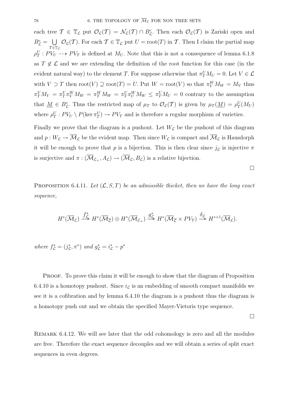each tree  $\mathcal{T} \in \mathbb{T}_{\mathcal{L}}$  put  $\mathcal{O}_{\mathcal{L}}(\mathcal{T}) = \mathcal{N}_{\mathcal{L}}(\mathcal{T}) \cap B_{\mathcal{L}}^c$ . Then each  $\mathcal{O}_{\mathcal{L}}(\mathcal{T})$  is Zariski open and  $B_{\mathcal{L}}^c = \bigcup$  $\tau \in \mathbb{T}_\mathcal{L}$  $\mathcal{O}_{\mathcal{L}}(\mathcal{T})$ . For each  $\mathcal{T} \in \mathbb{T}_{\mathcal{L}}$  put  $U = \text{root}(T)$  in  $\mathcal{T}$ . Then I claim the partial map  $\rho_T^U$ :  $PV_U$  -->  $PV_T$  is defined at  $M_U$ . Note that this is not a consequence of lemma 6.1.8 as  $T \notin \mathcal{L}$  and we are extending the definition of the root function for this case (in the evident natural way) to the element T. For suppose otherwise that  $\pi_T^U M_U = 0$ . Let  $V \in \mathcal{L}$ with  $V \supset T$  then  $\text{root}(V) \supseteq \text{root}(T) = U$ . Put  $W = \text{root}(V)$  so that  $\pi_V^W M_W = M_V$  thus  $\pi_T^V M_V = \pi_T^V \pi_W^W M_W = \pi_T^W \pi_W^W M_W \leq \pi_T^V M_U = 0$  contrary to the assumption that  $\underline{M} \in B_{\mathcal{L}}^c$ . Thus the restricted map of  $\mu_T$  to  $\mathcal{O}_{\mathcal{L}}(\mathcal{T})$  is given by  $\mu_T(\underline{M}) = \rho_T^U(M_U)$ where  $\rho_T^U$ :  $PV_U \setminus P(\ker \pi_T^U) \to PV_T$  and is therefore a regular morphism of varieties.

Finally we prove that the diagram is a pushout. Let  $W_{\mathcal{L}}$  be the pushout of this diagram and  $p: W_{\mathcal{L}} \to \overline{\mathcal{M}}_{\mathcal{L}}$  be the evident map. Then since  $W_{\mathcal{L}}$  is compact and  $\overline{\mathcal{M}}_{\mathcal{L}}$  is Hausdorph it will be enough to prove that p is a bijection. This is then clear since  $j_{\mathcal{L}}$  is injective  $\pi$ is surjective and  $\pi : (\overline{\mathcal{M}}_{\mathcal{L}_+}, A_{\mathcal{L}}) \to (\overline{\mathcal{M}}_{\mathcal{L}}, B_{\mathcal{L}})$  is a relative bijection.

 $\Box$ 

PROPOSITION 6.4.11. Let  $(\mathcal{L}, S, T)$  be an admissible thicket, then we have the long exact sequence,

$$
H^*(\overline{\mathcal{M}}_{\mathcal{L}}) \stackrel{f^*_{\mathcal{L}}}{\longrightarrow} H^*(\overline{\mathcal{M}}_{\overline{\mathcal{L}}}) \oplus H^*(\overline{\mathcal{M}}_{\mathcal{L}_+}) \stackrel{g^*_{\mathcal{L}}}{\longrightarrow} H^*(\overline{\mathcal{M}}_{\overline{\mathcal{L}}} \times PV_T) \stackrel{\delta_{\mathcal{L}}}{\longrightarrow} H^{*+1}(\overline{\mathcal{M}}_{\mathcal{L}}).
$$

where  $f_{\mathcal{L}}^* = (j_{\mathcal{L}}^*, \pi^*)$  and  $g_{\mathcal{L}}^* = i_{\mathcal{L}}^* - p^*$ 

PROOF. To prove this claim it will be enough to show that the diagram of Proposition 6.4.10 is a homotopy pushout. Since  $i_{\mathcal{L}}$  is an embedding of smooth compact manifolds we see it is a cofibration and by lemma 6.4.10 the diagram is a pushout thus the diagram is a homotopy push out and we obtain the specified Mayer-Vietoris type sequence.

 $\Box$ 

Remark 6.4.12. We will see later that the odd cohomology is zero and all the modules are free. Therefore the exact sequence decouples and we will obtain a series of split exact sequences in even degrees.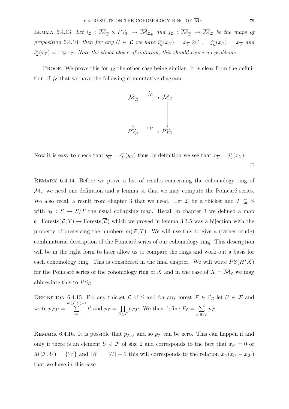LEMMA 6.4.13. Let  $i_{\mathcal{L}} : \overline{\mathcal{M}}_{\overline{\mathcal{L}}} \times PV_T \to \overline{\mathcal{M}}_{\mathcal{L}_+}$  and  $j_{\mathcal{L}} : \overline{\mathcal{M}}_{\overline{\mathcal{L}}} \to \overline{\mathcal{M}}_{\mathcal{L}}$  be the maps of proposition 6.4.10, then for any  $U \in \mathcal{L}$  we have  $i_{\mathcal{L}}^*(x_U) = x_U \otimes 1$ ,  $j_{\mathcal{L}}^*(x_U) = x_U$  and  $i_{\mathcal{L}}^{*}(x_T) = 1 \otimes x_T$ . Note the slight abuse of notation, this should cause no problems.

**PROOF.** We prove this for  $j_{\mathcal{L}}$  the other case being similar. It is clear from the definition of  $j_{\mathcal{L}}$  that we have the following commutative diagram.



Now it is easy to check that  $y_{\overline{U}} = r_U^*(y_U)$  thus by definition we see that  $x_{\overline{U}} = j_{\mathcal{L}}^*(x_U)$ .

 $\Box$ 

Remark 6.4.14. Before we prove a list of results concerning the cohomology ring of  $\overline{\mathcal{M}}_{\mathcal{L}}$  we need one definition and a lemma so that we may compute the Poincaré series. We also recall a result from chapter 3 that we need. Let  $\mathcal L$  be a thicket and  $T \subseteq S$ with  $q_T : S \to S/T$  the usual collapsing map. Recall in chapter 3 we defined a map  $b: \text{Forests}(\mathcal{L}, T) \to \text{Forests}(\overline{\mathcal{L}})$  which we proved in lemma 3.3.5 was a bijection with the property of preserving the numbers  $m(\mathcal{F}, T)$ . We will use this to give a (rather crude) combinatorial description of the Poincaré series of our cohomology ring. This description will be in the right form to later allow us to compare the rings and work out a basis for each cohomology ring. This is considered in the final chapter. We will write  $PS(H^*X)$ for the Poincaré series of the cohomology ring of X and in the case of  $X = \overline{\mathcal{M}}_{\mathcal{L}}$  we may abbreviate this to  $PS_{\mathcal{L}}$ .

DEFINITION 6.4.15. For any thicket  $\mathcal L$  of S and for any forest  $\mathcal F \in \mathbb F_{\mathcal L}$  let  $U \in \mathcal F$  and write  $p_{\mathcal{F},U} =$  $m(\mathcal{F})$  $\sum$  $(L)-1$  $\sum_{i=1}$  $t^i$  and  $p_{\mathcal{F}} = \prod$  $\bar{U}$ ∈F  $p_{\mathcal{F},U}$ . We then define  $P_{\mathcal{L}} = \sum$  $\bar{r}$ ∈F $_c$  $p_{\mathcal{F}}$ 

REMARK 6.4.16. It is possible that  $p_{\mathcal{F},U}$  and so  $p_{\mathcal{F}}$  can be zero. This can happen if and only if there is an element  $U \in \mathcal{F}$  of size 2 and corresponds to the fact that  $x_U = 0$  or  $M(\mathcal{F}, U) = \{W\}$  and  $|W| = |U| - 1$  this will corresponds to the relation  $x_U(x_U - x_W)$ that we have in this case.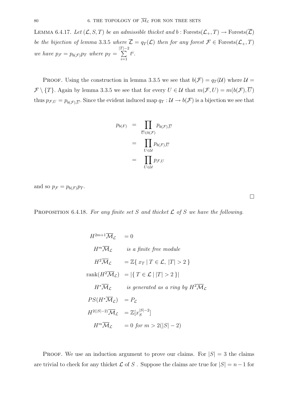LEMMA 6.4.17. Let  $(\mathcal{L}, S, T)$  be an admissible thicket and b: Forests $(\mathcal{L}_+, T) \to \text{Forests}(\overline{\mathcal{L}})$ be the bijection of lemma 3.3.5 where  $\overline{\mathcal{L}} = q_T(\mathcal{L})$  then for any forest  $\mathcal{F} \in \text{Forests}(\mathcal{L}_+, T)$ we have  $p_{\mathcal{F}} = p_{b(\mathcal{F})}p_T$  where  $p_T =$  $|T|$ r|–2<br>∑  $\sum_{i=1}$  $t^i$ .

PROOF. Using the construction in lemma 3.3.5 we see that  $b(\mathcal{F}) = q_T(\mathcal{U})$  where  $\mathcal{U} =$  $\mathcal{F}\setminus\{T\}$ . Again by lemma 3.3.5 we see that for every  $U\in\mathcal{U}$  that  $m(\mathcal{F},U)=m(b(\mathcal{F}),\overline{U})$ thus  $p_{\mathcal{F},U} = p_{b(\mathcal{F}),\overline{U}}$ . Since the evident induced map  $q_T : \mathcal{U} \to b(\mathcal{F})$  is a bijection we see that

$$
p_{b(F)} = \prod_{\overline{U} \in b(\mathcal{F})} p_{b(\mathcal{F}), \overline{U}} \\
= \prod_{U \in \mathcal{U}} p_{b(\mathcal{F}), \overline{U}} \\
= \prod_{U \in \mathcal{U}} p_{\mathcal{F}, U}
$$

and so  $p_{\mathcal{F}} = p_{b(\mathcal{F})} p_T$ .

PROPOSITION 6.4.18. For any finite set S and thicket  $\mathcal L$  of S we have the following.

$$
H^{2m+1}\overline{\mathcal{M}}_{\mathcal{L}} = 0
$$
  
\n
$$
H^{m}\overline{\mathcal{M}}_{\mathcal{L}} \quad \text{is a finite free module}
$$
  
\n
$$
H^{2}\overline{\mathcal{M}}_{\mathcal{L}} = \mathbb{Z}\{x_{T} | T \in \mathcal{L}, |T| > 2\}
$$
  
\n
$$
rank(H^{2}\overline{\mathcal{M}}_{\mathcal{L}}) = |\{T \in \mathcal{L} | |T| > 2\}|
$$
  
\n
$$
H^{*}\overline{\mathcal{M}}_{\mathcal{L}} \quad \text{is generated as a ring by } H^{2}\overline{\mathcal{M}}_{\mathcal{L}}
$$
  
\n
$$
PS(H^{*}\overline{\mathcal{M}}_{\mathcal{L}}) = P_{\mathcal{L}}
$$
  
\n
$$
H^{2(|S|-2)}\overline{\mathcal{M}}_{\mathcal{L}} = \mathbb{Z}[x_{S}^{|S|-2}]
$$
  
\n
$$
H^{m}\overline{\mathcal{M}}_{\mathcal{L}} = 0 \text{ for } m > 2(|S|-2)
$$

PROOF. We use an induction argument to prove our claims. For  $|S| = 3$  the claims are trivial to check for any thicket  $\mathcal L$  of S. Suppose the claims are true for  $|S| = n-1$  for

 $\Box$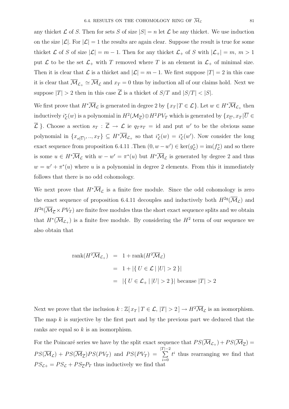any thicket  $\mathcal L$  of S. Then for sets S of size  $|S| = n$  let  $\mathcal L$  be any thicket. We use induction on the size  $|\mathcal{L}|$ . For  $|\mathcal{L}| = 1$  the results are again clear. Suppose the result is true for some thicket L of S of size  $|\mathcal{L}| = m - 1$ . Then for any thicket  $\mathcal{L}_+$  of S with  $|\mathcal{L}_+| = m, m > 1$ put  $\mathcal L$  to be the set  $\mathcal L_+$  with T removed where T is an element in  $\mathcal L_+$  of minimal size. Then it is clear that  $\mathcal L$  is a thicket and  $|\mathcal L| = m - 1$ . We first suppose  $|T| = 2$  in this case it is clear that  $\overline{\mathcal{M}}_{\mathcal{L}_+} \simeq \overline{\mathcal{M}}_{\mathcal{L}}$  and  $x_T = 0$  thus by induction all of our claims hold. Next we suppose  $|T| > 2$  then in this case  $\overline{L}$  is a thicket of  $S/T$  and  $|S/T| < |S|$ .

We first prove that  $H^*\overline{\mathcal{M}}_{\mathcal{L}}$  is generated in degree 2 by  $\{x_T | T \in \mathcal{L}\}\)$ . Let  $w \in H^*\overline{\mathcal{M}}_{\mathcal{L}_+}$  then inductively  $i^*_{\mathcal{L}}(w)$  is a polynomial in  $H^2(\mathcal{M}_{\overline{\mathcal{L}}})\oplus H^2PV_T$  which is generated by  $\{x_{\overline{U}}, x_T | \overline{U} \in$  $\overline{\mathcal{L}}$ . Choose a section  $s_T : \overline{\mathcal{L}} \to \mathcal{L}$  ie  $q_T s_T = id$  and put w' to be the obvious same polynomial in  $\{x_{s(\overline{U})},...,x_T\} \subseteq H^*\overline{\mathcal{M}}_{\mathcal{L}_+}$  so that  $i_{\mathcal{L}}^*(w) = i_{\mathcal{L}}^*(w')$ . Now consider the long exact sequence from proposition 6.4.11 .Then  $(0, w - w') \in \text{ker}(g_{\mathcal{L}}^*) = \text{im}(f_{\mathcal{L}}^*)$  and so there is some  $u \in H^*\overline{\mathcal{M}}_{\mathcal{L}}$  with  $w - w' = \pi^*(u)$  but  $H^*\overline{\mathcal{M}}_{\mathcal{L}}$  is generated by degree 2 and thus  $w = w' + \pi^*(u)$  where u is a polynomial in degree 2 elements. From this it immediately follows that there is no odd cohomology.

We next prove that  $H^*\overline{\mathcal{M}}_{\mathcal{L}}$  is a finite free module. Since the odd cohomology is zero the exact sequence of proposition 6.4.11 decouples and inductively both  $H^{2q}(\overline{\mathcal{M}}_{\mathcal{L}})$  and  $H^{2q}(\overline{\mathcal{M}}_{\overline{\mathcal{L}}}\times PV_T)$  are finite free modules thus the short exact sequence splits and we obtain that  $H^*(\overline{\mathcal{M}}_{\mathcal{L}_+})$  is a finite free module. By considering the  $H^2$  term of our sequence we also obtain that

rank
$$
(H^2 \overline{M}_{\mathcal{L}_+})
$$
 = 1 + rank $(H^2 \overline{M}_{\mathcal{L}})$   
 = 1 +  $|\{ U \in \mathcal{L} \mid |U| > 2 \}|$   
 =  $|\{ U \in \mathcal{L}_+ \mid |U| > 2 \}|$  because  $|T| > 2$ 

Next we prove that the inclusion  $k : \mathbb{Z}[x_T | T \in \mathcal{L}, |T| > 2] \to H^2 \overline{\mathcal{M}}_{\mathcal{L}}$  is an isomorphism. The map  $k$  is surjective by the first part and by the previous part we deduced that the ranks are equal so k is an isomorphism.

For the Poincaré series we have by the split exact sequence that  $PS(\overline{\mathcal{M}}_{\mathcal{L}_+}) + PS(\overline{\mathcal{M}}_{\overline{\mathcal{L}}}) =$  $PS(\mathcal{M}_{\mathcal{L}}) + PS(\mathcal{M}_{\overline{\mathcal{L}}})PS(PV_T)$  and  $PS(PV_T) =$  $|T|$ r|–2<br>∑  $\sum_{i=0}$  $t^i$  thus rearranging we find that  $PS_{\mathcal{L}+} = PS_{\mathcal{L}} + PS_{\overline{\mathcal{L}}}P_T$  thus inductively we find that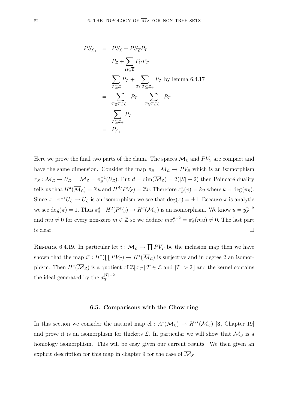$$
PS_{\mathcal{L}_+} = PS_{\mathcal{L}} + PS_{\overline{\mathcal{L}}}P_T
$$
  
=  $P_{\mathcal{L}} + \sum_{\mathcal{U} \subseteq \overline{\mathcal{L}}}$   $P_{\mathcal{U}}P_T$   
=  $\sum_{\mathcal{T} \subseteq \mathcal{L}} P_{\mathcal{T}} + \sum_{T \in \mathcal{T} \subseteq \mathcal{L}_+} P_{\mathcal{T}}$  by lemma 6.4.17  
=  $\sum_{T \notin \mathcal{T} \subseteq \mathcal{L}_+} P_{\mathcal{T}} + \sum_{T \in \mathcal{T} \subseteq \mathcal{L}_+} P_{\mathcal{T}}$   
=  $\sum_{\mathcal{T} \subseteq \mathcal{L}_+} P_{\mathcal{T}}$   
=  $P_{\mathcal{L}_+}$ 

Here we prove the final two parts of the claim. The spaces  $\overline{\mathcal{M}}_{\mathcal{L}}$  and  $PV_S$  are compact and have the same dimension. Consider the map  $\pi_S : \overline{\mathcal{M}}_{\mathcal{L}} \to PV_S$  which is an isomorphism  $\pi_S: \mathcal{M}_\mathcal{L} \to U_\mathcal{L}, \quad \mathcal{M}_\mathcal{L} = \pi_S^{-1}(U_\mathcal{L}).$  Put  $d = \dim(\overline{\mathcal{M}}_\mathcal{L}) = 2(|S| - 2)$  then Poincaré duality tells us that  $H^d(\overline{\mathcal{M}}_{\mathcal{L}}) = \mathbb{Z} u$  and  $H^d(PV_S) = \mathbb{Z} v$ . Therefore  $\pi_S^*(v) = ku$  where  $k = \deg(\pi_S)$ . Since  $\pi : \pi^{-1}U_{\mathcal{L}} \to U_{\mathcal{L}}$  is an isomorphism we see that  $\deg(\pi) = \pm 1$ . Because  $\pi$  is analytic we see  $\deg(\pi)=1$ . Thus  $\pi_S^d: H^d(PV_S) \to H^d(\overline{\mathcal{M}}_{\mathcal{L}})$  is an isomorphism. We know  $u = y_S^{n-2}$ and  $mu \neq 0$  for every non-zero  $m \in \mathbb{Z}$  so we deduce  $m x_S^{n-2} = \pi_S^*(mu) \neq 0$ . The last part is clear.

REMARK 6.4.19. In particular let  $i : \overline{\mathcal{M}}_{\mathcal{L}} \to \prod PV_T$  be the inclusion map then we have shown that the map  $i^* : H^*(\prod PV_T) \to H^*(\overline{\mathcal{M}}_{\mathcal{L}})$  is surjective and in degree 2 an isomorphism. Then  $H^*(\overline{\mathcal{M}}_{\mathcal{L}})$  is a quotient of  $\mathbb{Z}[x_T | T \in \mathcal{L}$  and  $|T| > 2]$  and the kernel contains the ideal generated by the  $x_T^{|T|-2}$ .

#### **6.5. Comparisons with the Chow ring**

In this section we consider the natural map cl :  $A^*(\overline{\mathcal{M}}_{\mathcal{L}}) \rightarrow H^{2*}(\overline{\mathcal{M}}_{\mathcal{L}})$  [3, Chapter 19] and prove it is an isomorphism for thickets  $\mathcal{L}$ . In particular we will show that  $\overline{\mathcal{M}}_S$  is a homology isomorphism. This will be easy given our current results. We then given an explicit description for this map in chapter 9 for the case of  $\overline{\mathcal{M}}_S$ .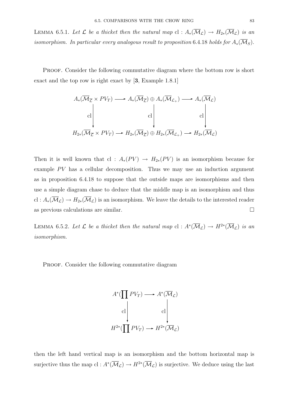LEMMA 6.5.1. Let  $\mathcal L$  be a thicket then the natural map cl :  $A_*(\overline{\mathcal M}_\mathcal L)\to H_{2*}(\overline{\mathcal M}_\mathcal L)$  is an isomorphism. In particular every analogous result to proposition 6.4.18 holds for  $A_*(\mathcal{M}_S)$ .

Proof. Consider the following commutative diagram where the bottom row is short exact and the top row is right exact by [**3**, Example 1.8.1]

$$
A_*(\overline{\mathcal{M}}_{\overline{\mathcal{L}}}\times PV_T) \longrightarrow A_*(\overline{\mathcal{M}}_{\overline{\mathcal{L}}}) \oplus A_*(\overline{\mathcal{M}}_{\mathcal{L}_+}) \longrightarrow A_*(\overline{\mathcal{M}}_{\mathcal{L}})
$$
  
cl  

$$
H_{2*}(\overline{\mathcal{M}}_{\overline{\mathcal{L}}}\times PV_T) \longrightarrow H_{2*}(\overline{\mathcal{M}}_{\overline{\mathcal{L}}}) \oplus H_{2*}(\overline{\mathcal{M}}_{\mathcal{L}_+}) \longrightarrow H_{2*}(\overline{\mathcal{M}}_{\mathcal{L}})
$$

Then it is well known that cl :  $A_*(PV) \to H_{2*}(PV)$  is an isomorphism because for example  $PV$  has a cellular decomposition. Thus we may use an induction argument as in proposition 6.4.18 to suppose that the outside maps are isomorphisms and then use a simple diagram chase to deduce that the middle map is an isomorphism and thus cl :  $A_*(\overline{\mathcal{M}}_{\mathcal{L}}) \to H_{2*}(\overline{\mathcal{M}}_{\mathcal{L}})$  is an isomorphism. We leave the details to the interested reader as previous calculations are similar.

LEMMA 6.5.2. Let  $\mathcal L$  be a thicket then the natural map cl :  $A^*(\overline{\mathcal M}_\mathcal L)\to H^{2*}(\overline{\mathcal M}_\mathcal L)$  is an isomorphism.

PROOF. Consider the following commutative diagram



then the left hand vertical map is an isomorphism and the bottom horizontal map is surjective thus the map cl :  $A^*(\overline{\mathcal{M}}_{\mathcal{L}}) \to H^{2*}(\overline{\mathcal{M}}_{\mathcal{L}})$  is surjective. We deduce using the last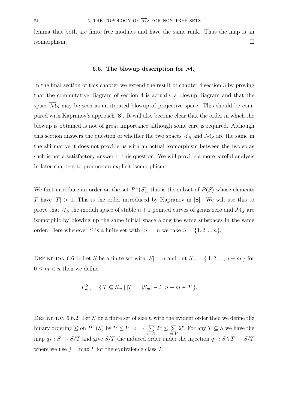lemma that both are finite free modules and have the same rank. Thus the map is an isomorphism.

## **6.6.** The blowup description for  $\overline{\mathcal{M}}_{\mathcal{L}}$

In the final section of this chapter we extend the result of chapter 4 section 3 by proving that the commutative diagram of section 4 is actually a blowup diagram and that the space  $\overline{\mathcal{M}}_S$  may be seen as an iterated blowup of projective space. This should be compared with Kapranov's approach [**8**]. It will also become clear that the order in which the blowup is obtained is not of great importance although some care is required. Although this section answers the question of whether the two spaces  $\overline{\mathcal{X}}_S$  and  $\overline{\mathcal{M}}_S$  are the same in the affirmative it does not provide us with an actual isomorphism between the two so as such is not a satisfactory answer to this question. We will provide a more careful analysis in later chapters to produce an explicit isomorphism.

We first introduce an order on the set  $P^+(S)$ , this is the subset of  $P(S)$  whose elements T have  $|T| > 1$ . This is the order introduced by Kapranov in [8]. We will use this to prove that  $\overline{\mathcal{X}}_S$  the moduli space of stable  $n+1$  pointed curves of genus zero and  $\overline{\mathcal{M}}_S$  are isomorphic by blowing up the same initial space along the same subspaces in the same order. Here whenever S is a finite set with  $|S| = n$  we take  $S = \{1, 2, ..., n\}$ .

DEFINITION 6.6.1. Let S be a finite set with  $|S| = n$  and put  $S_m = \{1, 2, ..., n - m\}$  for  $0 \leq m < n$  then we define

$$
P_{m,i}^{S} = \{ T \subseteq S_m \, | \, |T| = |S_m| - i, \ n - m \in T \}.
$$

DEFINITION 6.6.2. Let S be a finite set of size n with the evident order then we define the binary ordering  $\leq$  on  $P^+(S)$  by  $U \leq V \iff \sum$  $u\overline{\in}U$  $2^u \leq \sum$  $\overline{v\varepsilon V}$ 2<sup>v</sup>. For any  $T \subseteq S$  we have the map  $q_T : S \to S/T$  and give  $S/T$  the induced order under the injection  $q_T : S \setminus T \to S/T$ where we use  $j = \max T$  for the equivalence class T.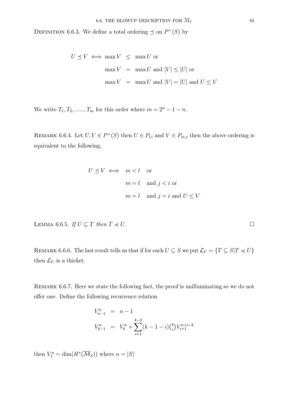DEFINITION 6.6.3. We define a total ordering  $\preceq$  on  $P^+(S)$  by

$$
U \preceq V \iff \max V \leq \max U \text{ or}
$$

$$
\max V = \max U \text{ and } |V| \leq |U| \text{ or}
$$

$$
\max V = \max U \text{ and } |V| = |U| \text{ and } U \leq V
$$

We write  $T_1, T_2, \ldots, T_m$  for this order where  $m = 2<sup>n</sup> - 1 - n$ .

REMARK 6.6.4. Let  $U, V \in P^+(S)$  then  $U \in P_{l,i}$  and  $V \in P_{m,j}$  then the above ordering is equivalent to the following,

$$
U \preceq V \iff m < l \quad \text{or}
$$
\n
$$
m = l \quad \text{and } j < i \text{ or}
$$
\n
$$
m = l \quad \text{and } j = i \text{ and } U \le V
$$

LEMMA 6.6.5. If  $U \subseteq T$  then  $T \preccurlyeq U$ .

REMARK 6.6.6. The last result tells us that if for each  $U \subseteq S$  we put  $\mathcal{L}_U = \{T \subseteq S | T \preccurlyeq U\}$ then  $\mathcal{L}_U$  is a thicket.

REMARK 6.6.7. Here we state the following fact, the proof is unilluminating so we do not offer one. Define the following recurrence relation

$$
V_{n-1}^{n} = n - 1
$$
  
\n
$$
V_{k-1}^{n} = V_k^{n} + \sum_{i=1}^{k-2} (k - 1 - i) {k \choose i} V_{i+1}^{n+i-k}
$$

then  $V_1^n = \dim(H^*(\overline{\mathcal{M}}_S))$  where  $n = |S|$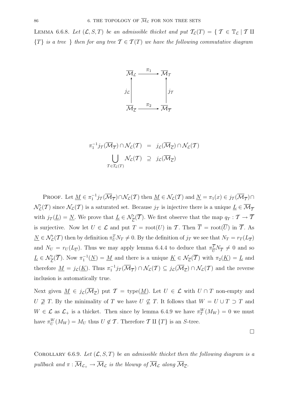LEMMA 6.6.8. Let  $(\mathcal{L}, S, T)$  be an admissible thicket and put  $\mathcal{T}_{\mathcal{L}}(T) = \{T \in \mathbb{T}_{\mathcal{L}} | T \amalg$  ${T}$  is a tree } then for any tree  $T \in T(T)$  we have the following commutative diagram



$$
\pi_1^{-1} j_{\mathcal{T}}(\overline{\mathcal{M}}_{\overline{\mathcal{T}}}) \cap \mathcal{N}_{\mathcal{L}}(\mathcal{T}) = j_{\mathcal{L}}(\overline{\mathcal{M}}_{\overline{\mathcal{L}}}) \cap \mathcal{N}_{\mathcal{L}}(\mathcal{T})
$$
\n
$$
\bigcup_{\mathcal{T} \in \mathcal{T}_{\mathcal{L}}(\mathcal{T})} \mathcal{N}_{\mathcal{L}}(\mathcal{T}) \supseteq j_{\mathcal{L}}(\overline{\mathcal{M}}_{\overline{\mathcal{L}}})
$$

PROOF. Let  $\underline{M} \in \pi_1^{-1} j_{\mathcal{T}}(\overline{M}_{\overline{\mathcal{T}}}) \cap \mathcal{N}_{\mathcal{L}}(\mathcal{T})$  then  $\underline{M} \in \mathcal{N}_{\mathcal{L}}(\mathcal{T})$  and  $\underline{N} = \pi_1(x) \in j_{\mathcal{T}}(\overline{M}_{\overline{\mathcal{T}}}) \cap$  $\mathcal{N}'_{\mathcal{L}}(\mathcal{T})$  since  $\mathcal{N}_{\mathcal{L}}(\mathcal{T})$  is a saturated set. Because  $j_{\mathcal{T}}$  is injective there is a unique  $\underline{L} \in \overline{\mathcal{M}}_{\overline{\mathcal{T}}}$ with  $j_{\mathcal{T}}(\underline{L}) = \underline{N}$ . We prove that  $\underline{L} \in \mathcal{N}'_{\overline{L}}(\overline{T})$ . We first observe that the map  $q_T : \mathcal{T} \to \overline{T}$ is surjective. Now let  $U \in \mathcal{L}$  and put  $T = \text{root}(U)$  in  $\overline{T}$ . Then  $\overline{T} = \text{root}(\overline{U})$  in  $\overline{T}$ . As  $\underline{N} \in \mathcal{N}'_{\mathcal{L}}(\mathcal{T})$  then by definition  $\pi_U^T N_T \neq 0$ . By the definition of  $j_\mathcal{T}$  we see that  $N_T = r_T(L_{\overline{T}})$ and  $N_U = r_U(L_{\overline{U}})$ . Thus we may apply lemma 6.4.4 to deduce that  $\pi \frac{\overline{T}}{U} N_{\overline{T}} \neq 0$  and so  $\underline{L} \in \mathcal{N}'_{\overline{\mathcal{L}}}(\overline{\mathcal{T}})$ . Now  $\pi_1^{-1}(\underline{N}) = \underline{M}$  and there is a unique  $\underline{K} \in \mathcal{N}_{\overline{\mathcal{L}}}(\overline{\mathcal{T}})$  with  $\pi_2(\underline{K}) = \underline{L}$  and therefore  $\underline{M} = j_{\mathcal{L}}(\underline{K})$ . Thus  $\pi_1^{-1} j_{\mathcal{T}}(\overline{\mathcal{M}}_{\overline{\mathcal{T}}}) \cap \mathcal{N}_{\mathcal{L}}(\mathcal{T}) \subseteq j_{\mathcal{L}}(\overline{\mathcal{M}}_{\overline{\mathcal{L}}}) \cap \mathcal{N}_{\mathcal{L}}(\mathcal{T})$  and the reverse inclusion is automatically true.

Next given  $\underline{M} \in j_{\mathcal{L}}(\overline{\mathcal{M}}_{\overline{\mathcal{L}}})$  put  $\mathcal{T} = \text{type}(\underline{M})$ . Let  $U \in \mathcal{L}$  with  $U \cap T$  non-empty and  $U \not\supseteq T$ . By the minimality of T we have  $U \not\subseteq T$ . It follows that  $W = U \cup T \supset T$  and  $W \in \mathcal{L}$  as  $\mathcal{L}_+$  is a thicket. Then since by lemma 6.4.9 we have  $\pi_T^W(M_W) = 0$  we must have  $\pi_U^W(M_W) = M_U$  thus  $U \notin \mathcal{T}$ . Therefore  $\mathcal{T} \amalg \{T\}$  is an S-tree.

 $\Box$ 

COROLLARY 6.6.9. Let  $(L, S, T)$  be an admissible thicket then the following diagram is a pullback and  $\pi : \overline{\mathcal{M}}_{\mathcal{L}_+} \to \overline{\mathcal{M}}_{\mathcal{L}}$  is the blowup of  $\overline{\mathcal{M}}_{\mathcal{L}}$  along  $\overline{\mathcal{M}}_{\overline{\mathcal{L}}}$ .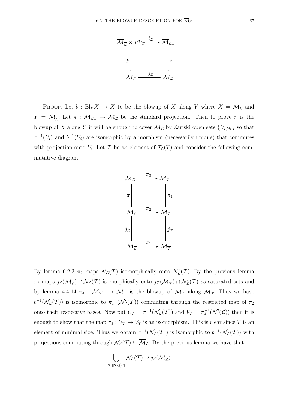

PROOF. Let  $b : Bl_Y X \to X$  to be the blowup of X along Y where  $X = \overline{\mathcal{M}}_{\mathcal{L}}$  and  $Y = \overline{\mathcal{M}}_{\overline{\mathcal{L}}}$ . Let  $\pi : \overline{\mathcal{M}}_{\mathcal{L}_+} \to \overline{\mathcal{M}}_{\mathcal{L}}$  be the standard projection. Then to prove  $\pi$  is the blowup of X along Y it will be enough to cover  $\overline{\mathcal{M}}_{\mathcal{L}}$  by Zariski open sets  $\{U_i\}_{i\in I}$  so that  $\pi^{-1}(U_i)$  and  $b^{-1}(U_i)$  are isomorphic by a morphism (necessarily unique) that commutes with projection onto  $U_i$ . Let T be an element of  $\mathcal{T}_{\mathcal{L}}(T)$  and consider the following commutative diagram



By lemma 6.2.3  $\pi_2$  maps  $\mathcal{N}_{\mathcal{L}}(\mathcal{T})$  isomorphically onto  $\mathcal{N}'_{\mathcal{L}}(\mathcal{T})$ . By the previous lemma  $\pi_2$  maps  $j_L(\overline{\mathcal{M}}_{\overline{\mathcal{L}}}) \cap \mathcal{N}_L(\mathcal{T})$  isomorphically onto  $j_T(\overline{\mathcal{M}}_{\overline{\mathcal{T}}}) \cap \mathcal{N}'_L(\mathcal{T})$  as saturated sets and by lemma 4.4.14  $\pi_4$ :  $\overline{\mathcal{M}}_{\mathcal{T}_+} \to \overline{\mathcal{M}}_{\mathcal{T}}$  is the blowup of  $\overline{\mathcal{M}}_{\mathcal{T}}$  along  $\overline{\mathcal{M}}_{\overline{\mathcal{T}}}$ . Thus we have  $b^{-1}(\mathcal{N}_{\mathcal{L}}(T))$  is isomorphic to  $\pi_4^{-1}(\mathcal{N}'_{\mathcal{L}}(T))$  commuting through the restricted map of  $\pi_2$ onto their respective bases. Now put  $U_T = \pi^{-1}(\mathcal{N}_L(T))$  and  $V_T = \pi_4^{-1}(\mathcal{N}'(\mathcal{L}))$  then it is enough to show that the map  $\pi_3: U_\mathcal{T} \to V_\mathcal{T}$  is an isomorphism. This is clear since T is an element of minimal size. Thus we obtain  $\pi^{-1}(\mathcal{N}_{\mathcal{L}}(\mathcal{T}))$  is isomorphic to  $b^{-1}(\mathcal{N}_{\mathcal{L}}(\mathcal{T}))$  with projections commuting through  $\mathcal{N}_{\mathcal{L}}(T) \subseteq \overline{\mathcal{M}}_{\mathcal{L}}$ . By the previous lemma we have that

$$
\bigcup_{\mathcal{T} \in \mathcal{T}_{\mathcal{L}}(T)} \mathcal{N}_{\mathcal{L}}(\mathcal{T}) \supseteq j_{\mathcal{L}}(\overline{\mathcal{M}}_{\overline{\mathcal{L}}})
$$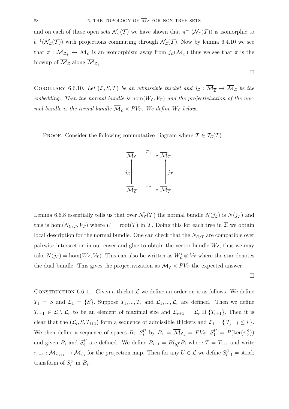and on each of these open sets  $\mathcal{N}_{\mathcal{L}}(\mathcal{T})$  we have shown that  $\pi^{-1}(\mathcal{N}_{\mathcal{L}}(\mathcal{T}))$  is isomorphic to  $b^{-1}(\mathcal{N}_{\mathcal{L}}(T))$  with projections commuting through  $\mathcal{N}_{\mathcal{L}}(T)$ . Now by lemma 6.4.10 we see that  $\pi : \overline{\mathcal{M}}_{\mathcal{L}_+} \to \overline{\mathcal{M}}_{\mathcal{L}}$  is an isomorphism away from  $j_{\mathcal{L}}(\overline{\mathcal{M}}_{\overline{\mathcal{L}}})$  thus we see that  $\pi$  is the blowup of  $\overline{\mathcal{M}}_{\mathcal{L}}$  along  $\overline{\mathcal{M}}_{\mathcal{L}_+}$ .

COROLLARY 6.6.10. Let  $(L, S, T)$  be an admissible thicket and  $j_L : \overline{M}_{\overline{L}} \to \overline{M}_L$  be the embedding. Then the normal bundle is  $hom(W_{\mathcal{L}}, V_T)$  and the projectivization of the normal bundle is the trivial bundle  $\overline{\mathcal{M}}_{\overline{\mathcal{L}}} \times PV_T$ . We define  $W_{\mathcal{L}}$  below.

PROOF. Consider the following commutative diagram where  $\mathcal{T} \in \mathcal{T}_{\mathcal{L}}(T)$ 



Lemma 6.6.8 essentially tells us that over  $\mathcal{N}_{\overline{L}}(\overline{T})$  the normal bundle  $N(j_{\mathcal{L}})$  is  $N(j_{\mathcal{T}})$  and this is hom $(N_{U/T}, V_T)$  where  $U = \text{root}(T)$  in T. Doing this for each tree in  $\overline{\mathcal{L}}$  we obtain local description for the normal bundle. One can check that the  $N_{U/T}$  are compatible over pairwise intersection in our cover and glue to obtain the vector bundle  $W_{\mathcal{L}}$ , thus we may take  $N(j_{\mathcal{L}}) = \text{hom}(W_{\mathcal{L}}, V_T)$ . This can also be written as  $W_{\mathcal{L}}^* \otimes V_T$  where the star denotes the dual bundle. This gives the projectivization as  $\overline{\mathcal{M}}_{\overline{\mathcal{L}}} \times PV_T$  the expected answer.

 $\Box$ 

 $\Box$ 

CONSTRUCTION 6.6.11. Given a thicket  $\mathcal L$  we define an order on it as follows. We define  $T_1 = S$  and  $\mathcal{L}_1 = \{S\}$ . Suppose  $T_1, ..., T_r$  and  $\mathcal{L}_1, ..., \mathcal{L}_r$  are defined. Then we define  $T_{r+1} \in \mathcal{L} \setminus \mathcal{L}_r$  to be an element of maximal size and  $\mathcal{L}_{r+1} = \mathcal{L}_r$  II  $\{T_{r+1}\}\$ . Then it is clear that the  $(\mathcal{L}_i, S, T_{i+1})$  form a sequence of admissible thickets and  $\mathcal{L}_i = \{T_i | j \leq i\}.$ We then define a sequence of spaces  $B_i$ ,  $S_i^U$  by  $B_1 = \overline{\mathcal{M}}_{\mathcal{L}_1} = PV_S$ ,  $S_1^U = P(\ker(\pi_U^S))$ and given  $B_i$  and  $S_i^U$  are defined. We define  $B_{i+1} = Bl_{S_i^T}B_i$  where  $T = T_{i+1}$  and write  $\pi_{i+1} : \overline{M}_{\mathcal{L}_{i+1}} \to \overline{M}_{\mathcal{L}_{i}}$  for the projection map. Then for any  $U \in \mathcal{L}$  we define  $S_{i+1}^U = \text{strict}$ transform of  $S_i^U$  in  $B_i$ .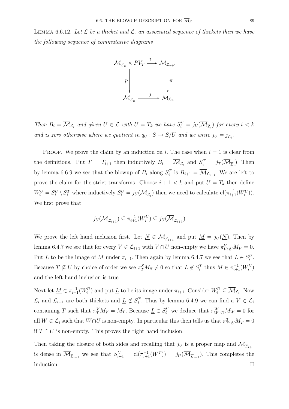LEMMA 6.6.12. Let  $\mathcal L$  be a thicket and  $\mathcal L_i$  an associated sequence of thickets then we have the following sequence of commutative diagrams



Then  $B_i = \overline{\mathcal{M}}_{\mathcal{L}_i}$  and given  $U \in \mathcal{L}$  with  $U = T_k$  we have  $S_i^U = j_U(\overline{\mathcal{M}}_{\overline{\mathcal{L}}_i})$  for every  $i < k$ and is zero otherwise where we quotient in  $q_U : S \to S/U$  and we write  $j_U = j_{\overline{\mathcal{L}}_i}$ .

**PROOF.** We prove the claim by an induction on i. The case when  $i = 1$  is clear from the definitions. Put  $T = T_{i+1}$  then inductively  $B_i = \overline{\mathcal{M}}_{\mathcal{L}_i}$  and  $S_i^T = j_T(\overline{\mathcal{M}}_{\overline{\mathcal{L}}_i})$ . Then by lemma 6.6.9 we see that the blowup of  $B_i$  along  $S_i^T$  is  $B_{i+1} = \overline{\mathcal{M}}_{\mathcal{L}_{i+1}}$ . We are left to prove the claim for the strict transforms. Choose  $i + 1 < k$  and put  $U = T_k$  then define  $W_i^U = S_i^U \setminus S_i^T$  where inductively  $S_i^U = j_U(\overline{\mathcal{M}}_{\overline{\mathcal{L}}_i})$  then we need to calculate  $\text{cl}(\pi_{i+1}^{-1}(W_i^U)).$ We first prove that

$$
j_U(\mathcal{M}_{\overline{\mathcal{L}}_{i+1}}) \subseteq \pi_{i+1}^{-1}(W_i^U) \subseteq j_U(\overline{\mathcal{M}}_{\overline{\mathcal{L}}_{i+1}})
$$

We prove the left hand inclusion first. Let  $\underline{N} \in \mathcal{M}_{\overline{\mathcal{L}}_{i+1}}$  and put  $\underline{M} = j_U(\underline{N})$ . Then by lemma 6.4.7 we see that for every  $V \in \mathcal{L}_{i+1}$  with  $V \cap U$  non-empty we have  $\pi_{V \cap U}^{V} M_V = 0$ . Put  $\underline{L}$  to be the image of  $\underline{M}$  under  $\pi_{i+1}$ . Then again by lemma 6.4.7 we see that  $\underline{L} \in S_i^U$ . Because  $T \nsubseteq U$  by choice of order we see  $\pi_T^S M_S \neq 0$  so that  $\underline{L} \notin S_i^T$  thus  $\underline{M} \in \pi_{i+1}^{-1}(W_i^U)$ and the left hand inclusion is true.

Next let  $\underline{M} \in \pi_{i+1}^{-1}(W_i^U)$  and put  $\underline{L}$  to be its image under  $\pi_{i+1}$ . Consider  $W_i^U \subseteq \overline{\mathcal{M}}_{\mathcal{L}_i}$ . Now  $\mathcal{L}_i$  and  $\mathcal{L}_{i+1}$  are both thickets and  $\underline{L} \notin S_i^T$ . Thus by lemma 6.4.9 we can find a  $V \in \mathcal{L}_i$ containing T such that  $\pi_Y^V M_V = M_T$ . Because  $\underline{L} \in S_i^U$  we deduce that  $\pi_{W \cap U}^W M_W = 0$  for all  $W \in \mathcal{L}_i$  such that  $W \cap U$  is non-empty. In particular this then tells us that  $\pi_{T \cap U}^T M_T = 0$ if  $T ∩ U$  is non-empty. This proves the right hand inclusion.

Then taking the closure of both sides and recalling that  $j_U$  is a proper map and  $\mathcal{M}_{\overline{\mathcal{L}}_{i+1}}$ is dense in  $\overline{\mathcal{M}}_{\overline{\mathcal{L}}_{i+1}}$  we see that  $S_{i+1}^U = \text{cl}(\pi_{i+1}^{-1}(W^T)) = j_U(\overline{\mathcal{M}}_{\overline{\mathcal{L}}_{i+1}})$ . This completes the induction.  $\Box$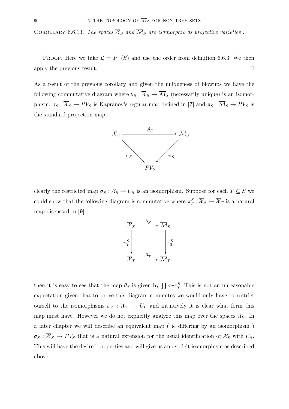COROLLARY 6.6.13. The spaces  $\overline{\mathcal{X}}_S$  and  $\overline{\mathcal{M}}_S$  are isomorphic as projective varieties.

PROOF. Here we take  $\mathcal{L} = P^+(S)$  and use the order from definition 6.6.3. We then apply the previous result.  $\Box$ 

As a result of the previous corollary and given the uniqueness of blowups we have the following commutative diagram where  $\theta_S : \overline{X}_S \to \overline{\mathcal{M}}_S$  (necessarily unique) is an isomorphism,  $\sigma_S : \overline{X}_S \to PV_S$  is Kapranov's regular map defined in [7] and  $\pi_S : \overline{\mathcal{M}}_S \to PV_S$  is the standard projection map.



clearly the restricted map  $\sigma_S : \mathcal{X}_S \to U_S$  is an isomorphism. Suppose for each  $T \subseteq S$  we could show that the following diagram is commutative where  $\pi_T^S : \overline{X}_S \to \overline{X}_T$  is a natural map discussed in [**9**]



then it is easy to see that the map  $\theta_S$  is given by  $\prod \sigma_T \pi_T^S$ . This is not an unreasonable expectation given that to prove this diagram commutes we would only have to restrict ourself to the isomorphisms  $\sigma_V : \mathcal{X}_V \to U_V$  and intuitively it is clear what form this map must have. However we do not explicitly analyze this map over the spaces  $\mathcal{X}_V$ . In a later chapter we will describe an equivalent map ( ie differing by an isomorphism )  $\sigma_S : \overline{X}_S \to PV_S$  that is a natural extension for the usual identification of  $X_S$  with  $U_S$ . This will have the desired properties and will give us an explicit isomorphism as described above.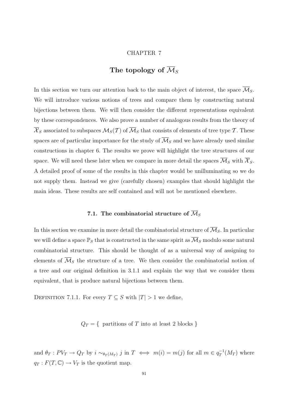#### CHAPTER 7

# The topology of  $\overline{\mathcal{M}}_S$

In this section we turn our attention back to the main object of interest, the space  $\overline{\mathcal{M}}_S$ . We will introduce various notions of trees and compare them by constructing natural bijections between them. We will then consider the different representations equivalent by these correspondences. We also prove a number of analogous results from the theory of  $\overline{\mathcal{X}}_S$  associated to subspaces  $\mathcal{M}_S(\mathcal{T})$  of  $\overline{\mathcal{M}}_S$  that consists of elements of tree type  $\mathcal{T}$ . These spaces are of particular importance for the study of  $\overline{\mathcal{M}}_S$  and we have already used similar constructions in chapter 6. The results we prove will highlight the tree structures of our space. We will need these later when we compare in more detail the spaces  $\overline{\mathcal{M}}_S$  with  $\overline{\mathcal{X}}_S$ . A detailed proof of some of the results in this chapter would be unilluminating so we do not supply them. Instead we give (carefully chosen) examples that should highlight the main ideas. These results are self contained and will not be mentioned elsewhere.

## 7.1. The combinatorial structure of  $\overline{\mathcal{M}}_S$

In this section we examine in more detail the combinatorial structure of  $\overline{\mathcal{M}}_S$ . In particular we will define a space  $\mathbb{P}_S$  that is constructed in the same spirit as  $\overline{\mathcal M}_S$  modulo some natural combinatorial structure. This should be thought of as a universal way of assigning to elements of  $\overline{\mathcal{M}}_S$  the structure of a tree. We then consider the combinatorial notion of a tree and our original definition in 3.1.1 and explain the way that we consider them equivalent, that is produce natural bijections between them.

DEFINITION 7.1.1. For every  $T \subseteq S$  with  $|T| > 1$  we define,

 $Q_T = \{$  partitions of T into at least 2 blocks }

and  $\theta_T: PV_T \to Q_T$  by  $i \sim_{\theta_T(M_T)} j$  in  $T \iff m(i) = m(j)$  for all  $m \in q_T^{-1}(M_T)$  where  $q_T : F(T, \mathbb{C}) \to V_T$  is the quotient map.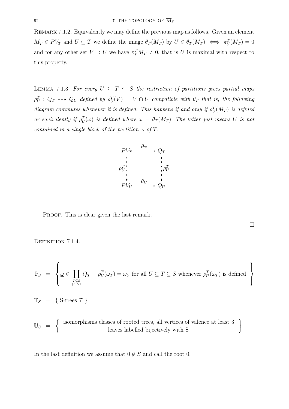REMARK 7.1.2. Equivalently we may define the previous map as follows. Given an element  $M_T \in PV_T$  and  $U \subseteq T$  we define the image  $\theta_T(M_T)$  by  $U \in \theta_T(M_T) \iff \pi_U^T(M_T) = 0$ and for any other set  $V \supset U$  we have  $\pi_V^T M_T \neq 0$ , that is U is maximal with respect to this property.

LEMMA 7.1.3. For every  $U \subseteq T \subseteq S$  the restriction of partitions gives partial maps  $\rho_U^T$  :  $Q_T \dashrightarrow Q_U$  defined by  $\rho_U^T(V) = V \cap U$  compatible with  $\theta_T$  that is, the following diagram commutes whenever it is defined. This happens if and only if  $\rho_U^T(M_T)$  is defined or equivalently if  $\rho_U^T(\omega)$  is defined where  $\omega = \theta_T(M_T)$ . The latter just means U is not contained in a single block of the partition  $\omega$  of T.



PROOF. This is clear given the last remark.

 $\Box$ 

DEFINITION 7.1.4.

$$
\mathbb{P}_S \ = \ \left\{ \underline{\omega} \in \prod_{T \subseteq S \atop |T| > 1} Q_T \ : \ \rho^T_U(\omega_T) = \omega_U \ \text{for all} \ U \subseteq T \subseteq S \ \text{whenever} \ \rho^T_U(\omega_T) \ \text{is defined} \ \right\}
$$

 $\mathbb{T}_S = \{ \text{S-trees } \mathcal{T} \}$ 

$$
\mathbb{U}_S \ = \ \left\{ \begin{array}{c} \text{ isomorphisms classes of rooted trees, all vertices of valence at least 3,} \\ \text{leaves labelled bijectively with S} \end{array} \right\}
$$

In the last definition we assume that  $0 \notin S$  and call the root 0.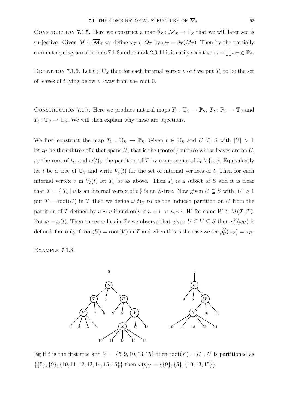CONSTRUCTION 7.1.5. Here we construct a map  $\overline{\theta}_S : \overline{\mathcal{M}}_S \to \mathbb{P}_S$  that we will later see is surjective. Given  $\underline{M} \in \overline{\mathcal{M}}_S$  we define  $\omega_T \in Q_T$  by  $\omega_T = \theta_T(M_T)$ . Then by the partially commuting diagram of lemma 7.1.3 and remark 2.0.11 it is easily seen that  $\omega = \prod \omega_T \in \mathbb{P}_S$ .

DEFINITION 7.1.6. Let  $t \in \mathbb{U}_S$  then for each internal vertex v of t we put  $T_v$  to be the set of leaves of t lying below  $v$  away from the root 0.

CONSTRUCTION 7.1.7. Here we produce natural maps  $T_1 : \mathbb{U}_S \to \mathbb{P}_S$ ,  $T_2 : \mathbb{P}_S \to \mathbb{T}_S$  and  $T_3: \mathbb{T}_S \to \mathbb{U}_S$ . We will then explain why these are bijections.

We first construct the map  $T_1 : \mathbb{U}_S \to \mathbb{P}_S$ . Given  $t \in \mathbb{U}_S$  and  $U \subseteq S$  with  $|U| > 1$ let  $t_U$  be the subtree of t that spans U, that is the (rooted) subtree whose leaves are on U,  $r_U$  the root of  $t_U$  and  $\omega(t)_U$  the partition of T by components of  $t_T \setminus \{r_T\}$ . Equivalently let t be a tree of  $\mathbb{U}_S$  and write  $V_I(t)$  for the set of internal vertices of t. Then for each internal vertex v in  $V_I(t)$  let  $T_v$  be as above. Then  $T_v$  is a subset of S and it is clear that  $\mathcal{T} = \{T_v | v$  is an internal vertex of t } is an S-tree. Now given  $U \subseteq S$  with  $|U| > 1$ put  $T = \text{root}(U)$  in T then we define  $\omega(t)_U$  to be the induced partition on U from the partition of T defined by  $u \sim v$  if and only if  $u = v$  or  $u, v \in W$  for some  $W \in M(T, T)$ . Put  $\omega = \omega(t)$ . Then to see  $\omega$  lies in  $\mathbb{P}_S$  we observe that given  $U \subseteq V \subseteq S$  then  $\rho_U^V(\omega_V)$  is defined if an only if  $\text{root}(U) = \text{root}(V)$  in T and when this is the case we see  $\rho_U^V(\omega_V) = \omega_U$ .

Example 7.1.8.



Eg if t is the first tree and  $Y = \{5, 9, 10, 13, 15\}$  then  $\text{root}(Y) = U$ , U is partitioned as  $\{\{5\}, \{9\}, \{10, 11, 12, 13, 14, 15, 16\}\}\$  then  $\omega(t)_Y = \{\{9\}, \{5\}, \{10, 13, 15\}\}\$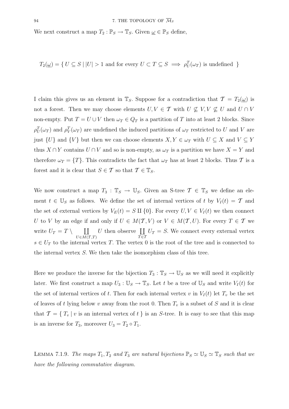We next construct a map  $T_2 : \mathbb{P}_S \to \mathbb{T}_S$ . Given  $\underline{\omega} \in \mathbb{P}_S$  define,

$$
T_2(\underline{\omega}) = \{ U \subseteq S \mid |U| > 1 \text{ and for every } U \subset T \subseteq S \implies \rho_U^T(\omega_T) \text{ is undefined } \}
$$

I claim this gives us an element in  $\mathbb{T}_S$ . Suppose for a contradiction that  $\mathcal{T} = T_2(\underline{\omega})$  is not a forest. Then we may choose elements  $U, V \in \mathcal{T}$  with  $U \nsubseteq V, V \nsubseteq U$  and  $U \cap V$ non-empty. Put  $T = U \cup V$  then  $\omega_T \in Q_T$  is a partition of T into at least 2 blocks. Since  $\rho_U^T(\omega_T)$  and  $\rho_V^T(\omega_T)$  are undefined the induced partitions of  $\omega_T$  restricted to U and V are just  $\{U\}$  and  $\{V\}$  but then we can choose elements  $X, Y \in \omega_T$  with  $U \subseteq X$  and  $V \subseteq Y$ thus  $X \cap Y$  contains  $U \cap V$  and so is non-empty, as  $\omega_T$  is a partition we have  $X = Y$  and therefore  $\omega_T = \{T\}$ . This contradicts the fact that  $\omega_T$  has at least 2 blocks. Thus T is a forest and it is clear that  $S \in \mathcal{T}$  so that  $\mathcal{T} \in \mathbb{T}_S$ .

We now construct a map  $T_3 : \mathbb{T}_S \to \mathbb{U}_S$ . Given an S-tree  $\mathcal{T} \in \mathbb{T}_S$  we define an element  $t \in \mathbb{U}_S$  as follows. We define the set of internal vertices of t by  $V_I(t) = \mathcal{T}$  and the set of external vertices by  $V_E(t) = S \amalg \{0\}$ . For every  $U, V \in V_I(t)$  we then connect U to V by an edge if and only if  $U \in M(T, V)$  or  $V \in M(T, U)$ . For every  $T \in T$  we write  $U_T = T \setminus \coprod$  $U\in M(\mathcal{T},T)$ U then observe  $\coprod$  $\tau \equiv 1$  $U_T = S$ . We connect every external vertex  $s \in U_T$  to the internal vertex T. The vertex 0 is the root of the tree and is connected to the internal vertex S. We then take the isomorphism class of this tree.

Here we produce the inverse for the bijection  $T_3 : \mathbb{T}_S \to \mathbb{U}_S$  as we will need it explicitly later. We first construct a map  $U_3 : \mathbb{U}_S \to \mathbb{T}_S$ . Let t be a tree of  $\mathbb{U}_S$  and write  $V_I(t)$  for the set of internal vertices of t. Then for each internal vertex v in  $V_I(t)$  let  $T_v$  be the set of leaves of t lying below v away from the root 0. Then  $T_v$  is a subset of S and it is clear that  $\mathcal{T} = \{T_v | v$  is an internal vertex of t is an S-tree. It is easy to see that this map is an inverse for  $T_3$ , moreover  $U_3 = T_2 \circ T_1$ .

LEMMA 7.1.9. The maps  $T_1, T_2$  and  $T_3$  are natural bijections  $\mathbb{P}_S \simeq \mathbb{U}_S \simeq \mathbb{T}_S$  such that we have the following commutative diagram.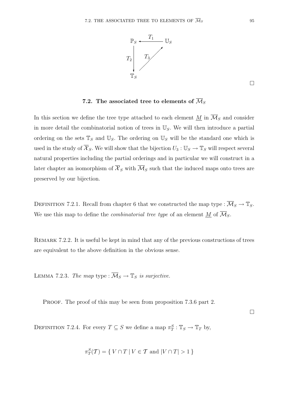

 $\Box$ 

### 7.2. The associated tree to elements of  $\overline{\mathcal{M}}_S$

In this section we define the tree type attached to each element  $M$  in  $\overline{\mathcal{M}}_S$  and consider in more detail the combinatorial notion of trees in  $\mathbb{U}_S$ . We will then introduce a partial ordering on the sets  $\mathbb{T}_S$  and  $\mathbb{U}_S$ . The ordering on  $\mathbb{U}_S$  will be the standard one which is used in the study of  $\overline{X}_S$ . We will show that the bijection  $U_3 : \mathbb{U}_S \to \mathbb{T}_S$  will respect several natural properties including the partial orderings and in particular we will construct in a later chapter an isomorphism of  $\overline{\mathcal{X}}_S$  with  $\overline{\mathcal{M}}_S$  such that the induced maps onto trees are preserved by our bijection.

DEFINITION 7.2.1. Recall from chapter 6 that we constructed the map type :  $\overline{\mathcal{M}}_S \to \mathbb{T}_S$ . We use this map to define the *combinatorial tree type* of an element <u>M</u> of  $\overline{\mathcal{M}}_S$ .

REMARK 7.2.2. It is useful be kept in mind that any of the previous constructions of trees are equivalent to the above definition in the obvious sense.

LEMMA 7.2.3. The map type :  $\overline{\mathcal{M}}_S \to \mathbb{T}_S$  is surjective.

PROOF. The proof of this may be seen from proposition 7.3.6 part 2.

 $\Box$ 

DEFINITION 7.2.4. For every  $T \subseteq S$  we define a map  $\pi_T^S : \mathbb{T}_S \to \mathbb{T}_T$  by,

$$
\pi_T^S(\mathcal{T}) = \{ V \cap T \mid V \in \mathcal{T} \text{ and } |V \cap T| > 1 \}
$$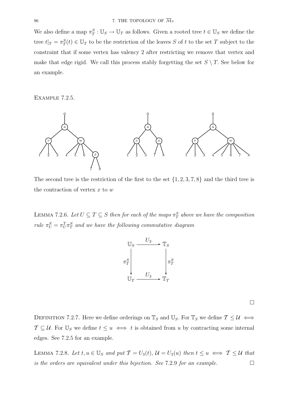We also define a map  $\pi_T^S : \mathbb{U}_S \to \mathbb{U}_T$  as follows. Given a rooted tree  $t \in \mathbb{U}_S$  we define the tree  $t|_T = \pi_T^S(t) \in \mathbb{U}_T$  to be the restriction of the leaves S of t to the set T subject to the constraint that if some vertex has valency 2 after restricting we remove that vertex and make that edge rigid. We call this process stably forgetting the set  $S \setminus T$ . See below for an example.

Example 7.2.5.



The second tree is the restriction of the first to the set  $\{1, 2, 3, 7, 8\}$  and the third tree is the contraction of vertex  $x$  to  $w$ 

LEMMA 7.2.6. Let  $U \subseteq T \subseteq S$  then for each of the maps  $\pi_T^S$  above we have the composition rule  $\pi_U^S = \pi_U^T \pi_T^S$  and we have the following commutative diagram



 $\Box$ 

DEFINITION 7.2.7. Here we define orderings on  $\mathbb{T}_S$  and  $\mathbb{U}_S$ . For  $\mathbb{T}_S$  we define  $\mathcal{T} \leq \mathcal{U} \iff$  $\mathcal{T} \subseteq \mathcal{U}$ . For  $\mathbb{U}_S$  we define  $t \leq u \iff t$  is obtained from u by contracting some internal edges. See 7.2.5 for an example.

LEMMA 7.2.8. Let  $t, u \in \mathbb{U}_S$  and put  $\mathcal{T} = U_3(t), \mathcal{U} = U_3(u)$  then  $t \leq u \iff \mathcal{T} \leq \mathcal{U}$  that is the orders are equivalent under this bijection. See 7.2.9 for an example.  $\Box$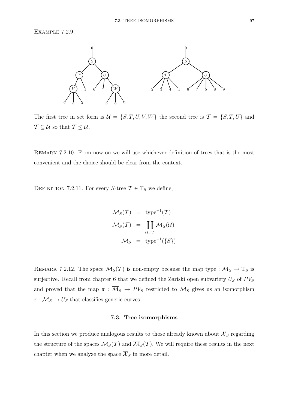Example 7.2.9.



The first tree in set form is  $\mathcal{U} = \{S, T, U, V, W\}$  the second tree is  $\mathcal{T} = \{S, T, U\}$  and  $\mathcal{T} \subseteq \mathcal{U}$  so that  $\mathcal{T} \leq \mathcal{U}$ .

REMARK 7.2.10. From now on we will use whichever definition of trees that is the most convenient and the choice should be clear from the context.

DEFINITION 7.2.11. For every S-tree  $\mathcal{T} \in \mathbb{T}_S$  we define,

$$
\mathcal{M}_S(\mathcal{T}) = \text{ type}^{-1}(\mathcal{T})
$$

$$
\overline{\mathcal{M}}_S(\mathcal{T}) = \coprod_{\mathcal{U} \supseteq \mathcal{T}} \mathcal{M}_S(\mathcal{U})
$$

$$
\mathcal{M}_S = \text{ type}^{-1}(\{S\})
$$

REMARK 7.2.12. The space  $\mathcal{M}_S(\mathcal{T})$  is non-empty because the map type :  $\overline{\mathcal{M}}_S \to \mathbb{T}_S$  is surjective. Recall from chapter 6 that we defined the Zariski open subvariety  $U_S$  of  $PV_S$ and proved that the map  $\pi : \overline{\mathcal{M}}_S \to \overline{PV}_S$  restricted to  $\mathcal{M}_S$  gives us an isomorphism  $\pi : \mathcal{M}_S \to U_S$  that classifies generic curves.

#### **7.3. Tree isomorphisms**

In this section we produce analogous results to those already known about  $\overline{\mathcal{X}}_S$  regarding the structure of the spaces  $\mathcal{M}_S(\mathcal{T})$  and  $\overline{\mathcal{M}}_S(\mathcal{T})$ . We will require these results in the next chapter when we analyze the space  $\overline{\mathcal{X}}_S$  in more detail.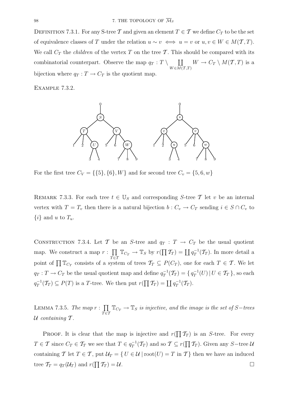DEFINITION 7.3.1. For any S-tree T and given an element  $T \in \mathcal{T}$  we define  $C_T$  to be the set of equivalence classes of T under the relation  $u \sim v \iff u = v$  or  $u, v \in W \in M(T, T)$ . We call  $C_T$  the *children* of the vertex T on the tree T. This should be compared with its combinatorial counterpart. Observe the map  $q_T : T \setminus \Box$  $W \in \overline{M(T,T)}$  $W \to C_T \setminus M(\mathcal{T},T)$  is a bijection where  $q_T : T \to C_T$  is the quotient map.

Example 7.3.2.



For the first tree  $C_V = \{\{5\}, \{6\}, W\}$  and for second tree  $C_v = \{5, 6, w\}$ 

REMARK 7.3.3. For each tree  $t \in \mathbb{U}_S$  and corresponding S-tree T let v be an internal vertex with  $T = T_v$  then there is a natural bijection  $b : C_v \to C_T$  sending  $i \in S \cap C_v$  to  $\{i\}$  and u to  $T_u$ .

CONSTRUCTION 7.3.4. Let T be an S-tree and  $q_T : T \to C_T$  be the usual quotient map. We construct a map  $r : \prod$  $\prod_{T \in \mathcal{T}} \mathbb{T}_{C_T} \to \mathbb{T}_S$  by  $r(\prod \mathcal{T}_T) = \coprod q_T^{-1}(\mathcal{T}_T)$ . In more detail a point of  $\prod \mathbb{T}_{C_T}$  consists of a system of trees  $\mathcal{T}_T \subseteq P(C_T)$ , one for each  $T \in \mathcal{T}$ . We let  $q_T: T \to C_T$  be the usual quotient map and define  $q_T^{-1}(\mathcal{T}_T) = \{ q_T^{-1}(U) \, | \, U \in \mathcal{T}_T \}$ , so each  $q_T^{-1}(\mathcal{T}_T) \subseteq P(T)$  is a T-tree. We then put  $r(\prod \mathcal{T}_T) = \coprod q_T^{-1}(\mathcal{T}_T)$ .

LEMMA 7.3.5. The map  $r: \prod$  $\prod_{T \in \mathcal{T}} \mathbb{T}_{C_T} \to \mathbb{T}_S$  is injective, and the image is the set of S−trees  $U$  containing  $T$ .

PROOF. It is clear that the map is injective and  $r(\prod T_T)$  is an S-tree. For every  $T \in \mathcal{T}$  since  $C_T \in \mathcal{T}_T$  we see that  $T \in q_T^{-1}(\mathcal{T}_T)$  and so  $\mathcal{T} \subseteq r(\prod \mathcal{T}_T)$ . Given any S-tree  $\mathcal{U}$ containing T let  $T \in \mathcal{T}$ , put  $\mathcal{U}_T = \{ U \in \mathcal{U} \mid \text{root}(U) = T \text{ in } \mathcal{T} \}$  then we have an induced tree  $\mathcal{T}_T = q_T(\mathcal{U}_T)$  and  $r(\prod \mathcal{T}_T) = \mathcal{U}$ .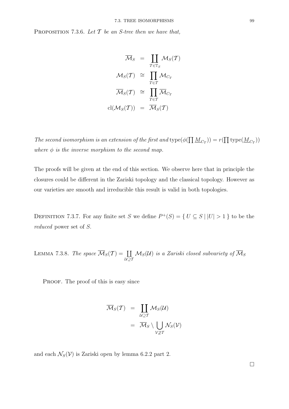PROPOSITION 7.3.6. Let  $T$  be an S-tree then we have that,

$$
\overline{\mathcal{M}}_S = \prod_{\mathcal{T} \in \mathbb{T}_S} \mathcal{M}_S(\mathcal{T})
$$

$$
\mathcal{M}_S(\mathcal{T}) \cong \prod_{T \in \mathcal{T}} \mathcal{M}_{C_T}
$$

$$
\overline{\mathcal{M}}_S(\mathcal{T}) \cong \prod_{T \in \mathcal{T}} \overline{\mathcal{M}}_{C_T}
$$

$$
cl(\mathcal{M}_S(\mathcal{T})) = \overline{\mathcal{M}}_S(\mathcal{T})
$$

The second isomorphism is an extension of the first and  $\text{type}(\phi(\prod \underline{M}_{C_T})) = r(\prod \text{type}(\underline{M}_{C_T}))$ where  $\phi$  is the inverse morphism to the second map.

The proofs will be given at the end of this section. We observe here that in principle the closures could be different in the Zariski topology and the classical topology. However as our varieties are smooth and irreducible this result is valid in both topologies.

DEFINITION 7.3.7. For any finite set S we define  $P^+(S) = \{ U \subseteq S \mid |U| > 1 \}$  to be the reduced power set of S.

LEMMA 7.3.8. The space  $\overline{\mathcal{M}}_S(\mathcal{T}) = \coprod$ U⊇T  $\mathcal{M}_S(\mathcal{U})$  is a Zariski closed subvariety of  $\mathcal{M}_S$ 

PROOF. The proof of this is easy since

$$
\overline{\mathcal{M}}_S(\mathcal{T}) = \coprod_{\mathcal{U}\supseteq\mathcal{T}} \mathcal{M}_S(\mathcal{U})
$$

$$
= \overline{\mathcal{M}}_S \setminus \bigcup_{\mathcal{V}\not\supseteq\mathcal{T}} \mathcal{N}_S(\mathcal{V})
$$

and each  $\mathcal{N}_S(\mathcal{V})$  is Zariski open by lemma 6.2.2 part 2.

 $\Box$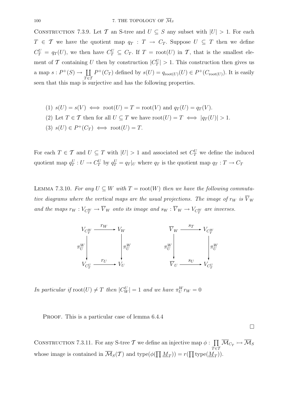CONSTRUCTION 7.3.9. Let T an S-tree and  $U \subseteq S$  any subset with  $|U| > 1$ . For each  $T \in \mathcal{T}$  we have the quotient map  $q_T : T \to C_T$ . Suppose  $U \subseteq T$  then we define  $C_T^U = q_T(U)$ , we then have  $C_T^U \subseteq C_T$ . If  $T = \text{root}(U)$  in  $\mathcal{T}$ , that is the smallest element of T containing U then by construction  $|C_T^U| > 1$ . This construction then gives us a map  $s: P^+(S) \to \coprod$  $\tau \equiv 1$  $P^+(C_T)$  defined by  $s(U) = q_{\text{root}(U)}(U) \in P^+(C_{\text{root}(U)})$ . It is easily seen that this map is surjective and has the following properties.

(1) 
$$
s(U) = s(V) \iff \text{root}(U) = T = \text{root}(V)
$$
 and  $q_T(U) = q_T(V)$ .

(2) Let 
$$
T \in \mathcal{T}
$$
 then for all  $U \subseteq T$  we have  $root(U) = T \iff |q_T(U)| > 1$ .

$$
(3) s(U) \in P^+(C_T) \iff \text{root}(U) = T.
$$

For each  $T \in \mathcal{T}$  and  $U \subseteq T$  with  $|U| > 1$  and associated set  $C_T^U$  we define the induced quotient map  $q_T^U: U \to C_T^U$  by  $q_T^U = q_T|_U$  where  $q_T$  is the quotient map  $q_T: T \to C_T$ 

LEMMA 7.3.10. For any  $U \subseteq W$  with  $T = \text{root}(W)$  then we have the following commutative diagrams where the vertical maps are the usual projections. The image of  $r_W$  is  $\overline{V}_W$ and the maps  $r_W : V_{C_T^W} \to V_W$  onto its image and  $s_W : V_W \to V_{C_T^W}$  are inverses.



In particular if  $\text{root}(U) \neq T$  then  $|C_W^U| = 1$  and we have  $\pi_U^W r_W = 0$ 

PROOF. This is a particular case of lemma  $6.4.4$ 

 $\Box$ 

CONSTRUCTION 7.3.11. For any S-tree T we define an injective map  $\phi : \prod$  $\prod_{T\in\mathcal{T}}\mathcal{M}_{C_T}\rightarrowtail\mathcal{M}_S$ whose image is contained in  $\overline{\mathcal{M}}_S(\mathcal{T})$  and  $\text{type}(\phi(\prod \underline{M}_T)) = r(\prod \text{type}(\underline{M}_T)).$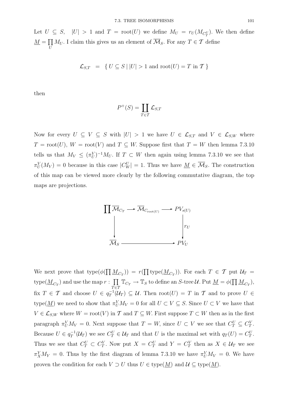Let  $U \subseteq S$ ,  $|U| > 1$  and  $T = \text{root}(U)$  we define  $M_U = r_U(M_{C_T^U})$ . We then define  $\overline{M} = \overline{\prod}$  $\prod_{U} M_{U}$ . I claim this gives us an element of  $\mathcal{M}_{S}$ . For any  $T \in \mathcal{T}$  define

$$
\mathcal{L}_{S,T} = \{ U \subseteq S \mid |U| > 1 \text{ and } \text{root}(U) = T \text{ in } T \}
$$

then

$$
P^+(S) = \coprod_{T \in \mathcal{T}} \mathcal{L}_{S,T}
$$

Now for every  $U \subseteq V \subseteq S$  with  $|U| > 1$  we have  $U \in \mathcal{L}_{S,T}$  and  $V \in \mathcal{L}_{S,W}$  where  $T = root(U)$ ,  $W = root(V)$  and  $T \subseteq W$ . Suppose first that  $T = W$  then lemma 7.3.10 tells us that  $M_V \leq (\pi_U^V)^{-1} M_U$ . If  $T \subset W$  then again using lemma 7.3.10 we see that  $\pi_U^V(M_V) = 0$  because in this case  $|C_W^U| = 1$ . Thus we have  $M \in \overline{\mathcal{M}}_S$ . The construction of this map can be viewed more clearly by the following commutative diagram, the top maps are projections.



We next prove that  $type(\phi(\prod \underline{M}_{C_T})) = r(\prod type(\underline{M}_{C_T}))$ . For each  $T \in \mathcal{T}$  put  $\mathcal{U}_T =$  $type(\underline{M}_{C_T})$  and use the map  $r : \prod$  $\prod_{T \in \mathcal{T}} \mathbb{T}_{C_T} \to \mathbb{T}_S$  to define an *S*-tree *U*. Put  $\underline{M} = \phi(\prod \underline{M}_{C_T}),$ fix  $T \in \mathcal{T}$  and choose  $U \in q_T^{-1}(\mathcal{U}_T) \subseteq \mathcal{U}$ . Then  $\text{root}(U) = T$  in  $\mathcal{T}$  and to prove  $U \in$ type( $\underline{M}$ ) we need to show that  $\pi_U^V M_V = 0$  for all  $U \subset V \subseteq S$ . Since  $U \subset V$  we have that  $V \in \mathcal{L}_{S,W}$  where  $W = \text{root}(V)$  in T and  $T \subseteq W$ . First suppose  $T \subset W$  then as in the first paragraph  $\pi_U^V M_V = 0$ . Next suppose that  $T = W$ , since  $U \subset V$  we see that  $C_T^U \subseteq C_T^V$ . Because  $U \in q_T^{-1}(\mathcal{U}_T)$  we see  $C_T^U \in \mathcal{U}_T$  and that U is the maximal set with  $q_T(U) = C_T^U$ . Thus we see that  $C_T^U \subset C_T^V$ . Now put  $X = C_T^U$  and  $Y = C_T^V$  then as  $X \in \mathcal{U}_T$  we see  $\pi_X^Y M_Y = 0$ . Thus by the first diagram of lemma 7.3.10 we have  $\pi_U^V M_V = 0$ . We have proven the condition for each  $V \supset U$  thus  $U \in \text{type}(\underline{M})$  and  $\mathcal{U} \subseteq \text{type}(\underline{M})$ .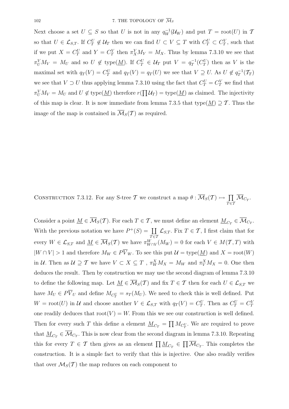Next choose a set  $U \subseteq S$  so that U is not in any  $q_W^{-1}(\mathcal{U}_W)$  and put  $T = \text{root}(U)$  in T so that  $U \in \mathcal{L}_{S,T}$ . If  $C_T^U \notin \mathcal{U}_T$  then we can find  $U \subset V \subseteq T$  with  $C_T^U \subset C_T^V$ , such that if we put  $X = C_T^U$  and  $Y = C_T^V$  then  $\pi_X^Y M_Y = M_X$ . Thus by lemma 7.3.10 we see that  $\pi_U^V M_V = M_U$  and so  $U \notin \text{type}(\underline{M})$ . If  $C_T^U \in \mathcal{U}_T$  put  $V = q_T^{-1}(C_T^U)$  then as V is the maximal set with  $q_T(V) = C_T^U$  and  $q_T(V) = q_T(U)$  we see that  $V \supseteq U$ . As  $U \notin q_T^{-1}(\mathcal{T}_T)$ we see that  $V \supset U$  thus applying lemma 7.3.10 using the fact that  $C_T^U = C_T^V$  we find that  $\pi_U^V M_V = M_U$  and  $U \notin \text{type}(\underline{M})$  therefore  $r(\prod \mathcal{U}_T) = \text{type}(\underline{M})$  as claimed. The injectivity of this map is clear. It is now immediate from lemma 7.3.5 that type( $M$ )  $\supseteq \mathcal{T}$ . Thus the image of the map is contained in  $\overline{\mathcal{M}}_S(\mathcal{T})$  as required.

CONSTRUCTION 7.3.12. For any S-tree T we construct a map  $\theta : \overline{\mathcal{M}}_S(\mathcal{T}) \rightarrow \prod$  $\prod_{T \in \mathcal{T}}\mathcal{M}_{C_T}.$ 

Consider a point  $\underline{M} \in \overline{\mathcal{M}}_S(\mathcal{T})$ . For each  $T \in \mathcal{T}$ , we must define an element  $\underline{M}_{C_T} \in \overline{\mathcal{M}}_{C_T}$ . With the previous notation we have  $P^+(S) = \coprod$  $\tau \equiv 1$  $\mathcal{L}_{S,T}$ . Fix  $T \in \mathcal{T}$ , I first claim that for every  $W \in \mathcal{L}_{S,T}$  and  $\underline{M} \in \overline{\mathcal{M}}_S(\mathcal{T})$  we have  $\pi^W_{W \cap V}(M_W) = 0$  for each  $V \in M(\mathcal{T},T)$  with  $|W \cap V| > 1$  and therefore  $M_W \in P\overline{V}_W$ . To see this put  $\mathcal{U} = \text{type}(\underline{M})$  and  $X = \text{root}(W)$ in U. Then as  $U \supseteq T$  we have  $V \subset X \subseteq T$ ,  $\pi_W^X M_X = M_W$  and  $\pi_V^X M_X = 0$ . One then deduces the result. Then by construction we may use the second diagram of lemma 7.3.10 to define the following map. Let  $\underline{M} \in \overline{\mathcal{M}}_S(\mathcal{T})$  and fix  $T \in \mathcal{T}$  then for each  $U \in \mathcal{L}_{S,T}$  we have  $M_U \in PV_U$  and define  $M_{C_T^U} = s_T(M_U)$ . We need to check this is well defined. Put  $W = \text{root}(U)$  in U and choose another  $V \in \mathcal{L}_{S,T}$  with  $q_T(V) = C_T^U$ . Then as  $C_T^U = C_T^V$ one readily deduces that  $root(V) = W$ . From this we see our construction is well defined. Then for every such T this define a element  $\underline{M}_{C_T} = \prod M_{C_T^U}$ . We are required to prove that  $\underline{M}_{C_T} \in \overline{\mathcal{M}}_{C_T}$ . This is now clear from the second diagram in lemma 7.3.10. Repeating this for every  $T \in \mathcal{T}$  then gives as an element  $\prod \underline{M}_{C_T} \in \prod \overline{M}_{C_T}$ . This completes the construction. It is a simple fact to verify that this is injective. One also readily verifies that over  $\mathcal{M}_S(\mathcal{T})$  the map reduces on each component to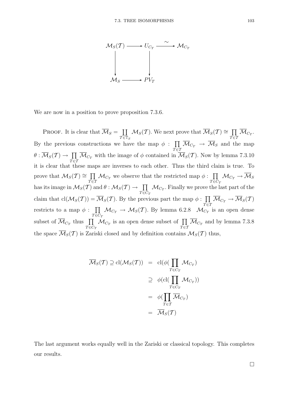

We are now in a position to prove proposition 7.3.6.

**PROOF.** It is clear that  $\overline{\mathcal{M}}_S = \coprod$  $\tau \overline{\epsilon}\mathbb{T}_S$  $\mathcal{M}_S(\mathcal{T})$ . We next prove that  $\overline{\mathcal{M}}_S(\mathcal{T}) \cong \prod$  $\prod_{T \in \mathcal{T}}\mathcal{M}_{C_T}.$ By the previous constructions we have the map  $\phi$ :  $\prod$  $\prod_{T \in \mathcal{T}} \mathcal{M}_{C_T} \rightarrow \mathcal{M}_S$  and the map  $\theta : \overline{\mathcal{M}}_S(\mathcal{T}) \rightarrow \prod$  $\prod_{T \in \mathcal{T}} \mathcal{M}_{C_T}$  with the image of  $\phi$  contained in  $\mathcal{M}_S(\mathcal{T})$ . Now by lemma 7.3.10 it is clear that these maps are inverses to each other. Thus the third claim is true. To prove that  $\mathcal{M}_S(\mathcal{T}) \cong \prod$  $\prod_{T \in \mathcal{T}} \mathcal{M}_{C_T}$  we observe that the restricted map  $\phi : \prod_{T \in \mathcal{C}}$  $T \bar{\in} \bar{C}_T$  $\mathcal{M}_{C_T}\to \mathcal{M}_S$ has its image in  $\mathcal{M}_S(\mathcal{T})$  and  $\theta : \mathcal{M}_S(\mathcal{T}) \to \Pi$  $T \bar{\in} \bar{C}_T$  $\mathcal{M}_{C_T}.$  Finally we prove the last part of the claim that  $\text{cl}(\mathcal{M}_S(\mathcal{T})) = \overline{\mathcal{M}}_S(\mathcal{T})$ . By the previous part the map  $\phi : \prod$  $\prod_{T \in \mathcal{T}}\mathcal{M}_{C_T} \to \mathcal{M}_S(\mathcal{T})$ restricts to a map  $\phi : \Pi$  $\tau$ ē $\tilde{c}_{\tau}$  $\mathcal{M}_{C_T} \to \mathcal{M}_S(T)$ . By lemma 6.2.8  $\mathcal{M}_{C_T}$  is an open dense subset of  $\overline{\mathcal{M}}_{C_T}$  thus  $\prod$  $T \bar{\in} \bar{C}_T$  $\mathcal{M}_{C_T}$  is an open dense subset of  $\prod$  $\prod_{T \in \mathcal{T}} \mathcal{M}_{C_T}$  and by lemma 7.3.8 the space  $\overline{\mathcal{M}}_S(\mathcal{T})$  is Zariski closed and by definition contains  $\mathcal{M}_S(\mathcal{T})$  thus,

$$
\overline{\mathcal{M}}_S(\mathcal{T}) \supseteq \text{cl}(\mathcal{M}_S(\mathcal{T})) = \text{cl}(\phi(\prod_{T \in C_T} \mathcal{M}_{C_T})
$$
\n
$$
\supseteq \phi(\text{cl}(\prod_{T \in C_T} \mathcal{M}_{C_T}))
$$
\n
$$
= \phi(\prod_{T \in \mathcal{T}} \overline{\mathcal{M}}_{C_T})
$$
\n
$$
= \overline{\mathcal{M}}_S(\mathcal{T})
$$

The last argument works equally well in the Zariski or classical topology. This completes our results.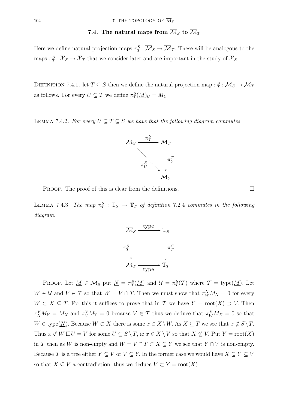## 7.4. The natural maps from  $\overline{\mathcal{M}}_S$  to  $\overline{\mathcal{M}}_T$

Here we define natural projection maps  $\pi_T^S : \overline{\mathcal{M}}_S \to \overline{\mathcal{M}}_T$ . These will be analogous to the maps  $\pi_T^S : \overline{X}_S \to \overline{X}_T$  that we consider later and are important in the study of  $\overline{X}_S$ .

DEFINITION 7.4.1. let  $T \subseteq S$  then we define the natural projection map  $\pi_T^S : \overline{\mathcal{M}}_S \to \overline{\mathcal{M}}_T$ as follows. For every  $U \subseteq T$  we define  $\pi_T^S(\underline{M})_U = M_U$ 

LEMMA 7.4.2. For every  $U \subseteq T \subseteq S$  we have that the following diagram commutes



**PROOF.** The proof of this is clear from the definitions.  $\square$ 

LEMMA 7.4.3. The map  $\pi_T^S : \mathbb{T}_S \to \mathbb{T}_T$  of definition 7.2.4 commutes in the following diagram.



**PROOF.** Let  $\underline{M} \in \overline{\mathcal{M}}_S$  put  $\underline{N} = \pi_T^S(\underline{M})$  and  $\mathcal{U} = \pi_T^S(\mathcal{T})$  where  $\mathcal{T} = \text{type}(\underline{M})$ . Let  $W \in \mathcal{U}$  and  $V \in \mathcal{T}$  so that  $W = V \cap T$ . Then we must show that  $\pi_W^X M_X = 0$  for every  $W \subset X \subseteq T$ . For this it suffices to prove that in T we have  $Y = \text{root}(X) \supset V$ . Then  $\pi_X^Y M_Y = M_X$  and  $\pi_Y^Y M_Y = 0$  because  $V \in \mathcal{T}$  thus we deduce that  $\pi_W^X M_X = 0$  so that  $W \in \text{type}(\underline{N})$ . Because  $W \subset X$  there is some  $x \in X \setminus W$ . As  $X \subseteq T$  we see that  $x \notin S \setminus T$ . Thus  $x \notin W \amalg U = V$  for some  $U \subseteq S \setminus T$ , ie  $x \in X \setminus V$  so that  $X \nsubseteq V$ . Put  $Y = \text{root}(X)$ in T then as W is non-empty and  $W = V \cap T \subset X \subseteq Y$  we see that  $Y \cap V$  is non-empty. Because  $\mathcal T$  is a tree either  $Y \subseteq V$  or  $V \subseteq Y$ . In the former case we would have  $X \subseteq Y \subseteq V$ so that  $X \subseteq V$  a contradiction, thus we deduce  $V \subset Y = \text{root}(X)$ .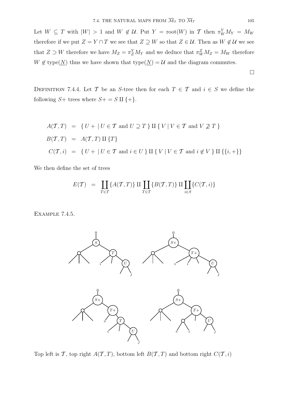Let  $W \subseteq T$  with  $|W| > 1$  and  $W \notin U$ . Put  $Y = \text{root}(W)$  in T then  $\pi_W^Y M_Y = M_W$ therefore if we put  $Z = Y \cap T$  we see that  $Z \supseteq W$  so that  $Z \in \mathcal{U}$ . Then as  $W \notin \mathcal{U}$  we see that  $Z \supset W$  therefore we have  $M_Z = \pi_Z^Y M_Y$  and we deduce that  $\pi_W^Z M_Z = M_W$  therefore  $W \notin \text{type}(\underline{N})$  thus we have shown that  $\text{type}(\underline{N}) = \mathcal{U}$  and the diagram commutes.

DEFINITION 7.4.4. Let T be an S-tree then for each  $T \in \mathcal{T}$  and  $i \in S$  we define the following  $S+$  trees where  $S+=S\amalg \{+\}.$ 

$$
A(\mathcal{T}, T) = \{ U + | U \in \mathcal{T} \text{ and } U \supseteq T \} \amalg \{ V | V \in \mathcal{T} \text{ and } V \not\supseteq T \}
$$
  

$$
B(\mathcal{T}, T) = A(\mathcal{T}, T) \amalg \{ T \}
$$
  

$$
C(\mathcal{T}, i) = \{ U + | U \in \mathcal{T} \text{ and } i \in U \} \amalg \{ V | V \in \mathcal{T} \text{ and } i \notin V \} \amalg \{ \{ i, + \} \}
$$

We then define the set of trees

$$
E(\mathcal{T}) \;\; = \;\; \coprod_{T \in \mathcal{T}} \{A(\mathcal{T},T)\} \amalg \coprod_{T \in \mathcal{T}} \{B(\mathcal{T},T)\} \amalg \coprod_{i \in S} \{C(\mathcal{T},i)\}
$$

Example 7.4.5.



Top left is T, top right  $A(T, T)$ , bottom left  $B(T, T)$  and bottom right  $C(T, i)$ 

 $\Box$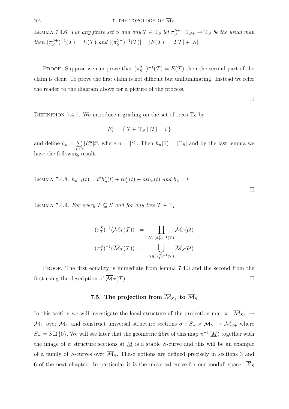LEMMA 7.4.6. For any finite set S and any  $\mathcal{T} \in \mathbb{T}_S$  let  $\pi_S^{S+} : \mathbb{T}_{S+} \to \mathbb{T}_S$  be the usual map then  $(\pi_S^{S+})^{-1}(\mathcal{T}) = E(\mathcal{T})$  and  $|(\pi_S^{S+})^{-1}(\mathcal{T})| = |E(\mathcal{T})| = 2|\mathcal{T}| + |S|$ 

PROOF. Suppose we can prove that  $(\pi_S^{S+})^{-1}(\mathcal{T}) = E(\mathcal{T})$  then the second part of the claim is clear. To prove the first claim is not difficult but unilluminating. Instead we refer the reader to the diagram above for a picture of the process.

 $\Box$ 

 $\Box$ 

DEFINITION 7.4.7. We introduce a grading on the set of trees  $\mathbb{T}_S$  by

$$
E_i^n = \{ \mathcal{T} \in \mathbb{T}_S \mid |\mathcal{T}| = i \}
$$

and define  $h_n = \sum$  $\sum_{i>0}$  $|E_i^n|t^i$ , where  $n = |S|$ . Then  $h_n(1) = |\mathbb{T}_S|$  and by the last lemma we have the following result.

LEMMA 7.4.8.  $h_{n+1}(t) = t^2 h'_n(t) + t h'_n(t) + n t h_n(t)$  and  $h_2 = t$ 

LEMMA 7.4.9. For every  $T \subseteq S$  and for any tree  $T \in \mathbb{T}_T$ 

$$
(\pi_T^S)^{-1}(\mathcal{M}_T(T)) = \coprod_{\mathcal{U} \in (\pi_T^S)^{-1}(T)} \mathcal{M}_S(\mathcal{U})
$$

$$
(\pi_T^S)^{-1}(\overline{\mathcal{M}}_T(T)) = \bigcup_{\mathcal{U} \in (\pi_T^S)^{-1}(T)} \overline{\mathcal{M}}_S(\mathcal{U})
$$

PROOF. The first equality is immediate from lemma 7.4.3 and the second from the first using the description of  $\overline{\mathcal{M}}_T(\mathcal{T})$ .

# 7.5. The projection from  $\overline{\mathcal{M}}_{S+}$  to  $\overline{\mathcal{M}}_S$

In this section we will investigate the local structure of the projection map  $\pi : \overline{\mathcal{M}}_{S+} \to$  $\overline{\mathcal{M}}_S$  over  $\mathcal{M}_S$  and construct universal structure sections  $\sigma : S_+ \times \overline{\mathcal{M}}_S \to \overline{\mathcal{M}}_{S+}$  where  $S_+ = S \amalg \{0\}$ . We will see later that the geometric fibre of this map  $\pi^{-1}(\underline{M})$  together with the image of it structure sections at  $M$  is a stable S-curve and this will be an example of a family of S-curves over  $\overline{\mathcal{M}}_S$ . These notions are defined precisely in sections 3 and 6 of the next chapter. In particular it is the universal curve for our moduli space.  $\overline{\mathcal{X}}_S$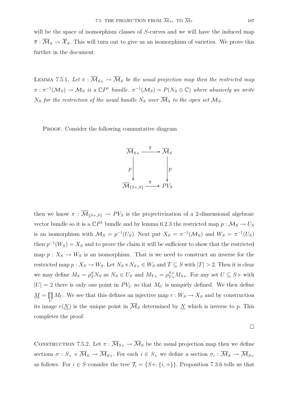will be the space of isomorphism classes of S-curves and we will have the induced map  $\overline{\pi}$ :  $\overline{\mathcal{M}}_S \to \overline{\mathcal{X}}_S$ . This will turn out to give us an isomorphism of varieties. We prove this further in the document.

LEMMA 7.5.1. Let  $\pi : \overline{M}_{S+} \to \overline{M}_S$  be the usual projection map then the restricted map  $\pi : \pi^{-1}(\mathcal{M}_S) \to \mathcal{M}_S$  is a  $\mathbb{C}P^1$  bundle.  $\pi^{-1}(\mathcal{M}_S) = P(N_S \oplus \mathbb{C})$  where abusively we write  $N_S$  for the restriction of the usual bundle  $N_S$  over  $\overline{\mathcal{M}}_S$  to the open set  $\mathcal{M}_S$ .

PROOF. Consider the following commutative diagram



then we know  $\pi$  :  $\overline{\mathcal{M}}_{\{S_+,S\}} \to PV_S$  is the projectivization of a 2-dimensional algebraic vector bundle so it is a  $\mathbb{C}P^1$  bundle and by lemma 6.2.3 the restricted map  $p : \mathcal{M}_S \to U_S$ is an isomorphism with  $\mathcal{M}_S = p^{-1}(U_S)$ . Next put  $X_S = \pi^{-1}(\mathcal{M}_S)$  and  $W_S = \pi^{-1}(U_S)$ then  $p^{-1}(W_S) = X_S$  and to prove the claim it will be sufficient to show that the restricted map  $p: X_S \to W_S$  is an isomorphism. That is we need to construct an inverse for the restricted map  $p: X_S \to W_S$ . Let  $N_S \times N_{S+} \in W_S$  and  $T \subseteq S$  with  $|T| > 2$ . Then it is clear we may define  $M_S = \rho_T^S N_S$  as  $N_S \in U_S$  and  $M_{T+} = \rho_{T+}^{S+} M_{S+}$ . For any set  $U \subseteq S+$  with  $|U| = 2$  there is only one point in  $PV_U$  so that  $M_U$  is uniquely defined. We then define  $\overline{M} = \overline{\prod}$  $\prod_{U} M_{U}$ . We see that this defines an injective map  $r : W_{S} \to X_{S}$  and by construction its image  $r(N)$  is the unique point in  $\overline{\mathcal{M}}_S$  determined by N which is inverse to p. This completes the proof.

 $\Box$ 

CONSTRUCTION 7.5.2. Let  $\pi : \overline{\mathcal{M}}_{S+} \to \overline{\mathcal{M}}_S$  be the usual projection map then we define sections  $\sigma : S_+ \times \overline{\mathcal{M}}_S \to \overline{\mathcal{M}}_{S+}$ . For each  $i \in S_+$  we define a section  $\sigma_i : \overline{\mathcal{M}}_S \to \overline{\mathcal{M}}_{S+}$ as follows. For  $i \in S$  consider the tree  $\mathcal{T}_i = \{S+, \{i, +\}\}\.$  Proposition 7.3.6 tells us that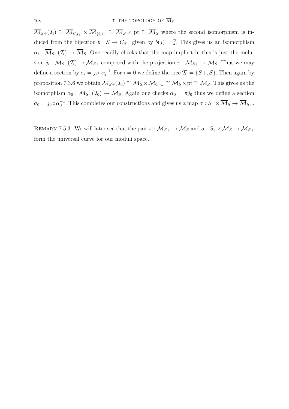$\overline{\mathcal{M}}_{S+}(\mathcal{T}_i) \cong \overline{\mathcal{M}}_{C_{S+}} \times \overline{\mathcal{M}}_{\{i,+\}} \cong \overline{\mathcal{M}}_S \times \text{pt} \cong \overline{\mathcal{M}}_S$  where the second isomorphism is induced from the bijection  $b : S \to C_{S+}$  given by  $b(j) = \overline{j}$ . This gives us an isomorphism  $\alpha_i : \overline{\mathcal{M}}_{S+}(\mathcal{T}_i) \to \overline{\mathcal{M}}_S$ . One readily checks that the map implicit in this is just the inclusion  $j_i : \overline{\mathcal{M}}_{S+}(\mathcal{T}_i) \to \overline{\mathcal{M}}_{S+}$  composed with the projection  $\pi : \overline{\mathcal{M}}_{S+} \to \overline{\mathcal{M}}_S$ . Thus we may define a section by  $\sigma_i = j_i \circ \alpha_i^{-1}$ . For  $i = 0$  we define the tree  $\mathcal{T}_0 = \{S_+, S\}$ . Then again by proposition 7.3.6 we obtain  $\overline{\mathcal{M}}_{S+}(\mathcal{T}_0) \cong \overline{\mathcal{M}}_S \times \overline{\mathcal{M}}_{C_{S+}} \cong \overline{\mathcal{M}}_S \times$  pt  $\cong \overline{\mathcal{M}}_S$ . This gives us the isomorphism  $\alpha_0 : \overline{\mathcal{M}}_{S+}(\mathcal{T}_0) \to \overline{\mathcal{M}}_S$ . Again one checks  $\alpha_0 = \pi j_0$  thus we define a section  $\sigma_0 = j_0 \circ \alpha_0^{-1}$ . This completes our constructions and gives us a map  $\sigma : S_+ \times \overline{\mathcal{M}}_S \to \overline{\mathcal{M}}_{S+}$ .

REMARK 7.5.3. We will later see that the pair  $\pi : \overline{\mathcal{M}}_{S+} \to \overline{\mathcal{M}}_S$  and  $\sigma : S_+ \times \overline{\mathcal{M}}_S \to \overline{\mathcal{M}}_{S+}$ form the universal curve for our moduli space.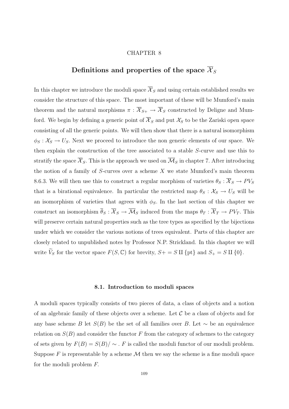#### CHAPTER 8

# Definitions and properties of the space  $\overline{\mathcal{X}}_S$

In this chapter we introduce the moduli space  $\overline{\mathcal{X}}_S$  and using certain established results we consider the structure of this space. The most important of these will be Mumford's main theorem and the natural morphisms  $\pi : \overline{X}_{S+} \to \overline{X}_S$  constructed by Deligne and Mumford. We begin by defining a generic point of  $\overline{\mathcal{X}}_S$  and put  $\mathcal{X}_S$  to be the Zariski open space consisting of all the generic points. We will then show that there is a natural isomorphism  $\phi_S : \mathcal{X}_S \to U_S$ . Next we proceed to introduce the non generic elements of our space. We then explain the construction of the tree associated to a stable S-curve and use this to stratify the space  $\overline{\mathcal{X}}_S$ . This is the approach we used on  $\overline{\mathcal{M}}_S$  in chapter 7. After introducing the notion of a family of  $S$ -curves over a scheme  $X$  we state Mumford's main theorem 8.6.3. We will then use this to construct a regular morphism of varieties  $\theta_S : \overline{X}_S \to PV_S$ that is a birational equivalence. In particular the restricted map  $\theta_S : \mathcal{X}_S \to U_S$  will be an isomorphism of varieties that agrees with  $\phi_S$ . In the last section of this chapter we construct an isomorphism  $\overline{\theta}_S : \overline{\mathcal{X}}_S \to \overline{\mathcal{M}}_S$  induced from the maps  $\theta_T : \overline{\mathcal{X}}_T \to PV_T$ . This will preserve certain natural properties such as the tree types as specified by the bijections under which we consider the various notions of trees equivalent. Parts of this chapter are closely related to unpublished notes by Professor N.P. Strickland. In this chapter we will write  $\widetilde{V}_S$  for the vector space  $F(S, \mathbb{C})$  for brevity,  $S+=S\amalg \{\text{pt}\}$  and  $S_+=S\amalg \{0\}.$ 

#### **8.1. Introduction to moduli spaces**

A moduli spaces typically consists of two pieces of data, a class of objects and a notion of an algebraic family of these objects over a scheme. Let  $\mathcal C$  be a class of objects and for any base scheme B let  $S(B)$  be the set of all families over B. Let  $\sim$  be an equivalence relation on  $S(B)$  and consider the functor F from the category of schemes to the category of sets given by  $F(B) = S(B)/\sim$ . F is called the moduli functor of our moduli problem. Suppose  $F$  is representable by a scheme  $\mathcal M$  then we say the scheme is a fine moduli space for the moduli problem F.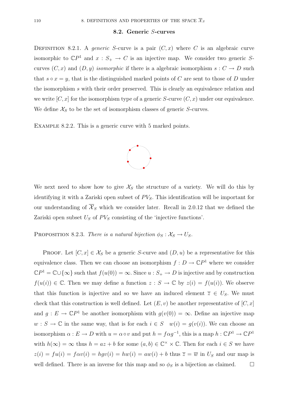### **8.2. Generic** S**-curves**

DEFINITION 8.2.1. A generic S-curve is a pair  $(C, x)$  where C is an algebraic curve isomorphic to  $\mathbb{C}P^1$  and  $x : S_+ \to C$  is an injective map. We consider two generic Scurves  $(C, x)$  and  $(D, y)$  isomorphic if there is a algebraic isomorphism  $s : C \to D$  such that  $s \circ x = y$ , that is the distinguished marked points of C are sent to those of D under the isomorphism s with their order preserved. This is clearly an equivalence relation and we write  $[C, x]$  for the isomorphism type of a generic S-curve  $(C, x)$  under our equivalence. We define  $\mathcal{X}_S$  to be the set of isomorphism classes of generic S-curves.

Example 8.2.2. This is a generic curve with 5 marked points.



We next need to show how to give  $\mathcal{X}_S$  the structure of a variety. We will do this by identifying it with a Zariski open subset of  $PV_S$ . This identification will be important for our understanding of  $\overline{\mathcal{X}}_S$  which we consider later. Recall in 2.0.12 that we defined the Zariski open subset  $U<sub>S</sub>$  of  $PV<sub>S</sub>$  consisting of the 'injective functions'.

PROPOSITION 8.2.3. There is a natural bijection  $\phi_S : \mathcal{X}_S \to U_S$ .

PROOF. Let  $[C, x] \in \mathcal{X}_S$  be a generic S-curve and  $(D, u)$  be a representative for this equivalence class. Then we can choose an isomorphism  $f: D \to \mathbb{C}P^1$  where we consider  $\mathbb{C}P^1 = \mathbb{C}\cup\{\infty\}$  such that  $f(u(0)) = \infty$ . Since  $u : S_+ \to D$  is injective and by construction  $f(u(i)) \in \mathbb{C}$ . Then we may define a function  $z : S \to \mathbb{C}$  by  $z(i) = f(u(i))$ . We observe that this function is injective and so we have an induced element  $\overline{z} \in U_S$ . We must check that this construction is well defined. Let  $(E, v)$  be another representative of  $[C, x]$ and  $g: E \to \mathbb{C}P^1$  be another isomorphism with  $g(v(0)) = \infty$ . Define an injective map  $w : S \to \mathbb{C}$  in the same way, that is for each  $i \in S \quad w(i) = g(v(i))$ . We can choose an isomorphism  $\alpha : E \to D$  with  $u = \alpha \circ v$  and put  $h = f \alpha g^{-1}$ , this is a map  $h : \mathbb{C}P^1 \to \mathbb{C}P^1$ with  $h(\infty) = \infty$  thus  $h = az + b$  for some  $(a, b) \in \mathbb{C}^\times \times \mathbb{C}$ . Then for each  $i \in S$  we have  $z(i) = fu(i) = f\alpha v(i) = hgv(i) = hw(i) = aw(i) + b$  thus  $\overline{z} = \overline{w}$  in  $U_S$  and our map is well defined. There is an inverse for this map and so  $\phi_S$  is a bijection as claimed.  $\square$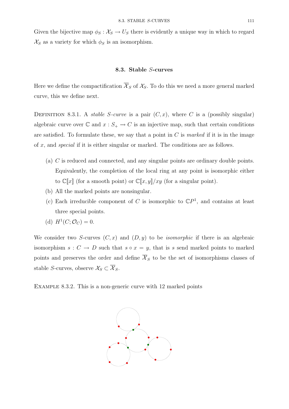Given the bijective map  $\phi_S : \mathcal{X}_S \to U_S$  there is evidently a unique way in which to regard  $\mathcal{X}_S$  as a variety for which  $\phi_S$  is an isomorphism.

### **8.3. Stable** S**-curves**

Here we define the compactification  $\overline{\mathcal{X}}_S$  of  $\mathcal{X}_S$ . To do this we need a more general marked curve, this we define next.

DEFINITION 8.3.1. A *stable S-curve* is a pair  $(C, x)$ , where C is a (possibly singular) algebraic curve over  $\mathbb C$  and  $x : S_+ \to C$  is an injective map, such that certain conditions are satisfied. To formulate these, we say that a point in  $C$  is marked if it is in the image of x, and special if it is either singular or marked. The conditions are as follows.

- (a) C is reduced and connected, and any singular points are ordinary double points. Equivalently, the completion of the local ring at any point is isomorphic either to  $\mathbb{C}[x]$  (for a smooth point) or  $\mathbb{C}[x,y]/xy$  (for a singular point).
- (b) All the marked points are nonsingular.
- (c) Each irreducible component of C is isomorphic to  $\mathbb{C}P<sup>1</sup>$ , and contains at least three special points.
- (d)  $H^1(C; \mathcal{O}_C) = 0.$

We consider two S-curves  $(C, x)$  and  $(D, y)$  to be *isomorphic* if there is an algebraic isomorphism  $s: C \to D$  such that  $s \circ x = y$ , that is s send marked points to marked points and preserves the order and define  $\overline{\mathcal{X}}_S$  to be the set of isomorphisms classes of stable S-curves, observe  $\mathcal{X}_S \subset \overline{\mathcal{X}}_S$ .

EXAMPLE 8.3.2. This is a non-generic curve with 12 marked points

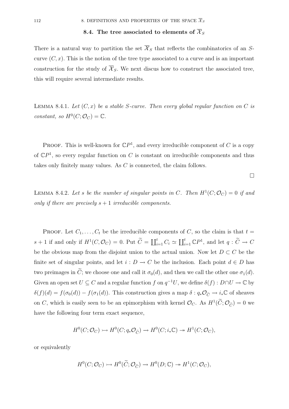# **8.4.** The tree associated to elements of  $\overline{X}_S$

There is a natural way to partition the set  $\overline{\mathcal{X}}_S$  that reflects the combinatorics of an Scurve  $(C, x)$ . This is the notion of the tree type associated to a curve and is an important construction for the study of  $\overline{\mathcal{X}}_S$ . We next discus how to construct the associated tree, this will require several intermediate results.

LEMMA 8.4.1. Let  $(C, x)$  be a stable S-curve. Then every global regular function on C is constant, so  $H^0(C; \mathcal{O}_C) = \mathbb{C}$ .

**PROOF.** This is well-known for  $\mathbb{C}P^1$ , and every irreducible component of C is a copy of  $\mathbb{C}P^1$ , so every regular function on C is constant on irreducible components and thus takes only finitely many values. As C is connected, the claim follows.

 $\Box$ 

LEMMA 8.4.2. Let s be the number of singular points in C. Then  $H^1(C; \mathcal{O}_C)=0$  if and only if there are precisely  $s + 1$  irreducible components.

PROOF. Let  $C_1, \ldots, C_t$  be the irreducible components of C, so the claim is that  $t =$  $s+1$  if and only if  $H^1(C, \mathcal{O}_C) = 0$ . Put  $\widetilde{C} = \coprod_{i=1}^t C_i \simeq \coprod_{i=1}^t \mathbb{C}P^1$ , and let  $q: \widetilde{C} \to C$ be the obvious map from the disjoint union to the actual union. Now let  $D \subset C$  be the finite set of singular points, and let  $i: D \to C$  be the inclusion. Each point  $d \in D$  has two preimages in  $\tilde{C}$ ; we choose one and call it  $\sigma_0(d)$ , and then we call the other one  $\sigma_1(d)$ . Given an open set  $U \subseteq C$  and a regular function f on  $q^{-1}U$ , we define  $\delta(f) : D \cap U \to \mathbb{C}$  by  $\delta(f)(d) = f(\sigma_0(d)) - f(\sigma_1(d))$ . This construction gives a map  $\delta : q_*\mathcal{O}_{\widetilde{C}} \to i_*\mathbb{C}$  of sheaves on C, which is easily seen to be an epimorphism with kernel  $\mathcal{O}_C$ . As  $H^1(\tilde{C}; \mathcal{O}_{\tilde{C}}) = 0$  we have the following four term exact sequence,

$$
H^0(C; \mathcal{O}_C) \rightarrowtail H^0(C; q_* \mathcal{O}_{\widetilde{C}}) \rightarrow H^0(C; i_* \mathbb{C}) \rightarrowtail H^1(C; \mathcal{O}_C),
$$

or equivalently

$$
H^0(C; \mathcal{O}_C) \rightarrowtail H^0(\widetilde{C}; \mathcal{O}_{\widetilde{C}}) \rightarrow H^0(D; \mathbb{C}) \rightarrowtail H^1(C; \mathcal{O}_C),
$$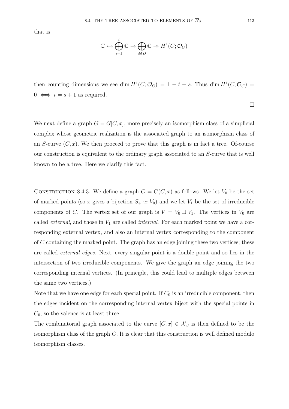that is

$$
\mathbb{C} \rightarrowtail \bigoplus_{i=1}^{t} \mathbb{C} \rightarrow \bigoplus_{d \in D} \mathbb{C} \rightarrowtail H^{1}(C; \mathcal{O}_{C})
$$

then counting dimensions we see dim  $H^1(C; \mathcal{O}_C) = 1 - t + s$ . Thus dim  $H^1(C, \mathcal{O}_C) =$  $0 \iff t = s + 1$  as required.

We next define a graph  $G = G[C, x]$ , more precisely an isomorphism class of a simplicial complex whose geometric realization is the associated graph to an isomorphism class of an S-curve  $(C, x)$ . We then proceed to prove that this graph is in fact a tree. Of-course our construction is equivalent to the ordinary graph associated to an S-curve that is well known to be a tree. Here we clarify this fact.

CONSTRUCTION 8.4.3. We define a graph  $G = G(C, x)$  as follows. We let  $V_0$  be the set of marked points (so x gives a bijection  $S_+ \simeq V_0$ ) and we let  $V_1$  be the set of irreducible components of C. The vertex set of our graph is  $V = V_0 \amalg V_1$ . The vertices in  $V_0$  are called *external*, and those in  $V_1$  are called *internal*. For each marked point we have a corresponding external vertex, and also an internal vertex corresponding to the component of C containing the marked point. The graph has an edge joining these two vertices; these are called external edges. Next, every singular point is a double point and so lies in the intersection of two irreducible components. We give the graph an edge joining the two corresponding internal vertices. (In principle, this could lead to multiple edges between the same two vertices.)

Note that we have one edge for each special point. If  $C_0$  is an irreducible component, then the edges incident on the corresponding internal vertex biject with the special points in  $C_0$ , so the valence is at least three.

The combinatorial graph associated to the curve  $[C, x] \in \overline{\mathcal{X}}_S$  is then defined to be the isomorphism class of the graph  $G$ . It is clear that this construction is well defined modulo isomorphism classes.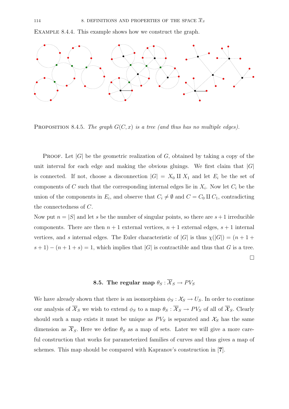Example 8.4.4. This example shows how we construct the graph.



PROPOSITION 8.4.5. The graph  $G(C, x)$  is a tree (and thus has no multiple edges).

**PROOF.** Let  $|G|$  be the geometric realization of G, obtained by taking a copy of the unit interval for each edge and making the obvious gluings. We first claim that  $|G|$ is connected. If not, choose a disconnection  $|G| = X_0 \amalg X_1$  and let  $E_i$  be the set of components of C such that the corresponding internal edges lie in  $X_i$ . Now let  $C_i$  be the union of the components in  $E_i$ , and observe that  $C_i \neq \emptyset$  and  $C = C_0 \amalg C_1$ , contradicting the connectedness of C.

Now put  $n = |S|$  and let s be the number of singular points, so there are  $s + 1$  irreducible components. There are then  $n + 1$  external vertices,  $n + 1$  external edges,  $s + 1$  internal vertices, and s internal edges. The Euler characteristic of  $|G|$  is thus  $\chi(|G|)=(n+1+1)$  $s + 1$ ) –  $(n + 1 + s) = 1$ , which implies that  $|G|$  is contractible and thus that G is a tree.  $\Box$ 

# **8.5.** The regular map  $\theta_S : \overline{X}_S \to PV_S$

We have already shown that there is an isomorphism  $\phi_S : \mathcal{X}_S \to U_S$ . In order to continue our analysis of  $\overline{\mathcal{X}}_S$  we wish to extend  $\phi_S$  to a map  $\theta_S : \overline{\mathcal{X}}_S \to PV_S$  of all of  $\overline{\mathcal{X}}_S$ . Clearly should such a map exists it must be unique as  $PV_S$  is separated and  $\mathcal{X}_S$  has the same dimension as  $\overline{\mathcal{X}}_S$ . Here we define  $\theta_S$  as a map of sets. Later we will give a more careful construction that works for parameterized families of curves and thus gives a map of schemes. This map should be compared with Kapranov's construction in [**7**].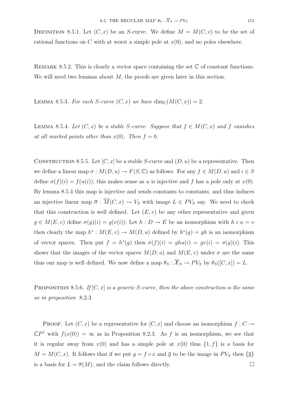DEFINITION 8.5.1. Let  $(C, x)$  be an S-curve. We define  $M = M(C, x)$  to be the set of rational functions on C with at worst a simple pole at  $x(0)$ , and no poles elsewhere.

REMARK 8.5.2. This is clearly a vector space containing the set  $\mathbb C$  of constant functions. We will need two lemmas about  $M$ , the proofs are given later in this section.

LEMMA 8.5.3. For each S-curve  $(C, x)$  we have  $\dim_{\mathbb{C}}(M(C, x)) = 2$ .

LEMMA 8.5.4. Let  $(C, x)$  be a stable S-curve. Suppose that  $f \in M(C, x)$  and f vanishes at all marked points other than  $x(0)$ . Then  $f = 0$ .

CONSTRUCTION 8.5.5. Let  $[C, x]$  be a stable S-curve and  $(D, u)$  be a representative. Then we define a linear map  $\sigma : M(D, u) \to F(S, \mathbb{C})$  as follows. For any  $f \in M(D, u)$  and  $i \in S$ define  $\sigma(f)(i) = f(u(i))$ , this makes sense as u is injective and f has a pole only at  $x(0)$ . By lemma 8.5.4 this map is injective and sends constants to constants, and thus induces an injective linear map  $\overline{\sigma}$ :  $\overline{M}(C, x) \to V_S$  with image  $L \in PV_S$  say. We need to check that this construction is well defined. Let  $(E, v)$  be any other representative and given  $g \in M(E, v)$  define  $\sigma(g)(i) = g(v(i))$ . Let  $h : D \to E$  be an isomorphism with  $h \circ u = v$ then clearly the map  $h^*: M(E, v) \to M(D, u)$  defined by  $h^*(g) = gh$  is an isomorphism of vector spaces. Then put  $f = h^*(g)$  then  $\sigma(f)(i) = ghu(i) = gv(i) = \sigma(g)(i)$ . This shows that the images of the vector spaces  $M(D, u)$  and  $M(E, v)$  under  $\sigma$  are the same thus our map is well defined. We now define a map  $\theta_S : \overline{X}_S \to PV_S$  by  $\theta_S([C, x]) = L$ .

**PROPOSITION 8.5.6.** If  $[C, x]$  is a generic S-curve, then the above construction is the same as in proposition 8.2.3.

PROOF. Let  $(C, x)$  be a representative for  $[C, x]$  and choose an isomorphism  $f : C \to$  $\mathbb{C}P^1$  with  $f(x(0)) = \infty$  as in Proposition 8.2.3. As f is an isomorphism, we see that it is regular away from  $x(0)$  and has a simple pole at  $x(0)$  thus  $\{1, f\}$  is a basis for  $M = M(C, x)$ . It follows that if we put  $g = f \circ x$  and  $\overline{g}$  to be the image in PV<sub>S</sub> then  $\{\overline{g}\}$ is a basis for  $L = \overline{\sigma}(M)$ , and the claim follows directly.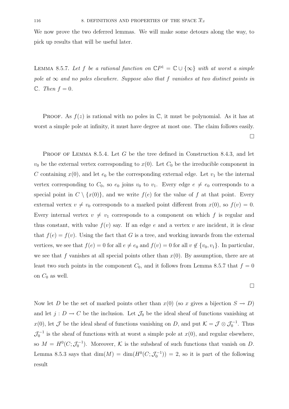We now prove the two deferred lemmas. We will make some detours along the way, to pick up results that will be useful later.

LEMMA 8.5.7. Let f be a rational function on  $\mathbb{C}P^1 = \mathbb{C} \cup \{\infty\}$  with at worst a simple pole at  $\infty$  and no poles elsewhere. Suppose also that f vanishes at two distinct points in  $\mathbb{C}.$  Then  $f = 0.$ 

PROOF. As  $f(z)$  is rational with no poles in  $\mathbb{C}$ , it must be polynomial. As it has at worst a simple pole at infinity, it must have degree at most one. The claim follows easily.  $\Box$ 

PROOF OF LEMMA 8.5.4. Let G be the tree defined in Construction 8.4.3, and let  $v_0$  be the external vertex corresponding to  $x(0)$ . Let  $C_0$  be the irreducible component in C containing  $x(0)$ , and let  $e_0$  be the corresponding external edge. Let  $v_1$  be the internal vertex corresponding to  $C_0$ , so  $e_0$  joins  $v_0$  to  $v_1$ . Every edge  $e \neq e_0$  corresponds to a special point in  $C \setminus \{x(0)\}\)$ , and we write  $f(e)$  for the value of f at that point. Every external vertex  $v \neq v_0$  corresponds to a marked point different from  $x(0)$ , so  $f(v) = 0$ . Every internal vertex  $v \neq v_1$  corresponds to a component on which f is regular and thus constant, with value  $f(v)$  say. If an edge e and a vertex v are incident, it is clear that  $f(e) = f(v)$ . Using the fact that G is a tree, and working inwards from the external vertices, we see that  $f(e) = 0$  for all  $e \neq e_0$  and  $f(v) = 0$  for all  $v \notin \{v_0, v_1\}$ . In particular, we see that f vanishes at all special points other than  $x(0)$ . By assumption, there are at least two such points in the component  $C_0$ , and it follows from Lemma 8.5.7 that  $f = 0$ on  $C_0$  as well.

Now let D be the set of marked points other than  $x(0)$  (so x gives a bijection  $S \to D$ ) and let  $j: D \to C$  be the inclusion. Let  $\mathcal{J}_0$  be the ideal sheaf of functions vanishing at  $x(0)$ , let  $\mathcal J$  be the ideal sheaf of functions vanishing on D, and put  $\mathcal K = \mathcal J \otimes \mathcal J_0^{-1}$ . Thus  $\mathcal{J}_0^{-1}$  is the sheaf of functions with at worst a simple pole at  $x(0)$ , and regular elsewhere, so  $M = H^0(C; \mathcal{J}_0^{-1})$ . Moreover, K is the subsheaf of such functions that vanish on D. Lemma 8.5.3 says that  $\dim(M) = \dim(H^0(C; \mathcal{J}_0^{-1})) = 2$ , so it is part of the following result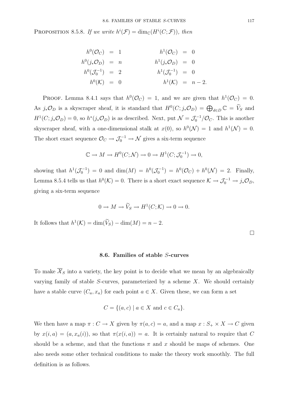PROPOSITION 8.5.8. If we write  $h^{i}(\mathcal{F}) = \dim_{\mathbb{C}}(H^{i}(C; \mathcal{F}))$ , then

$$
h^{0}(\mathcal{O}_{C}) = 1 \qquad h^{1}(\mathcal{O}_{C}) = 0
$$
  
\n
$$
h^{0}(j_{*}\mathcal{O}_{D}) = n \qquad h^{1}(j_{*}\mathcal{O}_{D}) = 0
$$
  
\n
$$
h^{0}(\mathcal{J}_{0}^{-1}) = 2 \qquad h^{1}(\mathcal{J}_{0}^{-1}) = 0
$$
  
\n
$$
h^{0}(K) = 0 \qquad h^{1}(K) = n - 2.
$$

PROOF. Lemma 8.4.1 says that  $h^0(\mathcal{O}_C) = 1$ , and we are given that  $h^1(\mathcal{O}_C) = 0$ . As  $j_*\mathcal{O}_D$  is a skyscraper sheaf, it is standard that  $H^0(C; j_*\mathcal{O}_D) = \bigoplus_{d \in D} \mathbb{C} = \widetilde{V}_S$  and  $H^1(C; j_*\mathcal{O}_D) = 0$ , so  $h^*(j_*\mathcal{O}_D)$  is as described. Next, put  $\mathcal{N} = \mathcal{J}_0^{-1}/\mathcal{O}_C$ . This is another skyscraper sheaf, with a one-dimensional stalk at  $x(0)$ , so  $h^0(\mathcal{N}) = 1$  and  $h^1(\mathcal{N}) = 0$ . The short exact sequence  $\mathcal{O}_C \to \mathcal{J}_0^{-1} \to \mathcal{N}$  gives a six-term sequence

$$
\mathbb{C} \to M \to H^0(C; \mathcal{N}) \to 0 \to H^1(C; \mathcal{J}_0^{-1}) \to 0,
$$

showing that  $h^1(\mathcal{J}_0^{-1}) = 0$  and  $\dim(M) = h^0(\mathcal{J}_0^{-1}) = h^0(\mathcal{O}_C) + h^0(\mathcal{N}) = 2$ . Finally, Lemma 8.5.4 tells us that  $h^0(\mathcal{K}) = 0$ . There is a short exact sequence  $\mathcal{K} \to \mathcal{J}_0^{-1} \to j_* \mathcal{O}_D$ , giving a six-term sequence

$$
0 \to M \to \widetilde{V}_S \to H^1(C; \mathcal{K}) \to 0 \to 0.
$$

It follows that  $h^1(\mathcal{K}) = \dim(\widetilde{V}_S) - \dim(M) = n - 2$ .

 $\Box$ 

#### **8.6. Families of stable** S**-curves**

To make  $\overline{\mathcal{X}}_S$  into a variety, the key point is to decide what we mean by an algebraically varying family of stable  $S$ -curves, parameterized by a scheme  $X$ . We should certainly have a stable curve  $(C_a, x_a)$  for each point  $a \in X$ . Given these, we can form a set

$$
C = \{(a, c) \mid a \in X \text{ and } c \in C_a\}.
$$

We then have a map  $\pi: C \to X$  given by  $\pi(a, c) = a$ , and a map  $x: S_+ \times X \to C$  given by  $x(i, a) = (a, x_a(i))$ , so that  $\pi(x(i, a)) = a$ . It is certainly natural to require that C should be a scheme, and that the functions  $\pi$  and x should be maps of schemes. One also needs some other technical conditions to make the theory work smoothly. The full definition is as follows.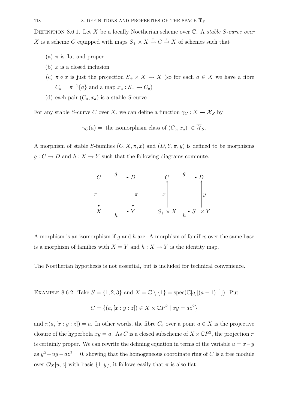DEFINITION 8.6.1. Let X be a locally Noetherian scheme over  $\mathbb C$ . A stable S-curve over X is a scheme C equipped with maps  $S_+ \times X \xrightarrow{x} C \xrightarrow{\pi} X$  of schemes such that

- (a)  $\pi$  is flat and proper
- (b)  $x$  is a closed inclusion
- (c)  $\pi \circ x$  is just the projection  $S_+ \times X \to X$  (so for each  $a \in X$  we have a fibre  $C_a = \pi^{-1}\{a\}$  and a map  $x_a : S_+ \to C_a)$
- (d) each pair  $(C_a, x_a)$  is a stable *S*-curve.

For any stable S-curve C over X, we can define a function  $\gamma_C : X \to \overline{X}_S$  by

 $\gamma_C(a) =$  the isomorphism class of  $(C_a, x_a) \in \overline{\mathcal{X}}_S$ .

A morphism of stable S-families  $(C, X, \pi, x)$  and  $(D, Y, \pi, y)$  is defined to be morphisms  $g: C \to D$  and  $h: X \to Y$  such that the following diagrams commute.



A morphism is an isomorphism if q and  $h$  are. A morphism of families over the same base is a morphism of families with  $X = Y$  and  $h : X \to Y$  is the identity map.

The Noetherian hypothesis is not essential, but is included for technical convenience.

EXAMPLE 8.6.2. Take  $S = \{1, 2, 3\}$  and  $X = \mathbb{C} \setminus \{1\} = \text{spec}(\mathbb{C}[a] [(a-1)^{-1}])$ . Put  $C = \{(a, [x : y : z]) \in X \times \mathbb{C}P^2 \mid xy = az^2\}$ 

and  $\pi(a, [x : y : z]) = a$ . In other words, the fibre  $C_a$  over a point  $a \in X$  is the projective closure of the hyperbola  $xy = a$ . As C is a closed subscheme of  $X \times \mathbb{C}P^2$ , the projection  $\pi$ is certainly proper. We can rewrite the defining equation in terms of the variable  $u = x - y$ as  $y^2 + uy - az^2 = 0$ , showing that the homogeneous coordinate ring of C is a free module over  $\mathcal{O}_X[u, z]$  with basis  $\{1, y\}$ ; it follows easily that  $\pi$  is also flat.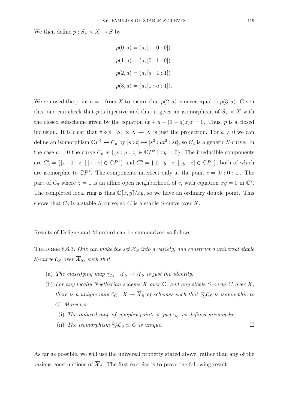We then define  $p: S_+ \times X \to S$  by

$$
p(0, a) = (a, [1 : 0 : 0])
$$
  

$$
p(1, a) = (a, [0 : 1 : 0])
$$
  

$$
p(2, a) = (a, [a : 1 : 1])
$$
  

$$
p(3, a) = (a, [1 : a : 1]).
$$

We removed the point  $a = 1$  from X to ensure that  $p(2, a)$  is never equal to  $p(3, a)$ . Given this, one can check that p is injective and that it gives an isomorphism of  $S_+ \times X$  with the closed subscheme given by the equation  $(x + y - (1 + a)z)z = 0$ . Thus, p is a closed inclusion. It is clear that  $\pi \circ p : S_+ \times X \to X$  is just the projection. For  $a \neq 0$  we can define an isomorphism  $\mathbb{C}P^1 \to C_a$  by  $[s : t] \mapsto [s^2 : at^2 : st]$ , so  $C_a$  is a generic S-curve. In the case  $a = 0$  the curve  $C_0$  is  $\{[x : y : z] \in \mathbb{C}P^2 \mid xy = 0\}$ . The irreducible components are  $C'_0 = \{ [x : 0 : z] \mid [x : z] \in \mathbb{C}P^1 \}$  and  $C''_0 = \{ [0 : y : z] \mid [y : z] \in \mathbb{C}P^1 \}$ , both of which are isomorphic to  $\mathbb{C}P^1$ . The components intersect only at the point  $c = [0:0:1]$ . The part of  $C_0$  where  $z = 1$  is an affine open neighborhood of c, with equation  $xy = 0$  in  $\mathbb{C}^2$ . The completed local ring is thus  $\mathbb{C}[x,y]/xy$ , so we have an ordinary double point. This shows that  $C_0$  is a stable S-curve, so C is a stable S-curve over X.

Results of Deligne and Mumford can be summarized as follows:

THEOREM 8.6.3. One can make the set  $\overline{X}_S$  into a variety, and construct a universal stable S-curve  $\mathcal{C}_S$  over  $\overline{\mathcal{X}}_S$ , such that

- (a) The classifying map  $\gamma_{\mathcal{C}_S} : \overline{\mathcal{X}}_S \to \overline{\mathcal{X}}_S$  is just the identity.
- (b) For any locally Noetherian scheme X over  $\mathbb C$ , and any stable S-curve C over X, there is a unique map  $\tilde{\gamma}_C : X \to \overline{\mathcal{X}}_S$  of schemes such that  $\tilde{\gamma}_C^* C_S$  is isomorphic to C. Moreover:
	- (i) The induced map of complex points is just  $\gamma_C$  as defined previously.
	- (ii) The isomorphism  $\tilde{\gamma}_C^* C_S \simeq C$  is unique.

As far as possible, we will use the universal property stated above, rather than any of the various constructions of  $\overline{\mathcal{X}}_S$ . The first exercise is to prove the following result: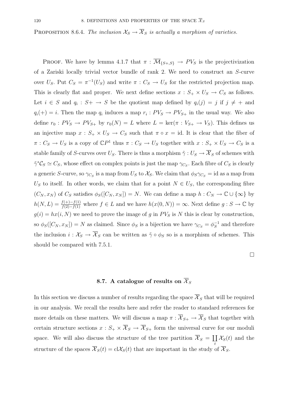PROPOSITION 8.6.4. The inclusion  $\mathcal{X}_S \to \overline{\mathcal{X}}_S$  is actually a morphism of varieties.

PROOF. We have by lemma 4.1.7 that  $\pi : \overline{\mathcal{M}}_{\{S_+,S\}} \to PV_S$  is the projectivization of a Zariski locally trivial vector bundle of rank 2. We need to construct an S-curve over  $U_S$ . Put  $C_S = \pi^{-1}(U_S)$  and write  $\pi : C_S \to U_S$  for the restricted projection map. This is clearly flat and proper. We next define sections  $x : S_+ \times U_s \to C_s$  as follows. Let  $i \in S$  and  $q_i : S^+ \to S$  be the quotient map defined by  $q_i(j) = j$  if  $j \neq +$  and  $q_i(+) = i$ . Then the map  $q_i$  induces a map  $r_i : PV_S \to PV_{S+}$  in the usual way. We also define  $r_0: PV_S \to PV_{S+}$  by  $r_0(N) = L$  where  $L = \text{ker}(\pi : V_{S+} \to V_S)$ . This defines us an injective map  $x : S_+ \times U_S \to C_S$  such that  $\pi \circ x = id$ . It is clear that the fiber of  $\pi: C_S \to U_S$  is a copy of  $\mathbb{C}P^1$  thus  $\pi: C_S \to U_S$  together with  $x: S_+ \times U_S \to C_S$  is a stable family of S-curves over  $U_S$ . There is thus a morphism  $\tilde{\gamma}: U_S \to \overline{\mathcal{X}}_S$  of schemes with  $\tilde{\gamma}$ <sup>∗</sup> $\mathcal{C}_S \simeq C_S$ , whose effect on complex points is just the map  $\gamma_{C_S}$ . Each fibre of  $C_S$  is clearly a generic S-curve, so  $\gamma_{C_S}$  is a map from  $U_S$  to  $\mathcal{X}_S$ . We claim that  $\phi_S \gamma_{C_S} = id$  as a map from  $U<sub>S</sub>$  to itself. In other words, we claim that for a point  $N \in U<sub>S</sub>$ , the corresponding fibre  $(C_N, x_N)$  of  $C_S$  satisfies  $\phi_S([C_N, x_N]) = N$ . We can define a map  $h: C_N \to \mathbb{C} \cup \{\infty\}$  by  $h(N, L) = \frac{f(+)-f(1)}{f(2)-f(1)}$  where  $f \in L$  and we have  $h(x(0, N)) = \infty$ . Next define  $g : S \to \mathbb{C}$  by  $g(i) = hx(i, N)$  we need to prove the image of g in  $PV_S$  is N this is clear by construction, so  $\phi_S([C_N, x_N]) = N$  as claimed. Since  $\phi_S$  is a bijection we have  $\gamma_{C_S} = \phi_S^{-1}$  and therefore the inclusion  $i : \mathcal{X}_S \to \overline{\mathcal{X}}_S$  can be written as  $\tilde{\gamma} \circ \phi_S$  so is a morphism of schemes. This should be compared with 7.5.1.

 $\Box$ 

## 8.7. A catalogue of results on  $\overline{\mathcal{X}}_S$

In this section we discuss a number of results regarding the space  $\overline{\mathcal{X}}_S$  that will be required in our analysis. We recall the results here and refer the reader to standard references for more details on these matters. We will discuss a map  $\pi : \overline{X}_{S+} \to \overline{X}_S$  that together with certain structure sections  $x : S_+ \times \overline{X}_S \to \overline{X}_{S_+}$  form the universal curve for our moduli space. We will also discuss the structure of the tree partition  $\overline{X}_S = \coprod_t X_S(t)$  and the structure of the spaces  $\overline{\mathcal{X}}_S(t) = cl\mathcal{X}_S(t)$  that are important in the study of  $\overline{\mathcal{X}}_S$ .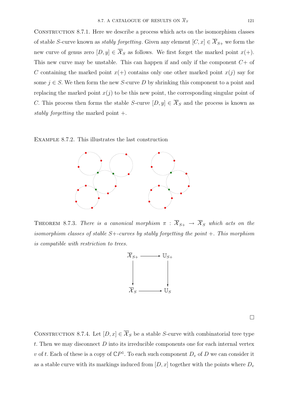CONSTRUCTION 8.7.1. Here we describe a process which acts on the isomorphism classes of stable S-curve known as *stably forgetting*. Given any element  $[C, x] \in \overline{\mathcal{X}}_{S+}$  we form the new curve of genus zero  $[D, y] \in \overline{\mathcal{X}}_S$  as follows. We first forget the marked point  $x(+)$ . This new curve may be unstable. This can happen if and only if the component  $C+$  of C containing the marked point  $x(+)$  contains only one other marked point  $x(i)$  say for some  $j \in S$ . We then form the new S-curve D by shrinking this component to a point and replacing the marked point  $x(j)$  to be this new point, the corresponding singular point of C. This process then forms the stable S-curve  $[D, y] \in \overline{\mathcal{X}}_S$  and the process is known as stably forgetting the marked point +.

Example 8.7.2. This illustrates the last construction



THEOREM 8.7.3. There is a canonical morphism  $\pi : \overline{X}_{S+} \to \overline{X}_S$  which acts on the isomorphism classes of stable  $S$ +-curves by stably forgetting the point +. This morphism is compatible with restriction to trees.



 $\Box$ 

CONSTRUCTION 8.7.4. Let  $[D, x] \in \overline{\mathcal{X}}_S$  be a stable S-curve with combinatorial tree type t. Then we may disconnect  $D$  into its irreducible components one for each internal vertex v of t. Each of these is a copy of  $\mathbb{C}P^1$ . To each such component  $D_v$  of D we can consider it as a stable curve with its markings induced from  $[D, x]$  together with the points where  $D_v$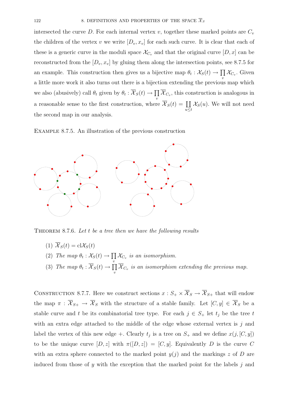intersected the curve D. For each internal vertex v, together these marked points are  $C_v$ the children of the vertex v we write  $[D_v, x_v]$  for each such curve. It is clear that each of these is a generic curve in the moduli space  $\mathcal{X}_{C_v}$  and that the original curve  $[D, x]$  can be reconstructed from the  $[D_v, x_v]$  by gluing them along the intersection points, see 8.7.5 for an example. This construction then gives us a bijective map  $\theta_t : \mathcal{X}_S(t) \to \prod$  $\prod_{v} \mathcal{X}_{C_v}$ . Given a little more work it also turns out there is a bijection extending the previous map which we also (abusively) call  $\theta_t$  given by  $\theta_t : \overline{\mathcal{X}}_S(t) \to \prod \overline{\mathcal{X}}_{C_v}$ , this construction is analogous in v a reasonable sense to the first construction, where  $\overline{\mathcal{X}}_S(t) = \coprod$  $u \leq t$  $\mathcal{X}_{S}(u)$ . We will not need the second map in our analysis.

Example 8.7.5. An illustration of the previous construction



THEOREM 8.7.6. Let  $t$  be a tree then we have the following results

- (1)  $\overline{\mathcal{X}}_S(t) = \text{cl}\mathcal{X}_S(t)$
- (2) The map  $\theta_t : \mathcal{X}_S(t) \to \prod \mathcal{X}_{C_v}$  is an isomorphism. v
- (3) The map  $\theta_t : \overline{\mathcal{X}}_S(t) \to \prod$  $\prod\limits_v \mathcal{X}_{C_v}$  is an isomorphism extending the previous map.

CONSTRUCTION 8.7.7. Here we construct sections  $x : S_+ \times \overline{X}_S \to \overline{X}_{S_+}$  that will endow the map  $\pi : \overline{X}_{S+} \to \overline{X}_S$  with the structure of a stable family. Let  $[C, y] \in \overline{\mathcal{X}}_S$  be a stable curve and t be its combinatorial tree type. For each  $j \in S_+$  let  $t_j$  be the tree t with an extra edge attached to the middle of the edge whose external vertex is  $j$  and label the vertex of this new edge +. Clearly  $t_j$  is a tree on  $S_+$  and we define  $x(j, [C, y])$ to be the unique curve  $[D, z]$  with  $\pi([D, z]) = [C, y]$ . Equivalently D is the curve C with an extra sphere connected to the marked point  $y(j)$  and the markings z of D are induced from those of y with the exception that the marked point for the labels  $j$  and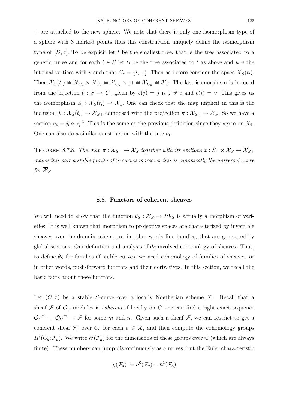+ are attached to the new sphere. We note that there is only one isomorphism type of a sphere with 3 marked points thus this construction uniquely define the isomorphism type of  $[D, z]$ . To be explicit let t be the smallest tree, that is the tree associated to a generic curve and for each  $i \in S$  let  $t_i$  be the tree associated to t as above and  $u, v$  the internal vertices with v such that  $C_v = \{i, +\}$ . Then as before consider the space  $\overline{X}_S(t_i)$ . Then  $\overline{\mathcal{X}}_S(t_i) \cong \overline{\mathcal{X}}_{C_u} \times \overline{\mathcal{X}}_{C_v} \cong \overline{\mathcal{X}}_{C_u} \times \text{pt} \cong \overline{\mathcal{X}}_{C_u} \cong \overline{\mathcal{X}}_S$ . The last isomorphism is induced from the bijection  $b : S \to C_u$  given by  $b(j) = j$  is  $j \neq i$  and  $b(i) = v$ . This gives us the isomorphism  $\alpha_i : \overline{\mathcal{X}}_S(t_i) \to \overline{\mathcal{X}}_S$ . One can check that the map implicit in this is the inclusion  $j_i : \overline{\mathcal{X}}_S(t_i) \to \overline{\mathcal{X}}_{S+}$  composed with the projection  $\pi : \overline{\mathcal{X}}_{S+} \to \overline{\mathcal{X}}_S$ . So we have a section  $\sigma_i = j_i \circ \alpha_i^{-1}$ . This is the same as the previous definition since they agree on  $\mathcal{X}_{S}$ . One can also do a similar construction with the tree  $t_0$ .

THEOREM 8.7.8. The map  $\pi : \overline{X}_{S+} \to \overline{X}_S$  together with its sections  $x : S_+ \times \overline{X}_S \to \overline{X}_{S+}$ makes this pair a stable family of S-curves moreover this is canonically the universal curve for  $\overline{\mathcal{X}}_S$ .

#### **8.8. Functors of coherent sheaves**

We will need to show that the function  $\theta_S : \overline{X}_S \to PV_S$  is actually a morphism of varieties. It is well known that morphism to projective spaces are characterized by invertible sheaves over the domain scheme, or in other words line bundles, that are generated by global sections. Our definition and analysis of  $\theta_s$  involved cohomology of sheaves. Thus, to define  $\theta_S$  for families of stable curves, we need cohomology of families of sheaves, or in other words, push-forward functors and their derivatives. In this section, we recall the basic facts about these functors.

Let  $(C, x)$  be a stable S-curve over a locally Noetherian scheme X. Recall that a sheaf  $\mathcal F$  of  $\mathcal O_C$ -modules is *coherent* if locally on C one can find a right-exact sequence  $\mathcal{O}_{\mathcal{C}}^n \to \mathcal{O}_{\mathcal{C}}^m \to \mathcal{F}$  for some m and n. Given such a sheaf  $\mathcal{F}$ , we can restrict to get a coherent sheaf  $\mathcal{F}_a$  over  $C_a$  for each  $a \in X$ , and then compute the cohomology groups  $H^{i}(C_a; \mathcal{F}_a)$ . We write  $h^{i}(\mathcal{F}_a)$  for the dimensions of these groups over  $\mathbb{C}$  (which are always finite). These numbers can jump discontinuously as a moves, but the Euler characteristic

$$
\chi(\mathcal{F}_a) := h^0(\mathcal{F}_a) - h^1(\mathcal{F}_a)
$$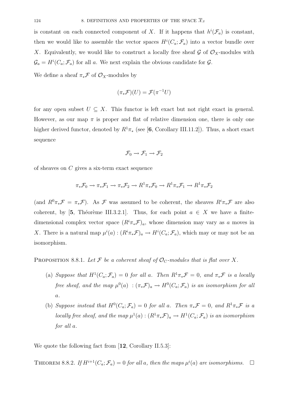is constant on each connected component of X. If it happens that  $h^{i}(\mathcal{F}_{a})$  is constant, then we would like to assemble the vector spaces  $H^{i}(C_a; \mathcal{F}_a)$  into a vector bundle over X. Equivalently, we would like to construct a locally free sheaf  $\mathcal G$  of  $\mathcal O_X$ -modules with  $\mathcal{G}_a = H^i(C_a; \mathcal{F}_a)$  for all a. We next explain the obvious candidate for  $\mathcal{G}$ .

We define a sheaf  $\pi_*\mathcal{F}$  of  $\mathcal{O}_X$ -modules by

$$
(\pi_*\mathcal{F})(U) = \mathcal{F}(\pi^{-1}U)
$$

for any open subset  $U \subseteq X$ . This functor is left exact but not right exact in general. However, as our map  $\pi$  is proper and flat of relative dimension one, there is only one higher derived functor, denoted by  $R^1\pi_*$  (see [6, Corollary III.11.2]). Thus, a short exact sequence

$$
\mathcal{F}_0 \to \mathcal{F}_1 \to \mathcal{F}_2
$$

of sheaves on C gives a six-term exact sequence

$$
\pi_* \mathcal{F}_0 \to \pi_* \mathcal{F}_1 \to \pi_* \mathcal{F}_2 \to R^1 \pi_* \mathcal{F}_0 \to R^1 \pi_* \mathcal{F}_1 \to R^1 \pi_* \mathcal{F}_2
$$

(and  $R^0\pi_*\mathcal{F} = \pi_*\mathcal{F}$ ). As  $\mathcal F$  was assumed to be coherent, the sheaves  $R^i\pi_*\mathcal{F}$  are also coherent, by [5, Théorème III.3.2.1]. Thus, for each point  $a \in X$  we have a finitedimensional complex vector space  $(R^{i}\pi_{*}\mathcal{F})_{a}$ , whose dimension may vary as a moves in X. There is a natural map  $\mu^{i}(a) : (R^{i}\pi_{*}\mathcal{F})_{a} \to H^{i}(C_{a}; \mathcal{F}_{a})$ , which may or may not be an isomorphism.

PROPOSITION 8.8.1. Let F be a coherent sheaf of  $\mathcal{O}_C$ -modules that is flat over X.

- (a) Suppose that  $H^1(C_a; \mathcal{F}_a)=0$  for all a. Then  $R^1\pi_*\mathcal{F}=0$ , and  $\pi_*\mathcal{F}$  is a locally free sheaf, and the map  $\mu^0(a) : (\pi_*\mathcal{F})_a \to H^0(C_a;\mathcal{F}_a)$  is an isomorphism for all  $\overline{a}$ .
- (b) Suppose instead that  $H^0(C_a; \mathcal{F}_a)=0$  for all a. Then  $\pi_*\mathcal{F}=0$ , and  $R^1\pi_*\mathcal{F}$  is a locally free sheaf, and the map  $\mu^1(a):(R^1\pi_*\mathcal{F})_a\to H^1(C_a;\mathcal{F}_a)$  is an isomorphism for all a.

We quote the following fact from [**12**, Corollary II.5.3]:

THEOREM 8.8.2. If  $H^{i+1}(C_a; \mathcal{F}_a) = 0$  for all a, then the maps  $\mu^i(a)$  are isomorphisms.  $\Box$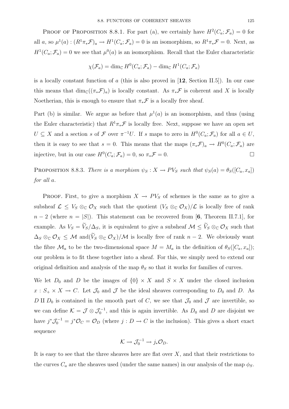PROOF OF PROPOSITION 8.8.1. For part (a), we certainly have  $H^2(C_a; \mathcal{F}_a) = 0$  for all a, so  $\mu^1(a):(R^1\pi_*\mathcal{F})_a\to H^1(C_a;\mathcal{F}_a)=0$  is an isomorphism, so  $R^1\pi_*\mathcal{F}=0$ . Next, as  $H^1(C_a; \mathcal{F}_a) = 0$  we see that  $\mu^0(a)$  is an isomorphism. Recall that the Euler characteristic

$$
\chi(\mathcal{F}_a) = \dim_{\mathbb{C}} H^0(C_a; \mathcal{F}_a) - \dim_{\mathbb{C}} H^1(C_a; \mathcal{F}_a)
$$

is a locally constant function of a (this is also proved in [**12**, Section II.5]). In our case this means that  $\dim_{\mathbb{C}}((\pi_*\mathcal{F})_a)$  is locally constant. As  $\pi_*\mathcal{F}$  is coherent and X is locally Noetherian, this is enough to ensure that  $\pi_*\mathcal{F}$  is a locally free sheaf.

Part (b) is similar. We argue as before that  $\mu^1(a)$  is an isomorphism, and thus (using the Euler characteristic) that  $R^1\pi_*\mathcal{F}$  is locally free. Next, suppose we have an open set  $U \subseteq X$  and a section s of F over  $\pi^{-1}U$ . If s maps to zero in  $H^0(C_a; \mathcal{F}_a)$  for all  $a \in U$ , then it is easy to see that  $s = 0$ . This means that the maps  $(\pi_* \mathcal{F})_a \to H^0(C_a; \mathcal{F}_a)$  are injective, but in our case  $H^0(C_a; \mathcal{F}_a) = 0$ , so  $\pi_* \mathcal{F} = 0$ .

PROPOSITION 8.8.3. There is a morphism  $\psi_S : X \to PV_S$  such that  $\psi_S(a) = \theta_S([C_a, x_a])$ for all a.

PROOF. First, to give a morphism  $X \to PV_S$  of schemes is the same as to give a subsheaf  $\mathcal{L} \leq V_S \otimes_{\mathbb{C}} \mathcal{O}_X$  such that the quotient  $(V_S \otimes_{\mathbb{C}} \mathcal{O}_X)/\mathcal{L}$  is locally free of rank  $n-2$  (where  $n = |S|$ ). This statement can be recovered from [6, Theorem II.7.1], for example. As  $V_S = \widetilde{V}_S/\Delta_S$ , it is equivalent to give a subsheaf  $\mathcal{M} \leq \widetilde{V}_S \otimes_{\mathbb{C}} \mathcal{O}_X$  such that  $\Delta_S \otimes_{\mathbb{C}} \mathcal{O}_X \leq \mathcal{M}$  and  $(\widetilde{V}_S \otimes_{\mathbb{C}} \mathcal{O}_X)/\mathcal{M}$  is locally free of rank  $n-2$ . We obviously want the fibre  $\mathcal{M}_a$  to be the two-dimensional space  $M = M_a$  in the definition of  $\theta_S([C_a, x_a])$ ; our problem is to fit these together into a sheaf. For this, we simply need to extend our original definition and analysis of the map  $\theta_S$  so that it works for families of curves.

We let  $D_0$  and D be the images of  $\{0\} \times X$  and  $S \times X$  under the closed inclusion  $x : S_+ \times X \to C$ . Let  $\mathcal{J}_0$  and  $\mathcal{J}$  be the ideal sheaves corresponding to  $D_0$  and D. As D II  $D_0$  is contained in the smooth part of C, we see that  $\mathcal{J}_0$  and  $\mathcal{J}$  are invertible, so we can define  $\mathcal{K} = \mathcal{J} \otimes \mathcal{J}_0^{-1}$ , and this is again invertible. As  $D_0$  and D are disjoint we have  $j^*\mathcal{J}_0^{-1} = j^*\mathcal{O}_C = \mathcal{O}_D$  (where  $j: D \to C$  is the inclusion). This gives a short exact sequence

$$
\mathcal{K} \to \mathcal{J}_0^{-1} \to j_* \mathcal{O}_D.
$$

It is easy to see that the three sheaves here are flat over  $X$ , and that their restrictions to the curves  $C_a$  are the sheaves used (under the same names) in our analysis of the map  $\phi_S$ .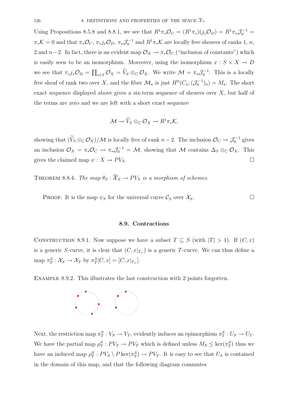Using Propositions 8.5.8 and 8.8.1, we see that  $R^1\pi_*\mathcal{O}_C = (R^1\pi_*)(j_*\mathcal{O}_D) = R^1\pi_*\mathcal{J}_0^{-1} =$  $\pi_*\mathcal{K}=0$  and that  $\pi_*\mathcal{O}_C$ ,  $\pi_*j_*\mathcal{O}_D$ ,  $\pi_*\mathcal{J}_0^{-1}$  and  $R^1\pi_*\mathcal{K}$  are locally free sheaves of ranks 1, n, 2 and  $n-2$ . In fact, there is an evident map  $\mathcal{O}_X \to \pi_* \mathcal{O}_C$  ("inclusion of constants") which is easily seen to be an isomorphism. Moreover, using the isomorphism  $x : S \times X \to D$ we see that  $\pi_*j_*\mathcal{O}_D = \prod_{s \in S} \mathcal{O}_X = \widetilde{V}_S \otimes_{\mathbb{C}} \mathcal{O}_X$ . We write  $\mathcal{M} = \pi_*\mathcal{J}_0^{-1}$ . This is a locally free sheaf of rank two over X, and the fibre  $\mathcal{M}_a$  is just  $H^0(C_a; (\mathcal{J}_0^{-1})_a) = M_a$ . The short exact sequence displayed above gives a six-term sequence of sheaves over  $X$ , but half of the terms are zero and we are left with a short exact sequence

$$
\mathcal{M} \to \widetilde{V}_S \otimes_{\mathbb{C}} \mathcal{O}_X \to R^1 \pi_* \mathcal{K},
$$

showing that  $(\widetilde{V}_S \otimes_{\mathbb{C}} \mathcal{O}_X)/\mathcal{M}$  is locally free of rank  $n-2$ . The inclusion  $\mathcal{O}_C \to \mathcal{J}_0^{-1}$  gives an inclusion  $\mathcal{O}_X = \pi_* \mathcal{O}_C \to \pi_* \mathcal{J}_0^{-1} = \mathcal{M}$ , showing that  $\mathcal{M}$  contains  $\Delta_S \otimes_{\mathbb{C}} \mathcal{O}_X$ . This gives the claimed map  $\psi : X \to PV_S$ .

THEOREM 8.8.4. The map  $\theta_S : \overline{X}_S \to PV_S$  is a morphism of schemes.

PROOF. It is the map  $\psi_S$  for the universal curve  $\mathcal{C}_S$  over  $\mathcal{X}_S$ .

#### **8.9. Contractions**

CONSTRUCTION 8.9.1. Now suppose we have a subset  $T \subseteq S$  (with  $|T| > 1$ ). If  $(C, x)$ is a generic S-curve, it is clear that  $(C, x|_{T_+})$  is a generic T-curve. We can thus define a map  $\pi_T^S : \mathcal{X}_S \to \mathcal{X}_T$  by  $\pi_T^S[C, x] = [C, x|_{T_+}].$ 

Example 8.9.2. This illustrates the last construction with 2 points forgotten.



Next, the restriction map  $\pi_T^S : V_S \to V_T$ , evidently induces an epimorphism  $\pi_T^S : U_S \to U_T$ . We have the partial map  $\rho_T^S : PV_S \to PV_T$  which is defined unless  $M_S \leq \text{ker}(\pi_T^S)$  thus we have an induced map  $\rho_T^S: PV_S \setminus P \text{ ker}(\pi_T^S) \to PV_T$ . It is easy to see that  $U_S$  is contained in the domain of this map, and that the following diagram commutes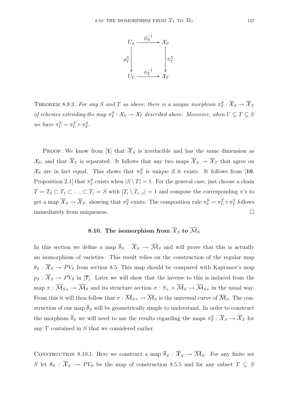

THEOREM 8.9.3. For any S and T as above, there is a unique morphism  $\pi_T^S : \overline{X}_S \to \overline{X}_T$ of schemes extending the map  $\pi_T^S : \mathcal{X}_S \to \mathcal{X}_T$  described above. Moreover, when  $U \subseteq T \subseteq S$ we have  $\pi_U^S = \pi_U^T \circ \pi_T^S$ .

**PROOF.** We know from [1] that  $\overline{\mathcal{X}}_S$  is irreducible and has the same dimension as  $\mathcal{X}_S$ , and that  $\overline{\mathcal{X}}_T$  is separated. It follows that any two maps  $\overline{\mathcal{X}}_S \to \overline{\mathcal{X}}_T$  that agree on  $\mathcal{X}_S$  are in fact equal. This shows that  $\pi_T^S$  is unique if it exists. It follows from [10, Proposition 2.1 that  $\pi_T^S$  exists when  $|S \setminus T| = 1$ . For the general case, just choose a chain  $T = T_0 \subset T_1 \subset \ldots \subset T_r = S$  with  $|T_i \setminus T_{i-1}| = 1$  and compose the corresponding  $\pi$ 's to get a map  $\overline{X}_S \to \overline{X}_T$ , showing that  $\pi_T^S$  exists. The composition rule  $\pi_U^S = \pi_U^T \circ \pi_T^S$  follows immediately from uniqueness.

# **8.10.** The isomorphism from  $\overline{\mathcal{X}}_S$  to  $\overline{\mathcal{M}}_S$

In this section we define a map  $\overline{\theta}_S : \overline{\mathcal{X}}_S \to \overline{\mathcal{M}}_S$  and will prove that this is actually an isomorphism of varieties. This result relies on the construction of the regular map  $\theta_S : \overline{X}_S \to PV_S$  from section 8.5. This map should be compared with Kapranov's map  $p_S : \overline{X}_S \to PV_S$  in [7]. Later we will show that the inverse to this is induced from the map  $\pi : \overline{\mathcal{M}}_{S+} \to \overline{\mathcal{M}}_S$  and its structure section  $\sigma : S_+ \times \overline{\mathcal{M}}_S \to \overline{\mathcal{M}}_{S+}$  in the usual way. From this it will then follow that  $\pi : \overline{\mathcal{M}}_{S+} \to \overline{\mathcal{M}}_S$  is the universal curve of  $\overline{\mathcal{M}}_S$ . The construction of our map  $\overline{\theta}_S$  will be geometrically simple to understand. In order to construct the morphism  $\overline{\theta}_S$  we will need to use the results regarding the maps  $\pi_T^S : \overline{\mathcal{X}}_S \to \overline{\mathcal{X}}_T$  for any T contained in S that we considered earlier.

CONSTRUCTION 8.10.1. Here we construct a map  $\overline{\theta}_S : \overline{X}_S \to \overline{\mathcal{M}}_S$ . For any finite set S let  $\theta_S$ :  $\overline{X}_S \to PV_S$  be the map of construction 8.5.5 and for any subset  $T \subseteq S$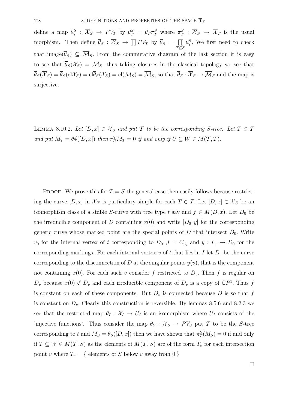define a map  $\theta_T^S$ :  $\overline{\mathcal{X}}_S \to PV_T$  by  $\theta_T^S = \theta_T \pi_T^S$  where  $\pi_T^S$ :  $\overline{\mathcal{X}}_S \to \overline{\mathcal{X}}_T$  is the usual morphism. Then define  $\overline{\theta}_S : \overline{\mathcal{X}}_S \to \prod P V_T$  by  $\overline{\theta}_S = \prod$  $\tilde{T} \subseteq S$  $\theta_T^S$ . We first need to check that image( $\overline{\theta}_S$ )  $\subseteq \overline{\mathcal{M}}_S$ . From the commutative diagram of the last section it is easy to see that  $\overline{\theta}_{S}(\mathcal{X}_{S}) = \mathcal{M}_{S}$ , thus taking closures in the classical topology we see that  $\overline{\theta}_S(\overline{\mathcal{X}}_S) = \overline{\theta}_S(\text{cl}\mathcal{X}_S) = \text{cl}(\mathcal{X}_S) = \text{cl}(\mathcal{M}_S) = \overline{\mathcal{M}}_S$ , so that  $\overline{\theta}_S : \overline{\mathcal{X}}_S \to \overline{\mathcal{M}}_S$  and the map is surjective.

LEMMA 8.10.2. Let  $[D, x] \in \overline{\mathcal{X}}_S$  and put T to be the corresponding S-tree. Let  $T \in \mathcal{T}$ and put  $M_T = \theta_T^S([D, x])$  then  $\pi_U^T M_T = 0$  if and only if  $U \subseteq W \in M(\mathcal{T}, T)$ .

PROOF. We prove this for  $T = S$  the general case then easily follows because restricting the curve  $[D, x]$  in  $\overline{\mathcal{X}}_T$  is particulary simple for each  $T \in \mathcal{T}$ . Let  $[D, x] \in \overline{\mathcal{X}}_S$  be an isomorphism class of a stable S-curve with tree type t say and  $f \in M(D, x)$ . Let  $D_0$  be the irreducible component of D containing  $x(0)$  and write  $[D_0, y]$  for the corresponding generic curve whose marked point are the special points of  $D$  that intersect  $D_0$ . Write  $v_0$  for the internal vertex of t corresponding to  $D_0$ ,  $I = C_{v_0}$  and  $y: I_+ \to D_0$  for the corresponding markings. For each internal vertex v of t that lies in I let  $D<sub>v</sub>$  be the curve corresponding to the disconnection of D at the singular points  $y(v)$ , that is the component not containing  $x(0)$ . For each such v consider f restricted to  $D_v$ . Then f is regular on  $D_v$  because  $x(0) \notin D_v$  and each irreducible component of  $D_v$  is a copy of  $\mathbb{C}P^1$ . Thus f is constant on each of these components. But  $D<sub>v</sub>$  is connected because D is so that f is constant on  $D_v$ . Clearly this construction is reversible. By lemmas 8.5.6 and 8.2.3 we see that the restricted map  $\theta_I : \mathcal{X}_I \to U_I$  is an isomorphism where  $U_I$  consists of the 'injective functions'. Thus consider the map  $\theta_S : \overline{X}_S \to PV_S$  put T to be the S-tree corresponding to t and  $M_S = \theta_S([D, x])$  then we have shown that  $\pi_T^S(M_S) = 0$  if and only if  $T \subseteq W \in M(T, S)$  as the elements of  $M(T, S)$  are of the form  $T_v$  for each intersection point v where  $T_v = \{$  elements of S below v away from 0  $\}$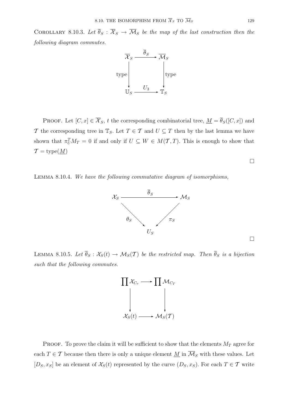COROLLARY 8.10.3. Let  $\overline{\theta}_S : \overline{\mathcal{X}}_S \to \overline{\mathcal{M}}_S$  be the map of the last construction then the following diagram commutes.



PROOF. Let  $[C, x] \in \overline{\mathcal{X}}_S$ , t the corresponding combinatorial tree,  $\underline{M} = \overline{\theta}_S([C, x])$  and T the corresponding tree in  $\mathbb{T}_S$ . Let  $T \in \mathcal{T}$  and  $U \subseteq T$  then by the last lemma we have shown that  $\pi_U^T M_T = 0$  if and only if  $U \subseteq W \in M(\mathcal{T},T)$ . This is enough to show that  $\mathcal{T} = \text{type}(\underline{M})$ 

 $\Box$ 

 $\Box$ 





LEMMA 8.10.5. Let  $\overline{\theta}_S : \mathcal{X}_S(t) \to \mathcal{M}_S(\mathcal{T})$  be the restricted map. Then  $\overline{\theta}_S$  is a bijection such that the following commutes.



PROOF. To prove the claim it will be sufficient to show that the elements  $M_T$  agree for each  $T \in \mathcal{T}$  because then there is only a unique element  $M$  in  $\overline{\mathcal{M}}_S$  with these values. Let  $[D_S, x_S]$  be an element of  $\mathcal{X}_S(t)$  represented by the curve  $(D_S, x_S)$ . For each  $T \in \mathcal{T}$  write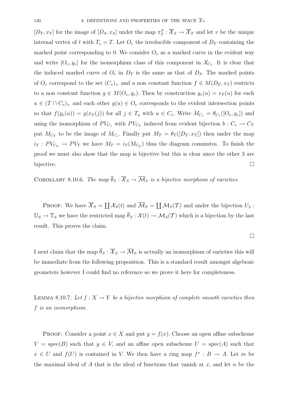$[D_T, x_T]$  for the image of  $[D_S, x_S]$  under the map  $\pi_T^S : \overline{\mathcal{X}}_S \to \overline{\mathcal{X}}_T$  and let v be the unique internal vertex of t with  $T_v = T$ . Let  $O_v$  the irreducible component of  $D_T$  containing the marked point corresponding to 0. We consider  $O_v$  as a marked curve in the evident way and write  $[O_v, y_v]$  for the isomorphism class of this component in  $\mathcal{X}_{C_v}$ . It is clear that the induced marked curve of  $O_v$  in  $D_T$  is the same as that of  $D_S$ . The marked points of  $O_v$  correspond to the set  $(C_v)_+$  and a non constant function  $f \in M(D_T, x_T)$  restricts to a non constant function  $g \in M(O_v, y_v)$ . Then by construction  $y_v(u) = x_T(u)$  for each  $u \in (T \cap C_v)_+$  and each other  $y(u) \in O_v$  corresponds to the evident intersection points so that  $f(y_v(u)) = g(x_T(j))$  for all  $j \in T_u$  with  $u \in C_v$ . Write  $M_{C_v} = \theta_{C_v}([O_v, y_v])$  and using the isomorphism of  $PV_{C_v}$  with  $PV_{C_T}$  induced from evident bijection  $b: C_v \to C_T$ put  $M_{C_T}$  to be the image of  $M_{C_v}$ . Finally put  $M_T = \theta_T([D_T, x_T])$  then under the map  $i_T : PV_{C_T} \to PV_T$  we have  $M_T = i_T(M_{C_T})$  thus the diagram commutes. To finish the proof we must also show that the map is bijective but this is clear since the other 3 are bijective.  $\Box$ 

COROLLARY 8.10.6. The map  $\overline{\theta}_S : \overline{\mathcal{X}}_S \to \overline{\mathcal{M}}_S$  is a bijective morphism of varieties.

PROOF. We have  $\overline{X}_S = \coprod \mathcal{X}_S(t)$  and  $\overline{\mathcal{M}}_S = \coprod \mathcal{M}_S(T)$  and under the bijection  $U_3$ :  $\mathbb{U}_S \to \mathbb{T}_S$  we have the restricted map  $\overline{\theta}_S : \mathcal{X}(t) \to \mathcal{M}_S(T)$  which is a bijection by the last result. This proves the claim.

 $\Box$ 

I next claim that the map  $\overline{\theta}_S : \overline{\mathcal{X}}_S \to \overline{\mathcal{M}}_S$  is actually an isomorphism of varieties this will be immediate from the following proposition. This is a standard result amongst algebraic geometers however I could find no reference so we prove it here for completeness.

LEMMA 8.10.7. Let  $f: X \to Y$  be a bijective morphism of complete smooth varieties then f is an isomorphism.

PROOF. Consider a point  $x \in X$  and put  $y = f(x)$ . Choose an open affine subscheme  $V = \text{spec}(B)$  such that  $y \in V$ , and an affine open subscheme  $U = \text{spec}(A)$  such that  $x \in U$  and  $f(U)$  is contained in V. We then have a ring map  $f^* : B \to A$ . Let m be the maximal ideal of A that is the ideal of functions that vanish at  $x$ , and let  $n$  be the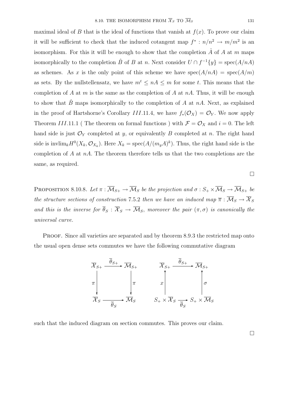maximal ideal of B that is the ideal of functions that vanish at  $f(x)$ . To prove our claim it will be sufficient to check that the induced cotangent map  $f^* : n/n^2 \to m/m^2$  is an isomorphism. For this it will be enough to show that the completion  $\hat{A}$  of A at m maps isomorphically to the completion  $\hat{B}$  of B at n. Next consider  $U \cap f^{-1}{y}$  = spec(A/nA) as schemes. As x is the only point of this scheme we have  $spec(A/nA) = spec(A/m)$ as sets. By the nullstellensatz, we have  $m^t \leq nA \leq m$  for some t. This means that the completion of  $A$  at  $m$  is the same as the completion of  $A$  at  $nA$ . Thus, it will be enough to show that  $\hat{B}$  maps isomorphically to the completion of A at nA. Next, as explained in the proof of Hartshorne's Corollary III.11.4, we have  $f_*(\mathcal{O}_X) = \mathcal{O}_Y$ . We now apply Theorem III.11.1 (The theorem on formal functions) with  $\mathcal{F} = \mathcal{O}_X$  and  $i = 0$ . The left hand side is just  $\mathcal{O}_Y$  completed at y, or equivalently B completed at n. The right hand side is invlim<sub>k</sub> $H^0(X_k, \mathcal{O}_{X_k})$ . Here  $X_k = \text{spec}(A/(m_yA)^k)$ . Thus, the right hand side is the completion of A at  $nA$ . The theorem therefore tells us that the two completions are the same, as required.

 $\Box$ 

PROPOSITION 8.10.8. Let  $\pi : \overline{M}_{S+} \to \overline{M}_S$  be the projection and  $\sigma : S_+ \times \overline{M}_S \to \overline{M}_{S+}$  be the structure sections of construction 7.5.2 then we have an induced map  $\overline{\pi}$  :  $\overline{\mathcal{M}}_S \to \overline{\mathcal{X}}_S$ and this is the inverse for  $\overline{\theta}_S : \overline{X}_S \to \overline{\mathcal{M}}_S$ , moreover the pair  $(\pi, \sigma)$  is canonically the universal curve.

PROOF. Since all varieties are separated and by theorem 8.9.3 the restricted map onto the usual open dense sets commutes we have the following commutative diagram



such that the induced diagram on section commutes. This proves our claim.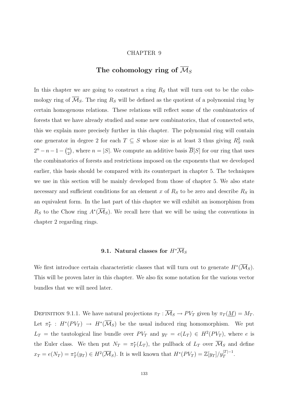#### CHAPTER 9

# **The cohomology ring of** M*<sup>S</sup>*

In this chapter we are going to construct a ring  $R<sub>S</sub>$  that will turn out to be the cohomology ring of  $\overline{\mathcal{M}}_S$ . The ring  $R_S$  will be defined as the quotient of a polynomial ring by certain homogenous relations. These relations will reflect some of the combinatorics of forests that we have already studied and some new combinatorics, that of connected sets, this we explain more precisely further in this chapter. The polynomial ring will contain one generator in degree 2 for each  $T \subseteq S$  whose size is at least 3 thus giving  $R_S^2$  rank  $2^{n} - n - 1 - {n \choose 2}$ , where  $n = |S|$ . We compute an additive basis  $\overline{B}[S]$  for our ring that uses the combinatorics of forests and restrictions imposed on the exponents that we developed earlier, this basis should be compared with its counterpart in chapter 5. The techniques we use in this section will be mainly developed from those of chapter 5. We also state necessary and sufficient conditions for an element x of  $R<sub>S</sub>$  to be zero and describe  $R<sub>S</sub>$  in an equivalent form. In the last part of this chapter we will exhibit an isomorphism from  $R_S$  to the Chow ring  $A^*(\overline{\mathcal{M}}_S)$ . We recall here that we will be using the conventions in chapter 2 regarding rings.

# **9.1.** Natural classes for  $H^*\overline{\mathcal{M}}_S$

We first introduce certain characteristic classes that will turn out to generate  $H^*(\overline{\mathcal{M}}_S)$ . This will be proven later in this chapter. We also fix some notation for the various vector bundles that we will need later.

DEFINITION 9.1.1. We have natural projections  $\pi_T : \overline{\mathcal{M}}_S \to PV_T$  given by  $\pi_T(\underline{M}) = M_T$ . Let  $\pi_T^*: H^*(PV_T) \to H^*(\overline{\mathcal{M}}_S)$  be the usual induced ring homomorphism. We put  $L_T$  = the tautological line bundle over  $PV_T$  and  $y_T = e(L_T) \in H^2(PV_T)$ , where e is the Euler class. We then put  $N_T = \pi_T^*(L_T)$ , the pullback of  $L_T$  over  $\overline{\mathcal{M}}_S$  and define  $x_T = e(N_T) = \pi_T^*(y_T) \in H^2(\overline{\mathcal{M}}_S)$ . It is well known that  $H^*(PV_T) = \mathbb{Z}[y_T]/y_T^{|T|-1}$ .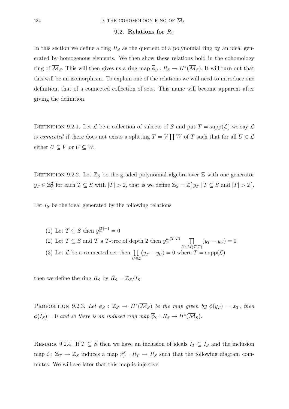### 9.2. Relations for  $R<sub>S</sub>$

In this section we define a ring  $R<sub>S</sub>$  as the quotient of a polynomial ring by an ideal generated by homogenous elements. We then show these relations hold in the cohomology ring of  $\overline{\mathcal{M}}_S$ . This will then gives us a ring map  $\overline{\phi}_S : R_S \to H^*(\overline{\mathcal{M}}_S)$ . It will turn out that this will be an isomorphism. To explain one of the relations we will need to introduce one definition, that of a connected collection of sets. This name will become apparent after giving the definition.

DEFINITION 9.2.1. Let  $\mathcal L$  be a collection of subsets of S and put  $T = \text{supp}(\mathcal L)$  we say  $\mathcal L$ is connected if there does not exists a splitting  $T = V \coprod W$  of T such that for all  $U \in \mathcal{L}$ either  $U \subseteq V$  or  $U \subseteq W$ .

DEFINITION 9.2.2. Let  $\mathbb{Z}_S$  be the graded polynomial algebra over  $\mathbb Z$  with one generator  $y_T \in \mathbb{Z}_S^2$  for each  $T \subseteq S$  with  $|T| > 2$ , that is we define  $\mathbb{Z}_S = \mathbb{Z}[y_T | T \subseteq S]$  and  $|T| > 2$ .

Let  $I<sub>S</sub>$  be the ideal generated by the following relations

(1) Let  $T \subseteq S$  then  $y_T^{|T|-1} = 0$ (2) Let  $T \subseteq S$  and  $\mathcal T$  a T-tree of depth 2 then  $y_T^{m(\mathcal T,\mathcal T)}$   $\prod$  $U\epsilon M(T,T)$  $(y_T - y_U) = 0$ (3) Let  $\mathcal L$  be a connected set then  $\prod$  $\bar{U}$ ∈ $\mathcal{L}$  $(y_T - y_U) = 0$  where  $T = \text{supp}(\mathcal{L})$ 

then we define the ring  $R_S$  by  $R_S = \mathbb{Z}_S/I_S$ 

PROPOSITION 9.2.3. Let  $\phi_S : \mathbb{Z}_S \to H^*(\overline{\mathcal{M}}_S)$  be the map given by  $\phi(y_T) = x_T$ , then  $\phi(I_S)=0$  and so there is an induced ring map  $\overline{\phi}_S : R_S \to H^*(\overline{\mathcal{M}}_S).$ 

REMARK 9.2.4. If  $T \subseteq S$  then we have an inclusion of ideals  $I_T \subseteq I_S$  and the inclusion map  $i: \mathbb{Z}_T \to \mathbb{Z}_S$  induces a map  $r_T^S : R_T \to R_S$  such that the following diagram commutes. We will see later that this map is injective.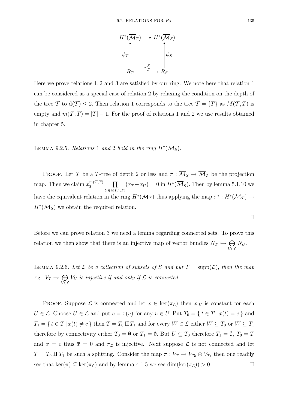

Here we prove relations 1, 2 and 3 are satisfied by our ring. We note here that relation 1 can be considered as a special case of relation 2 by relaxing the condition on the depth of the tree T to  $d(T) \leq 2$ . Then relation 1 corresponds to the tree  $T = \{T\}$  as  $M(T, T)$  is empty and  $m(\mathcal{T}, T) = |T| - 1$ . For the proof of relations 1 and 2 we use results obtained in chapter 5.

## LEMMA 9.2.5. Relations 1 and 2 hold in the ring  $H^*(\overline{\mathcal{M}}_S)$ .

PROOF. Let T be a T-tree of depth 2 or less and  $\pi : \overline{\mathcal{M}}_S \to \overline{\mathcal{M}}_T$  be the projection map. Then we claim  $x_T^{m(T,T)}$   $\prod$  $U\in M(\overline{{\cal T}},{\cal T})$  $(x_T - x_U) = 0$  in  $H^*(\overline{\mathcal{M}}_S)$ . Then by lemma 5.1.10 we have the equivalent relation in the ring  $H^*(\overline{\mathcal{M}}_T)$  thus applying the map  $\pi^*: H^*(\overline{\mathcal{M}}_T) \to$  $H^*(\overline{\mathcal{M}}_S)$  we obtain the required relation.

Before we can prove relation 3 we need a lemma regarding connected sets. To prove this relation we then show that there is an injective map of vector bundles  $N_T \rightarrow \bigoplus$  $U \bar{\in} \mathcal{L}$  $N_U$  .

LEMMA 9.2.6. Let  $\mathcal L$  be a collection of subsets of S and put  $T = \text{supp}(\mathcal L)$ , then the map  $\pi_{\mathcal{L}} : V_T \to \bigoplus$  $U \bar{\in} \mathcal{L}$  $V_U$  is injective if and only if  $\mathcal L$  is connected.

PROOF. Suppose  $\mathcal L$  is connected and let  $\overline{x} \in \text{ker}(\pi_{\mathcal L})$  then  $x|_U$  is constant for each  $U \in \mathcal{L}$ . Choose  $U \in \mathcal{L}$  and put  $c = x(u)$  for any  $u \in U$ . Put  $T_0 = \{ t \in T \mid x(t) = c \}$  and  $T_1 = \{ t \in T \mid x(t) \neq c \}$  then  $T = T_0 \amalg T_1$  and for every  $W \in \mathcal{L}$  either  $W \subseteq T_0$  or  $W \subseteq T_1$ therefore by connectivity either  $T_0 = \emptyset$  or  $T_1 = \emptyset$ . But  $U \subseteq T_0$  therefore  $T_1 = \emptyset$ ,  $T_0 = T_1$ and  $x = c$  thus  $\overline{x} = 0$  and  $\pi_{\mathcal{L}}$  is injective. Next suppose  $\mathcal{L}$  is not connected and let  $T = T_0 \amalg T_1$  be such a splitting. Consider the map  $\pi : V_T \to V_{T_0} \oplus V_{T_1}$  then one readily see that ker( $\pi$ )  $\subseteq$  ker( $\pi$ <sub>L</sub>) and by lemma 4.1.5 we see dim(ker( $\pi$ <sub>L</sub>)) > 0.

$$
\qquad \qquad \Box
$$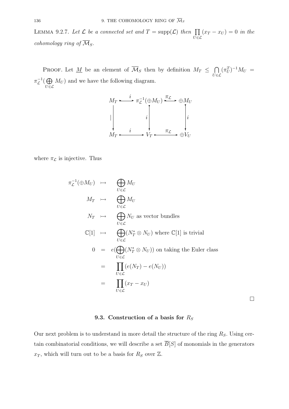LEMMA 9.2.7. Let  $\mathcal L$  be a connected set and  $T = \text{supp}(\mathcal L)$  then  $\prod$  $\bar{U}$ ∈ $\mathcal{L}$  $(x_T - x_U) = 0$  in the cohomology ring of  $\overline{\mathcal{M}}_S$ .

PROOF. Let <u>M</u> be an element of  $\overline{\mathcal{M}}_S$  then by definition  $M_T \leq \bigcap$  $\dot{U} \in \mathcal{L}$  $(\pi_U^T)^{-1} M_U =$  $\pi_{\mathcal{L}}^{-1}(\bigoplus$  $\bar{U}$ ∈ $\mathcal{L}$  $M_U$ ) and we have the following diagram.

$$
M_T \xrightarrow{i} \pi_{\mathcal{L}}^{-1}(\oplus M_U) \xrightarrow{\pi_{\mathcal{L}}} \oplus M_U
$$
\n
$$
\downarrow \qquad \qquad i \qquad \qquad \downarrow
$$
\n
$$
M_T \xrightarrow{i} V_T \xrightarrow{\pi_{\mathcal{L}}} \oplus V_U
$$

where  $\pi_{\mathcal{L}}$  is injective. Thus

$$
\pi_{\mathcal{L}}^{-1}(\oplus M_U) \rightarrow \bigoplus_{U \in \mathcal{L}} M_U
$$
\n
$$
M_T \rightarrow \bigoplus_{U \in \mathcal{L}} M_U
$$
\n
$$
N_T \rightarrow \bigoplus_{U \in \mathcal{L}} N_U \text{ as vector bundles}
$$
\n
$$
\mathbb{C}[1] \rightarrow \bigoplus_{U \in \mathcal{L}} (N_T^* \otimes N_U) \text{ where } \mathbb{C}[1] \text{ is trivial}
$$
\n
$$
0 = e(\bigoplus_{U \in \mathcal{L}} (N_T^* \otimes N_U)) \text{ on taking the Euler class}
$$
\n
$$
= \prod_{U \in \mathcal{L}} (e(N_T) - e(N_U))
$$
\n
$$
= \prod_{U \in \mathcal{L}} (x_T - x_U)
$$

### 9.3. Construction of a basis for  $R<sub>S</sub>$

 $\Box$ 

Our next problem is to understand in more detail the structure of the ring  $R_S$ . Using certain combinatorial conditions, we will describe a set  $\overline{B}[S]$  of monomials in the generators  $x_T$ , which will turn out to be a basis for  $R_S$  over  $\mathbb{Z}$ .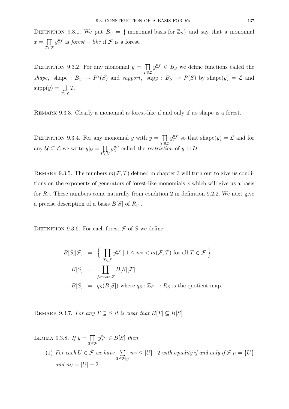DEFINITION 9.3.1. We put  $B_S = \{$  monomial basis for  $\mathbb{Z}_S$  and say that a monomial  $x = \prod$  $\bar{T} \in \mathcal{F}$  $y_T^{n_T}$  is *forest* – like if  $\mathcal F$  is a forest.

DEFINITION 9.3.2. For any monomial  $y = \prod$  $\bar{T} \in \mathcal{L}$  $y_T^{n_T} \in B_S$  we define functions called the shape, shape :  $B_S \to P^2(S)$  and support, supp :  $B_S \to P(S)$  by shape(y) =  $\mathcal L$  and  $supp(y) = \bigcup$  $T \bar{\in} \mathcal{L}$ T.

Remark 9.3.3. Clearly a monomial is forest-like if and only if its shape is a forest.

DEFINITION 9.3.4. For any monomial y with  $y = \prod$  $\bar{T}$ ∈ $\mathcal{L}$  $y_T^{n_T}$  so that shape(y) =  $\mathcal L$  and for any  $\mathcal{U} \subseteq \mathcal{L}$  we write  $y|_{\mathcal{U}} = \prod$ U∈U  $y_U^{n_U}$  called the *restriction* of y to U.

REMARK 9.3.5. The numbers  $m(\mathcal{F}, T)$  defined in chapter 3 will turn out to give us conditions on the exponents of generators of forest-like monomials x which will give us a basis for  $R<sub>S</sub>$ . These numbers come naturally from condition 2 in definition 9.2.2. We next give a precise description of a basis  $\overline{B}[S]$  of  $R_S$ .

DEFINITION 9.3.6. For each forest  $\mathcal F$  of S we define

$$
B[S][\mathcal{F}] = \left\{ \prod_{T \in \mathcal{F}} y_T^{n_T} \mid 1 \le n_T < m(\mathcal{F}, T) \text{ for all } T \in \mathcal{F} \right\}
$$
\n
$$
B[S] = \prod_{\text{forests } \mathcal{F}} B[S][\mathcal{F}]
$$
\n
$$
\overline{B}[S] = q_S(B[S]) \text{ where } q_S : \mathbb{Z}_S \to R_S \text{ is the quotient map.}
$$

REMARK 9.3.7. For any  $T \subseteq S$  it is clear that  $B[T] \subseteq B[S]$ 

LEMMA 9.3.8. If  $y = \prod$  $\bar{T} \in \mathcal{F}$  $y_T^{n_T} \in B[S]$  then (1) For each  $U \in \mathcal{F}$  we have  $\sum$  $T \overline{\in} \mathcal{F}|_U$  $n_T \leq |U| - 2$  with equality if and only if  $\mathcal{F}|_U = \{U\}$ and  $n_U = |U| - 2$ .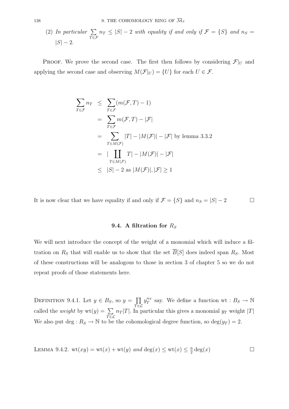(2) In particular 
$$
\sum_{T \in \mathcal{F}} n_T \le |S| - 2
$$
 with equality if and only if  $\mathcal{F} = \{S\}$  and  $n_S = |S| - 2$ .

PROOF. We prove the second case. The first then follows by considering  $\mathcal{F}|_U$  and applying the second case and observing  $M(\mathcal{F}|_U) = \{U\}$  for each  $U \in \mathcal{F}$ .

$$
\sum_{T \in \mathcal{F}} n_T \leq \sum_{T \in \mathcal{F}} (m(\mathcal{F}, T) - 1)
$$
\n
$$
= \sum_{T \in \mathcal{F}} m(\mathcal{F}, T) - |\mathcal{F}|
$$
\n
$$
= \sum_{T \in M(\mathcal{F})} |T| - |M(\mathcal{F})| - |\mathcal{F}| \text{ by lemma 3.3.2}
$$
\n
$$
= |\prod_{T \in M(\mathcal{F})} T| - |M(\mathcal{F})| - |\mathcal{F}|
$$
\n
$$
\leq |S| - 2 \text{ as } |M(\mathcal{F})|, |\mathcal{F}| \geq 1
$$

It is now clear that we have equality if and only if  $\mathcal{F} = \{S\}$  and  $n_S = |S| - 2$ 

### 9.4. A filtration for  $R<sub>S</sub>$

We will next introduce the concept of the weight of a monomial which will induce a filtration on  $R_S$  that will enable us to show that the set  $\overline{B}[S]$  does indeed span  $R_S$ . Most of these constructions will be analogous to those in section 3 of chapter 5 so we do not repeat proofs of those statements here.

DEFINITION 9.4.1. Let  $y \in B_S$ , so  $y = \prod$  $\bar{T} \in \mathcal{L}$  $y_T^{n_T}$  say. We define a function wt :  $B_S \to \mathbb{N}$ called the *weight* by  $wt(y) = \sum$  $\bar{T} \in \mathcal{L}$  $n_T$ |T|. In particular this gives a monomial  $y_T$  weight |T| We also put deg :  $R_S \to \mathbb{N}$  to be the cohomological degree function, so  $\deg(y_T) = 2$ .

LEMMA 9.4.2.  $wt(xy) = wt(x) + wt(y)$  and  $deg(x) \le wt(x) \le \frac{n}{2} deg(x)$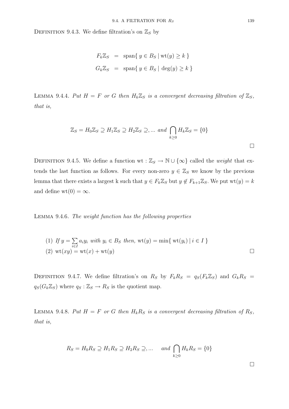DEFINITION 9.4.3. We define filtration's on  $\mathbb{Z}_S$  by

$$
F_k \mathbb{Z}_S = \text{span}\{ y \in B_S \mid \text{wt}(y) \ge k \}
$$
  

$$
G_k \mathbb{Z}_S = \text{span}\{ y \in B_S \mid \text{deg}(y) \ge k \}
$$

LEMMA 9.4.4. Put  $H = F$  or G then  $H_k \mathbb{Z}_S$  is a convergent decreasing filtration of  $\mathbb{Z}_S$ , that is,

$$
\mathbb{Z}_S = H_0 \mathbb{Z}_S \supseteq H_1 \mathbb{Z}_S \supseteq H_2 \mathbb{Z}_S \supseteq \dots \text{ and } \bigcap_{k \ge 0} H_k \mathbb{Z}_S = \{0\}
$$

DEFINITION 9.4.5. We define a function wt :  $\mathbb{Z}_S \to \mathbb{N} \cup \{\infty\}$  called the *weight* that extends the last function as follows. For every non-zero  $y \in \mathbb{Z}_S$  we know by the previous lemma that there exists a largest k such that  $y \in F_k \mathbb{Z}_S$  but  $y \notin F_{k+1} \mathbb{Z}_S$ . We put  $wt(y) = k$ and define wt $(0) = \infty$ .

Lemma 9.4.6. The weight function has the following properties

(1) If 
$$
y = \sum_{i \in I} a_i y_i
$$
 with  $y_i \in B_S$  then,  $\text{wt}(y) = \min\{\text{wt}(y_i) \mid i \in I\}$   
(2)  $\text{wt}(xy) = \text{wt}(x) + \text{wt}(y)$ 

DEFINITION 9.4.7. We define filtration's on  $R_S$  by  $F_kR_S = q_S(F_k\mathbb{Z}_S)$  and  $G_kR_S =$  $q_S(G_k \mathbb{Z}_S)$  where  $q_S : \mathbb{Z}_S \to R_S$  is the quotient map.

LEMMA 9.4.8. Put  $H = F$  or G then  $H_k R_S$  is a convergent decreasing filtration of  $R_S$ , that is,

$$
R_S = H_0 R_S \supseteq H_1 R_S \supseteq H_2 R_S \supseteq \dots \quad \text{and} \bigcap_{k \ge 0} H_k R_S = \{0\}
$$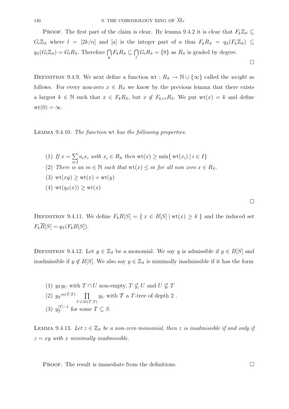PROOF. The first part of the claim is clear. By lemma 9.4.2 it is clear that  $F_k \mathbb{Z}_S \subseteq$  $G_l\mathbb{Z}_S$  where  $l = [2k/n]$  and [a] is the integer part of a thus  $F_kR_S = q_S(F_k\mathbb{Z}_S) \subseteq$  $q_S(G_l \mathbb{Z}_S) = G_l R_S$ . Therefore  $\bigcap_k F_k R_S \subseteq \bigcap_l G_l R_S = \{0\}$  as  $R_S$  is graded by degree.  $\Box$ 

DEFINITION 9.4.9. We next define a function wt :  $R_S \to \mathbb{N} \cup \{\infty\}$  called the *weight* as follows. For every non-zero  $x \in R_S$  we know by the previous lemma that there exists a largest  $k \in \mathbb{N}$  such that  $x \in F_k R_S$ , but  $x \notin F_{k+1} R_S$ . We put  $wt(x) = k$  and define  $wt(0) = \infty$ .

Lemma 9.4.10. The function wt has the following properties.

(1) If 
$$
x = \sum a_i x_i
$$
 with  $x_i \in R_S$  then  $wt(x) \ge min\{wt(x_i) \mid i \in I\}$ 

- (2) There is an  $m \in \mathbb{N}$  such that  $wt(x) \leq m$  for all non zero  $x \in R_S$ .
- (3)  $\text{wt}(xy) \geq \text{wt}(x) + \text{wt}(y)$
- (4)  $\operatorname{wt}(q_S(x)) \geq \operatorname{wt}(x)$

 $\sum_{i\in I}$ 

DEFINITION 9.4.11. We define  $F_kB[S] = \{ x \in B[S] \mid \text{wt}(x) \geq k \}$  and the induced set  $F_k\overline{B}[S] = q_S(F_kB[S]).$ 

DEFINITION 9.4.12. Let  $y \in \mathbb{Z}_S$  be a monomial. We say y is admissible if  $y \in B[S]$  and inadmissible if  $y \notin B[S]$ . We also say  $y \in \mathbb{Z}_S$  is minimally inadmissible if it has the form

(1)  $y_T y_U$  with  $T \cap U$  non-empty,  $T \nsubseteq U$  and  $U \nsubseteq T$ (2)  $y_T^{m(T,T)}$   $\prod$  $U\in M(\overline{{\cal T}},T)$  $y_U$  with  $\mathcal T$  a T-tree of depth 2. (3)  $y_T^{|T|-1}$  for some  $T \subseteq S$ .

LEMMA 9.4.13. Let  $z \in \mathbb{Z}_S$  be a non-zero monomial, then z is inadmissible if and only if  $z = xy$  with x minimally inadmissible.

**PROOF.** The result is immediate from the definitions.  $\Box$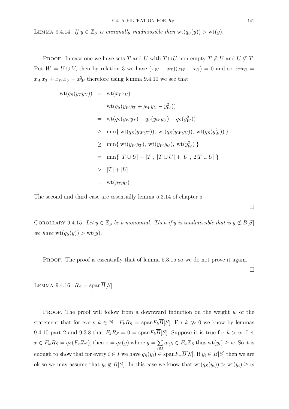LEMMA 9.4.14. If  $y \in \mathbb{Z}_S$  is minimally inadmissible then  $wt(q_S(y)) > wt(y)$ .

PROOF. In case one we have sets T and U with  $T \cap U$  non-empty  $T \nsubseteq U$  and  $U \nsubseteq T$ . Put  $W = U \cup V$ , then by relation 3 we have  $(x_W - x_T)(x_W - x_U) = 0$  and so  $x_T x_U =$  $x_W x_T + x_W x_U - x_W^2$  therefore using lemma 9.4.10 we see that

$$
wt(q_S(y_T y_U)) = wt(x_T x_U)
$$
  
\n
$$
= wt(q_S(y_W y_T + y_W y_U - y_W^2))
$$
  
\n
$$
= wt(q_S(y_W y_T) + q_S(y_W y_U) - q_S(y_W^2))
$$
  
\n
$$
\geq min \{ wt(q_S(y_W y_T)), wt(q_S(y_W y_U)), wt(q_S(y_W^2)) \}
$$
  
\n
$$
\geq min \{ wt(y_W y_T), wt(y_W y_U), wt(y_W^2) \}
$$
  
\n
$$
= min \{ |T \cup U| + |T|, |T \cup U| + |U|, 2|T \cup U| \}
$$
  
\n
$$
> |T| + |U|
$$
  
\n
$$
= wt(y_T y_U)
$$

The second and third case are essentially lemma 5.3.14 of chapter 5 .

COROLLARY 9.4.15. Let  $y \in \mathbb{Z}_S$  be a monomial. Then if y is inadmissible that is  $y \notin B[S]$ we have  $\text{wt}(q_S(y)) > \text{wt}(y)$ .

PROOF. The proof is essentially that of lemma 5.3.15 so we do not prove it again.

 $\Box$ 

 $\Box$ 

LEMMA 9.4.16.  $R_S = \text{span}\overline{B}[S]$ 

**PROOF.** The proof will follow from a downward induction on the weight  $w$  of the statement that for every  $k \in \mathbb{N}$   $F_k R_S = \text{span} F_k \overline{B}[S]$ . For  $k \gg 0$  we know by lemmas 9.4.10 part 2 and 9.3.8 that  $F_k R_S = 0 = \text{span} F_k \overline{B}[S]$ . Suppose it is true for  $k > w$ . Let  $x \in F_w R_S = q_S(F_w \mathbb{Z}_S)$ , then  $x = q_S(y)$  where  $y = \sum$ i∈I  $a_i y_i \in F_w \mathbb{Z}_S$  thus  $wt(y_i) \geq w$ . So it is enough to show that for every  $i \in I$  we have  $q_S(y_i) \in \text{span} F_w \overline{B}[S]$ . If  $y_i \in B[S]$  then we are ok so we may assume that  $y_i \notin B[S]$ . In this case we know that  $\text{wt}(q_S(y_i)) > \text{wt}(y_i) \geq w$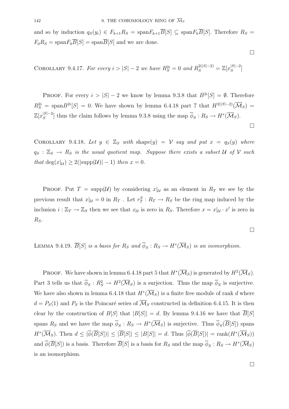and so by induction  $q_S(y_i) \in F_{k+1}R_S = \text{span} F_{k+1} \overline{B}[S] \subseteq \text{span} F_k \overline{B}[S]$ . Therefore  $R_S =$  $F_0R_S = \text{span}F_0\overline{B}[S] = \text{span}\overline{B}[S]$  and we are done.

COROLLARY 9.4.17. For every  $i > |S| - 2$  we have  $R_S^{2i} = 0$  and  $R_S^{2(|S|-2)} = \mathbb{Z}[x_S^{|S|-2}]$ 

**PROOF.** For every  $i > |S| - 2$  we know by lemma 9.3.8 that  $B^{2i}[S] = \emptyset$ . Therefore  $R_S^{2i}$  = span $B^{2i}[S] = 0$ . We have shown by lemma 6.4.18 part 7 that  $H^{2(|S|-2)}(\overline{\mathcal{M}}_S)$  =  $\mathbb{Z}[x_{S}^{|S|-2}]$  thus the claim follows by lemma 9.3.8 using the map  $\overline{\phi}_{S}: R_{S} \to H^{*}(\overline{\mathcal{M}}_{S}).$ 

COROLLARY 9.4.18. Let  $y \in \mathbb{Z}_S$  with shape(y) = V say and put  $x = q_S(y)$  where  $q_S : \mathbb{Z}_S \to R_S$  is the usual quotient map. Suppose there exists a subset U of V such that  $\deg(x|\mu) \geq 2(|\text{supp}(\mathcal{U})| - 1)$  then  $x = 0$ .

PROOF. Put  $T = \text{supp}(\mathcal{U})$  by considering  $x|_{\mathcal{U}}$  as an element in  $R_T$  we see by the previous result that  $x|_{\mathcal{U}} = 0$  in  $R_T$ . Let  $r_T^S : R_T \to R_S$  be the ring map induced by the inclusion  $i : \mathbb{Z}_T \to \mathbb{Z}_S$  then we see that  $x_{\mathcal{U}}$  is zero in  $R_S$ . Therefore  $x = x|_{\mathcal{U}} \cdot x'$  is zero in  $R_S$ .

LEMMA 9.4.19.  $\overline{B}[S]$  is a basis for  $R_S$  and  $\overline{\phi}_S : R_S \to H^*(\overline{\mathcal{M}}_S)$  is an isomorphism.

**PROOF.** We have shown in lemma 6.4.18 part 5 that  $H^*(\overline{\mathcal{M}}_S)$  is generated by  $H^2(\overline{\mathcal{M}}_S)$ . Part 3 tells us that  $\overline{\phi}_S : R_S^2 \to H^2(\overline{\mathcal{M}}_S)$  is a surjection. Thus the map  $\overline{\phi}_S$  is surjective. We have also shown in lemma 6.4.18 that  $H^*(\overline{\mathcal{M}}_S)$  is a finite free module of rank d where  $d = P<sub>S</sub>(1)$  and  $P<sub>S</sub>$  is the Poincaré series of  $\overline{\mathcal{M}}<sub>S</sub>$  constructed in definition 6.4.15. It is then clear by the construction of  $B[S]$  that  $|B[S]| = d$ . By lemma 9.4.16 we have that  $\overline{B}[S]$ spans  $R_S$  and we have the map  $\overline{\phi}_S : R_S \to H^*(\overline{\mathcal{M}}_S)$  is surjective. Thus  $\overline{\phi}_S(\overline{B}[S])$  spans  $H^*(\overline{\mathcal{M}}_S)$ . Then  $d \leq |\overline{\phi}(\overline{B}[S])| \leq |\overline{B}[S]| \leq |B[S]| = d$ . Thus  $|\overline{\phi}(\overline{B}[S])| = \text{rank}(H^*(\overline{\mathcal{M}}_S))$ and  $\overline{\phi}(\overline{B}[S])$  is a basis. Therefore  $\overline{B}[S]$  is a basis for  $R_S$  and the map  $\overline{\phi}_S : R_S \to H^*(\overline{\mathcal{M}}_S)$ is an isomorphism.

 $\Box$ 

 $\Box$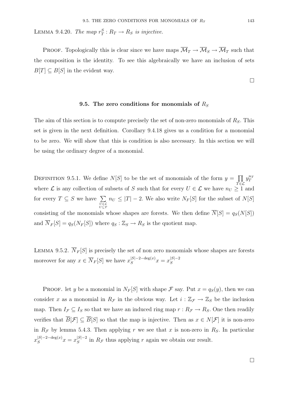LEMMA 9.4.20. The map  $r_T^S: R_T \to R_S$  is injective.

PROOF. Topologically this is clear since we have maps  $\overline{\mathcal{M}}_T \to \overline{\mathcal{M}}_S \to \overline{\mathcal{M}}_T$  such that the composition is the identity. To see this algebraically we have an inclusion of sets  $B[T] \subseteq B[S]$  in the evident way.

### 9.5. The zero conditions for monomials of  $R<sub>S</sub>$

The aim of this section is to compute precisely the set of non-zero monomials of  $R<sub>S</sub>$ . This set is given in the next definition. Corollary 9.4.18 gives us a condition for a monomial to be zero. We will show that this is condition is also necessary. In this section we will be using the ordinary degree of a monomial.

DEFINITION 9.5.1. We define  $N[S]$  to be the set of monomials of the form  $y = \prod$  $\bar{T} \in \mathcal{L}$  $y_T^{n_T}$ where  $\mathcal L$  is any collection of subsets of S such that for every  $U \in \mathcal L$  we have  $n_U \geq 1$  and for every  $T \subseteq S$  we have  $\sum$ *U*∈L *U*⊆*T*  $n_U \leq |T| - 2$ . We also write  $N_F[S]$  for the subset of  $N[S]$ consisting of the monomials whose shapes are forests. We then define  $\overline{N}[S] = q_S(N[S])$ and  $\overline{N}_F[S] = q_S(N_F[S])$  where  $q_S : \mathbb{Z}_S \to R_S$  is the quotient map.

LEMMA 9.5.2.  $\overline{N}_F[S]$  is precisely the set of non zero monomials whose shapes are forests moreover for any  $x \in \overline{N}_F[S]$  we have  $x_S^{|S|-2-\deg(x)}x = x_S^{|S|-2}$ 

**PROOF.** let y be a monomial in  $N_F[S]$  with shape  $\mathcal F$  say. Put  $x = q_S(y)$ , then we can consider x as a monomial in  $R_{\mathcal{F}}$  in the obvious way. Let  $i : \mathbb{Z}_{\mathcal{F}} \to \mathbb{Z}_{S}$  be the inclusion map. Then  $I_{\mathcal{F}} \subseteq I_S$  so that we have an induced ring map  $r : R_{\mathcal{F}} \to R_S$ . One then readily verifies that  $\overline{B}[\mathcal{F}] \subseteq \overline{B}[S]$  so that the map is injective. Then as  $x \in N[\mathcal{F}]$  it is non-zero in  $R<sub>F</sub>$  by lemma 5.4.3. Then applying r we see that x is non-zero in  $R<sub>S</sub>$ . In particular  $x_{S}^{|S|-2-\deg(x)}x=x_{S}^{|S|-2}$  in  $R_{\mathcal{F}}$  thus applying r again we obtain our result.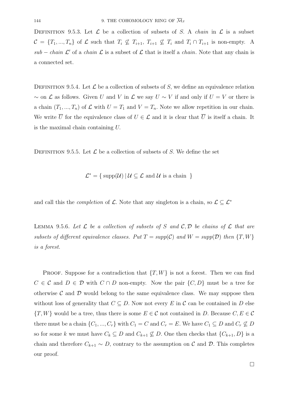DEFINITION 9.5.3. Let  $\mathcal L$  be a collection of subsets of S. A *chain* in  $\mathcal L$  is a subset  $\mathcal{C} = \{T_1, ..., T_n\}$  of  $\mathcal L$  such that  $T_i \not\subseteq T_{i+1}, T_{i+1} \not\subseteq T_i$  and  $T_i \cap T_{i+1}$  is non-empty. A sub – chain  $\mathcal{L}'$  of a chain  $\mathcal{L}$  is a subset of  $\mathcal{L}$  that is itself a chain. Note that any chain is a connected set.

DEFINITION 9.5.4. Let  $\mathcal L$  be a collection of subsets of S, we define an equivalence relation  $\sim$  on  $\mathcal L$  as follows. Given U and V in  $\mathcal L$  we say  $U \sim V$  if and only if  $U = V$  or there is a chain  $(T_1, ..., T_n)$  of  $\mathcal L$  with  $U = T_1$  and  $V = T_n$ . Note we allow repetition in our chain. We write  $\overline{U}$  for the equivalence class of  $U \in \mathcal{L}$  and it is clear that  $\overline{U}$  is itself a chain. It is the maximal chain containing U.

DEFINITION 9.5.5. Let  $\mathcal L$  be a collection of subsets of S. We define the set

 $\mathcal{L}^* = \{ \text{ supp}(\mathcal{U}) \mid \mathcal{U} \subseteq \mathcal{L} \text{ and } \mathcal{U} \text{ is a chain } \}$ 

and call this the *completion* of  $\mathcal L$ . Note that any singleton is a chain, so  $\mathcal L \subseteq \mathcal L^*$ 

LEMMA 9.5.6. Let  $\mathcal L$  be a collection of subsets of S and  $\mathcal C, \mathcal D$  be chains of  $\mathcal L$  that are subsets of different equivalence classes. Put  $T = supp(C)$  and  $W = supp(D)$  then  $\{T, W\}$ is a forest.

**PROOF.** Suppose for a contradiction that  $\{T, W\}$  is not a forest. Then we can find  $C \in \mathcal{C}$  and  $D \in \mathcal{D}$  with  $C \cap D$  non-empty. Now the pair  $\{C, D\}$  must be a tree for otherwise  $\mathcal C$  and  $\mathcal D$  would belong to the same equivalence class. We may suppose then without loss of generality that  $C \subseteq D$ . Now not every E in C can be contained in D else  $\{T, W\}$  would be a tree, thus there is some  $E \in \mathcal{C}$  not contained in D. Because  $C, E \in \mathcal{C}$ there must be a chain  $\{C_1, ..., C_r\}$  with  $C_1 = C$  and  $C_r = E$ . We have  $C_1 \subseteq D$  and  $C_r \not\subseteq D$ so for some k we must have  $C_k \subseteq D$  and  $C_{k+1} \not\subseteq D$ . One then checks that  $\{C_{k+1}, D\}$  is a chain and therefore  $C_{k+1} \sim D$ , contrary to the assumption on  $\mathcal C$  and  $\mathcal D$ . This completes our proof.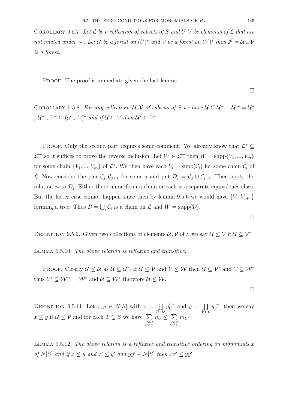COROLLARY 9.5.7. Let  $\mathcal L$  be a collection of subsets of S and U, V be elements of  $\mathcal L$  that are not related under  $\sim$  . Let U be a forest on  $(\overline{U})^*$  and V be a forest on  $(\overline{V})^*$  then  $\mathcal{F} = \mathcal{U} \cup \mathcal{V}$ is a forest.

PROOF. The proof is immediate given the last lemma.

 $\Box$ 

COROLLARY 9.5.8. For any collections  $U, V$  of subsets of S we have  $U \subseteq U^*$ ,  $U^{**} = U^*$ ,  $\mathcal{U}^* \cup \mathcal{V}^* \subseteq (\mathcal{U} \cup \mathcal{V})^*$  and if  $\mathcal{U} \subseteq \mathcal{V}$  then  $\mathcal{U}^* \subseteq \mathcal{V}^*$ .

PROOF. Only the second part requires some comment. We already know that  $\mathcal{L}^*$  $\mathcal{L}^{**}$  so it suffices to prove the reverse inclusion. Let  $W \in \mathcal{L}^{**}$  then  $W = \text{supp}\{V_1, ..., V_m\}$ for some chain  $\{V_1, ..., V_m\}$  of  $\mathcal{L}^*$ . We then have each  $V_i = \text{supp}(\mathcal{C}_i)$  for some chain  $\mathcal{C}_i$  of L. Now consider the pair  $\mathcal{C}_j, \mathcal{C}_{j+1}$  for some j and put  $\mathcal{D}_j = \mathcal{C}_j \cup \mathcal{C}_{j+1}$ . Then apply the relation  $\sim$  to  $\mathcal{D}_j$ . Either there union form a chain or each is a separate equivalence class. But the latter case cannot happen since then by lemma 9.5.6 we would have  $\{V_j, V_{j+1}\}\$ forming a tree. Thus  $\mathcal{D} = \bigcup_i \mathcal{C}_i$  is a chain on  $\mathcal{L}$  and  $W = \text{supp}(\mathcal{D})$ .

DEFINITION 9.5.9. Given two collections of elements  $\mathcal{U}, \mathcal{V}$  of S we say  $\mathcal{U} \leq \mathcal{V}$  if  $\mathcal{U} \subseteq \mathcal{V}^*$ 

Lemma 9.5.10. The above relation is reflexive and transitive.

PROOF. Clearly  $\mathcal{U} \leq \mathcal{U}$  as  $\mathcal{U} \subseteq \mathcal{U}^*$ . If  $\mathcal{U} \leq \mathcal{V}$  and  $\mathcal{V} \leq \mathcal{W}$  then  $\mathcal{U} \subseteq \mathcal{V}^*$  and  $\mathcal{V} \subseteq \mathcal{W}^*$ thus  $\mathcal{V}^* \subseteq \mathcal{W}^{**} = \mathcal{W}^*$  and  $\mathcal{U} \subseteq \mathcal{W}^*$  therefore  $\mathcal{U} \leq \mathcal{W}$ .

 $\Box$ 

 $\Box$ 

DEFINITION 9.5.11. Let  $x, y \in N[S]$  with  $x = \prod$ U∈U  $y_U^{n_U}$  and  $y = \prod$  $\bar{V} \in \bar{\mathcal{V}}$  $y_V^{m_V}$  then we say  $x \leq y$  if  $\mathcal{U} \leq \mathcal{V}$  and for each  $T \subseteq S$  we have  $\sum$ *U*∈U *U*⊆*T*  $n_U \leq \sum$ *V* ∈V *V* ⊆*T*  $m_U$ 

LEMMA 9.5.12. The above relation is a reflexive and transitive ordering on monomials  $x$ of N[S] and if  $x \leq y$  and  $x' \leq y'$  and  $yy' \in N[S]$  then  $xx' \leq yy'$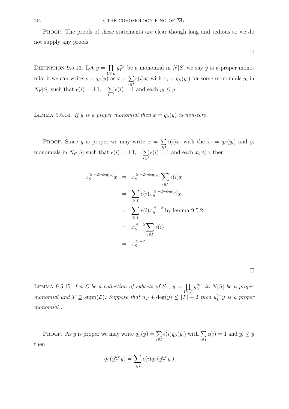Proof. The proofs of these statements are clear though long and tedious so we do not supply any proofs.

 $\Box$ 

DEFINITION 9.5.13. Let  $y = \prod$  $\bar{U}$ ∈ $\mathcal{L}$  $y_T^{n_T}$  be a monomial in  $N[S]$  we say y is a proper monomial if we can write  $x = q_S(y)$  as  $x = \sum$ i∈I  $\epsilon(i)x_i$  with  $x_i = q_S(y_i)$  for some monomials  $y_i$  in  $N_F[S]$  such that  $\epsilon(i) = \pm 1, \quad \sum$ i∈I  $\epsilon(i) = 1$  and each  $y_i \leq y$ 

LEMMA 9.5.14. If y is a proper monomial then  $x = q_S(y)$  is non-zero.

PROOF. Since y is proper we may write  $x = \sum$ i∈I  $\epsilon(i)x_i$  with the  $x_i = q_S(y_i)$  and  $y_i$ monomials in  $N_F[S]$  such that  $\epsilon(i) = \pm 1$ ,  $\sum$ i∈I  $\epsilon(i) = 1$  and each  $x_i \leq x$  then

$$
x_S^{|S|-2-\deg(x)}x = x_S^{|S|-2-\deg(x)}\sum_{i\in I} \epsilon(i)x_i
$$
  

$$
= \sum_{i\in I} \epsilon(i)x_S^{|S|-2-\deg(x)}x_i
$$
  

$$
= \sum_{i\in I} \epsilon(i)x_S^{|S|-2} \text{ by lemma 9.5.2}
$$
  

$$
= x_S^{|S|-2}\sum_{i\in I} \epsilon(i)
$$
  

$$
= x_S^{|S|-2}
$$

 $\Box$ 

LEMMA 9.5.15. Let  $\mathcal L$  be a collection of subsets of S,  $y = \prod$  $\bar{U}$ ∈ $\mathcal{L}$  $y_U^{n_U}$  in  $N[S]$  be a proper monomial and  $T \supseteq \text{supp}(\mathcal{L})$ . Suppose that  $n_T + \text{deg}(y) \leq |T| - 2$  then  $y_T^{n_T}y$  is a proper monomial .

PROOF. As y is proper we may write  $q_S(y) = \sum$ i∈I  $\epsilon(i)q_S(y_i)$  with  $\sum$ i∈I  $\epsilon(i) = 1$  and  $y_i \leq y$ then

$$
q_S(y_T^{n_T}y) = \sum_{i \in I} \epsilon(i) q_S(y_T^{n_T}y_i)
$$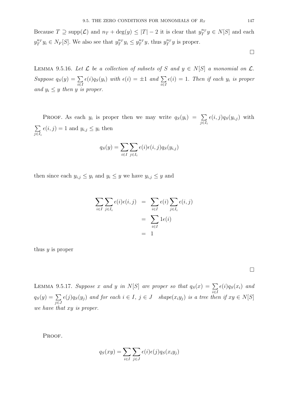Because  $T \supseteq \text{supp}(\mathcal{L})$  and  $n_T + \text{deg}(y) \leq |T| - 2$  it is clear that  $y_T^{n_T} y \in N[S]$  and each  $y_T^{n_T} y_i \in N_F[S]$ . We also see that  $y_T^{n_T} y_i \leq y_T^{n_T} y$ , thus  $y_T^{n_T} y$  is proper.

 $\Box$ 

LEMMA 9.5.16. Let  $\mathcal L$  be a collection of subsets of S and  $y \in N[S]$  a monomial on  $\mathcal L$ . Suppose  $q_S(y) = \sum$ i∈I  $\epsilon(i)q_S(y_i)$  with  $\epsilon(i) = \pm 1$  and  $\sum$ i∈I  $\epsilon(i)=1$ . Then if each  $y_i$  is proper and  $y_i \leq y$  then y is proper.

PROOF. As each  $y_i$  is proper then we may write  $q_S(y_i) = \sum$ j∈I*<sup>i</sup>*  $\epsilon(i, j)q_S(y_{i,j})$  with  $\sum$ j∈I*<sup>i</sup>*  $\epsilon(i, j) = 1$  and  $y_{i,j} \leq y_i$  then

$$
q_S(y) = \sum_{i \in I} \sum_{j \in I_i} \epsilon(i) \epsilon(i, j) q_S(y_{i,j})
$$

then since each  $y_{i,j} \leq y_i$  and  $y_i \leq y$  we have  $y_{i,j} \leq y$  and

$$
\sum_{i \in I} \sum_{j \in I_i} \epsilon(i) \epsilon(i, j) = \sum_{i \in I} \epsilon(i) \sum_{j \in I_i} \epsilon(i, j)
$$

$$
= \sum_{i \in I} 1 \epsilon(i)
$$

$$
= 1
$$

thus  $y$  is proper

 $\Box$ 

LEMMA 9.5.17. Suppose x and y in N[S] are proper so that  $q_S(x) = \sum$ i∈I  $\epsilon(i)q_S(x_i)$  and  $q_S(y) = \sum$ j∈J  $\epsilon(j)q_S(y_j)$  and for each  $i \in I, j \in J$  shape $(x_iy_j)$  is a tree then if  $xy \in N[S]$ we have that xy is proper.

PROOF.

$$
q_S(xy) = \sum_{i \in I} \sum_{j \in J} \epsilon(i) \epsilon(j) q_S(x_i y_j)
$$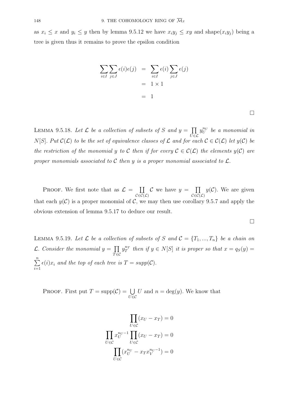as  $x_i \leq x$  and  $y_i \leq y$  then by lemma 9.5.12 we have  $x_i y_j \leq xy$  and shape $(x_i y_j)$  being a tree is given thus it remains to prove the epsilon condition

$$
\sum_{i \in I} \sum_{j \in J} \epsilon(i)\epsilon(j) = \sum_{i \in I} \epsilon(i) \sum_{j \in J} \epsilon(j)
$$

$$
= 1 \times 1
$$

$$
= 1
$$

 $\Box$ 

LEMMA 9.5.18. Let  $\mathcal L$  be a collection of subsets of S and  $y = \prod$  $\bar{U}$ ∈C  $y_U^{n_U}$  be a monomial in N[S]. Put  $\mathcal{C}(\mathcal{L})$  to be the set of equivalence classes of  $\mathcal{L}$  and for each  $\mathcal{C} \in \mathcal{C}(\mathcal{L})$  let  $y(\mathcal{C})$  be the restriction of the monomial y to C then if for every  $\mathcal{C} \in \mathcal{C}(\mathcal{L})$  the elements  $y(\mathcal{C})$  are proper monomials associated to C then y is a proper monomial associated to  $\mathcal{L}$ .

PROOF. We first note that as  $\mathcal{L} = \coprod$  $\mathcal{C} {\in} \mathcal{C} (\mathcal{L})$ C we have  $y = \prod$  $\mathcal{C} {\in} \mathcal{C} (\mathcal{L})$  $y(\mathcal{C})$ . We are given that each  $y(\mathcal{C})$  is a proper monomial of  $\mathcal{C}$ , we may then use corollary 9.5.7 and apply the obvious extension of lemma 9.5.17 to deduce our result.

 $\Box$ 

LEMMA 9.5.19. Let  $\mathcal L$  be a collection of subsets of S and  $\mathcal C = \{T_1, ..., T_n\}$  be a chain on  $\mathcal{L}.$  Consider the monomial  $y = \prod$  $\bar r$ ∈C  $y_T^{n_T}$  then if  $y \in N[S]$  it is proper so that  $x = q_S(y) =$  $\sum_{n=1}^{\infty}$  $\sum_{i=1}$  $\epsilon(i)x_i$  and the top of each tree is  $T = supp(C)$ .

PROOF. First put  $T = \text{supp}(\mathcal{C}) = \bigcup$ U∈C U and  $n = \deg(y)$ . We know that

$$
\prod_{U \in \mathcal{C}} (x_U - x_T) = 0
$$
\n
$$
\prod_{U \in \mathcal{C}} x_U^{n_U - 1} \prod_{U \in \mathcal{C}} (x_U - x_T) = 0
$$
\n
$$
\prod_{U \in \mathcal{C}} (x_U^{n_U} - x_T x_V^{n_U - 1}) = 0
$$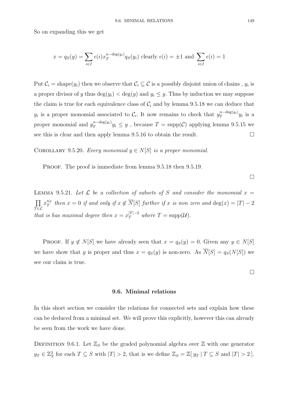So on expanding this we get

$$
x = q_S(y) = \sum_{i \in I} \epsilon(i) x_T^{n-\deg(y_i)} q_S(y_i)
$$
 clearly  $\epsilon(i) = \pm 1$  and  $\sum_{i \in I} \epsilon(i) = 1$ 

Put  $C_i = \text{shape}(y_i)$  then we observe that  $C_i \subseteq C$  is a possibly disjoint union of chains,  $y_i$  is a proper divisor of y thus  $\deg(y_i) < \deg(y)$  and  $y_i \leq y$ . Thus by induction we may suppose the claim is true for each equivalence class of  $C_i$  and by lemma 9.5.18 we can deduce that  $y_i$  is a proper monomial associated to  $\mathcal{C}_i$ . It now remains to check that  $y_T^{n-\deg(y_i)}y_i$  is a proper monomial and  $y_T^{n-\deg(y_i)}y_i \leq y$ , because  $T = \text{supp}(\mathcal{C})$  applying lemma 9.5.15 we see this is clear and then apply lemma  $9.5.16$  to obtain the result.

COROLLARY 9.5.20. Every monomial  $y \in N[S]$  is a proper monomial.

PROOF. The proof is immediate from lemma  $9.5.18$  then  $9.5.19$ .

LEMMA 9.5.21. Let  $\mathcal L$  be a collection of subsets of S and consider the monomial  $x =$  $\overline{\Pi}$  $\bar{T} \in \mathcal{L}$  $x_T^{n_T}$  then  $x = 0$  if and only if  $x \notin \overline{N}[S]$  further if x is non zero and  $\deg(x) = |T| - 2$ that is has maximal degree then  $x = x_T^{|T|-2}$  where  $T = \text{supp}(\mathcal{U})$ .

PROOF. If  $y \notin N[S]$  we have already seen that  $x = q_S(y) = 0$ . Given any  $y \in N[S]$ we have show that y is proper and thus  $x = q_S(y)$  is non-zero. As  $\overline{N}[S] = q_S(N[S])$  we see our claim is true.

 $\Box$ 

## **9.6. Minimal relations**

In this short section we consider the relations for connected sets and explain how these can be deduced from a minimal set. We will prove this explicitly, however this can already be seen from the work we have done.

DEFINITION 9.6.1. Let  $\mathbb{Z}_S$  be the graded polynomial algebra over  $\mathbb Z$  with one generator  $y_T \in \mathbb{Z}_S^2$  for each  $T \subseteq S$  with  $|T| > 2$ , that is we define  $\mathbb{Z}_S = \mathbb{Z}[y_T | T \subseteq S$  and  $|T| > 2$ .

 $\Box$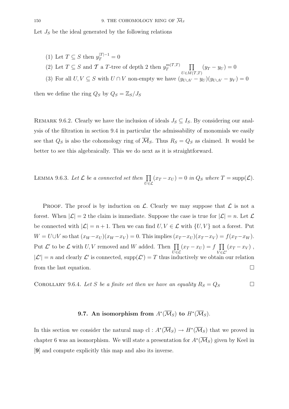Let  $J<sub>S</sub>$  be the ideal generated by the following relations

- (1) Let  $T \subseteq S$  then  $y_T^{|T|-1} = 0$ (2) Let  $T \subseteq S$  and  $\mathcal T$  a T-tree of depth 2 then  $y_T^{m(\mathcal T, T)}$   $\prod$  $U\epsilon M(T,T)$  $(y_T - y_U) = 0$
- (3) For all  $U, V \subseteq S$  with  $U \cap V$  non-empty we have  $(y_{U \cup V} y_U)(y_{U \cup V} y_V) = 0$

then we define the ring  $Q_S$  by  $Q_S = \mathbb{Z}_S/J_S$ 

REMARK 9.6.2. Clearly we have the inclusion of ideals  $J_S \subseteq I_S$ . By considering our analysis of the filtration in section 9.4 in particular the admissability of monomials we easily see that  $Q_S$  is also the cohomology ring of  $\overline{\mathcal{M}}_S$ . Thus  $R_S = Q_S$  as claimed. It would be better to see this algebraically. This we do next as it is straightforward.

LEMMA 9.6.3. Let  $\mathcal L$  be a connected set then  $\prod$  $\bar{U}$ ∈ $\mathcal{L}$  $(x_T - x_U) = 0$  in  $Q_S$  where  $T = \text{supp}(\mathcal{L}).$ 

**PROOF.** The proof is by induction on  $\mathcal{L}$ . Clearly we may suppose that  $\mathcal{L}$  is not a forest. When  $|\mathcal{L}| = 2$  the claim is immediate. Suppose the case is true for  $|\mathcal{L}| = n$ . Let  $\mathcal{L}$ be connected with  $|\mathcal{L}| = n + 1$ . Then we can find  $U, V \in \mathcal{L}$  with  $\{U, V\}$  not a forest. Put  $W = U \cup V$  so that  $(x_W - x_U)(x_W - x_V) = 0$ . This implies  $(x_T - x_U)(x_T - x_V) = f(x_T - x_W)$ . Put  $\mathcal{L}'$  to be  $\mathcal{L}$  with  $U, V$  removed and W added. Then  $\prod$  $\bar{U}$ ∈ $\mathcal{L}$  $(x_T - x_U) = f \prod$  $V\bar{\in}\mathcal{L}'$  $(x_T - x_V)$ ,  $|\mathcal{L}'|=n$  and clearly  $\mathcal{L}'$  is connected, supp $(\mathcal{L}')=T$  thus inductively we obtain our relation from the last equation.  $\Box$ 

COROLLARY 9.6.4. Let S be a finite set then we have an equality  $R_S = Q_S$ 

## **9.7.** An isomorphism from  $A^*(\overline{M}_S)$  to  $H^*(\overline{M}_S)$ .

In this section we consider the natural map cl :  $A^*(\overline{\mathcal{M}}_S) \to H^*(\overline{\mathcal{M}}_S)$  that we proved in chapter 6 was an isomorphism. We will state a presentation for  $A^*(\overline{\mathcal{M}}_S)$  given by Keel in [**9**] and compute explicitly this map and also its inverse.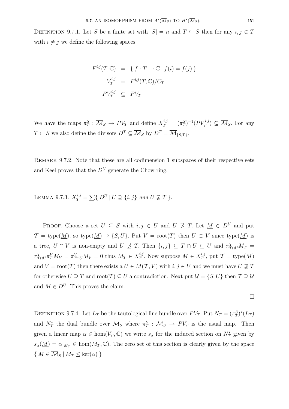DEFINITION 9.7.1. Let S be a finite set with  $|S| = n$  and  $T \subseteq S$  then for any  $i, j \in T$ with  $i \neq j$  we define the following spaces.

$$
F^{i,j}(T, \mathbb{C}) = \{ f : T \to \mathbb{C} \mid f(i) = f(j) \}
$$
  

$$
V_T^{i,j} = F^{i,j}(T, \mathbb{C})/C_T
$$
  

$$
PV_T^{i,j} \subseteq PV_T
$$

We have the maps  $\pi_T^S : \overline{\mathcal{M}}_S \to PV_T$  and define  $X_T^{i,j} = (\pi_T^S)^{-1}(PV_T^{i,j}) \subseteq \overline{\mathcal{M}}_S$ . For any  $T \subset S$  we also define the divisors  $D^T \subseteq \overline{\mathcal{M}}_S$  by  $D^T = \overline{\mathcal{M}}_{\{S,T\}}$ .

REMARK 9.7.2. Note that these are all codimension 1 subspaces of their respective sets and Keel proves that the  $D^U$  generate the Chow ring.

LEMMA 9.7.3.  $X_T^{i,j} = \sum \{ D^U | U \supseteq \{i,j\} \text{ and } U \not\supseteq T \}.$ 

PROOF. Choose a set  $U \subseteq S$  with  $i, j \in U$  and  $U \not\supseteq T$ . Let  $\underline{M} \in D^U$  and put  $\mathcal{T} = \text{type}(\underline{M})$ , so type $(\underline{M}) \supseteq \{S, U\}$ . Put  $V = \text{root}(T)$  then  $U \subset V$  since type $(\underline{M})$  is a tree,  $U \cap V$  is non-empty and  $U \not\supseteq T$ . Then  $\{i, j\} \subseteq T \cap U \subseteq U$  and  $\pi_{T \cap U}^T M_T =$  $\pi_{T\cap U}^T\pi_T^V M_V = \pi_{T\cap U}^V M_V = 0$  thus  $M_T \in X_T^{i,j}$ . Now suppose  $\underline{M} \in X_T^{i,j}$ , put  $\mathcal{T} = \text{type}(\underline{M})$ and  $V = \text{root}(T)$  then there exists a  $U \in M(\mathcal{T}, V)$  with  $i, j \in U$  and we must have  $U \not\supseteq T$ for otherwise  $U \supseteq T$  and  $\text{root}(T) \subseteq U$  a contradiction. Next put  $\mathcal{U} = \{S, U\}$  then  $\mathcal{T} \supseteq \mathcal{U}$ and  $\underline{M} \in D^U$ . This proves the claim.

$$
\qquad \qquad \Box
$$

DEFINITION 9.7.4. Let  $L_T$  be the tautological line bundle over  $PV_T$ . Put  $N_T = (\pi_T^S)^*(L_T)$ and  $N^*_T$  the dual bundle over  $\overline{\mathcal{M}}_S$  where  $\pi^S_T$  :  $\overline{\mathcal{M}}_S \to PV_T$  is the usual map. Then given a linear map  $\alpha \in \text{hom}(V_T, \mathbb{C})$  we write  $s_\alpha$  for the induced section on  $N_T^*$  given by  $s_{\alpha}(\underline{M}) = \alpha|_{M_T} \in \text{hom}(M_T, \mathbb{C})$ . The zero set of this section is clearly given by the space  $\{ M \in \overline{\mathcal{M}}_S \mid M_T \leq \ker(\alpha) \}$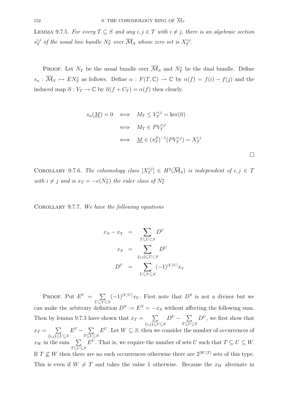LEMMA 9.7.5. For every  $T \subseteq S$  and any  $i, j \in T$  with  $i \neq j$ , there is an algebraic section  $s_T^{i,j}$  of the usual line bundle  $N_T^*$  over  $\overline{\mathcal{M}}_S$  whose zero set is  $X_T^{i,j}$ .

**PROOF.** Let  $N_T$  be the usual bundle over  $\overline{\mathcal{M}}_S$  and  $N_T^*$  be the dual bundle. Define  $s_{\alpha}: \overline{\mathcal{M}}_S \rightarrow EN_T^*$  as follows. Define  $\alpha: F(T,\mathbb{C}) \rightarrow \mathbb{C}$  by  $\alpha(f) = f(i) - f(j)$  and the induced map  $\overline{\alpha}: V_T \to \mathbb{C}$  by  $\overline{\alpha}(f + C_T) = \alpha(f)$  then clearly,

$$
s_{\alpha}(\underline{M}) = 0 \iff M_T \le V_T^{i,j} = \ker(\overline{\alpha})
$$
  

$$
\iff M_T \in PV_T^{i,j}
$$
  

$$
\iff \underline{M} \in (\pi_T^S)^{-1}(PV_T^{i,j}) = X_T^{i,j}
$$

COROLLARY 9.7.6. The cohomology class  $[X_T^{i,j}] \in H^2(\overline{\mathcal{M}}_S)$  is independent of  $i, j \in T$ with  $i \neq j$  and is  $x_T = -e(N_T^*)$  the euler class of  $N_T^*$ 

COROLLARY 9.7.7. We have the following equations

$$
x_S - x_T = \sum_{T \subseteq U \subset S} D^U
$$
  
\n
$$
x_S = \sum_{\{i,j\} \subseteq U \subset S} D^U
$$
  
\n
$$
D^U = \sum_{U \subseteq V \subseteq S} (-1)^{|V/U|} x_V
$$

PROOF. Put  $E^U = \sum$  $U\ssubseteq V\ssubseteq S$  $(-1)^{|V/U|}x_V$ . First note that  $D^S$  is not a divisor but we can make the arbitrary definition  $D^{S} := E^{S} = -x_{S}$  without affecting the following sum. Then by lemma 9.7.3 have shown that  $x_T = \sum$  ${i,j}$ ⊆ $U$ ⊆ $S$  $D^U - \sum$  $T \overline{\subseteq U} \subseteq S$  $D^U$ , we first show that  $x_T = \sum$  ${i,j}$ ⊆ $U$ ⊆ $S$  $E^U - \sum$  $T \subseteq \overline{U} \subseteq S$  $E^U$ . Let  $W \subseteq S$ , then we consider the number of occurrences of  $x_W$  in the sum  $\sum$  $T \overline{\subseteq U} \subseteq S$  $E^U$ . That is, we require the number of sets U such that  $T \subseteq U \subseteq W$ . If  $T \nsubseteq W$  then there are no such occurrences otherwise there are  $2^{|W \setminus T|}$  sets of this type. This is even if  $W \neq T$  and takes the value 1 otherwise. Because the  $x_W$  alternate in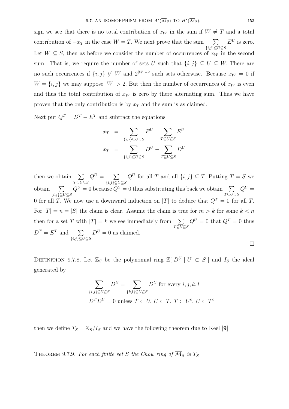sign we see that there is no total contribution of  $x_W$  in the sum if  $W \neq T$  and a total contribution of  $-x_T$  in the case  $W = T$ . We next prove that the sum  $\sum$  $\overline{\{i,j\}\subseteq U\subseteq S}$  $E^U$  is zero. Let  $W \subseteq S$ , then as before we consider the number of occurrences of  $x_W$  in the second sum. That is, we require the number of sets U such that  $\{i, j\} \subseteq U \subseteq W$ . There are no such occurrences if  $\{i, j\} \nsubseteq W$  and  $2^{|W|-2}$  such sets otherwise. Because  $x_W = 0$  if  $W = \{i, j\}$  we may suppose  $|W| > 2$ . But then the number of occurrences of  $x_W$  is even and thus the total contribution of  $x_W$  is zero by there alternating sum. Thus we have proven that the only contribution is by  $x_T$  and the sum is as claimed.

Next put  $Q^T = D^T - E^T$  and subtract the equations

$$
x_T = \sum_{\{i,j\} \subseteq U \subseteq S} E^U - \sum_{T \subseteq U \subseteq S} E^U
$$

$$
x_T = \sum_{\{i,j\} \subseteq U \subseteq S} D^U - \sum_{T \subseteq U \subseteq S} D^U
$$

then we obtain  $\sum$  $T \overline{\subseteq U} \subseteq S$  $Q^U = \sum$  ${i,j}$ ⊆ $U$ ⊆ $S$  $Q^U$  for all T and all  $\{i, j\} \subseteq T$ . Putting  $T = S$  we obtain  $\sum$  $\overline{\{i,j\}\subseteq U\subseteq S}$  $Q^U = 0$  because  $Q^S = 0$  thus substituting this back we obtain  $\sum$  $T \overline{\subseteq U} \subseteq S$  $Q^U =$ 0 for all T. We now use a downward induction on |T| to deduce that  $Q^T = 0$  for all T. For  $|T| = n = |S|$  the claim is clear. Assume the claim is true for  $m > k$  for some  $k < n$ then for a set T with  $|T| = k$  we see immediately from  $\sum$  $T \overline{\subseteq U} \subseteq S$  $Q^U = 0$  that  $Q^T = 0$  thus  $D^T = E^T$  and  $\sum$  ${i,j}$ ⊆ $U$ ⊆ $S$  $D^U = 0$  as claimed.  $\Box$ 

DEFINITION 9.7.8. Let  $\mathbb{Z}_S$  be the polynomial ring  $\mathbb{Z}[D^U | U \subset S]$  and  $I_S$  the ideal generated by

$$
\sum_{\{i,j\} \subseteq U \subseteq S} D^U = \sum_{\{k,l\} \subseteq U \subseteq S} D^U \text{ for every } i, j, k, l
$$
  

$$
D^T D^U = 0 \text{ unless } T \subseteq U, U \subseteq T, T \subseteq U^c, U \subseteq T^c
$$

then we define  $T_s = \mathbb{Z}_s / I_s$  and we have the following theorem due to Keel [9]

THEOREM 9.7.9. For each finite set S the Chow ring of  $\overline{\mathcal{M}}_S$  is  $T_S$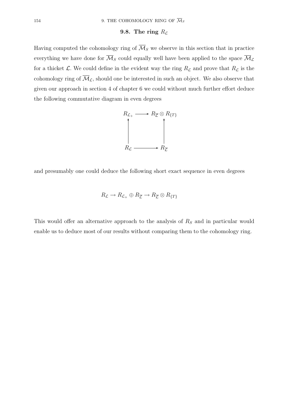## 9.8. The ring  $R<sub>L</sub>$

Having computed the cohomology ring of  $\overline{\mathcal{M}}_S$  we observe in this section that in practice everything we have done for  $\overline{\mathcal{M}}_S$  could equally well have been applied to the space  $\overline{\mathcal{M}}_L$ for a thicket  $\mathcal{L}$ . We could define in the evident way the ring  $R_{\mathcal{L}}$  and prove that  $R_{\mathcal{L}}$  is the cohomology ring of  $\overline{\mathcal{M}}_{\mathcal{L}}$ , should one be interested in such an object. We also observe that given our approach in section 4 of chapter 6 we could without much further effort deduce the following commutative diagram in even degrees



and presumably one could deduce the following short exact sequence in even degrees

$$
R_{\mathcal{L}} \to R_{\mathcal{L}_+} \oplus R_{\overline{\mathcal{L}}} \to R_{\overline{\mathcal{L}}} \otimes R_{\{T\}}
$$

This would offer an alternative approach to the analysis of  $R<sub>S</sub>$  and in particular would enable us to deduce most of our results without comparing them to the cohomology ring.